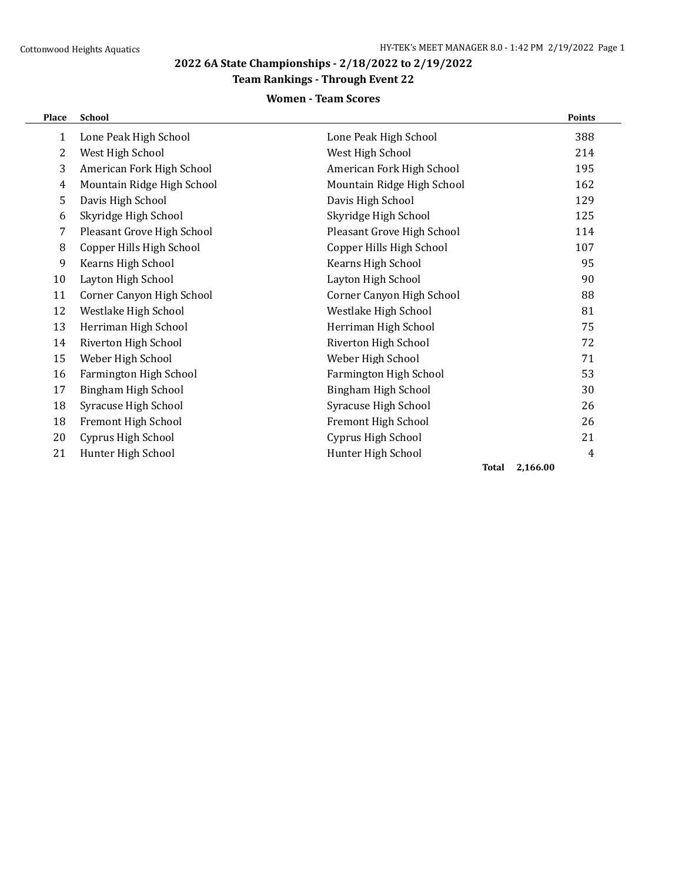## **Team Rankings - Through Event 22**

## **Women - Team Scores**

| Place        | <b>School</b>              |                            | <b>Points</b> |
|--------------|----------------------------|----------------------------|---------------|
| $\mathbf{1}$ | Lone Peak High School      | Lone Peak High School      | 388           |
| 2            | West High School           | West High School           | 214           |
| 3            | American Fork High School  | American Fork High School  | 195           |
| 4            | Mountain Ridge High School | Mountain Ridge High School | 162           |
| 5            | Davis High School          | Davis High School          | 129           |
| 6            | Skyridge High School       | Skyridge High School       | 125           |
| 7            | Pleasant Grove High School | Pleasant Grove High School | 114           |
| 8            | Copper Hills High School   | Copper Hills High School   | 107           |
| 9            | Kearns High School         | Kearns High School         | 95            |
| 10           | Layton High School         | Layton High School         | 90            |
| 11           | Corner Canyon High School  | Corner Canyon High School  | 88            |
| 12           | Westlake High School       | Westlake High School       | 81            |
| 13           | Herriman High School       | Herriman High School       | 75            |
| 14           | Riverton High School       | Riverton High School       | 72            |
| 15           | Weber High School          | Weber High School          | 71            |
| 16           | Farmington High School     | Farmington High School     | 53            |
| 17           | Bingham High School        | Bingham High School        | 30            |
| 18           | Syracuse High School       | Syracuse High School       | 26            |
| 18           | Fremont High School        | Fremont High School        | 26            |
| 20           | Cyprus High School         | Cyprus High School         | 21            |
| 21           | Hunter High School         | Hunter High School         | 4             |
|              |                            | <b>Total</b>               | 2,166.00      |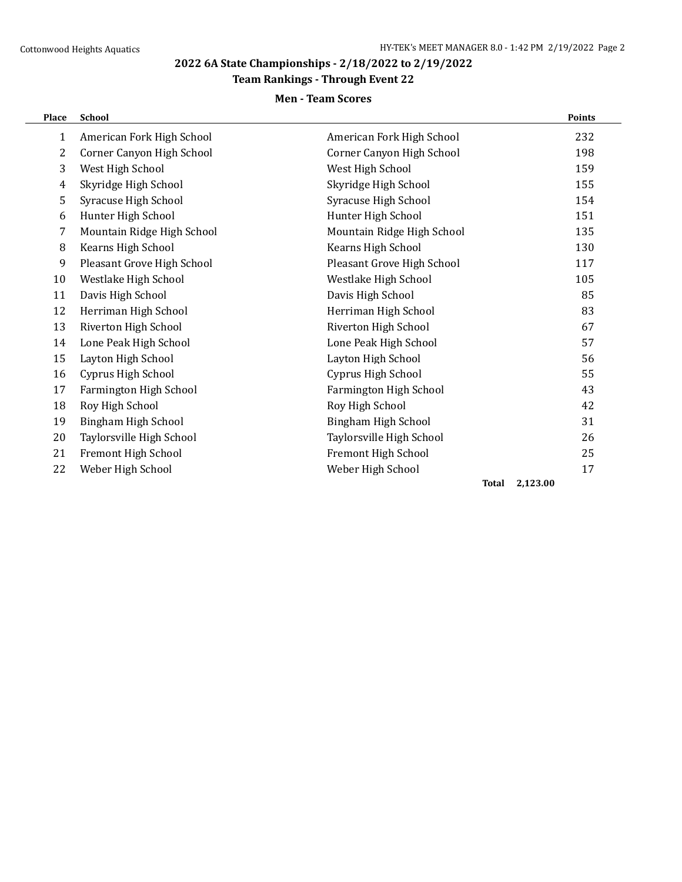## **Team Rankings - Through Event 22**

## **Men - Team Scores**

| Place          | <b>School</b>              |                            | <b>Points</b> |
|----------------|----------------------------|----------------------------|---------------|
| $\mathbf{1}$   | American Fork High School  | American Fork High School  | 232           |
| $\overline{2}$ | Corner Canyon High School  | Corner Canyon High School  | 198           |
| 3              | West High School           | West High School           | 159           |
| 4              | Skyridge High School       | Skyridge High School       | 155           |
| 5              | Syracuse High School       | Syracuse High School       | 154           |
| 6              | Hunter High School         | Hunter High School         | 151           |
| 7              | Mountain Ridge High School | Mountain Ridge High School | 135           |
| 8              | Kearns High School         | Kearns High School         | 130           |
| 9              | Pleasant Grove High School | Pleasant Grove High School | 117           |
| 10             | Westlake High School       | Westlake High School       | 105           |
| 11             | Davis High School          | Davis High School          | 85            |
| 12             | Herriman High School       | Herriman High School       | 83            |
| 13             | Riverton High School       | Riverton High School       | 67            |
| 14             | Lone Peak High School      | Lone Peak High School      | 57            |
| 15             | Layton High School         | Layton High School         | 56            |
| 16             | Cyprus High School         | Cyprus High School         | 55            |
| 17             | Farmington High School     | Farmington High School     | 43            |
| 18             | Roy High School            | Roy High School            | 42            |
| 19             | Bingham High School        | Bingham High School        | 31            |
| 20             | Taylorsville High School   | Taylorsville High School   | 26            |
| 21             | Fremont High School        | Fremont High School        | 25            |
| 22             | Weber High School          | Weber High School          | 17            |
|                |                            |                            |               |

**Total 2,123.00**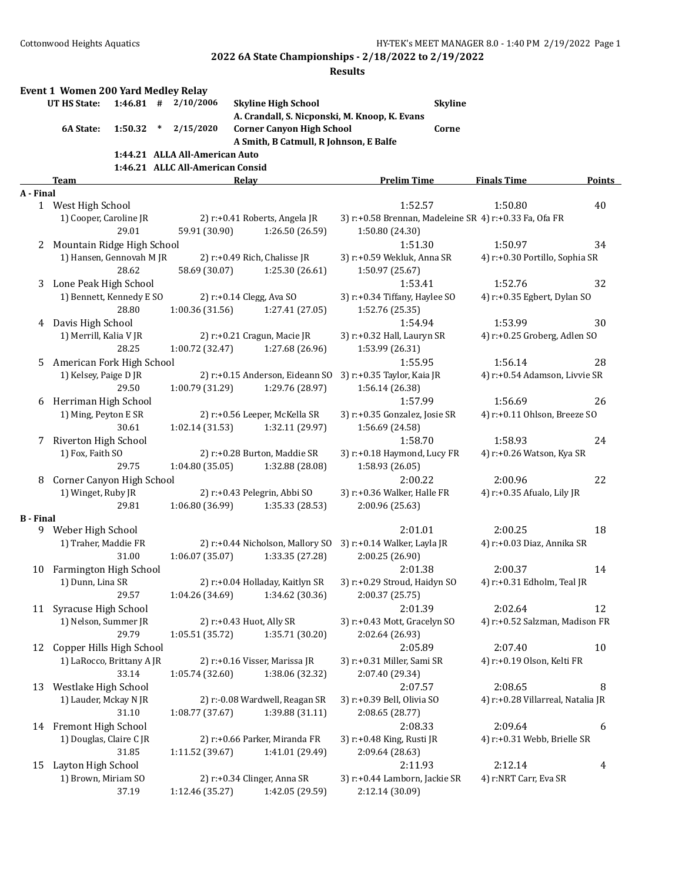|                  | Event 1 Women 200 Yard Medley Relay |             |                                  |                                               |                                                                           |                                   |               |
|------------------|-------------------------------------|-------------|----------------------------------|-----------------------------------------------|---------------------------------------------------------------------------|-----------------------------------|---------------|
|                  | <b>UT HS State:</b>                 | $1:46.81$ # | 2/10/2006                        | <b>Skyline High School</b>                    | <b>Skyline</b>                                                            |                                   |               |
|                  |                                     |             |                                  | A. Crandall, S. Nicponski, M. Knoop, K. Evans |                                                                           |                                   |               |
|                  | 6A State:                           | 1:50.32     | 2/15/2020<br>$\ast$              | <b>Corner Canyon High School</b>              | Corne                                                                     |                                   |               |
|                  |                                     |             |                                  | A Smith, B Catmull, R Johnson, E Balfe        |                                                                           |                                   |               |
|                  |                                     |             | 1:44.21 ALLA All-American Auto   |                                               |                                                                           |                                   |               |
|                  |                                     |             | 1:46.21 ALLC All-American Consid |                                               |                                                                           |                                   |               |
|                  | <b>Team</b>                         |             |                                  | Relay                                         | <b>Prelim Time</b>                                                        | <b>Finals Time</b>                | <b>Points</b> |
| A - Final        |                                     |             |                                  |                                               |                                                                           |                                   |               |
|                  | 1 West High School                  |             |                                  | 2) r:+0.41 Roberts, Angela JR                 | 1:52.57                                                                   | 1:50.80                           | 40            |
|                  | 1) Cooper, Caroline JR              | 29.01       | 59.91 (30.90)                    | 1:26.50 (26.59)                               | 3) r:+0.58 Brennan, Madeleine SR 4) r:+0.33 Fa, Ofa FR<br>1:50.80 (24.30) |                                   |               |
| 2                | Mountain Ridge High School          |             |                                  |                                               | 1:51.30                                                                   | 1:50.97                           | 34            |
|                  | 1) Hansen, Gennovah M JR            |             |                                  | 2) r:+0.49 Rich, Chalisse JR                  | 3) r:+0.59 Wekluk, Anna SR                                                | 4) r:+0.30 Portillo, Sophia SR    |               |
|                  |                                     | 28.62       | 58.69 (30.07)                    | 1:25.30 (26.61)                               | 1:50.97 (25.67)                                                           |                                   |               |
| 3                | Lone Peak High School               |             |                                  |                                               | 1:53.41                                                                   | 1:52.76                           | 32            |
|                  | 1) Bennett, Kennedy E SO            |             |                                  | 2) r:+0.14 Clegg, Ava SO                      | 3) r:+0.34 Tiffany, Haylee SO                                             | 4) r:+0.35 Egbert, Dylan SO       |               |
|                  |                                     | 28.80       | 1:00.36(31.56)                   | 1:27.41 (27.05)                               | 1:52.76 (25.35)                                                           |                                   |               |
| 4                | Davis High School                   |             |                                  |                                               | 1:54.94                                                                   | 1:53.99                           | 30            |
|                  | 1) Merrill, Kalia V JR              |             |                                  | 2) r:+0.21 Cragun, Macie JR                   | 3) r:+0.32 Hall, Lauryn SR                                                | 4) r:+0.25 Groberg, Adlen SO      |               |
|                  |                                     | 28.25       | 1:00.72 (32.47)                  | 1:27.68 (26.96)                               | 1:53.99 (26.31)                                                           |                                   |               |
| 5.               | American Fork High School           |             |                                  |                                               | 1:55.95                                                                   | 1:56.14                           | 28            |
|                  | 1) Kelsey, Paige D JR               |             |                                  | 2) r:+0.15 Anderson, Eideann SO               | 3) r:+0.35 Taylor, Kaia JR                                                | 4) r:+0.54 Adamson, Livvie SR     |               |
|                  |                                     | 29.50       | 1:00.79 (31.29)                  | 1:29.76 (28.97)                               | 1:56.14 (26.38)                                                           |                                   |               |
| 6                | Herriman High School                |             |                                  |                                               | 1:57.99                                                                   | 1:56.69                           | 26            |
|                  | 1) Ming, Peyton E SR                |             |                                  | 2) r:+0.56 Leeper, McKella SR                 | 3) r:+0.35 Gonzalez, Josie SR                                             | 4) r:+0.11 Ohlson, Breeze SO      |               |
|                  |                                     | 30.61       | 1:02.14 (31.53)                  | 1:32.11 (29.97)                               | 1:56.69 (24.58)                                                           |                                   |               |
| 7                | Riverton High School                |             |                                  |                                               | 1:58.70                                                                   | 1:58.93                           | 24            |
|                  | 1) Fox, Faith SO                    |             |                                  | 2) r:+0.28 Burton, Maddie SR                  | 3) r:+0.18 Haymond, Lucy FR                                               | 4) r:+0.26 Watson, Kya SR         |               |
|                  |                                     | 29.75       | 1:04.80 (35.05)                  | 1:32.88 (28.08)                               | 1:58.93 (26.05)                                                           |                                   |               |
| 8                | Corner Canyon High School           |             |                                  |                                               | 2:00.22                                                                   | 2:00.96                           | 22            |
|                  | 1) Winget, Ruby JR                  |             |                                  | 2) r:+0.43 Pelegrin, Abbi SO                  | 3) r:+0.36 Walker, Halle FR                                               | 4) r:+0.35 Afualo, Lily JR        |               |
|                  |                                     | 29.81       | 1:06.80 (36.99)                  | 1:35.33 (28.53)                               | 2:00.96 (25.63)                                                           |                                   |               |
| <b>B</b> - Final | 9 Weber High School                 |             |                                  |                                               | 2:01.01                                                                   | 2:00.25                           | 18            |
|                  | 1) Traher, Maddie FR                |             |                                  | 2) r:+0.44 Nicholson, Mallory SO              | 3) r:+0.14 Walker, Layla JR                                               | 4) r:+0.03 Diaz, Annika SR        |               |
|                  |                                     | 31.00       | 1:06.07 (35.07)                  | 1:33.35 (27.28)                               | 2:00.25 (26.90)                                                           |                                   |               |
| 10               | Farmington High School              |             |                                  |                                               | 2:01.38                                                                   | 2:00.37                           | 14            |
|                  | 1) Dunn, Lina SR                    |             |                                  | 2) r:+0.04 Holladay, Kaitlyn SR               | 3) r:+0.29 Stroud, Haidyn SO                                              | 4) r:+0.31 Edholm, Teal JR        |               |
|                  |                                     | 29.57       | 1:04.26 (34.69)                  | 1:34.62 (30.36)                               | 2:00.37 (25.75)                                                           |                                   |               |
| 11               | Syracuse High School                |             |                                  |                                               | 2:01.39                                                                   | 2:02.64                           | 12            |
|                  | 1) Nelson, Summer JR                |             |                                  | 2) r:+0.43 Huot, Ally SR                      | 3) r:+0.43 Mott, Gracelyn SO                                              | 4) r:+0.52 Salzman, Madison FR    |               |
|                  |                                     | 29.79       | 1:05.51(35.72)                   | 1:35.71 (30.20)                               | 2:02.64 (26.93)                                                           |                                   |               |
| 12               | Copper Hills High School            |             |                                  |                                               | 2:05.89                                                                   | 2:07.40                           | 10            |
|                  | 1) LaRocco, Brittany A JR           |             |                                  | 2) r:+0.16 Visser, Marissa JR                 | 3) r:+0.31 Miller, Sami SR                                                | 4) r:+0.19 Olson, Kelti FR        |               |
|                  |                                     | 33.14       | 1:05.74 (32.60)                  | 1:38.06 (32.32)                               | 2:07.40 (29.34)                                                           |                                   |               |
| 13               | Westlake High School                |             |                                  |                                               | 2:07.57                                                                   | 2:08.65                           | 8             |
|                  | 1) Lauder, Mckay N JR               |             |                                  | 2) r:-0.08 Wardwell, Reagan SR                | 3) r:+0.39 Bell, Olivia SO                                                | 4) r:+0.28 Villarreal, Natalia JR |               |
|                  |                                     | 31.10       | 1:08.77 (37.67)                  | 1:39.88 (31.11)                               | 2:08.65 (28.77)                                                           |                                   |               |
|                  | 14 Fremont High School              |             |                                  |                                               | 2:08.33                                                                   | 2:09.64                           | 6             |
|                  | 1) Douglas, Claire CJR              |             |                                  | 2) r:+0.66 Parker, Miranda FR                 | 3) r:+0.48 King, Rusti JR                                                 | 4) r:+0.31 Webb, Brielle SR       |               |
|                  |                                     | 31.85       | 1:11.52 (39.67)                  | 1:41.01 (29.49)                               | 2:09.64 (28.63)                                                           |                                   |               |
| 15               | Layton High School                  |             |                                  |                                               | 2:11.93                                                                   | 2:12.14                           | 4             |
|                  | 1) Brown, Miriam SO                 |             |                                  | 2) r:+0.34 Clinger, Anna SR                   | 3) r:+0.44 Lamborn, Jackie SR                                             | 4) r:NRT Carr, Eva SR             |               |
|                  |                                     | 37.19       | 1:12.46 (35.27)                  | 1:42.05 (29.59)                               | 2:12.14 (30.09)                                                           |                                   |               |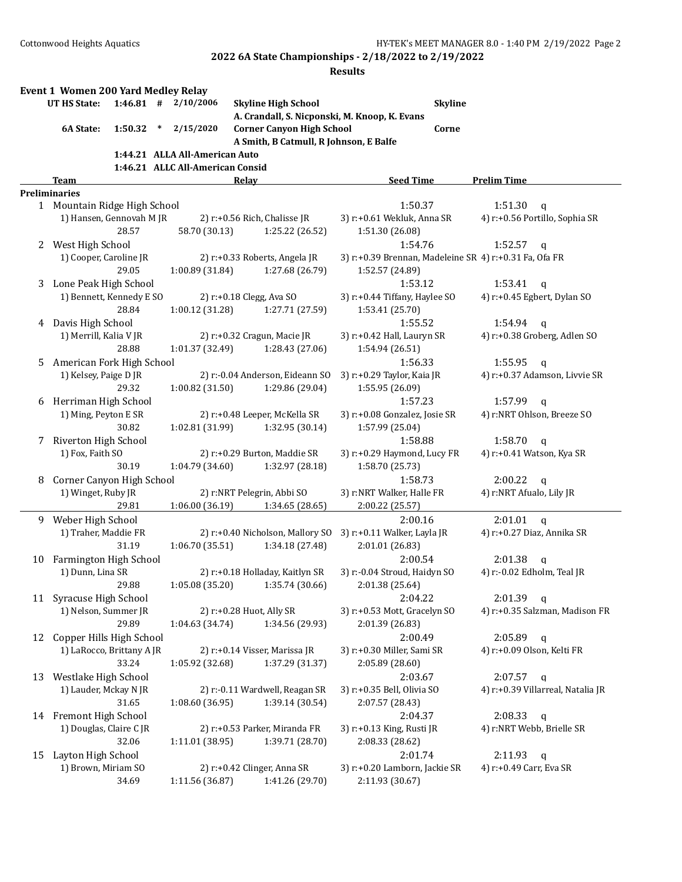|    | Event 1 Women 200 Yard Medley Relay       |             |        |                                  |                                                  |                                                  |                |                                                        |
|----|-------------------------------------------|-------------|--------|----------------------------------|--------------------------------------------------|--------------------------------------------------|----------------|--------------------------------------------------------|
|    | UT HS State:                              | $1:46.81$ # |        | 2/10/2006                        | <b>Skyline High School</b>                       |                                                  | <b>Skyline</b> |                                                        |
|    |                                           |             |        |                                  |                                                  | A. Crandall, S. Nicponski, M. Knoop, K. Evans    |                |                                                        |
|    | 6A State:                                 | 1:50.32     | $\ast$ | 2/15/2020                        | <b>Corner Canyon High School</b>                 |                                                  | Corne          |                                                        |
|    |                                           |             |        |                                  | A Smith, B Catmull, R Johnson, E Balfe           |                                                  |                |                                                        |
|    |                                           |             |        | 1:44.21 ALLA All-American Auto   |                                                  |                                                  |                |                                                        |
|    |                                           |             |        | 1:46.21 ALLC All-American Consid |                                                  |                                                  |                |                                                        |
|    | Team                                      |             |        |                                  | Relay                                            | <b>Seed Time</b>                                 |                | <b>Prelim Time</b>                                     |
|    | <b>Preliminaries</b>                      |             |        |                                  |                                                  |                                                  |                |                                                        |
|    | 1 Mountain Ridge High School              |             |        |                                  |                                                  | 1:50.37                                          |                | 1:51.30<br>$\mathbf q$                                 |
|    | 1) Hansen, Gennovah M JR                  | 28.57       |        | 58.70 (30.13)                    | 2) r:+0.56 Rich, Chalisse JR<br>1:25.22 (26.52)  | 3) r:+0.61 Wekluk, Anna SR<br>1:51.30 (26.08)    |                | 4) r:+0.56 Portillo, Sophia SR                         |
| 2  | West High School                          |             |        |                                  |                                                  | 1:54.76                                          |                | 1:52.57<br>q                                           |
|    | 1) Cooper, Caroline JR                    | 29.05       |        | 1:00.89 (31.84)                  | 2) r:+0.33 Roberts, Angela JR<br>1:27.68 (26.79) | 1:52.57 (24.89)                                  |                | 3) r:+0.39 Brennan, Madeleine SR 4) r:+0.31 Fa, Ofa FR |
|    | 3 Lone Peak High School                   |             |        |                                  |                                                  | 1:53.12                                          |                | 1:53.41<br>q                                           |
|    | 1) Bennett, Kennedy E SO                  |             |        |                                  | 2) r:+0.18 Clegg, Ava SO                         | 3) r:+0.44 Tiffany, Haylee SO                    |                | 4) r:+0.45 Egbert, Dylan SO                            |
|    |                                           | 28.84       |        | 1:00.12 (31.28)                  | 1:27.71 (27.59)                                  | 1:53.41 (25.70)                                  |                |                                                        |
| 4  | Davis High School                         |             |        |                                  |                                                  | 1:55.52                                          |                | 1:54.94<br>$\mathbf{q}$                                |
|    | 1) Merrill, Kalia V JR                    |             |        |                                  | 2) r:+0.32 Cragun, Macie JR                      | 3) r:+0.42 Hall, Lauryn SR                       |                | 4) r:+0.38 Groberg, Adlen SO                           |
|    |                                           | 28.88       |        | 1:01.37 (32.49)                  | 1:28.43 (27.06)                                  | 1:54.94 (26.51)                                  |                |                                                        |
| 5  | American Fork High School                 |             |        |                                  |                                                  | 1:56.33                                          |                | 1:55.95<br>$\mathbf{q}$                                |
|    | 1) Kelsey, Paige D JR                     |             |        |                                  | 2) r:-0.04 Anderson, Eideann SO                  | 3) r:+0.29 Taylor, Kaia JR                       |                | 4) r:+0.37 Adamson, Livvie SR                          |
|    |                                           | 29.32       |        | 1:00.82 (31.50)                  | 1:29.86 (29.04)                                  | 1:55.95 (26.09)                                  |                |                                                        |
| 6  | Herriman High School                      |             |        |                                  |                                                  | 1:57.23                                          |                | 1:57.99<br>$\mathbf q$                                 |
|    | 1) Ming, Peyton E SR                      |             |        |                                  | 2) r:+0.48 Leeper, McKella SR                    | 3) r:+0.08 Gonzalez, Josie SR                    |                | 4) r:NRT Ohlson, Breeze SO                             |
|    |                                           | 30.82       |        | 1:02.81 (31.99)                  | 1:32.95 (30.14)                                  | 1:57.99 (25.04)                                  |                |                                                        |
| 7  | Riverton High School                      |             |        |                                  |                                                  | 1:58.88                                          |                | 1:58.70<br>$\mathbf q$                                 |
|    | 1) Fox, Faith SO                          |             |        |                                  | 2) r:+0.29 Burton, Maddie SR                     | 3) r:+0.29 Haymond, Lucy FR                      |                | 4) r:+0.41 Watson, Kya SR                              |
|    |                                           | 30.19       |        | 1:04.79 (34.60)                  | 1:32.97 (28.18)                                  | 1:58.70 (25.73)                                  |                |                                                        |
| 8  | Corner Canyon High School                 |             |        |                                  |                                                  | 1:58.73                                          |                | 2:00.22<br>$\mathbf q$                                 |
|    | 1) Winget, Ruby JR                        | 29.81       |        | 1:06.00 (36.19)                  | 2) r:NRT Pelegrin, Abbi SO<br>1:34.65 (28.65)    | 3) r:NRT Walker, Halle FR<br>2:00.22 (25.57)     |                | 4) r:NRT Afualo, Lily JR                               |
|    |                                           |             |        |                                  |                                                  | 2:00.16                                          |                |                                                        |
| 9. | Weber High School<br>1) Traher, Maddie FR |             |        |                                  | 2) r:+0.40 Nicholson, Mallory SO                 | 3) r:+0.11 Walker, Layla JR                      |                | 2:01.01<br>$\mathbf{q}$<br>4) r:+0.27 Diaz, Annika SR  |
|    |                                           | 31.19       |        | 1:06.70 (35.51)                  | 1:34.18 (27.48)                                  | 2:01.01 (26.83)                                  |                |                                                        |
| 10 | Farmington High School                    |             |        |                                  |                                                  | 2:00.54                                          |                | 2:01.38<br>$\mathbf q$                                 |
|    | 1) Dunn, Lina SR                          |             |        |                                  | 2) r:+0.18 Holladay, Kaitlyn SR                  | 3) r:-0.04 Stroud, Haidyn SO                     |                | 4) r:-0.02 Edholm, Teal JR                             |
|    |                                           | 29.88       |        |                                  | $1:05.08(35.20)$ $1:35.74(30.66)$                | 2:01.38 (25.64)                                  |                |                                                        |
|    | 11 Syracuse High School                   |             |        |                                  |                                                  | 2:04.22                                          |                | 2:01.39<br>$\mathbf{q}$                                |
|    | 1) Nelson, Summer JR                      |             |        |                                  | 2) r:+0.28 Huot, Ally SR                         | 3) r:+0.53 Mott, Gracelyn SO                     |                | 4) r:+0.35 Salzman, Madison FR                         |
|    |                                           | 29.89       |        | 1:04.63 (34.74)                  | 1:34.56 (29.93)                                  | 2:01.39 (26.83)                                  |                |                                                        |
| 12 | Copper Hills High School                  |             |        |                                  |                                                  | 2:00.49                                          |                | $2:05.89$ q                                            |
|    | 1) LaRocco, Brittany A JR                 |             |        |                                  | 2) r:+0.14 Visser, Marissa JR                    | 3) r:+0.30 Miller, Sami SR                       |                | 4) r:+0.09 Olson, Kelti FR                             |
|    |                                           | 33.24       |        | 1:05.92 (32.68)                  | 1:37.29 (31.37)                                  | 2:05.89 (28.60)                                  |                |                                                        |
| 13 | Westlake High School                      |             |        |                                  |                                                  | 2:03.67                                          |                | 2:07.57<br>$\mathbf{q}$                                |
|    | 1) Lauder, Mckay N JR                     |             |        |                                  | 2) r:-0.11 Wardwell, Reagan SR                   | 3) r:+0.35 Bell, Olivia SO                       |                | 4) r:+0.39 Villarreal, Natalia JR                      |
|    |                                           | 31.65       |        | 1:08.60 (36.95)                  | 1:39.14 (30.54)                                  | 2:07.57 (28.43)                                  |                |                                                        |
| 14 | Fremont High School                       |             |        |                                  |                                                  | 2:04.37                                          |                | 2:08.33<br>$\mathsf{q}$                                |
|    | 1) Douglas, Claire C JR                   |             |        |                                  | 2) r:+0.53 Parker, Miranda FR                    | 3) r:+0.13 King, Rusti JR                        |                | 4) r:NRT Webb, Brielle SR                              |
|    |                                           | 32.06       |        | 1:11.01 (38.95)                  | 1:39.71 (28.70)                                  | 2:08.33 (28.62)                                  |                |                                                        |
| 15 | Layton High School                        |             |        |                                  |                                                  | 2:01.74                                          |                | 2:11.93<br>$\mathbf{q}$                                |
|    | 1) Brown, Miriam SO                       | 34.69       |        | 1:11.56 (36.87)                  | 2) r:+0.42 Clinger, Anna SR<br>1:41.26 (29.70)   | 3) r:+0.20 Lamborn, Jackie SR<br>2:11.93 (30.67) |                | 4) r:+0.49 Carr, Eva SR                                |
|    |                                           |             |        |                                  |                                                  |                                                  |                |                                                        |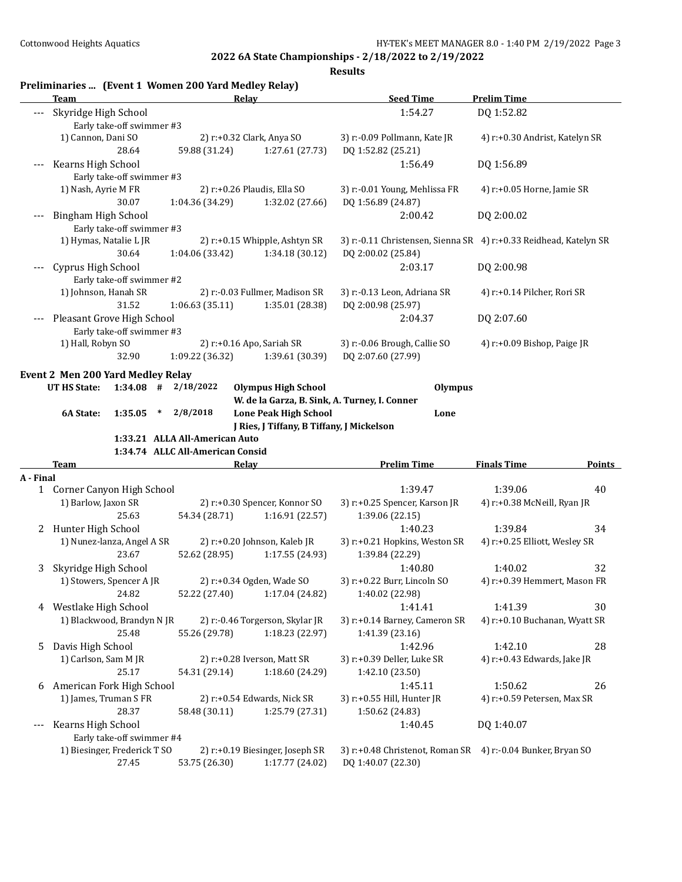|                          | Team                                              |                                  | Relay                                              | <b>Seed Time</b>                                                                  | <b>Prelim Time</b>             |               |
|--------------------------|---------------------------------------------------|----------------------------------|----------------------------------------------------|-----------------------------------------------------------------------------------|--------------------------------|---------------|
|                          | Skyridge High School<br>Early take-off swimmer #3 |                                  |                                                    | 1:54.27                                                                           | DQ 1:52.82                     |               |
|                          | 1) Cannon, Dani SO<br>28.64                       | 59.88 (31.24)                    | 2) r:+0.32 Clark, Anya SO<br>1:27.61(27.73)        | 3) r:-0.09 Pollmann, Kate JR<br>DO 1:52.82 (25.21)                                | 4) r:+0.30 Andrist, Katelyn SR |               |
| $---$                    | Kearns High School<br>Early take-off swimmer #3   |                                  |                                                    | 1:56.49                                                                           | DQ 1:56.89                     |               |
|                          | 1) Nash, Ayrie M FR                               |                                  | 2) r:+0.26 Plaudis, Ella SO                        | 3) r:-0.01 Young, Mehlissa FR                                                     |                                |               |
|                          |                                                   |                                  |                                                    |                                                                                   | 4) r:+0.05 Horne, Jamie SR     |               |
|                          | 30.07                                             | 1:04.36 (34.29)                  | 1:32.02 (27.66)                                    | DQ 1:56.89 (24.87)                                                                |                                |               |
|                          | <b>Bingham High School</b>                        |                                  |                                                    | 2:00.42                                                                           | DQ 2:00.02                     |               |
|                          | Early take-off swimmer #3                         |                                  |                                                    |                                                                                   |                                |               |
|                          | 1) Hymas, Natalie L JR                            |                                  | 2) r:+0.15 Whipple, Ashtyn SR                      | 3) r:-0.11 Christensen, Sienna SR 4) r:+0.33 Reidhead, Katelyn SR                 |                                |               |
|                          | 30.64                                             | 1:04.06(33.42)                   | 1:34.18(30.12)                                     | DQ 2:00.02 (25.84)                                                                |                                |               |
|                          | Cyprus High School                                |                                  |                                                    | 2:03.17                                                                           | DQ 2:00.98                     |               |
|                          | Early take-off swimmer #2                         |                                  |                                                    |                                                                                   |                                |               |
|                          | 1) Johnson, Hanah SR                              |                                  | 2) r:-0.03 Fullmer, Madison SR                     | 3) r:-0.13 Leon, Adriana SR                                                       | 4) r:+0.14 Pilcher, Rori SR    |               |
|                          | 31.52                                             | 1:06.63(35.11)                   | 1:35.01 (28.38)                                    | DQ 2:00.98 (25.97)                                                                |                                |               |
|                          | Pleasant Grove High School                        |                                  |                                                    | 2:04.37                                                                           | DQ 2:07.60                     |               |
|                          | Early take-off swimmer #3                         |                                  |                                                    |                                                                                   |                                |               |
|                          | 1) Hall, Robyn SO                                 |                                  | 2) r:+0.16 Apo, Sariah SR                          | 3) r:-0.06 Brough, Callie SO                                                      | 4) $r.+0.09$ Bishop, Paige JR  |               |
|                          | 32.90                                             | 1:09.22 (36.32)                  | 1:39.61 (30.39)                                    | DQ 2:07.60 (27.99)                                                                |                                |               |
|                          |                                                   |                                  |                                                    |                                                                                   |                                |               |
|                          | <b>Event 2 Men 200 Yard Medley Relay</b>          |                                  |                                                    |                                                                                   |                                |               |
|                          | $1:34.08$ # $2/18/2022$<br>UT HS State:           |                                  | <b>Olympus High School</b>                         | <b>Olympus</b>                                                                    |                                |               |
|                          |                                                   |                                  | W. de la Garza, B. Sink, A. Turney, I. Conner      |                                                                                   |                                |               |
|                          | 6A State:<br>1:35.05<br>$\ast$                    |                                  |                                                    |                                                                                   |                                |               |
|                          |                                                   | 2/8/2018                         | <b>Lone Peak High School</b>                       | Lone                                                                              |                                |               |
|                          |                                                   |                                  | J Ries, J Tiffany, B Tiffany, J Mickelson          |                                                                                   |                                |               |
|                          |                                                   | 1:33.21 ALLA All-American Auto   |                                                    |                                                                                   |                                |               |
|                          |                                                   | 1:34.74 ALLC All-American Consid |                                                    |                                                                                   |                                |               |
|                          | Team                                              |                                  | Relay                                              | <b>Prelim Time</b>                                                                | <b>Finals Time</b>             |               |
|                          |                                                   |                                  |                                                    |                                                                                   |                                | <b>Points</b> |
|                          | 1 Corner Canyon High School                       |                                  |                                                    | 1:39.47                                                                           | 1:39.06                        | 40            |
|                          | 1) Barlow, Jaxon SR                               |                                  | 2) r:+0.30 Spencer, Konnor SO                      | 3) r:+0.25 Spencer, Karson JR                                                     | 4) r:+0.38 McNeill, Ryan JR    |               |
|                          | 25.63                                             |                                  |                                                    |                                                                                   |                                |               |
|                          |                                                   | 54.34 (28.71)                    | 1:16.91(22.57)                                     | 1:39.06 (22.15)                                                                   |                                |               |
| 2                        | Hunter High School                                |                                  |                                                    | 1:40.23                                                                           | 1:39.84                        | 34            |
|                          | 1) Nunez-lanza, Angel A SR                        |                                  | 2) r:+0.20 Johnson, Kaleb JR                       | 3) r:+0.21 Hopkins, Weston SR                                                     | 4) r:+0.25 Elliott, Wesley SR  |               |
|                          | 23.67                                             | 52.62 (28.95)                    | 1:17.55 (24.93)                                    | 1:39.84 (22.29)                                                                   |                                |               |
| 3                        | Skyridge High School                              |                                  |                                                    | 1:40.80                                                                           | 1:40.02                        | 32            |
|                          | 1) Stowers, Spencer A JR                          |                                  | 2) r:+0.34 Ogden, Wade SO                          | 3) r:+0.22 Burr, Lincoln SO                                                       | 4) r:+0.39 Hemmert, Mason FR   |               |
|                          | 24.82                                             | 52.22 (27.40)                    | 1:17.04 (24.82)                                    | 1:40.02 (22.98)                                                                   |                                |               |
|                          | 4 Westlake High School                            |                                  |                                                    | 1:41.41                                                                           | 1:41.39                        | 30            |
|                          | 1) Blackwood, Brandyn N JR                        |                                  | 2) r:-0.46 Torgerson, Skylar JR                    | 3) r:+0.14 Barney, Cameron SR                                                     | 4) r:+0.10 Buchanan, Wyatt SR  |               |
|                          | 25.48                                             | 55.26 (29.78)                    | 1:18.23 (22.97)                                    | 1:41.39 (23.16)                                                                   |                                |               |
| 5.                       | Davis High School                                 |                                  |                                                    | 1:42.96                                                                           | 1:42.10                        | 28            |
|                          | 1) Carlson, Sam M JR<br>25.17                     | 54.31 (29.14)                    | 2) r:+0.28 Iverson, Matt SR<br>1:18.60 (24.29)     | 3) r:+0.39 Deller, Luke SR<br>1:42.10 (23.50)                                     | 4) r:+0.43 Edwards, Jake JR    |               |
| 6                        | American Fork High School                         |                                  |                                                    | 1:45.11                                                                           | 1:50.62                        | 26            |
|                          | 1) James, Truman S FR<br>28.37                    |                                  | 2) r:+0.54 Edwards, Nick SR                        | 3) r:+0.55 Hill, Hunter JR                                                        | 4) r:+0.59 Petersen, Max SR    |               |
|                          |                                                   | 58.48 (30.11)                    | 1:25.79 (27.31)                                    | 1:50.62 (24.83)                                                                   |                                |               |
| $\scriptstyle{\cdots}$ . | Kearns High School                                |                                  |                                                    | 1:40.45                                                                           | DQ 1:40.07                     |               |
|                          | Early take-off swimmer #4                         |                                  |                                                    |                                                                                   |                                |               |
| A - Final                | 1) Biesinger, Frederick T SO<br>27.45             | 53.75 (26.30)                    | 2) r:+0.19 Biesinger, Joseph SR<br>1:17.77 (24.02) | 3) r:+0.48 Christenot, Roman SR 4) r:-0.04 Bunker, Bryan SO<br>DQ 1:40.07 (22.30) |                                |               |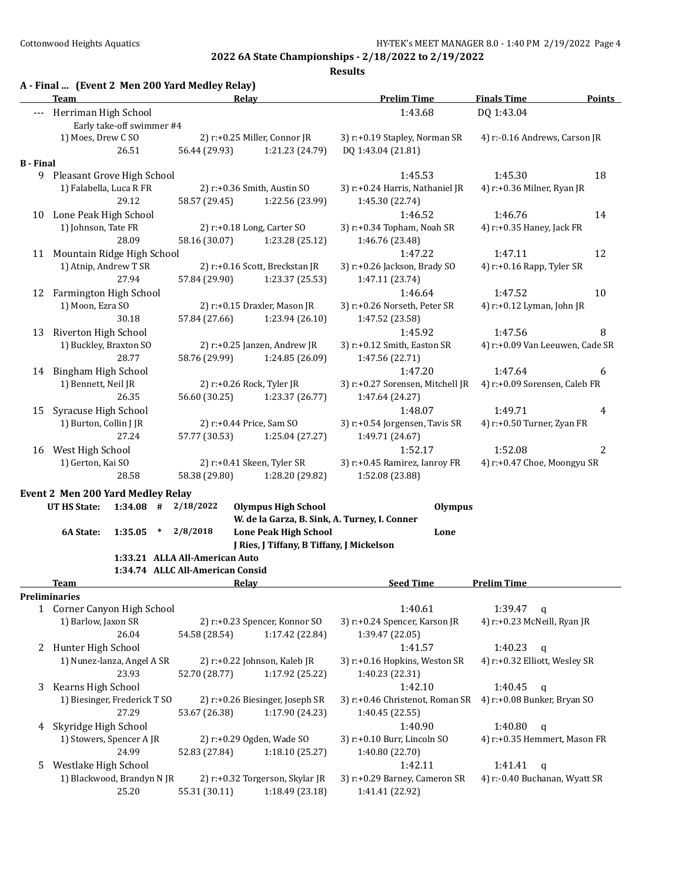|                          | Team                                     |                           |        | A - Final  (Event 2 Men 200 Yard Medley Relay) | Relay                                         | <b>Prelim Time</b>               | <b>Finals Time</b>              | <b>Points</b> |
|--------------------------|------------------------------------------|---------------------------|--------|------------------------------------------------|-----------------------------------------------|----------------------------------|---------------------------------|---------------|
| $\overline{\phantom{a}}$ | Herriman High School                     | Early take-off swimmer #4 |        |                                                |                                               | 1:43.68                          | DQ 1:43.04                      |               |
|                          | 1) Moes, Drew C SO                       |                           |        |                                                | 2) r:+0.25 Miller, Connor JR                  | 3) r:+0.19 Stapley, Norman SR    | 4) r:-0.16 Andrews, Carson JR   |               |
|                          |                                          | 26.51                     |        | 56.44 (29.93)                                  | 1:21.23 (24.79)                               | DQ 1:43.04 (21.81)               |                                 |               |
| <b>B</b> - Final         |                                          |                           |        |                                                |                                               |                                  |                                 |               |
|                          | 9 Pleasant Grove High School             |                           |        |                                                |                                               | 1:45.53                          | 1:45.30                         | 18            |
|                          | 1) Falabella, Luca R FR                  |                           |        | 2) r:+0.36 Smith, Austin SO                    |                                               | 3) r:+0.24 Harris, Nathaniel JR  | 4) r:+0.36 Milner, Ryan JR      |               |
|                          |                                          | 29.12                     |        | 58.57 (29.45)                                  | 1:22.56 (23.99)                               | 1:45.30 (22.74)                  |                                 |               |
| 10                       | Lone Peak High School                    |                           |        |                                                |                                               | 1:46.52                          | 1:46.76                         | 14            |
|                          | 1) Johnson, Tate FR                      |                           |        |                                                | 2) r:+0.18 Long, Carter SO                    | 3) r:+0.34 Topham, Noah SR       | 4) r:+0.35 Haney, Jack FR       |               |
|                          |                                          | 28.09                     |        | 58.16 (30.07)                                  | 1:23.28 (25.12)                               | 1:46.76 (23.48)                  |                                 |               |
| 11                       | Mountain Ridge High School               |                           |        |                                                |                                               | 1:47.22                          | 1:47.11                         | 12            |
|                          | 1) Atnip, Andrew T SR                    |                           |        |                                                | 2) r:+0.16 Scott, Breckstan JR                | 3) r:+0.26 Jackson, Brady SO     | 4) r:+0.16 Rapp, Tyler SR       |               |
|                          |                                          | 27.94                     |        | 57.84 (29.90)                                  | 1:23.37 (25.53)                               | 1:47.11 (23.74)                  |                                 |               |
|                          | 12 Farmington High School                |                           |        |                                                |                                               | 1:46.64                          | 1:47.52                         | 10            |
|                          | 1) Moon, Ezra SO                         |                           |        |                                                | 2) r:+0.15 Draxler, Mason JR                  | 3) r:+0.26 Norseth, Peter SR     | 4) r:+0.12 Lyman, John JR       |               |
|                          |                                          | 30.18                     |        | 57.84 (27.66)                                  | 1:23.94 (26.10)                               | 1:47.52 (23.58)                  |                                 |               |
| 13                       | Riverton High School                     |                           |        |                                                |                                               | 1:45.92                          | 1:47.56                         | 8             |
|                          | 1) Buckley, Braxton SO                   |                           |        |                                                | 2) r:+0.25 Janzen, Andrew JR                  | 3) r:+0.12 Smith, Easton SR      | 4) r:+0.09 Van Leeuwen, Cade SR |               |
|                          |                                          | 28.77                     |        | 58.76 (29.99)                                  | 1:24.85 (26.09)                               | 1:47.56 (22.71)                  |                                 |               |
| 14                       | Bingham High School                      |                           |        |                                                |                                               | 1:47.20                          | 1:47.64                         | 6             |
|                          | 1) Bennett, Neil JR                      |                           |        |                                                | 2) r:+0.26 Rock, Tyler JR                     | 3) r:+0.27 Sorensen, Mitchell JR | 4) r:+0.09 Sorensen, Caleb FR   |               |
|                          |                                          | 26.35                     |        | 56.60 (30.25)                                  | 1:23.37 (26.77)                               | 1:47.64 (24.27)                  |                                 |               |
| 15                       | Syracuse High School                     |                           |        |                                                |                                               | 1:48.07                          | 1:49.71                         | 4             |
|                          | 1) Burton, Collin J JR                   |                           |        |                                                | 2) r:+0.44 Price, Sam SO                      | 3) r:+0.54 Jorgensen, Tavis SR   | 4) r:+0.50 Turner, Zyan FR      |               |
|                          |                                          | 27.24                     |        | 57.77 (30.53)                                  | 1:25.04 (27.27)                               | 1:49.71 (24.67)                  |                                 |               |
| 16                       | West High School                         |                           |        |                                                |                                               | 1:52.17                          | 1:52.08                         | 2             |
|                          | 1) Gerton, Kai SO                        |                           |        |                                                | 2) r:+0.41 Skeen, Tyler SR                    | 3) r:+0.45 Ramirez, Ianroy FR    | 4) r:+0.47 Choe, Moongyu SR     |               |
|                          |                                          | 28.58                     |        | 58.38 (29.80)                                  | 1:28.20 (29.82)                               | 1:52.08 (23.88)                  |                                 |               |
|                          | <b>Event 2 Men 200 Yard Medley Relay</b> |                           |        |                                                |                                               |                                  |                                 |               |
|                          | <b>UT HS State:</b>                      | $1:34.08$ #               |        | 2/18/2022                                      | <b>Olympus High School</b>                    | <b>Olympus</b>                   |                                 |               |
|                          |                                          |                           |        |                                                | W. de la Garza, B. Sink, A. Turney, I. Conner |                                  |                                 |               |
|                          | 6A State:                                | 1:35.05                   | $\ast$ | 2/8/2018                                       | <b>Lone Peak High School</b>                  | Lone                             |                                 |               |
|                          |                                          |                           |        | 1:33.21 ALLA All-American Auto                 | J Ries, J Tiffany, B Tiffany, J Mickelson     |                                  |                                 |               |
|                          |                                          |                           |        | 1:34.74 ALLC All-American Consid               |                                               |                                  |                                 |               |
|                          | Team                                     |                           |        |                                                | Relay                                         | <b>Seed Time</b>                 | <b>Prelim Time</b>              |               |
|                          | <b>Preliminaries</b>                     |                           |        |                                                |                                               |                                  |                                 |               |
|                          | 1 Corner Canyon High School              |                           |        |                                                |                                               | 1:40.61                          | 1:39.47<br>$\mathsf{q}$         |               |
|                          | 1) Barlow, Jaxon SR                      |                           |        |                                                | 2) r:+0.23 Spencer, Konnor SO                 | 3) r:+0.24 Spencer, Karson JR    | 4) r:+0.23 McNeill, Ryan JR     |               |
|                          |                                          | 26.04                     |        | 54.58 (28.54)                                  | 1:17.42 (22.84)                               | 1:39.47 (22.05)                  |                                 |               |
|                          | 2 Hunter High School                     |                           |        |                                                |                                               | 1:41.57                          | 1:40.23<br>$\mathbf q$          |               |
|                          | 1) Nunez-lanza, Angel A SR               |                           |        |                                                | 2) r:+0.22 Johnson, Kaleb JR                  | 3) r:+0.16 Hopkins, Weston SR    | 4) r:+0.32 Elliott, Wesley SR   |               |
|                          |                                          | 23.93                     |        | 52.70 (28.77)                                  | 1:17.92 (25.22)                               | 1:40.23 (22.31)                  |                                 |               |
| 3                        | Kearns High School                       |                           |        |                                                |                                               | 1:42.10                          | 1:40.45<br>$\mathsf{q}$         |               |
|                          | 1) Biesinger, Frederick T SO             |                           |        |                                                | 2) r:+0.26 Biesinger, Joseph SR               | 3) r:+0.46 Christenot, Roman SR  | 4) r:+0.08 Bunker, Bryan SO     |               |
|                          |                                          | 27.29                     |        | 53.67 (26.38)                                  | 1:17.90 (24.23)                               | 1:40.45 (22.55)                  |                                 |               |
| 4                        | Skyridge High School                     |                           |        |                                                |                                               | 1:40.90                          | 1:40.80<br>$\mathbf q$          |               |
|                          | 1) Stowers, Spencer A JR                 |                           |        |                                                | 2) r:+0.29 Ogden, Wade SO                     | 3) r:+0.10 Burr, Lincoln SO      | 4) r:+0.35 Hemmert, Mason FR    |               |
|                          |                                          | 24.99                     |        | 52.83 (27.84)                                  | 1:18.10 (25.27)                               | 1:40.80 (22.70)                  |                                 |               |
| 5                        | Westlake High School                     |                           |        |                                                |                                               | 1:42.11                          | 1:41.41<br>$\mathbf q$          |               |
|                          | 1) Blackwood, Brandyn N JR               |                           |        |                                                | 2) r:+0.32 Torgerson, Skylar JR               | 3) r:+0.29 Barney, Cameron SR    | 4) r:-0.40 Buchanan, Wyatt SR   |               |
|                          |                                          | 25.20                     |        | 55.31 (30.11)                                  | 1:18.49 (23.18)                               | 1:41.41 (22.92)                  |                                 |               |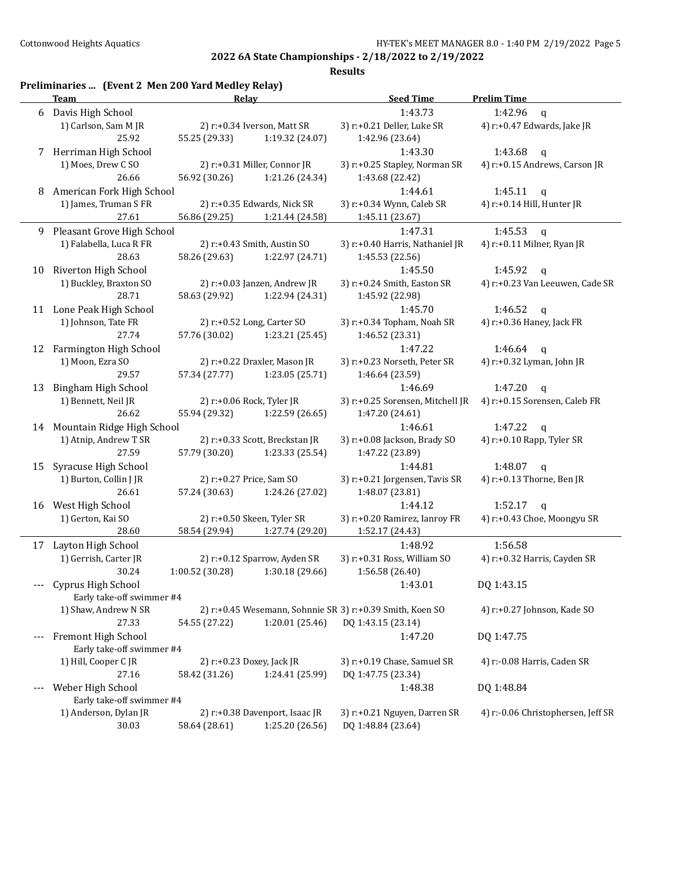|       | Preliminaries  (Event 2 Men 200 Yard Medley Relay)<br>Team | Relay           |                                                | <b>Seed Time</b>                                          | <b>Prelim Time</b>                                       |
|-------|------------------------------------------------------------|-----------------|------------------------------------------------|-----------------------------------------------------------|----------------------------------------------------------|
|       |                                                            |                 |                                                |                                                           |                                                          |
| 6     | Davis High School<br>1) Carlson, Sam M JR                  |                 |                                                | 1:43.73<br>3) r:+0.21 Deller, Luke SR                     | 1:42.96<br>$\mathbf{q}$                                  |
|       | 25.92                                                      | 55.25 (29.33)   | 2) r:+0.34 Iverson, Matt SR<br>1:19.32 (24.07) | 1:42.96 (23.64)                                           | 4) r:+0.47 Edwards, Jake JR                              |
|       |                                                            |                 |                                                | 1:43.30                                                   |                                                          |
|       | 7 Herriman High School<br>1) Moes, Drew C SO               |                 | 2) r:+0.31 Miller, Connor JR                   | 3) r:+0.25 Stapley, Norman SR                             | 1:43.68<br>$\mathbf{q}$<br>4) r:+0.15 Andrews, Carson JR |
|       | 26.66                                                      | 56.92 (30.26)   | 1:21.26 (24.34)                                | 1:43.68 (22.42)                                           |                                                          |
|       |                                                            |                 |                                                | 1:44.61                                                   |                                                          |
| 8     | American Fork High School                                  |                 |                                                | 3) r:+0.34 Wynn, Caleb SR                                 | 1:45.11<br>$\mathsf{q}$                                  |
|       | 1) James, Truman S FR<br>27.61                             |                 | 2) r:+0.35 Edwards, Nick SR                    |                                                           | 4) r:+0.14 Hill, Hunter JR                               |
|       |                                                            | 56.86 (29.25)   | 1:21.44 (24.58)                                | 1:45.11 (23.67)                                           |                                                          |
|       | 9 Pleasant Grove High School                               |                 |                                                | 1:47.31                                                   | 1:45.53<br>$\mathbf{q}$                                  |
|       | 1) Falabella, Luca R FR                                    |                 | 2) r:+0.43 Smith, Austin SO                    | 3) r:+0.40 Harris, Nathaniel JR                           | 4) r:+0.11 Milner, Ryan JR                               |
|       | 28.63                                                      | 58.26 (29.63)   | 1:22.97 (24.71)                                | 1:45.53 (22.56)                                           |                                                          |
| 10    | Riverton High School                                       |                 |                                                | 1:45.50                                                   | 1:45.92<br>$\mathbf{q}$                                  |
|       | 1) Buckley, Braxton SO                                     |                 | 2) r:+0.03 Janzen, Andrew JR                   | 3) r:+0.24 Smith, Easton SR                               | 4) r:+0.23 Van Leeuwen, Cade SR                          |
|       | 28.71                                                      | 58.63 (29.92)   | 1:22.94 (24.31)                                | 1:45.92 (22.98)                                           |                                                          |
| 11    | Lone Peak High School                                      |                 |                                                | 1:45.70                                                   | 1:46.52<br>$\mathsf{q}$                                  |
|       | 1) Johnson, Tate FR                                        |                 | 2) r:+0.52 Long, Carter SO                     | 3) r:+0.34 Topham, Noah SR                                | 4) r:+0.36 Haney, Jack FR                                |
|       | 27.74                                                      | 57.76 (30.02)   | 1:23.21 (25.45)                                | 1:46.52 (23.31)                                           |                                                          |
| 12    | Farmington High School                                     |                 |                                                | 1:47.22                                                   | 1:46.64<br>$\mathbf{q}$                                  |
|       | 1) Moon, Ezra SO                                           |                 | 2) r:+0.22 Draxler, Mason JR                   | 3) r:+0.23 Norseth, Peter SR                              | 4) r:+0.32 Lyman, John JR                                |
|       | 29.57                                                      | 57.34 (27.77)   | 1:23.05 (25.71)                                | 1:46.64 (23.59)                                           |                                                          |
| 13    | <b>Bingham High School</b>                                 |                 |                                                | 1:46.69                                                   | 1:47.20<br>$\mathbf q$                                   |
|       | 1) Bennett, Neil JR                                        |                 | 2) r:+0.06 Rock, Tyler JR                      | 3) r:+0.25 Sorensen, Mitchell JR                          | 4) r:+0.15 Sorensen, Caleb FR                            |
|       | 26.62                                                      | 55.94 (29.32)   | 1:22.59 (26.65)                                | 1:47.20 (24.61)                                           |                                                          |
|       | 14 Mountain Ridge High School                              |                 |                                                | 1:46.61                                                   | 1:47.22<br>q                                             |
|       | 1) Atnip, Andrew T SR                                      |                 | 2) r:+0.33 Scott, Breckstan JR                 | 3) r:+0.08 Jackson, Brady SO                              | 4) r:+0.10 Rapp, Tyler SR                                |
|       | 27.59                                                      | 57.79 (30.20)   | 1:23.33 (25.54)                                | 1:47.22 (23.89)                                           |                                                          |
| 15    | Syracuse High School                                       |                 |                                                | 1:44.81                                                   | 1:48.07<br>$\mathsf{q}$                                  |
|       | 1) Burton, Collin J JR                                     |                 | 2) r:+0.27 Price, Sam SO                       | 3) r:+0.21 Jorgensen, Tavis SR                            | 4) r:+0.13 Thorne, Ben JR                                |
|       | 26.61                                                      | 57.24 (30.63)   | 1:24.26 (27.02)                                | 1:48.07 (23.81)                                           |                                                          |
| 16    | West High School                                           |                 |                                                | 1:44.12                                                   | 1:52.17<br>$\mathbf{q}$                                  |
|       | 1) Gerton, Kai SO                                          |                 | 2) r:+0.50 Skeen, Tyler SR                     | 3) r:+0.20 Ramirez, Ianroy FR                             | 4) r:+0.43 Choe, Moongyu SR                              |
|       | 28.60                                                      | 58.54 (29.94)   | 1:27.74 (29.20)                                | 1:52.17 (24.43)                                           |                                                          |
|       | 17 Layton High School                                      |                 |                                                | 1:48.92                                                   | 1:56.58                                                  |
|       | 1) Gerrish, Carter JR                                      |                 | 2) r:+0.12 Sparrow, Ayden SR                   | 3) r:+0.31 Ross, William SO                               | 4) r:+0.32 Harris, Cayden SR                             |
|       | 30.24                                                      | 1:00.52 (30.28) | 1:30.18 (29.66)                                | 1:56.58 (26.40)                                           |                                                          |
|       | Cyprus High School                                         |                 |                                                | 1:43.01                                                   | DQ 1:43.15                                               |
|       | Early take-off swimmer #4                                  |                 |                                                |                                                           |                                                          |
|       | 1) Shaw, Andrew N SR                                       |                 |                                                | 2) r:+0.45 Wesemann, Sohnnie SR 3) r:+0.39 Smith, Koen SO | 4) r:+0.27 Johnson, Kade SO                              |
|       | 27.33                                                      | 54.55 (27.22)   | 1:20.01 (25.46)                                | DQ 1:43.15 (23.14)                                        |                                                          |
|       | Fremont High School                                        |                 |                                                | 1:47.20                                                   | DQ 1:47.75                                               |
|       | Early take-off swimmer #4                                  |                 |                                                |                                                           |                                                          |
|       | 1) Hill, Cooper C JR                                       |                 | 2) r:+0.23 Doxey, Jack JR                      | 3) r:+0.19 Chase, Samuel SR                               | 4) r:-0.08 Harris, Caden SR                              |
|       | 27.16                                                      | 58.42 (31.26)   | 1:24.41 (25.99)                                | DQ 1:47.75 (23.34)                                        |                                                          |
| $---$ | Weber High School                                          |                 |                                                | 1:48.38                                                   | DQ 1:48.84                                               |
|       | Early take-off swimmer #4                                  |                 |                                                |                                                           |                                                          |
|       | 1) Anderson, Dylan JR                                      |                 | 2) r:+0.38 Davenport, Isaac JR                 | 3) r:+0.21 Nguyen, Darren SR                              | 4) r:-0.06 Christophersen, Jeff SR                       |
|       | 30.03                                                      | 58.64 (28.61)   | 1:25.20 (26.56)                                | DQ 1:48.84 (23.64)                                        |                                                          |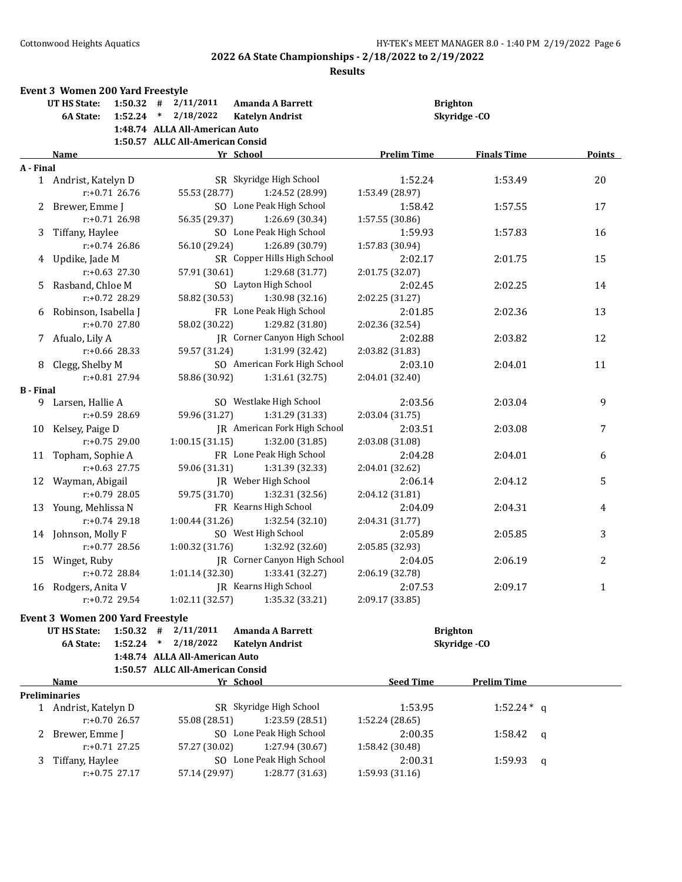|                  | <b>Event 3 Women 200 Yard Freestyle</b> |                  |                                  |                              |                    |                    |        |
|------------------|-----------------------------------------|------------------|----------------------------------|------------------------------|--------------------|--------------------|--------|
|                  | <b>UT HS State:</b>                     |                  | $1:50.32$ # $2/11/2011$          | <b>Amanda A Barrett</b>      |                    | <b>Brighton</b>    |        |
|                  | <b>6A State:</b>                        |                  | $1:52.24$ * $2/18/2022$          | <b>Katelyn Andrist</b>       |                    | Skyridge-CO        |        |
|                  |                                         |                  | 1:48.74 ALLA All-American Auto   |                              |                    |                    |        |
|                  |                                         |                  | 1:50.57 ALLC All-American Consid |                              |                    |                    |        |
|                  | Name                                    |                  |                                  | Yr School                    | <b>Prelim Time</b> | <b>Finals Time</b> | Points |
| A - Final        |                                         |                  |                                  |                              |                    |                    |        |
|                  | 1 Andrist, Katelyn D                    |                  |                                  | SR Skyridge High School      | 1:52.24            | 1:53.49            | 20     |
|                  |                                         | $r: +0.71$ 26.76 | 55.53 (28.77)                    | 1:24.52 (28.99)              | 1:53.49 (28.97)    |                    |        |
|                  | 2 Brewer, Emme J                        |                  |                                  | SO Lone Peak High School     | 1:58.42            | 1:57.55            | 17     |
|                  |                                         | $r: +0.71$ 26.98 | 56.35 (29.37)                    | 1:26.69 (30.34)              | 1:57.55 (30.86)    |                    |        |
|                  | 3 Tiffany, Haylee                       |                  |                                  | SO Lone Peak High School     | 1:59.93            | 1:57.83            | 16     |
|                  |                                         | $r: +0.74$ 26.86 | 56.10 (29.24)                    | 1:26.89 (30.79)              | 1:57.83 (30.94)    |                    |        |
|                  | 4 Updike, Jade M                        |                  |                                  | SR Copper Hills High School  | 2:02.17            | 2:01.75            | 15     |
|                  |                                         | $r: +0.63$ 27.30 | 57.91 (30.61)                    | 1:29.68 (31.77)              | 2:01.75 (32.07)    |                    |        |
|                  | 5 Rasband, Chloe M                      |                  |                                  | SO Layton High School        | 2:02.45            | 2:02.25            | 14     |
|                  |                                         | $r: +0.72$ 28.29 | 58.82 (30.53)                    | 1:30.98 (32.16)              | 2:02.25 (31.27)    |                    |        |
|                  | 6 Robinson, Isabella J                  |                  |                                  | FR Lone Peak High School     | 2:01.85            | 2:02.36            | 13     |
|                  |                                         | $r: +0.70$ 27.80 | 58.02 (30.22)                    | 1:29.82 (31.80)              | 2:02.36 (32.54)    |                    |        |
|                  | 7 Afualo, Lily A                        |                  |                                  | JR Corner Canyon High School | 2:02.88            | 2:03.82            | 12     |
|                  |                                         | r:+0.66 28.33    | 59.57 (31.24)                    | 1:31.99 (32.42)              | 2:03.82 (31.83)    |                    |        |
|                  | 8 Clegg, Shelby M                       |                  |                                  | SO American Fork High School | 2:03.10            | 2:04.01            | 11     |
|                  |                                         | $r: +0.81$ 27.94 | 58.86 (30.92)                    | 1:31.61 (32.75)              | 2:04.01 (32.40)    |                    |        |
| <b>B</b> - Final |                                         |                  |                                  |                              |                    |                    |        |
|                  | 9 Larsen, Hallie A                      |                  |                                  | SO Westlake High School      | 2:03.56            | 2:03.04            | 9      |
|                  |                                         | r:+0.59 28.69    | 59.96 (31.27)                    | 1:31.29 (31.33)              | 2:03.04 (31.75)    |                    |        |
|                  | 10 Kelsey, Paige D                      |                  |                                  | JR American Fork High School | 2:03.51            | 2:03.08            | 7      |
|                  |                                         | $r: +0.75$ 29.00 | 1:00.15(31.15)                   | 1:32.00 (31.85)              | 2:03.08 (31.08)    |                    |        |
| 11               | Topham, Sophie A                        |                  |                                  | FR Lone Peak High School     | 2:04.28            | 2:04.01            | 6      |
|                  |                                         | $r: +0.63$ 27.75 | 59.06 (31.31)                    | 1:31.39 (32.33)              | 2:04.01 (32.62)    |                    |        |
|                  | 12 Wayman, Abigail                      |                  |                                  | JR Weber High School         | 2:06.14            | 2:04.12            | 5      |
|                  |                                         | $r: +0.79$ 28.05 | 59.75 (31.70)                    | 1:32.31 (32.56)              | 2:04.12 (31.81)    |                    |        |
|                  | 13 Young, Mehlissa N                    |                  |                                  | FR Kearns High School        | 2:04.09            | 2:04.31            | 4      |
|                  |                                         | $r: +0.74$ 29.18 | 1:00.44(31.26)                   | 1:32.54 (32.10)              | 2:04.31 (31.77)    |                    |        |
|                  | 14 Johnson, Molly F                     |                  |                                  | SO West High School          | 2:05.89            | 2:05.85            | 3      |
|                  |                                         | $r: +0.77$ 28.56 | 1:00.32 (31.76)                  | 1:32.92 (32.60)              | 2:05.85 (32.93)    |                    |        |
|                  | 15 Winget, Ruby                         |                  |                                  | JR Corner Canyon High School | 2:04.05            | 2:06.19            | 2      |
|                  |                                         | r:+0.72 28.84    | 1:01.14 (32.30)                  | 1:33.41 (32.27)              | 2:06.19 (32.78)    |                    |        |
|                  |                                         |                  |                                  | JR Kearns High School        |                    |                    |        |
|                  | 16 Rodgers, Anita V                     |                  |                                  |                              | 2:07.53            | 2:09.17            | 1      |
|                  |                                         | r:+0.72 29.54    | 1:02.11 (32.57)                  | 1:35.32 (33.21)              | 2:09.17 (33.85)    |                    |        |
|                  | <b>Event 3 Women 200 Yard Freestyle</b> |                  |                                  |                              |                    |                    |        |
|                  | <b>UT HS State:</b>                     |                  | $1:50.32$ # $2/11/2011$          | <b>Amanda A Barrett</b>      |                    | <b>Brighton</b>    |        |
|                  | <b>6A State:</b>                        | $1:52.24$ *      | 2/18/2022                        | <b>Katelyn Andrist</b>       |                    | Skyridge-CO        |        |
|                  |                                         |                  | 1:48.74 ALLA All-American Auto   |                              |                    |                    |        |
|                  |                                         |                  | 1:50.57 ALLC All-American Consid |                              |                    |                    |        |
|                  | Name                                    |                  |                                  | Yr School                    | <b>Seed Time</b>   | <b>Prelim Time</b> |        |
|                  | <b>Preliminaries</b>                    |                  |                                  |                              |                    |                    |        |
|                  | 1 Andrist, Katelyn D                    |                  |                                  | SR Skyridge High School      | 1:53.95            | $1:52.24*$ q       |        |
|                  |                                         | $r: +0.70$ 26.57 | 55.08 (28.51)                    | 1:23.59 (28.51)              | 1:52.24 (28.65)    |                    |        |
| 2                | Brewer, Emme J                          |                  |                                  | SO Lone Peak High School     | 2:00.35            | 1:58.42            | q      |
|                  |                                         | $r: +0.71$ 27.25 | 57.27 (30.02)                    | 1:27.94 (30.67)              | 1:58.42 (30.48)    |                    |        |
| 3                | Tiffany, Haylee                         |                  |                                  | SO Lone Peak High School     | 2:00.31            | 1:59.93            | q      |
|                  |                                         | $r: +0.75$ 27.17 | 57.14 (29.97)                    | 1:28.77 (31.63)              | 1:59.93 (31.16)    |                    |        |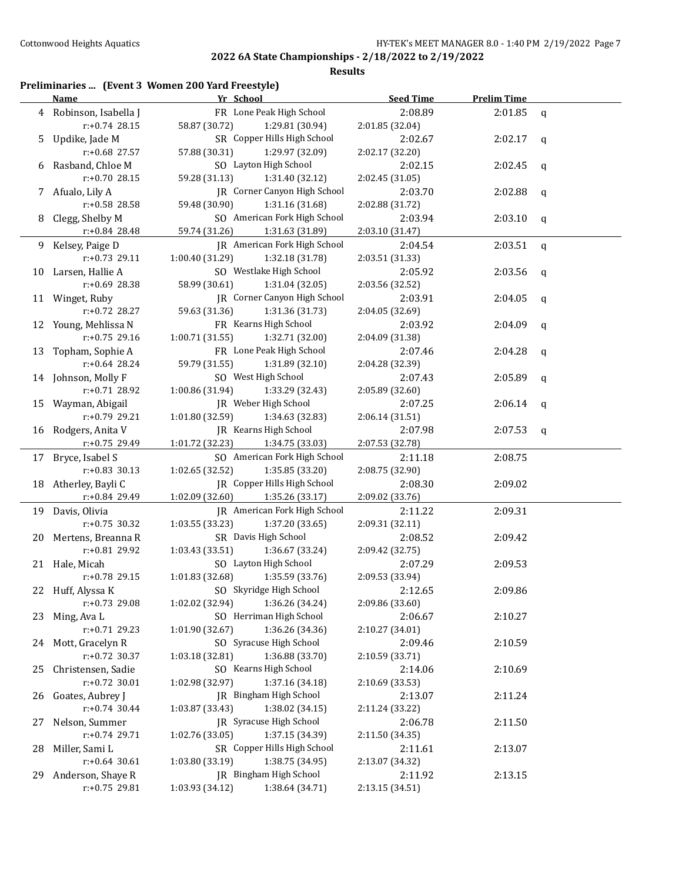| Preliminaries  (Event 3 Women 200 Yard Freestyle) |  |  |  |  |  |  |
|---------------------------------------------------|--|--|--|--|--|--|
|---------------------------------------------------|--|--|--|--|--|--|

|     | <b>Name</b>          | Yr School                           | <b>Seed Time</b> | <b>Prelim Time</b> |              |
|-----|----------------------|-------------------------------------|------------------|--------------------|--------------|
| 4   | Robinson, Isabella J | FR Lone Peak High School            | 2:08.89          | 2:01.85            | $\mathsf{q}$ |
|     | $r: +0.74$ 28.15     | 58.87 (30.72)<br>1:29.81 (30.94)    | 2:01.85 (32.04)  |                    |              |
| 5.  | Updike, Jade M       | SR Copper Hills High School         | 2:02.67          | 2:02.17            | q            |
|     | r:+0.68 27.57        | 57.88 (30.31)<br>1:29.97 (32.09)    | 2:02.17 (32.20)  |                    |              |
| 6   | Rasband, Chloe M     | SO Layton High School               | 2:02.15          | 2:02.45            | q            |
|     | r:+0.70 28.15        | 59.28 (31.13)<br>1:31.40 (32.12)    | 2:02.45 (31.05)  |                    |              |
|     | 7 Afualo, Lily A     | JR Corner Canyon High School        | 2:03.70          | 2:02.88            | q            |
|     | r:+0.58 28.58        | 59.48 (30.90)<br>1:31.16 (31.68)    | 2:02.88 (31.72)  |                    |              |
| 8   | Clegg, Shelby M      | SO American Fork High School        | 2:03.94          | 2:03.10            | q            |
|     | r:+0.84 28.48        | 59.74 (31.26)<br>1:31.63 (31.89)    | 2:03.10 (31.47)  |                    |              |
| 9   | Kelsey, Paige D      | JR American Fork High School        | 2:04.54          | 2:03.51            | q            |
|     | r:+0.73 29.11        | 1:00.40 (31.29)<br>1:32.18 (31.78)  | 2:03.51 (31.33)  |                    |              |
|     | 10 Larsen, Hallie A  | SO Westlake High School             | 2:05.92          | 2:03.56            | q            |
|     | r:+0.69 28.38        | 58.99 (30.61)<br>1:31.04(32.05)     | 2:03.56 (32.52)  |                    |              |
|     | 11 Winget, Ruby      | JR Corner Canyon High School        | 2:03.91          | 2:04.05            | q            |
|     | r:+0.72 28.27        | 59.63 (31.36)<br>1:31.36 (31.73)    | 2:04.05 (32.69)  |                    |              |
|     | 12 Young, Mehlissa N | FR Kearns High School               | 2:03.92          | 2:04.09            | q            |
|     | r:+0.75 29.16        | 1:00.71 (31.55)<br>1:32.71 (32.00)  | 2:04.09 (31.38)  |                    |              |
| 13  | Topham, Sophie A     | FR Lone Peak High School            | 2:07.46          | 2:04.28            | q            |
|     | r:+0.64 28.24        | 59.79 (31.55)<br>1:31.89 (32.10)    | 2:04.28 (32.39)  |                    |              |
|     | 14 Johnson, Molly F  | SO West High School                 | 2:07.43          | 2:05.89            | q            |
|     | $r: +0.71$ 28.92     | 1:00.86 (31.94)<br>1:33.29 (32.43)  | 2:05.89 (32.60)  |                    |              |
|     | 15 Wayman, Abigail   | JR Weber High School                | 2:07.25          | 2:06.14            | q            |
|     | r:+0.79 29.21        | 1:34.63 (32.83)<br>1:01.80 (32.59)  | 2:06.14 (31.51)  |                    |              |
|     | 16 Rodgers, Anita V  | JR Kearns High School               | 2:07.98          | 2:07.53            | $\mathbf q$  |
|     | r:+0.75 29.49        | 1:01.72 (32.23)<br>1:34.75 (33.03)  | 2:07.53 (32.78)  |                    |              |
|     | 17 Bryce, Isabel S   | SO American Fork High School        | 2:11.18          | 2:08.75            |              |
|     | $r: +0.83$ 30.13     | 1:02.65 (32.52)<br>1:35.85 (33.20)  | 2:08.75 (32.90)  |                    |              |
| 18  | Atherley, Bayli C    | JR Copper Hills High School         | 2:08.30          | 2:09.02            |              |
|     | r:+0.84 29.49        | 1:02.09 (32.60)<br>1:35.26 (33.17)  | 2:09.02 (33.76)  |                    |              |
|     | 19 Davis, Olivia     | <b>IR</b> American Fork High School | 2:11.22          | 2:09.31            |              |
|     | $r: +0.75$ 30.32     | 1:03.55 (33.23)<br>1:37.20 (33.65)  | 2:09.31 (32.11)  |                    |              |
| 20  | Mertens, Breanna R   | SR Davis High School                | 2:08.52          | 2:09.42            |              |
|     | r:+0.81 29.92        | 1:03.43 (33.51)<br>1:36.67 (33.24)  | 2:09.42 (32.75)  |                    |              |
|     | 21 Hale, Micah       | SO Layton High School               | 2:07.29          | 2:09.53            |              |
|     | r:+0.78 29.15        | 1:01.83(32.68)<br>1:35.59 (33.76)   | 2:09.53 (33.94)  |                    |              |
|     | 22 Huff, Alyssa K    | SO Skyridge High School             | 2:12.65          | 2:09.86            |              |
|     | r:+0.73 29.08        | 1:36.26 (34.24)<br>1:02.02 (32.94)  | 2:09.86 (33.60)  |                    |              |
| 23  | Ming, Ava L          | SO Herriman High School             | 2:06.67          | 2:10.27            |              |
|     | r:+0.71 29.23        | 1:36.26 (34.36)<br>1:01.90 (32.67)  | 2:10.27 (34.01)  |                    |              |
|     | 24 Mott, Gracelyn R  | SO Syracuse High School             | 2:09.46          | 2:10.59            |              |
|     | r:+0.72 30.37        | 1:36.88 (33.70)<br>1:03.18 (32.81)  | 2:10.59 (33.71)  |                    |              |
| 25  | Christensen, Sadie   | SO Kearns High School               | 2:14.06          | 2:10.69            |              |
|     | $r.+0.72$ 30.01      | 1:37.16 (34.18)<br>1:02.98 (32.97)  | 2:10.69 (33.53)  |                    |              |
|     | 26 Goates, Aubrey J  | JR Bingham High School              | 2:13.07          | 2:11.24            |              |
|     | $r: +0.74$ 30.44     | 1:38.02 (34.15)<br>1:03.87 (33.43)  | 2:11.24 (33.22)  |                    |              |
| 27  | Nelson, Summer       | JR Syracuse High School             | 2:06.78          | 2:11.50            |              |
|     | r:+0.74 29.71        | 1:02.76 (33.05)<br>1:37.15 (34.39)  | 2:11.50 (34.35)  |                    |              |
| 28  | Miller, Sami L       | SR Copper Hills High School         | 2:11.61          | 2:13.07            |              |
|     | $r: +0.64$ 30.61     | 1:03.80 (33.19)<br>1:38.75 (34.95)  | 2:13.07 (34.32)  |                    |              |
| 29. | Anderson, Shaye R    | JR Bingham High School              | 2:11.92          | 2:13.15            |              |
|     | r:+0.75 29.81        | 1:03.93 (34.12)<br>1:38.64 (34.71)  | 2:13.15 (34.51)  |                    |              |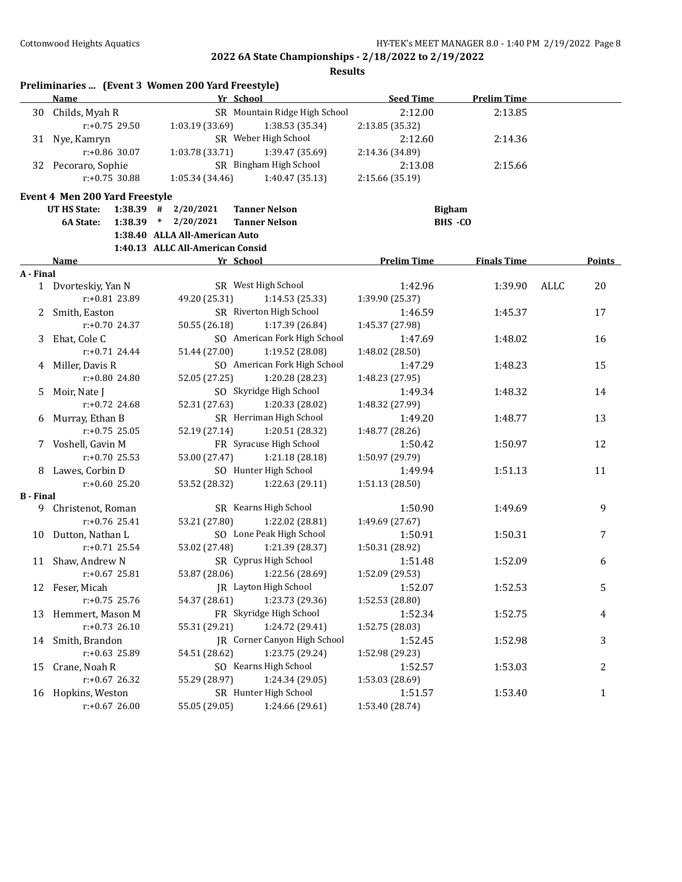|                  |                                       | Preliminaries  (Event 3 Women 200 Yard Freestyle) |                                     |                            |                    |      |                  |
|------------------|---------------------------------------|---------------------------------------------------|-------------------------------------|----------------------------|--------------------|------|------------------|
|                  | Name                                  |                                                   | Yr School                           | <b>Seed Time</b>           | <b>Prelim Time</b> |      |                  |
| 30               | Childs, Myah R                        |                                                   | SR Mountain Ridge High School       | 2:12.00                    | 2:13.85            |      |                  |
|                  | $r: +0.75$ 29.50                      | 1:03.19 (33.69)                                   | 1:38.53 (35.34)                     | 2:13.85 (35.32)            |                    |      |                  |
|                  | 31 Nye, Kamryn                        |                                                   | SR Weber High School                | 2:12.60                    | 2:14.36            |      |                  |
|                  | $r: +0.86$ 30.07                      | 1:03.78 (33.71)                                   | 1:39.47 (35.69)                     | 2:14.36 (34.89)            |                    |      |                  |
|                  | 32 Pecoraro, Sophie                   |                                                   | SR Bingham High School              | 2:13.08                    | 2:15.66            |      |                  |
|                  | $r: +0.75$ 30.88                      | 1:05.34 (34.46)                                   | 1:40.47 (35.13)                     | 2:15.66 (35.19)            |                    |      |                  |
|                  | <b>Event 4 Men 200 Yard Freestyle</b> |                                                   |                                     |                            |                    |      |                  |
|                  | <b>UT HS State:</b>                   | $1:38.39$ # $2/20/2021$                           | <b>Tanner Nelson</b>                | <b>Bigham</b>              |                    |      |                  |
|                  | 1:38.39<br>6A State:                  | $\ast$<br>2/20/2021                               | <b>Tanner Nelson</b>                |                            | BHS -CO            |      |                  |
|                  |                                       | 1:38.40 ALLA All-American Auto                    |                                     |                            |                    |      |                  |
|                  |                                       | 1:40.13 ALLC All-American Consid                  |                                     |                            |                    |      |                  |
|                  | Name                                  |                                                   | Yr School                           | <b>Prelim Time</b>         | <b>Finals Time</b> |      | Points           |
| A - Final        |                                       |                                                   |                                     |                            |                    |      |                  |
|                  | 1 Dvorteskiy, Yan N                   |                                                   | SR West High School                 | 1:42.96                    | 1:39.90            | ALLC | 20               |
|                  | r:+0.81 23.89                         | 49.20 (25.31)                                     | 1:14.53(25.33)                      | 1:39.90 (25.37)            |                    |      |                  |
| 2                | Smith, Easton                         |                                                   | SR Riverton High School             | 1:46.59                    | 1:45.37            |      | 17               |
|                  | $r: +0.70$ 24.37                      | 50.55 (26.18)                                     | 1:17.39 (26.84)                     | 1:45.37 (27.98)            |                    |      |                  |
| 3                | Ehat, Cole C                          |                                                   | SO American Fork High School        | 1:47.69                    | 1:48.02            |      | 16               |
|                  | $r: +0.71$ 24.44                      | 51.44 (27.00)                                     | 1:19.52 (28.08)                     | 1:48.02 (28.50)            |                    |      |                  |
| 4                | Miller, Davis R                       |                                                   | SO American Fork High School        | 1:47.29                    | 1:48.23            |      | 15               |
|                  | r:+0.80 24.80                         | 52.05 (27.25)                                     | 1:20.28 (28.23)                     | 1:48.23 (27.95)            |                    |      |                  |
| 5                | Moir, Nate J                          |                                                   | SO Skyridge High School             | 1:49.34                    | 1:48.32            |      | 14               |
|                  | $r: +0.72$ 24.68                      | 52.31 (27.63)                                     | 1:20.33 (28.02)                     | 1:48.32 (27.99)            |                    |      |                  |
| 6                | Murray, Ethan B                       |                                                   | SR Herriman High School             | 1:49.20                    | 1:48.77            |      | 13               |
|                  | $r: +0.75$ 25.05                      | 52.19 (27.14)                                     | 1:20.51 (28.32)                     | 1:48.77 (28.26)            |                    |      |                  |
|                  | 7 Voshell, Gavin M                    |                                                   | FR Syracuse High School             | 1:50.42                    | 1:50.97            |      | 12               |
|                  | $r: +0.70$ 25.53                      | 53.00 (27.47)                                     | 1:21.18 (28.18)                     | 1:50.97 (29.79)            |                    |      |                  |
| 8.               | Lawes, Corbin D                       |                                                   | SO Hunter High School               | 1:49.94                    | 1:51.13            |      | 11               |
|                  | $r: +0.60$ 25.20                      | 53.52 (28.32)                                     | 1:22.63(29.11)                      |                            |                    |      |                  |
| <b>B</b> - Final |                                       |                                                   |                                     | 1:51.13 (28.50)            |                    |      |                  |
| 9                | Christenot, Roman                     |                                                   | SR Kearns High School               | 1:50.90                    | 1:49.69            |      | 9                |
|                  | $r: +0.76$ 25.41                      | 53.21 (27.80)                                     | 1:22.02 (28.81)                     | 1:49.69 (27.67)            |                    |      |                  |
| 10               | Dutton, Nathan L                      |                                                   | SO Lone Peak High School            | 1:50.91                    | 1:50.31            |      | 7                |
|                  | $r: +0.71$ 25.54                      | 53.02 (27.48)                                     | 1:21.39 (28.37)                     | 1:50.31 (28.92)            |                    |      |                  |
| 11               | Shaw, Andrew N                        |                                                   | SR Cyprus High School               | 1:51.48                    | 1:52.09            |      | 6                |
|                  | $r: +0.67$ 25.81                      | 53.87 (28.06)                                     | 1:22.56 (28.69)                     | 1:52.09 (29.53)            |                    |      |                  |
| 12               | Feser, Micah                          |                                                   | JR Layton High School               | 1:52.07                    | 1:52.53            |      | 5                |
|                  | r:+0.75 25.76                         | 54.37 (28.61)                                     | 1:23.73 (29.36)                     | 1:52.53 (28.80)            |                    |      |                  |
| 13               | Hemmert, Mason M                      |                                                   | FR Skyridge High School             | 1:52.34                    | 1:52.75            |      | 4                |
|                  | $r: +0.73$ 26.10                      | 55.31 (29.21)                                     | 1:24.72 (29.41)                     | 1:52.75 (28.03)            |                    |      |                  |
| 14               | Smith, Brandon                        |                                                   | <b>JR</b> Corner Canyon High School | 1:52.45                    | 1:52.98            |      | 3                |
|                  | r:+0.63 25.89                         | 54.51 (28.62)                                     | 1:23.75 (29.24)                     | 1:52.98 (29.23)            |                    |      |                  |
| 15               | Crane, Noah R                         |                                                   | SO Kearns High School               | 1:52.57                    | 1:53.03            |      | $\boldsymbol{2}$ |
|                  | r:+0.67 26.32                         | 55.29 (28.97)                                     | 1:24.34 (29.05)                     |                            |                    |      |                  |
|                  |                                       |                                                   | SR Hunter High School               | 1:53.03 (28.69)<br>1:51.57 | 1:53.40            |      |                  |
| 16               | Hopkins, Weston                       |                                                   |                                     |                            |                    |      | $\mathbf{1}$     |
|                  | $r: +0.67$ 26.00                      | 55.05 (29.05)                                     | 1:24.66 (29.61)                     | 1:53.40 (28.74)            |                    |      |                  |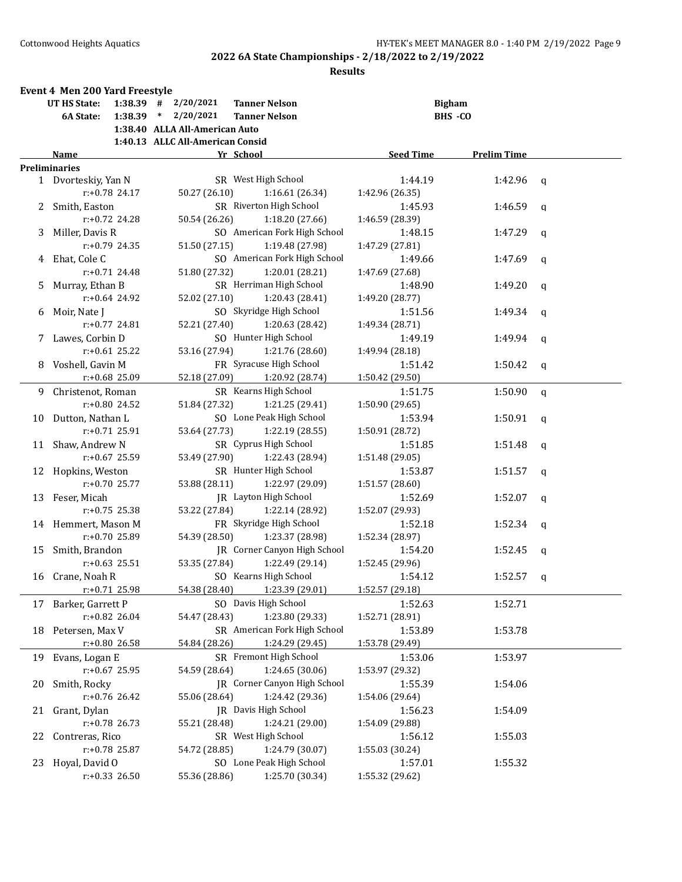|    | <b>Event 4 Men 200 Yard Freestyle</b> |                  |                                  |                              |                  |                    |             |
|----|---------------------------------------|------------------|----------------------------------|------------------------------|------------------|--------------------|-------------|
|    | UT HS State:                          |                  | $1:38.39$ # $2/20/2021$          | <b>Tanner Nelson</b>         |                  | <b>Bigham</b>      |             |
|    | 6A State:                             | $1:38.39$ *      | 2/20/2021                        | <b>Tanner Nelson</b>         |                  | BHS -CO            |             |
|    |                                       |                  | 1:38.40 ALLA All-American Auto   |                              |                  |                    |             |
|    |                                       |                  | 1:40.13 ALLC All-American Consid |                              |                  |                    |             |
|    | Name                                  |                  |                                  | Yr School                    | <b>Seed Time</b> | <b>Prelim Time</b> |             |
|    | <b>Preliminaries</b>                  |                  |                                  |                              |                  |                    |             |
|    | 1 Dvorteskiy, Yan N                   |                  |                                  | SR West High School          | 1:44.19          | 1:42.96            | q           |
|    |                                       | $r: +0.78$ 24.17 | 50.27 (26.10)                    | 1:16.61 (26.34)              | 1:42.96 (26.35)  |                    |             |
| 2  | Smith, Easton                         |                  |                                  | SR Riverton High School      | 1:45.93          | 1:46.59            | a           |
|    |                                       | r:+0.72 24.28    | 50.54 (26.26)                    | 1:18.20 (27.66)              | 1:46.59 (28.39)  |                    |             |
|    | 3 Miller, Davis R                     |                  |                                  | SO American Fork High School | 1:48.15          | 1:47.29            | q           |
|    |                                       | $r: +0.79$ 24.35 | 51.50 (27.15)                    | 1:19.48 (27.98)              | 1:47.29 (27.81)  |                    |             |
| 4  | Ehat, Cole C                          |                  |                                  | SO American Fork High School | 1:49.66          | 1:47.69            | q           |
|    |                                       | $r: +0.71$ 24.48 | 51.80 (27.32)                    | 1:20.01 (28.21)              | 1:47.69 (27.68)  |                    |             |
| 5. | Murray, Ethan B                       |                  |                                  | SR Herriman High School      | 1:48.90          | 1:49.20            | q           |
|    |                                       | $r: +0.64$ 24.92 | 52.02 (27.10)                    | 1:20.43 (28.41)              | 1:49.20 (28.77)  |                    |             |
| 6  | Moir, Nate J                          |                  |                                  | SO Skyridge High School      | 1:51.56          | 1:49.34            | q           |
|    |                                       | $r: +0.77$ 24.81 | 52.21 (27.40)                    | 1:20.63 (28.42)              | 1:49.34 (28.71)  |                    |             |
|    | Lawes, Corbin D                       |                  |                                  | SO Hunter High School        | 1:49.19          | 1:49.94            | q           |
|    |                                       | $r: +0.61$ 25.22 | 53.16 (27.94)                    | 1:21.76 (28.60)              | 1:49.94 (28.18)  |                    |             |
|    | 8 Voshell, Gavin M                    |                  |                                  | FR Syracuse High School      | 1:51.42          | 1:50.42            | q           |
|    |                                       | r:+0.68 25.09    | 52.18 (27.09)                    | 1:20.92 (28.74)              | 1:50.42 (29.50)  |                    |             |
| 9. | Christenot, Roman                     |                  |                                  | SR Kearns High School        | 1:51.75          | 1:50.90            | $\mathbf q$ |
|    |                                       | $r: +0.80$ 24.52 | 51.84 (27.32)                    | 1:21.25 (29.41)              | 1:50.90 (29.65)  |                    |             |
| 10 | Dutton, Nathan L                      |                  |                                  | SO Lone Peak High School     | 1:53.94          | 1:50.91            | q           |
|    |                                       | $r: +0.71$ 25.91 | 53.64 (27.73)                    | 1:22.19 (28.55)              | 1:50.91 (28.72)  |                    |             |
| 11 | Shaw, Andrew N                        |                  |                                  | SR Cyprus High School        | 1:51.85          | 1:51.48            | q           |
|    |                                       | $r: +0.67$ 25.59 | 53.49 (27.90)                    | 1:22.43 (28.94)              | 1:51.48 (29.05)  |                    |             |
|    | 12 Hopkins, Weston                    |                  |                                  | SR Hunter High School        | 1:53.87          | 1:51.57            | q           |
|    |                                       | $r: +0.70$ 25.77 | 53.88 (28.11)                    | 1:22.97 (29.09)              | 1:51.57 (28.60)  |                    |             |
| 13 | Feser, Micah                          |                  |                                  | JR Layton High School        | 1:52.69          | 1:52.07            | q           |
|    |                                       | $r: +0.75$ 25.38 | 53.22 (27.84)                    | 1:22.14 (28.92)              | 1:52.07 (29.93)  |                    |             |
|    | 14 Hemmert, Mason M                   |                  |                                  | FR Skyridge High School      | 1:52.18          | 1:52.34            | q           |
|    |                                       | $r: +0.70$ 25.89 | 54.39 (28.50)                    | 1:23.37 (28.98)              | 1:52.34 (28.97)  |                    |             |
| 15 | Smith, Brandon                        |                  |                                  | JR Corner Canyon High School | 1:54.20          | 1:52.45            | q           |
|    |                                       | $r: +0.63$ 25.51 | 53.35 (27.84)                    | 1:22.49 (29.14)              | 1:52.45 (29.96)  |                    |             |
|    | 16 Crane, Noah R                      |                  |                                  | SO Kearns High School        | 1:54.12          | 1:52.57            | q           |
|    |                                       | r:+0.71 25.98    | 54.38 (28.40)                    | 1:23.39 (29.01)              | 1:52.57 (29.18)  |                    |             |
| 17 | Barker, Garrett P                     |                  |                                  | SO Davis High School         | 1:52.63          | 1:52.71            |             |
|    |                                       | r:+0.82 26.04    | 54.47 (28.43)                    | 1:23.80 (29.33)              | 1:52.71 (28.91)  |                    |             |
| 18 | Petersen, Max V                       |                  |                                  | SR American Fork High School | 1:53.89          | 1:53.78            |             |
|    |                                       | $r+0.80$ 26.58   | 54.84 (28.26)                    | 1:24.29 (29.45)              | 1:53.78 (29.49)  |                    |             |
| 19 | Evans, Logan E                        |                  |                                  | SR Fremont High School       | 1:53.06          | 1:53.97            |             |
|    |                                       | $r: +0.67$ 25.95 | 54.59 (28.64)                    | 1:24.65 (30.06)              | 1:53.97 (29.32)  |                    |             |
| 20 | Smith, Rocky                          |                  |                                  | JR Corner Canyon High School | 1:55.39          | 1:54.06            |             |
|    |                                       | $r: +0.76$ 26.42 | 55.06 (28.64)                    | 1:24.42 (29.36)              | 1:54.06 (29.64)  |                    |             |
| 21 | Grant, Dylan                          |                  |                                  | JR Davis High School         | 1:56.23          | 1:54.09            |             |
|    |                                       | $r: +0.78$ 26.73 | 55.21 (28.48)                    | 1:24.21 (29.00)              | 1:54.09 (29.88)  |                    |             |
| 22 | Contreras, Rico                       |                  |                                  | SR West High School          | 1:56.12          | 1:55.03            |             |
|    |                                       | $r: +0.78$ 25.87 | 54.72 (28.85)                    | 1:24.79 (30.07)              | 1:55.03 (30.24)  |                    |             |
| 23 | Hoyal, David O                        |                  |                                  | SO Lone Peak High School     | 1:57.01          | 1:55.32            |             |
|    |                                       | $r: +0.33$ 26.50 | 55.36 (28.86)                    | 1:25.70 (30.34)              | 1:55.32 (29.62)  |                    |             |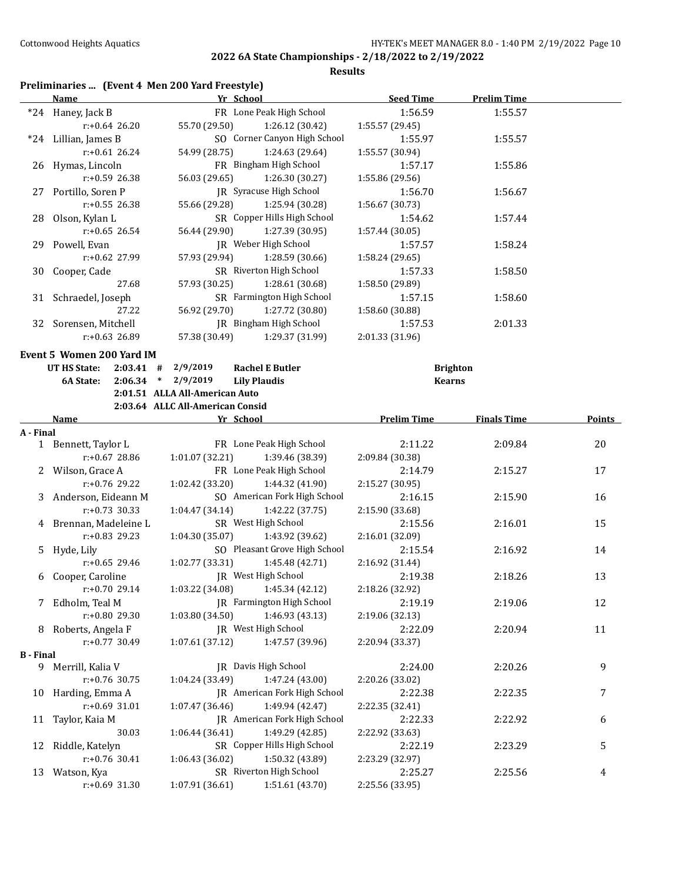**Results**

## **Preliminaries ... (Event 4 Men 200 Yard Freestyle)**

|                  | <b>Name</b>                  | Yr School                                                     | <b>Seed Time</b>           | <b>Prelim Time</b> |        |
|------------------|------------------------------|---------------------------------------------------------------|----------------------------|--------------------|--------|
|                  | *24 Haney, Jack B            | FR Lone Peak High School                                      | 1:56.59                    | 1:55.57            |        |
|                  | $r: +0.64$ 26.20             | 55.70 (29.50)<br>1:26.12 (30.42)                              | 1:55.57 (29.45)            |                    |        |
|                  | *24 Lillian, James B         | SO Corner Canyon High School                                  | 1:55.97                    | 1:55.57            |        |
|                  | $r: +0.61$ 26.24             | 54.99 (28.75)<br>1:24.63 (29.64)                              | 1:55.57 (30.94)            |                    |        |
|                  | 26 Hymas, Lincoln            | FR Bingham High School                                        | 1:57.17                    | 1:55.86            |        |
|                  | $r: +0.59$ 26.38             | 56.03 (29.65)<br>1:26.30 (30.27)                              | 1:55.86 (29.56)            |                    |        |
|                  | 27 Portillo, Soren P         | JR Syracuse High School                                       | 1:56.70                    | 1:56.67            |        |
|                  | r:+0.55 26.38                | 55.66 (29.28)<br>1:25.94 (30.28)                              | 1:56.67 (30.73)            |                    |        |
|                  | 28 Olson, Kylan L            | SR Copper Hills High School                                   | 1:54.62                    | 1:57.44            |        |
|                  |                              |                                                               |                            |                    |        |
|                  | $r: +0.65$ 26.54             | 56.44 (29.90)<br>1:27.39 (30.95)                              | 1:57.44 (30.05)            |                    |        |
|                  | 29 Powell, Evan              | JR Weber High School                                          | 1:57.57                    | 1:58.24            |        |
|                  | r:+0.62 27.99                | 57.93 (29.94)<br>1:28.59 (30.66)                              | 1:58.24 (29.65)            |                    |        |
|                  | 30 Cooper, Cade              | SR Riverton High School                                       | 1:57.33                    | 1:58.50            |        |
|                  | 27.68                        | 57.93 (30.25)<br>1:28.61 (30.68)                              | 1:58.50 (29.89)            |                    |        |
|                  | 31 Schraedel, Joseph         | SR Farmington High School                                     | 1:57.15                    | 1:58.60            |        |
|                  | 27.22                        | 56.92 (29.70)<br>1:27.72 (30.80)                              | 1:58.60 (30.88)            |                    |        |
|                  | 32 Sorensen, Mitchell        | JR Bingham High School                                        | 1:57.53                    | 2:01.33            |        |
|                  | r:+0.63 26.89                | 57.38 (30.49)<br>1:29.37 (31.99)                              | 2:01.33 (31.96)            |                    |        |
|                  | Event 5 Women 200 Yard IM    |                                                               |                            |                    |        |
|                  | UT HS State:<br>$2:03.41$ #  | 2/9/2019<br><b>Rachel E Butler</b>                            | <b>Brighton</b>            |                    |        |
|                  | 6A State:                    | $2:06.34$ * 2/9/2019<br><b>Lily Plaudis</b>                   | <b>Kearns</b>              |                    |        |
|                  |                              |                                                               |                            |                    |        |
|                  |                              | 2:01.51 ALLA All-American Auto                                |                            |                    |        |
|                  |                              | 2:03.64 ALLC All-American Consid                              |                            |                    |        |
|                  | Name                         | Yr School                                                     | <b>Prelim Time</b>         | <b>Finals Time</b> | Points |
| A - Final        |                              |                                                               |                            |                    |        |
|                  | 1 Bennett, Taylor L          | FR Lone Peak High School                                      | 2:11.22                    | 2:09.84            | 20     |
|                  | r:+0.67 28.86                | 1:01.07 (32.21)<br>1:39.46 (38.39)                            | 2:09.84 (30.38)            |                    |        |
|                  | 2 Wilson, Grace A            | FR Lone Peak High School                                      | 2:14.79                    | 2:15.27            | 17     |
|                  | r:+0.76 29.22                | 1:02.42(33.20)<br>1:44.32 (41.90)                             | 2:15.27 (30.95)            |                    |        |
|                  | 3 Anderson, Eideann M        | SO American Fork High School                                  | 2:16.15                    | 2:15.90            | 16     |
|                  | r:+0.73 30.33                | 1:42.22 (37.75)<br>1:04.47 (34.14)                            | 2:15.90 (33.68)            |                    |        |
|                  | 4 Brennan, Madeleine L       | SR West High School                                           | 2:15.56                    | 2:16.01            | 15     |
|                  | $r: +0.83$ 29.23             | 1:04.30(35.07)<br>1:43.92 (39.62)                             | 2:16.01 (32.09)            |                    |        |
| 5                | Hyde, Lily                   | SO Pleasant Grove High School                                 | 2:15.54                    | 2:16.92            | 14     |
|                  | $r: +0.65$ 29.46             | 1:02.77(33.31)<br>1:45.48 (42.71)                             | 2:16.92 (31.44)            |                    |        |
| 6                | Cooper, Caroline             | JR West High School                                           | 2:19.38                    | 2:18.26            | 13     |
|                  | r:+0.70 29.14                | 1:03.22 (34.08)<br>1:45.34 (42.12)                            | 2:18.26 (32.92)            |                    |        |
|                  | 7 Edholm, Teal M             | JR Farmington High School                                     | 2:19.19                    | 2:19.06            | 12     |
|                  | r:+0.80 29.30                | 1:46.93 (43.13)<br>1:03.80 (34.50)                            | 2:19.06 (32.13)            |                    |        |
| 8                | Roberts, Angela F            | JR West High School                                           | 2:22.09                    | 2:20.94            | 11     |
|                  | r:+0.77 30.49                | 1:07.61 (37.12)<br>1:47.57 (39.96)                            | 2:20.94 (33.37)            |                    |        |
| <b>B</b> - Final |                              |                                                               |                            |                    |        |
|                  | 9 Merrill, Kalia V           | JR Davis High School                                          | 2:24.00                    | 2:20.26            | 9      |
|                  | r:+0.76 30.75                | 1:04.24 (33.49)<br>1:47.24 (43.00)                            | 2:20.26 (33.02)            |                    |        |
|                  | 10 Harding, Emma A           | JR American Fork High School                                  | 2:22.38                    | 2:22.35            | 7      |
|                  | r:+0.69 31.01                | 1:07.47 (36.46)<br>1:49.94 (42.47)                            | 2:22.35 (32.41)            |                    |        |
|                  |                              |                                                               |                            |                    |        |
| 11               | Taylor, Kaia M               | <b>IR</b> American Fork High School                           | 2:22.33                    | 2:22.92            | 6      |
|                  | 30.03                        | 1:06.44 (36.41)<br>1:49.29 (42.85)                            | 2:22.92 (33.63)            |                    |        |
| 12               |                              | SR Copper Hills High School                                   | 2:22.19                    | 2:23.29            | 5      |
|                  | Riddle, Katelyn              |                                                               |                            |                    |        |
|                  | r:+0.76 30.41                | 1:50.32 (43.89)<br>1:06.43 (36.02)                            | 2:23.29 (32.97)            |                    |        |
| 13               | Watson, Kya<br>r:+0.69 31.30 | SR Riverton High School<br>1:07.91 (36.61)<br>1:51.61 (43.70) | 2:25.27<br>2:25.56 (33.95) | 2:25.56            | 4      |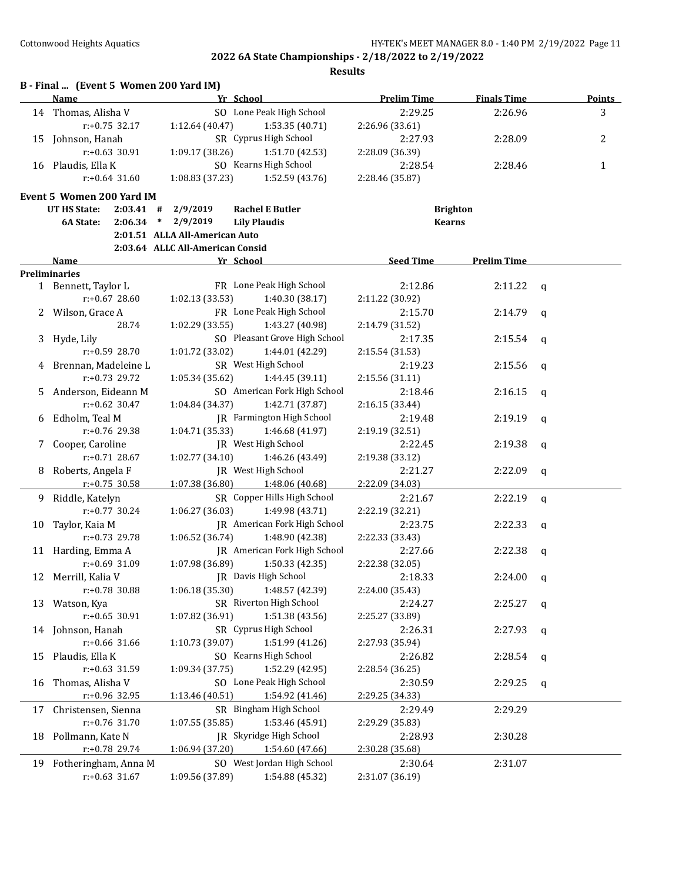|    | Name                               | Yr School                                 | <b>Prelim Time</b> | <b>Finals Time</b> | <b>Points</b> |
|----|------------------------------------|-------------------------------------------|--------------------|--------------------|---------------|
| 14 | Thomas, Alisha V                   | SO Lone Peak High School                  | 2:29.25            | 2:26.96            | 3             |
|    | $r: +0.75$ 32.17                   | 1:12.64 (40.47)<br>1:53.35 (40.71)        | 2:26.96 (33.61)    |                    |               |
| 15 | Johnson, Hanah                     | SR Cyprus High School                     | 2:27.93            | 2:28.09            | 2             |
|    | $r: +0.63$ 30.91                   | 1:09.17 (38.26)<br>1:51.70 (42.53)        | 2:28.09 (36.39)    |                    |               |
|    | 16 Plaudis, Ella K                 | SO Kearns High School                     | 2:28.54            | 2:28.46            | 1             |
|    | $r: +0.64$ 31.60                   | 1:08.83 (37.23)<br>1:52.59 (43.76)        | 2:28.46 (35.87)    |                    |               |
|    | Event 5 Women 200 Yard IM          |                                           |                    |                    |               |
|    | <b>UT HS State:</b><br>$2:03.41$ # | 2/9/2019<br><b>Rachel E Butler</b>        |                    | <b>Brighton</b>    |               |
|    | 2:06.34<br>6A State:               | 2/9/2019<br>$\ast$<br><b>Lily Plaudis</b> | <b>Kearns</b>      |                    |               |
|    |                                    | 2:01.51 ALLA All-American Auto            |                    |                    |               |
|    |                                    | 2:03.64 ALLC All-American Consid          |                    |                    |               |
|    | Name                               | Yr School                                 | <b>Seed Time</b>   | <b>Prelim Time</b> |               |
|    | <b>Preliminaries</b>               |                                           |                    |                    |               |
|    | 1 Bennett, Taylor L                | FR Lone Peak High School                  | 2:12.86            | 2:11.22            | q             |
|    | $r: +0.67$ 28.60                   | 1:02.13(33.53)<br>1:40.30 (38.17)         | 2:11.22 (30.92)    |                    |               |
| 2. | Wilson, Grace A                    | FR Lone Peak High School                  | 2:15.70            | 2:14.79            | a             |
|    | 28.74                              | 1:02.29 (33.55)<br>1:43.27 (40.98)        | 2:14.79 (31.52)    |                    |               |
| 3  | Hyde, Lily                         | SO Pleasant Grove High School             | 2:17.35            | 2:15.54            | q             |
|    | $r: +0.59$ 28.70                   | 1:01.72 (33.02)<br>1:44.01 (42.29)        | 2:15.54 (31.53)    |                    |               |
| 4  | Brennan, Madeleine L               | SR West High School                       | 2:19.23            | 2:15.56            | q             |
|    | $r: +0.73$ 29.72                   | 1:05.34 (35.62)<br>1:44.45 (39.11)        | 2:15.56 (31.11)    |                    |               |
| 5. | Anderson, Eideann M                | SO American Fork High School              | 2:18.46            | 2:16.15            | q             |
|    | $r: +0.62$ 30.47                   | 1:04.84 (34.37)<br>1:42.71 (37.87)        | 2:16.15 (33.44)    |                    |               |
| 6  | Edholm, Teal M                     | <b>IR</b> Farmington High School          | 2:19.48            | 2:19.19            | q             |
|    | r:+0.76 29.38                      | 1:04.71 (35.33)<br>1:46.68 (41.97)        | 2:19.19 (32.51)    |                    |               |
| 7. | Cooper, Caroline                   | JR West High School                       | 2:22.45            | 2:19.38            | q             |
|    | $r: +0.71$ 28.67                   | 1:02.77 (34.10)<br>1:46.26 (43.49)        | 2:19.38 (33.12)    |                    |               |
| 8  | Roberts, Angela F                  | JR West High School                       | 2:21.27            | 2:22.09            | q             |
|    | r:+0.75 30.58                      | 1:07.38 (36.80)<br>1:48.06 (40.68)        | 2:22.09 (34.03)    |                    |               |
| 9. | Riddle, Katelyn                    | SR Copper Hills High School               | 2:21.67            | 2:22.19            | $\mathbf q$   |
|    | r:+0.77 30.24                      | 1:06.27(36.03)<br>1:49.98 (43.71)         | 2:22.19 (32.21)    |                    |               |
| 10 | Taylor, Kaia M                     | JR American Fork High School              | 2:23.75            | 2:22.33            | q             |
|    | r:+0.73 29.78                      | 1:06.52 (36.74)<br>1:48.90 (42.38)        | 2:22.33 (33.43)    |                    |               |
|    | 11 Harding, Emma A                 | <b>IR</b> American Fork High School       | 2:27.66            | 2:22.38            | q             |
|    | $r: +0.69$ 31.09                   | 1:07.98 (36.89)<br>1:50.33 (42.35)        | 2:22.38 (32.05)    |                    |               |
|    | 12 Merrill, Kalia V                | JR Davis High School                      | 2:18.33            | $2:24.00$ q        |               |
|    | r:+0.78 30.88                      | 1:48.57 (42.39)<br>1:06.18 (35.30)        | 2:24.00 (35.43)    |                    |               |
| 13 | Watson, Kya                        | SR Riverton High School                   | 2:24.27            | 2:25.27            | q             |
|    | r:+0.65 30.91                      | 1:51.38 (43.56)<br>1:07.82 (36.91)        | 2:25.27 (33.89)    |                    |               |
|    | 14 Johnson, Hanah                  | SR Cyprus High School                     | 2:26.31            | 2:27.93            | q             |
|    | r:+0.66 31.66                      | 1:51.99 (41.26)<br>1:10.73 (39.07)        | 2:27.93 (35.94)    |                    |               |
| 15 | Plaudis, Ella K                    | SO Kearns High School                     | 2:26.82            | 2:28.54            | q             |
|    | r:+0.63 31.59                      | 1:52.29 (42.95)<br>1:09.34 (37.75)        | 2:28.54 (36.25)    |                    |               |
| 16 | Thomas, Alisha V                   | SO Lone Peak High School                  | 2:30.59            | 2:29.25            | q             |
|    | r:+0.96 32.95                      | 1:13.46 (40.51)<br>1:54.92 (41.46)        | 2:29.25 (34.33)    |                    |               |
| 17 | Christensen, Sienna                | SR Bingham High School                    | 2:29.49            | 2:29.29            |               |
|    | r:+0.76 31.70                      | 1:53.46 (45.91)<br>1:07.55 (35.85)        | 2:29.29 (35.83)    |                    |               |
| 18 | Pollmann, Kate N                   | JR Skyridge High School                   | 2:28.93            | 2:30.28            |               |
|    | $r+0.78$ 29.74                     | 1:06.94 (37.20)<br>1:54.60 (47.66)        | 2:30.28 (35.68)    |                    |               |
| 19 | Fotheringham, Anna M               | SO West Jordan High School                | 2:30.64            | 2:31.07            |               |
|    | $r: +0.63$ 31.67                   | 1:09.56 (37.89)<br>1:54.88 (45.32)        | 2:31.07 (36.19)    |                    |               |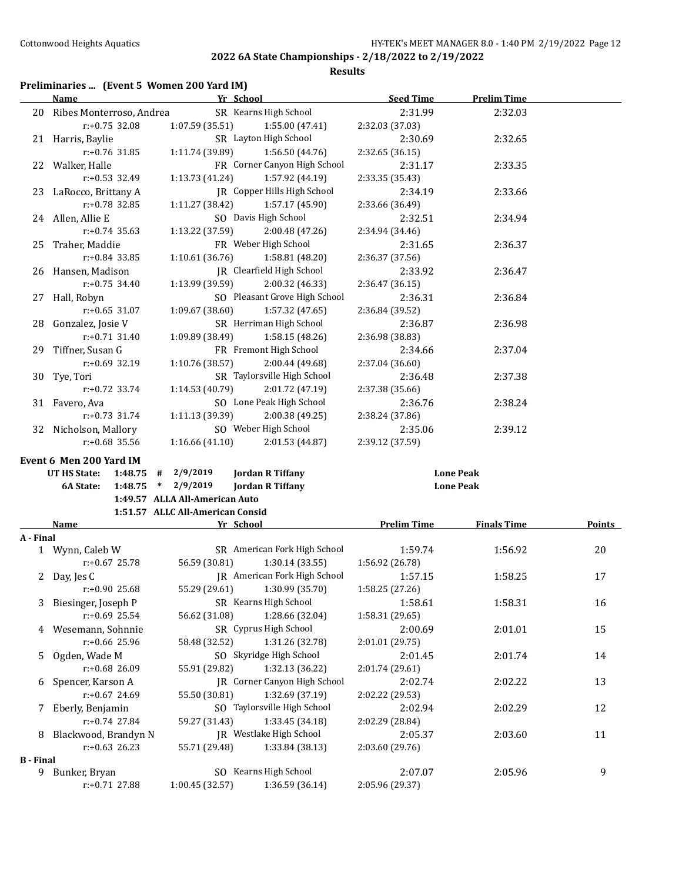**Results**

## **Preliminaries ... (Event 5 Women 200 Yard IM)**

|                  | <b>Name</b>                 | Yr School                                                          | <b>Seed Time</b>           | <b>Prelim Time</b> |        |
|------------------|-----------------------------|--------------------------------------------------------------------|----------------------------|--------------------|--------|
|                  | 20 Ribes Monterroso, Andrea | SR Kearns High School                                              | 2:31.99                    | 2:32.03            |        |
|                  | r:+0.75 32.08               | 1:07.59 (35.51)<br>1:55.00 (47.41)                                 | 2:32.03 (37.03)            |                    |        |
|                  | 21 Harris, Baylie           | SR Layton High School                                              | 2:30.69                    | 2:32.65            |        |
|                  | r:+0.76 31.85               | 1:11.74 (39.89)<br>1:56.50 (44.76)                                 | 2:32.65 (36.15)            |                    |        |
|                  | 22 Walker, Halle            | FR Corner Canyon High School                                       | 2:31.17                    | 2:33.35            |        |
|                  | $r: +0.53$ 32.49            | 1:13.73 (41.24)<br>1:57.92 (44.19)                                 | 2:33.35 (35.43)            |                    |        |
|                  | 23 LaRocco, Brittany A      | JR Copper Hills High School                                        | 2:34.19                    | 2:33.66            |        |
|                  | r:+0.78 32.85               | 1:11.27 (38.42)<br>1:57.17 (45.90)                                 | 2:33.66 (36.49)            |                    |        |
|                  | 24 Allen, Allie E           | SO Davis High School                                               | 2:32.51                    | 2:34.94            |        |
|                  | $r: +0.74$ 35.63            | 1:13.22 (37.59)<br>2:00.48 (47.26)                                 | 2:34.94 (34.46)            |                    |        |
|                  | 25 Traher, Maddie           | FR Weber High School                                               | 2:31.65                    | 2:36.37            |        |
|                  | r:+0.84 33.85               | 1:10.61(36.76)<br>1:58.81 (48.20)                                  | 2:36.37 (37.56)            |                    |        |
|                  | 26 Hansen, Madison          | JR Clearfield High School                                          | 2:33.92                    | 2:36.47            |        |
|                  | $r: +0.75$ 34.40            | 1:13.99(39.59)<br>2:00.32 (46.33)                                  | 2:36.47 (36.15)            |                    |        |
|                  | 27 Hall, Robyn              | SO Pleasant Grove High School                                      | 2:36.31                    | 2:36.84            |        |
|                  | $r: +0.65$ 31.07            | 1:09.67(38.60)<br>1:57.32 (47.65)                                  | 2:36.84 (39.52)            |                    |        |
|                  | 28 Gonzalez, Josie V        | SR Herriman High School                                            | 2:36.87                    | 2:36.98            |        |
|                  | $r: +0.71$ 31.40            | 1:09.89 (38.49)<br>1:58.15 (48.26)                                 | 2:36.98 (38.83)            |                    |        |
|                  | 29 Tiffner, Susan G         | FR Fremont High School                                             | 2:34.66                    | 2:37.04            |        |
|                  | r:+0.69 32.19               | 1:10.76 (38.57)<br>2:00.44 (49.68)                                 | 2:37.04 (36.60)            |                    |        |
|                  | 30 Tye, Tori                | SR Taylorsville High School                                        | 2:36.48                    | 2:37.38            |        |
|                  | $r: +0.72$ 33.74            | 1:14.53 (40.79)<br>2:01.72 (47.19)                                 | 2:37.38 (35.66)            |                    |        |
|                  | 31 Favero, Ava              | SO Lone Peak High School                                           | 2:36.76                    | 2:38.24            |        |
|                  | $r: +0.73$ 31.74            | 1:11.13 (39.39)<br>2:00.38 (49.25)                                 | 2:38.24 (37.86)            |                    |        |
|                  | 32 Nicholson, Mallory       | SO Weber High School                                               | 2:35.06                    | 2:39.12            |        |
|                  | $r: +0.68$ 35.56            | $1:16.66(41.10)$ $2:01.53(44.87)$                                  | 2:39.12 (37.59)            |                    |        |
|                  |                             |                                                                    |                            |                    |        |
|                  | Event 6 Men 200 Yard IM     |                                                                    |                            |                    |        |
|                  | UT HS State:                | $1:48.75$ # 2/9/2019<br><b>Jordan R Tiffany</b>                    |                            | <b>Lone Peak</b>   |        |
|                  | 6A State:<br>$1:48.75$ *    | 2/9/2019<br><b>Jordan R Tiffany</b>                                |                            | <b>Lone Peak</b>   |        |
|                  |                             | 1:49.57 ALLA All-American Auto<br>1:51.57 ALLC All-American Consid |                            |                    |        |
|                  | Name                        | Yr School                                                          | <b>Prelim Time</b>         | <b>Finals Time</b> | Points |
| A - Final        |                             |                                                                    |                            |                    |        |
|                  | 1 Wynn, Caleb W             | SR American Fork High School                                       | 1:59.74                    | 1:56.92            | 20     |
|                  | $r: +0.67$ 25.78            | 56.59 (30.81)<br>1:30.14(33.55)                                    | 1:56.92 (26.78)            |                    |        |
|                  | 2 Day, Jes C                | <b>IR</b> American Fork High School                                | 1:57.15                    | 1:58.25            | 17     |
|                  | $r: +0.90$ 25.68            | 55.29 (29.61)<br>1:30.99 (35.70)                                   | 1:58.25 (27.26)            |                    |        |
| 3                | Biesinger, Joseph P         | SR Kearns High School                                              | 1:58.61                    | 1:58.31            | 16     |
|                  | r:+0.69 25.54               | 56.62 (31.08)<br>1:28.66 (32.04)                                   | 1:58.31 (29.65)            |                    |        |
| 4                | Wesemann, Sohnnie           | SR Cyprus High School                                              | 2:00.69                    | 2:01.01            | 15     |
|                  | r:+0.66 25.96               | 58.48 (32.52)<br>1:31.26 (32.78)                                   | 2:01.01 (29.75)            |                    |        |
| 5                | Ogden, Wade M               | SO Skyridge High School                                            | 2:01.45                    | 2:01.74            | 14     |
|                  | r:+0.68 26.09               | 1:32.13 (36.22)<br>55.91 (29.82)                                   | 2:01.74 (29.61)            |                    |        |
|                  | Spencer, Karson A           | <b>IR</b> Corner Canyon High School                                | 2:02.74                    | 2:02.22            | 13     |
| 6                | r:+0.67 24.69               | 55.50 (30.81)<br>1:32.69 (37.19)                                   | 2:02.22 (29.53)            |                    |        |
|                  | Eberly, Benjamin            | SO Taylorsville High School                                        | 2:02.94                    | 2:02.29            | 12     |
| 7                | r:+0.74 27.84               | 1:33.45 (34.18)                                                    |                            |                    |        |
| 8                | Blackwood, Brandyn N        | 59.27 (31.43)<br>JR Westlake High School                           | 2:02.29 (28.84)<br>2:05.37 | 2:03.60            | 11     |
|                  | $r: +0.63$ 26.23            | 55.71 (29.48)<br>1:33.84 (38.13)                                   | 2:03.60 (29.76)            |                    |        |
| <b>B</b> - Final |                             |                                                                    |                            |                    |        |
|                  | 9 Bunker, Bryan             | SO Kearns High School                                              | 2:07.07                    | 2:05.96            | 9      |
|                  | r:+0.71 27.88               | 1:36.59 (36.14)<br>1:00.45 (32.57)                                 | 2:05.96 (29.37)            |                    |        |
|                  |                             |                                                                    |                            |                    |        |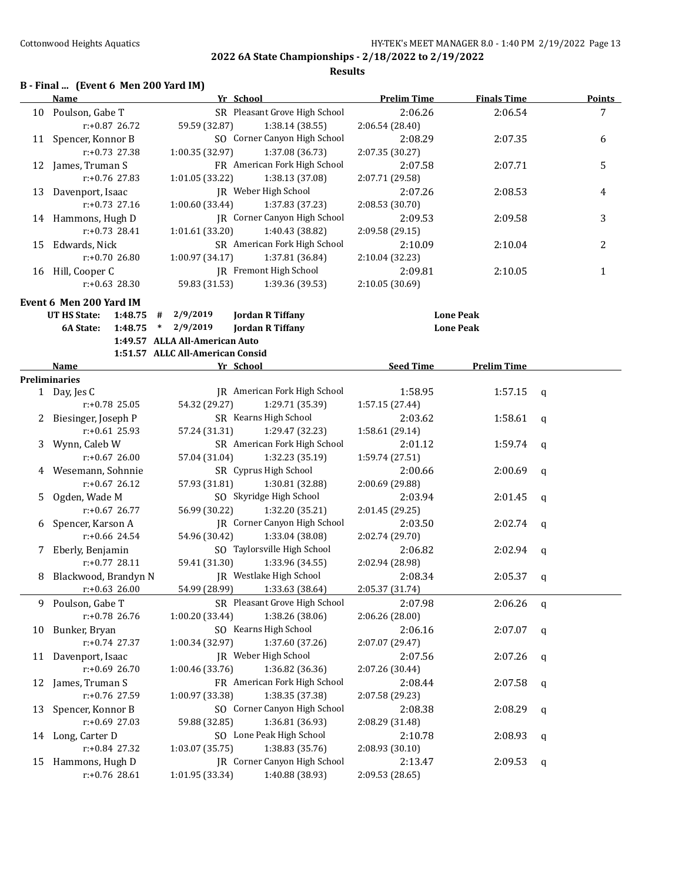**Results**

#### **B - Final ... (Event 6 Men 200 Yard IM)**

|    | Name                                | Yr School                        |                                     | <b>Prelim Time</b>         | <b>Finals Time</b> |              | <b>Points</b> |
|----|-------------------------------------|----------------------------------|-------------------------------------|----------------------------|--------------------|--------------|---------------|
|    | 10 Poulson, Gabe T                  |                                  | SR Pleasant Grove High School       | 2:06.26                    | 2:06.54            |              | 7             |
|    | $r: +0.87$ 26.72                    | 59.59 (32.87)                    | 1:38.14(38.55)                      | 2:06.54 (28.40)            |                    |              |               |
| 11 | Spencer, Konnor B                   |                                  | SO Corner Canyon High School        | 2:08.29                    | 2:07.35            |              | 6             |
|    | $r: +0.73$ 27.38                    | 1:00.35 (32.97)                  | 1:37.08 (36.73)                     | 2:07.35 (30.27)            |                    |              |               |
|    | 12 James, Truman S                  |                                  | FR American Fork High School        | 2:07.58                    | 2:07.71            |              | 5             |
|    | $r: +0.76$ 27.83                    | 1:01.05 (33.22)                  | 1:38.13 (37.08)                     | 2:07.71 (29.58)            |                    |              |               |
|    | 13 Davenport, Isaac                 |                                  | JR Weber High School                | 2:07.26                    | 2:08.53            |              | 4             |
|    | $r: +0.73$ 27.16                    | 1:00.60(33.44)                   | 1:37.83 (37.23)                     | 2:08.53 (30.70)            |                    |              |               |
|    | 14 Hammons, Hugh D                  |                                  | JR Corner Canyon High School        | 2:09.53                    | 2:09.58            |              | 3             |
|    | $r: +0.73$ 28.41                    | 1:01.61(33.20)                   | 1:40.43 (38.82)                     | 2:09.58 (29.15)            |                    |              |               |
|    | 15 Edwards, Nick                    |                                  | SR American Fork High School        | 2:10.09                    | 2:10.04            |              | 2             |
|    | $r: +0.7026.80$                     | 1:00.97 (34.17)                  | 1:37.81 (36.84)                     | 2:10.04 (32.23)            |                    |              |               |
|    | 16 Hill, Cooper C                   |                                  | JR Fremont High School              | 2:09.81                    | 2:10.05            |              | $\mathbf{1}$  |
|    | $r: +0.63$ 28.30                    | 59.83 (31.53)                    | 1:39.36 (39.53)                     | 2:10.05 (30.69)            |                    |              |               |
|    | Event 6 Men 200 Yard IM             |                                  |                                     |                            |                    |              |               |
|    | <b>UT HS State:</b><br>1:48.75<br># | 2/9/2019                         | <b>Jordan R Tiffany</b>             |                            | <b>Lone Peak</b>   |              |               |
|    | 1:48.75<br>6A State:<br>$\ast$      | 2/9/2019                         | <b>Jordan R Tiffany</b>             |                            | <b>Lone Peak</b>   |              |               |
|    |                                     | 1:49.57 ALLA All-American Auto   |                                     |                            |                    |              |               |
|    |                                     | 1:51.57 ALLC All-American Consid |                                     |                            |                    |              |               |
|    | <b>Name</b>                         | Yr School                        |                                     | <b>Seed Time</b>           | <b>Prelim Time</b> |              |               |
|    | <b>Preliminaries</b>                |                                  |                                     |                            |                    |              |               |
|    | 1 Day, Jes C                        |                                  | <b>IR</b> American Fork High School | 1:58.95                    | 1:57.15            | q            |               |
|    | $r: +0.78$ 25.05                    | 54.32 (29.27)                    | 1:29.71 (35.39)                     | 1:57.15 (27.44)            |                    |              |               |
|    | 2 Biesinger, Joseph P               |                                  | SR Kearns High School               | 2:03.62                    | 1:58.61            | q            |               |
|    | $r: +0.61$ 25.93                    | 57.24 (31.31)                    | 1:29.47 (32.23)                     | 1:58.61 (29.14)            |                    |              |               |
| 3  | Wynn, Caleb W                       |                                  | SR American Fork High School        | 2:01.12                    | 1:59.74            | q            |               |
|    | $r: +0.67$ 26.00                    | 57.04 (31.04)                    | 1:32.23 (35.19)                     | 1:59.74 (27.51)            |                    |              |               |
|    | 4 Wesemann, Sohnnie                 |                                  | SR Cyprus High School               | 2:00.66                    | 2:00.69            | q            |               |
|    | $r: +0.67$ 26.12                    | 57.93 (31.81)                    | 1:30.81 (32.88)                     | 2:00.69 (29.88)            |                    |              |               |
| 5. | Ogden, Wade M                       |                                  | SO Skyridge High School             | 2:03.94                    | 2:01.45            | q            |               |
|    | $r: +0.67$ 26.77                    | 56.99 (30.22)                    | 1:32.20 (35.21)                     | 2:01.45 (29.25)            |                    |              |               |
| 6  | Spencer, Karson A                   |                                  | JR Corner Canyon High School        | 2:03.50                    | 2:02.74            | q            |               |
|    | $r: +0.66$ 24.54                    | 54.96 (30.42)                    | 1:33.04 (38.08)                     | 2:02.74 (29.70)            |                    |              |               |
| 7  | Eberly, Benjamin                    |                                  | SO Taylorsville High School         | 2:06.82                    | 2:02.94            | q            |               |
|    | $r: +0.77$ 28.11                    | 59.41 (31.30)                    | 1:33.96 (34.55)                     | 2:02.94 (28.98)            |                    |              |               |
| 8  | Blackwood, Brandyn N                |                                  | JR Westlake High School             | 2:08.34                    | 2:05.37            | q            |               |
|    | $r: +0.63$ 26.00                    | 54.99 (28.99)                    | 1:33.63 (38.64)                     | 2:05.37 (31.74)            |                    |              |               |
|    | 9 Poulson, Gabe T                   |                                  | SR Pleasant Grove High School       | 2:07.98                    | 2:06.26            | $\mathsf{q}$ |               |
|    | r:+0.78 26.76                       | 1:00.20 (33.44)                  | 1:38.26 (38.06)                     | 2:06.26 (28.00)            |                    |              |               |
| 10 | Bunker, Bryan                       |                                  | SO Kearns High School               | 2:06.16                    | 2:07.07            | q            |               |
|    | r:+0.74 27.37                       | 1:00.34 (32.97)                  | 1:37.60 (37.26)                     | 2:07.07 (29.47)            |                    |              |               |
| 11 | Davenport, Isaac                    |                                  | JR Weber High School                | 2:07.56                    | 2:07.26            | $\mathbf q$  |               |
|    | r:+0.69 26.70                       | 1:00.46 (33.76)                  | 1:36.82 (36.36)                     | 2:07.26 (30.44)            |                    |              |               |
| 12 | James, Truman S                     |                                  | FR American Fork High School        | 2:08.44                    | 2:07.58            | q            |               |
|    | r:+0.76 27.59                       | 1:00.97 (33.38)                  | 1:38.35 (37.38)                     | 2:07.58 (29.23)            |                    |              |               |
| 13 | Spencer, Konnor B                   |                                  | SO Corner Canyon High School        | 2:08.38                    | 2:08.29            |              |               |
|    | r:+0.69 27.03                       | 59.88 (32.85)                    | 1:36.81 (36.93)                     | 2:08.29 (31.48)            |                    | q            |               |
|    | 14 Long, Carter D                   |                                  | SO Lone Peak High School            |                            |                    |              |               |
|    | r:+0.84 27.32                       | 1:03.07 (35.75)                  | 1:38.83 (35.76)                     | 2:10.78<br>2:08.93 (30.10) | 2:08.93            | q            |               |
|    | 15 Hammons, Hugh D                  |                                  | JR Corner Canyon High School        |                            |                    |              |               |
|    |                                     |                                  |                                     | 2:13.47                    | 2:09.53            | q            |               |
|    | r:+0.76 28.61                       | 1:01.95 (33.34)                  | 1:40.88 (38.93)                     | 2:09.53 (28.65)            |                    |              |               |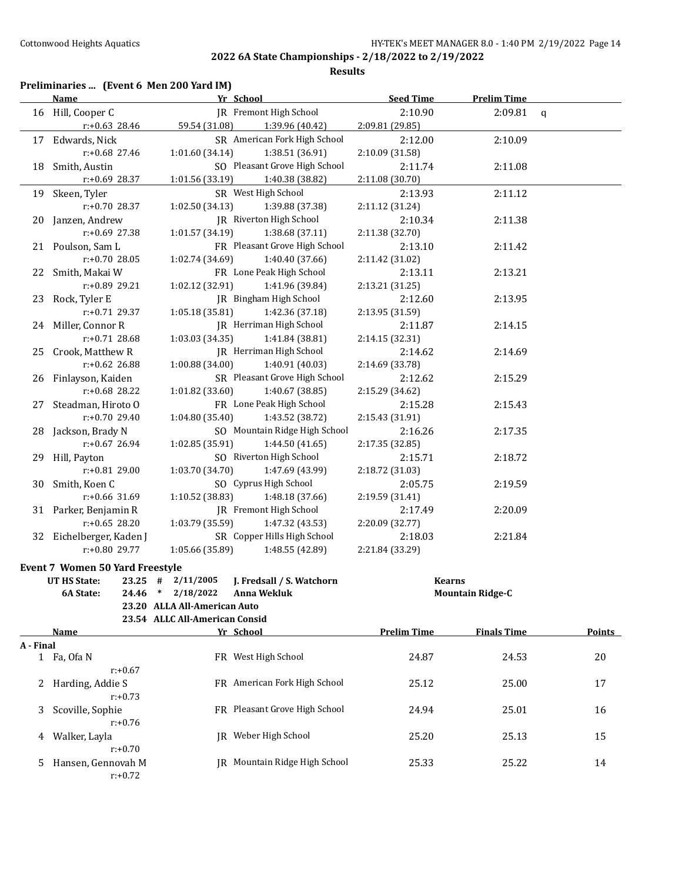**Results**

## **Preliminaries ... (Event 6 Men 200 Yard IM)**

|           | <b>Name</b>                            |                                | Yr School                         | <b>Seed Time</b>   | <b>Prelim Time</b>      |               |
|-----------|----------------------------------------|--------------------------------|-----------------------------------|--------------------|-------------------------|---------------|
|           | 16 Hill, Cooper C                      |                                | IR Fremont High School            | 2:10.90            | 2:09.81                 | $\mathbf{q}$  |
|           | $r$ :+0.63 28.46                       |                                | 59.54 (31.08) 1:39.96 (40.42)     | 2:09.81 (29.85)    |                         |               |
|           | 17 Edwards, Nick                       |                                | SR American Fork High School      | 2:12.00            | 2:10.09                 |               |
|           | r:+0.68 27.46                          | 1:01.60(34.14)                 | 1:38.51(36.91)                    | 2:10.09 (31.58)    |                         |               |
|           | 18 Smith, Austin                       |                                | SO Pleasant Grove High School     | 2:11.74            | 2:11.08                 |               |
|           | $r+0.69$ 28.37                         |                                | 1:01.56 (33.19) 1:40.38 (38.82)   | 2:11.08 (30.70)    |                         |               |
|           | 19 Skeen, Tyler                        |                                | SR West High School               | 2:13.93            | 2:11.12                 |               |
|           | r:+0.70 28.37                          | 1:02.50(34.13)                 | 1:39.88 (37.38)                   | 2:11.12 (31.24)    |                         |               |
|           | 20 Janzen, Andrew                      |                                | JR Riverton High School           | 2:10.34            | 2:11.38                 |               |
|           | $r: +0.69$ 27.38                       | 1:01.57 (34.19)                | 1:38.68 (37.11)                   | 2:11.38 (32.70)    |                         |               |
|           | 21 Poulson, Sam L                      |                                | FR Pleasant Grove High School     | 2:13.10            | 2:11.42                 |               |
|           | $r: +0.70$ 28.05                       | 1:02.74 (34.69)                | 1:40.40 (37.66)                   | 2:11.42 (31.02)    |                         |               |
|           | 22 Smith, Makai W                      |                                | FR Lone Peak High School          | 2:13.11            | 2:13.21                 |               |
|           | r:+0.89 29.21                          | 1:02.12 (32.91)                | 1:41.96 (39.84)                   | 2:13.21 (31.25)    |                         |               |
|           | 23 Rock, Tyler E                       |                                | JR Bingham High School            | 2:12.60            | 2:13.95                 |               |
|           | r:+0.71 29.37                          | 1:05.18 (35.81)                | 1:42.36 (37.18)                   | 2:13.95 (31.59)    |                         |               |
|           | 24 Miller, Connor R                    |                                | JR Herriman High School           | 2:11.87            | 2:14.15                 |               |
|           | $r: +0.71$ 28.68                       | 1:03.03(34.35)                 | 1:41.84 (38.81)                   | 2:14.15 (32.31)    |                         |               |
|           | 25 Crook, Matthew R                    |                                | JR Herriman High School           | 2:14.62            | 2:14.69                 |               |
|           | $r: +0.62$ 26.88                       | 1:00.88(34.00)                 | 1:40.91 (40.03)                   | 2:14.69 (33.78)    |                         |               |
|           | 26 Finlayson, Kaiden                   |                                | SR Pleasant Grove High School     | 2:12.62            | 2:15.29                 |               |
|           | r:+0.68 28.22                          | 1:01.82 (33.60)                | 1:40.67 (38.85)                   | 2:15.29 (34.62)    |                         |               |
|           | 27 Steadman, Hiroto O                  |                                | FR Lone Peak High School          | 2:15.28            | 2:15.43                 |               |
|           | r:+0.70 29.40                          | 1:04.80(35.40)                 | 1:43.52 (38.72)                   | 2:15.43 (31.91)    |                         |               |
|           | 28 Jackson, Brady N                    |                                | SO Mountain Ridge High School     | 2:16.26            | 2:17.35                 |               |
|           | $r: +0.67$ 26.94                       | 1:02.85(35.91)                 | 1:44.50 (41.65)                   | 2:17.35 (32.85)    |                         |               |
|           | 29 Hill, Payton                        |                                | SO Riverton High School           | 2:15.71            | 2:18.72                 |               |
|           | r:+0.81 29.00                          | 1:03.70(34.70)                 | 1:47.69 (43.99)                   | 2:18.72 (31.03)    |                         |               |
|           | 30 Smith, Koen C                       |                                | SO Cyprus High School             | 2:05.75            | 2:19.59                 |               |
|           | $r: +0.66$ 31.69                       | 1:10.52(38.83)                 | 1:48.18 (37.66)                   | 2:19.59 (31.41)    |                         |               |
|           | 31 Parker, Benjamin R                  |                                | JR Fremont High School            | 2:17.49            | 2:20.09                 |               |
|           | $r: +0.65$ 28.20                       | 1:03.79(35.59)                 | 1:47.32 (43.53)                   | 2:20.09 (32.77)    |                         |               |
|           | 32 Eichelberger, Kaden J               |                                | SR Copper Hills High School       | 2:18.03            | 2:21.84                 |               |
|           | r:+0.80 29.77                          |                                | $1:05.66(35.89)$ $1:48.55(42.89)$ | 2:21.84 (33.29)    |                         |               |
|           | <b>Event 7 Women 50 Yard Freestyle</b> |                                |                                   |                    |                         |               |
|           | UT HS State:                           | $23.25$ # $2/11/2005$          | J. Fredsall / S. Watchorn         |                    | <b>Kearns</b>           |               |
|           | 6A State:                              |                                | 24.46 * 2/18/2022 Anna Wekluk     |                    | <b>Mountain Ridge-C</b> |               |
|           |                                        | 23.20 ALLA All-American Auto   |                                   |                    |                         |               |
|           |                                        | 23.54 ALLC All-American Consid |                                   |                    |                         |               |
|           | Name                                   |                                | Yr School                         | <b>Prelim Time</b> | <b>Finals Time</b>      | <b>Points</b> |
| A - Final |                                        |                                |                                   |                    |                         |               |
|           | 1 Fa, Ofa N                            |                                | FR West High School               | 24.87              | 24.53                   | 20            |
|           | $r: +0.67$                             |                                |                                   |                    |                         |               |
| 2         | Harding, Addie S                       |                                | FR American Fork High School      | 25.12              | 25.00                   | 17            |
|           | $r: +0.73$                             |                                |                                   |                    |                         |               |
| 3         | Scoville, Sophie                       |                                | FR Pleasant Grove High School     | 24.94              | 25.01                   | 16            |
|           | $r: +0.76$                             |                                |                                   |                    |                         |               |
| 4         | Walker, Layla<br>$r: +0.70$            |                                | JR Weber High School              | 25.20              | 25.13                   | 15            |
| 5         | Hansen, Gennovah M                     |                                | JR Mountain Ridge High School     | 25.33              | 25.22                   | 14            |
|           | $r: +0.72$                             |                                |                                   |                    |                         |               |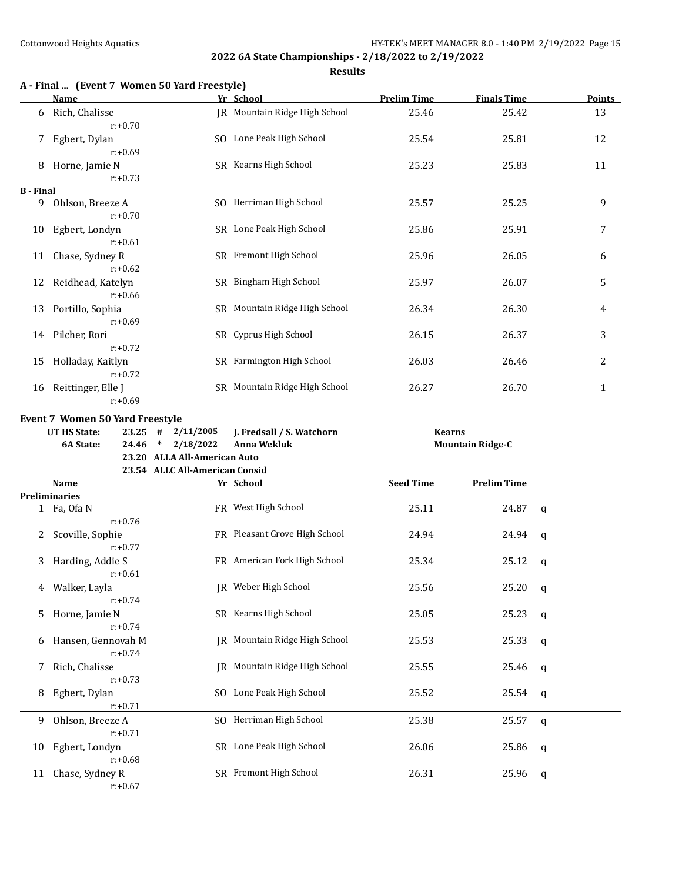|                  | A - Final  (Event 7 Women 50 Yard Freestyle)<br>Name |                                                                                       | Yr School                     | <b>Prelim Time</b> | <b>Finals Time</b>      | <b>Points</b> |
|------------------|------------------------------------------------------|---------------------------------------------------------------------------------------|-------------------------------|--------------------|-------------------------|---------------|
| 6                | Rich, Chalisse<br>$r: +0.70$                         |                                                                                       | JR Mountain Ridge High School | 25.46              | 25.42                   | 13            |
|                  | Egbert, Dylan<br>$r: +0.69$                          |                                                                                       | SO Lone Peak High School      | 25.54              | 25.81                   | 12            |
| 8                | Horne, Jamie N                                       |                                                                                       | SR Kearns High School         | 25.23              | 25.83                   | 11            |
| <b>B</b> - Final | $r: +0.73$                                           |                                                                                       |                               |                    |                         |               |
|                  | 9 Ohlson, Breeze A<br>$r: +0.70$                     |                                                                                       | SO Herriman High School       | 25.57              | 25.25                   | 9             |
| 10               | Egbert, Londyn<br>$r: +0.61$                         |                                                                                       | SR Lone Peak High School      | 25.86              | 25.91                   | 7             |
| 11               | Chase, Sydney R<br>$r: +0.62$                        |                                                                                       | SR Fremont High School        | 25.96              | 26.05                   | 6             |
| 12               | Reidhead, Katelyn<br>$r: +0.66$                      |                                                                                       | SR Bingham High School        | 25.97              | 26.07                   | 5             |
| 13               | Portillo, Sophia<br>$r: +0.69$                       |                                                                                       | SR Mountain Ridge High School | 26.34              | 26.30                   | 4             |
| 14               | Pilcher, Rori<br>$r: +0.72$                          |                                                                                       | SR Cyprus High School         | 26.15              | 26.37                   | 3             |
| 15               | Holladay, Kaitlyn<br>$r: +0.72$                      |                                                                                       | SR Farmington High School     | 26.03              | 26.46                   | 2             |
| 16               | Reittinger, Elle J<br>$r: +0.69$                     |                                                                                       | SR Mountain Ridge High School | 26.27              | 26.70                   | $\mathbf{1}$  |
|                  | 6A State:<br>24.46                                   | 2/18/2022<br>$\ast$<br>23.20 ALLA All-American Auto<br>23.54 ALLC All-American Consid | <b>Anna Wekluk</b>            |                    | <b>Mountain Ridge-C</b> |               |
|                  | <b>Name</b>                                          |                                                                                       | Yr School                     | <b>Seed Time</b>   | <b>Prelim Time</b>      |               |
|                  | <b>Preliminaries</b>                                 |                                                                                       |                               |                    |                         |               |
|                  | 1 Fa, Ofa N<br>$r: +0.76$                            |                                                                                       | FR West High School           | 25.11              | 24.87                   | q             |
| 2                | Scoville, Sophie<br>$r: +0.77$                       |                                                                                       | FR Pleasant Grove High School | 24.94              | 24.94                   | q             |
|                  | 3 Harding, Addie S<br>r:+0.61                        |                                                                                       | FR American Fork High School  | 25.34              | 25.12                   | q             |
| 4                | Walker, Layla<br>$r: +0.74$                          |                                                                                       | JR Weber High School          | 25.56              | 25.20                   | q             |
| 5                | Horne, Jamie N<br>$r: +0.74$                         |                                                                                       | SR Kearns High School         | 25.05              | 25.23                   | q             |
| b                | Hansen, Gennovah M<br>$r: +0.74$                     |                                                                                       | JR Mountain Ridge High School | 25.53              | 25.33                   | q             |
| 7                | Rich, Chalisse<br>$r: +0.73$                         |                                                                                       | JR Mountain Ridge High School | 25.55              | 25.46                   | q             |
| 8                | Egbert, Dylan<br>$r: +0.71$                          |                                                                                       | SO Lone Peak High School      | 25.52              | 25.54                   | q             |
| 9                | Ohlson, Breeze A<br>$r: +0.71$                       |                                                                                       | SO Herriman High School       | 25.38              | 25.57                   | q             |
| 10               | Egbert, Londyn<br>$r: +0.68$                         |                                                                                       | SR Lone Peak High School      | 26.06              | 25.86                   | q             |
| 11               | Chase, Sydney R<br>$r: +0.67$                        |                                                                                       | SR Fremont High School        | 26.31              | 25.96                   | $\mathbf q$   |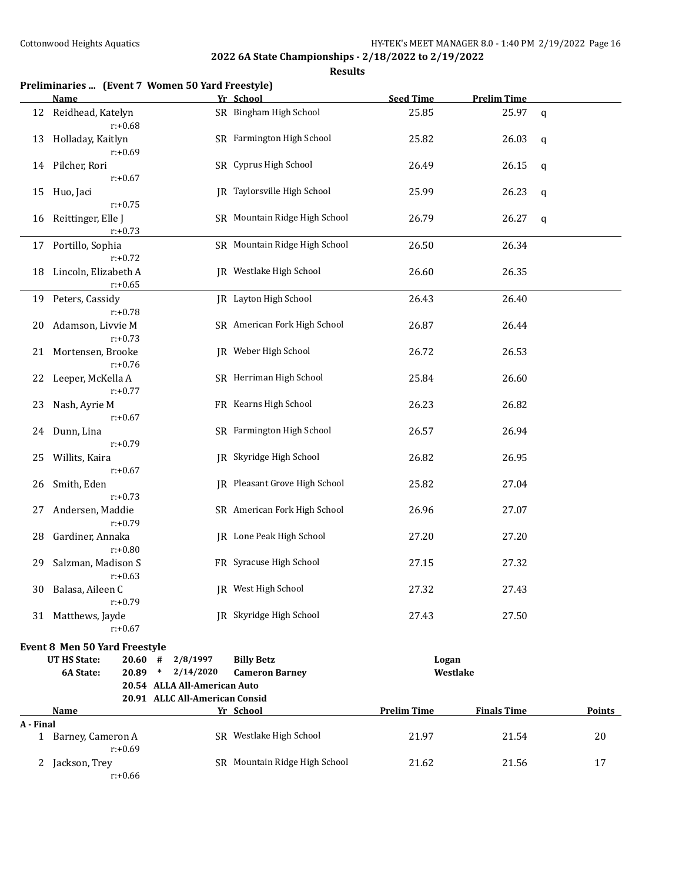|           | Preliminaries  (Event 7 Women 50 Yard Freestyle) |                                |                               |                    |                    |               |
|-----------|--------------------------------------------------|--------------------------------|-------------------------------|--------------------|--------------------|---------------|
|           | Name                                             |                                | Yr School                     | <b>Seed Time</b>   | <b>Prelim Time</b> |               |
| 12        | Reidhead, Katelyn<br>$r: +0.68$                  |                                | SR Bingham High School        | 25.85              | 25.97              | $\mathbf q$   |
| 13        | Holladay, Kaitlyn<br>$r: +0.69$                  |                                | SR Farmington High School     | 25.82              | 26.03              | q             |
| 14        | Pilcher, Rori<br>$r: +0.67$                      |                                | SR Cyprus High School         | 26.49              | 26.15              | q             |
| 15        | Huo, Jaci                                        |                                | JR Taylorsville High School   | 25.99              | 26.23              | $\mathbf q$   |
| 16        | $r: +0.75$<br>Reittinger, Elle J<br>$r: +0.73$   |                                | SR Mountain Ridge High School | 26.79              | 26.27              | q             |
| 17        | Portillo, Sophia<br>$r: +0.72$                   |                                | SR Mountain Ridge High School | 26.50              | 26.34              |               |
| 18        | Lincoln, Elizabeth A<br>$r: +0.65$               |                                | JR Westlake High School       | 26.60              | 26.35              |               |
| 19        | Peters, Cassidy<br>$r: +0.78$                    |                                | IR Layton High School         | 26.43              | 26.40              |               |
| 20        | Adamson, Livvie M<br>$r: +0.73$                  |                                | SR American Fork High School  | 26.87              | 26.44              |               |
| 21        | Mortensen, Brooke<br>$r: +0.76$                  |                                | JR Weber High School          | 26.72              | 26.53              |               |
| 22        | Leeper, McKella A<br>$r: +0.77$                  |                                | SR Herriman High School       | 25.84              | 26.60              |               |
| 23        | Nash, Ayrie M<br>$r: +0.67$                      |                                | FR Kearns High School         | 26.23              | 26.82              |               |
| 24        | Dunn, Lina<br>$r: +0.79$                         |                                | SR Farmington High School     | 26.57              | 26.94              |               |
| 25        | Willits, Kaira<br>$r: +0.67$                     |                                | JR Skyridge High School       | 26.82              | 26.95              |               |
| 26        | Smith, Eden<br>$r: +0.73$                        |                                | JR Pleasant Grove High School | 25.82              | 27.04              |               |
| 27        | Andersen, Maddie<br>$r: +0.79$                   |                                | SR American Fork High School  | 26.96              | 27.07              |               |
| 28        | Gardiner, Annaka<br>$r: +0.80$                   |                                | JR Lone Peak High School      | 27.20              | 27.20              |               |
| 29        | Salzman, Madison S<br>r:+0.63                    |                                | FR Syracuse High School       | 27.15              | 27.32              |               |
| 30        | Balasa, Aileen C<br>$r: +0.79$                   |                                | JR West High School           | 27.32              | 27.43              |               |
|           | 31 Matthews, Jayde<br>$r: +0.67$                 |                                | JR Skyridge High School       | 27.43              | 27.50              |               |
|           | <b>Event 8 Men 50 Yard Freestyle</b>             |                                |                               |                    |                    |               |
|           | <b>UT HS State:</b><br>20.60#                    | 2/8/1997                       | <b>Billy Betz</b>             | Logan              |                    |               |
|           | 6A State:<br>20.89 *                             | 2/14/2020                      | <b>Cameron Barney</b>         | Westlake           |                    |               |
|           |                                                  | 20.54 ALLA All-American Auto   |                               |                    |                    |               |
|           |                                                  | 20.91 ALLC All-American Consid |                               |                    |                    |               |
|           | <u>Name</u>                                      |                                | Yr School                     | <b>Prelim Time</b> | <b>Finals Time</b> | <b>Points</b> |
| A - Final |                                                  |                                |                               |                    |                    |               |
|           | 1 Barney, Cameron A<br>$r: +0.69$                |                                | SR Westlake High School       | 21.97              | 21.54              | 20            |
|           | 2 Jackson, Trey<br>$r: +0.66$                    |                                | SR Mountain Ridge High School | 21.62              | 21.56              | 17            |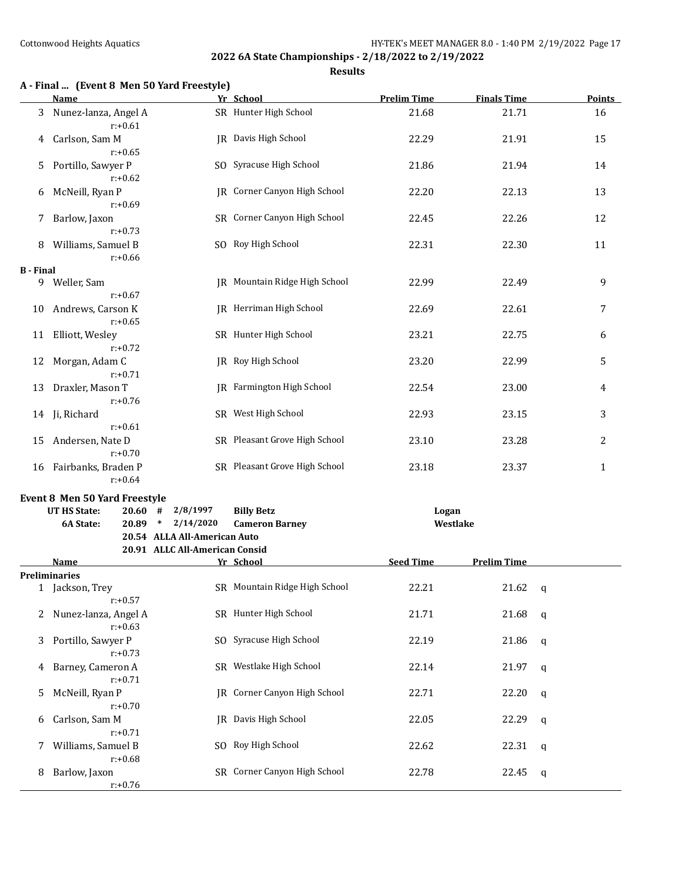**A - Final ... (Event 8 Men 50 Yard Freestyle)**

r:+0.76

#### **2022 6A State Championships - 2/18/2022 to 2/19/2022**

**Results**

**Name Yr School Prelim Time Finals Time Points**

| 3                | Nunez-lanza, Angel A<br>$r: +0.61$   |                                | SR Hunter High School          | 21.68            | 21.71              |              | 16             |
|------------------|--------------------------------------|--------------------------------|--------------------------------|------------------|--------------------|--------------|----------------|
| 4                | Carlson, Sam M<br>$r: +0.65$         |                                | IR Davis High School           | 22.29            | 21.91              |              | 15             |
| 5                | Portillo, Sawyer P<br>$r: +0.62$     |                                | SO Syracuse High School        | 21.86            | 21.94              |              | 14             |
| 6                | McNeill, Ryan P<br>$r: +0.69$        |                                | JR Corner Canyon High School   | 22.20            | 22.13              |              | 13             |
| 7                | Barlow, Jaxon<br>$r: +0.73$          |                                | SR Corner Canyon High School   | 22.45            | 22.26              |              | 12             |
| 8                | Williams, Samuel B<br>$r: +0.66$     |                                | SO Roy High School             | 22.31            | 22.30              |              | 11             |
| <b>B</b> - Final |                                      |                                |                                |                  |                    |              |                |
| 9                | Weller, Sam<br>$r: +0.67$            |                                | JR Mountain Ridge High School  | 22.99            | 22.49              |              | 9              |
| 10               | Andrews, Carson K<br>$r: +0.65$      |                                | <b>IR</b> Herriman High School | 22.69            | 22.61              |              | 7              |
| 11               | Elliott, Wesley<br>$r: +0.72$        |                                | SR Hunter High School          | 23.21            | 22.75              |              | 6              |
| 12               | Morgan, Adam C<br>$r: +0.71$         |                                | JR Roy High School             | 23.20            | 22.99              |              | 5              |
| 13               | Draxler, Mason T<br>$r: +0.76$       |                                | JR Farmington High School      | 22.54            | 23.00              |              | 4              |
| 14               | Ji, Richard<br>$r: +0.61$            |                                | SR West High School            | 22.93            | 23.15              |              | 3              |
| 15               | Andersen, Nate D<br>$r: +0.70$       |                                | SR Pleasant Grove High School  | 23.10            | 23.28              |              | $\overline{c}$ |
|                  | 16 Fairbanks, Braden P<br>$r: +0.64$ |                                | SR Pleasant Grove High School  | 23.18            | 23.37              |              | $\mathbf{1}$   |
|                  | Event 8 Men 50 Yard Freestyle        |                                |                                |                  |                    |              |                |
|                  | <b>UT HS State:</b><br>$20.60$ #     | 2/8/1997                       | <b>Billy Betz</b>              | Logan            |                    |              |                |
|                  | 6A State:<br>$20.89$ *               | 2/14/2020                      | <b>Cameron Barney</b>          | Westlake         |                    |              |                |
|                  |                                      | 20.54 ALLA All-American Auto   |                                |                  |                    |              |                |
|                  |                                      | 20.91 ALLC All-American Consid |                                |                  |                    |              |                |
|                  | Name                                 |                                | Yr School                      | <b>Seed Time</b> | <b>Prelim Time</b> |              |                |
|                  | <b>Preliminaries</b>                 |                                |                                |                  |                    |              |                |
|                  | 1 Jackson, Trey<br>$r: +0.57$        |                                | SR Mountain Ridge High School  | 22.21            | 21.62              | $\mathbf q$  |                |
| 2                | Nunez-lanza, Angel A<br>$r: +0.63$   |                                | SR Hunter High School          | 21.71            | 21.68              | $\mathbf{q}$ |                |
| 3                | Portillo, Sawyer P<br>$r: +0.73$     |                                | SO Syracuse High School        | 22.19            | 21.86              | $\mathbf{q}$ |                |
| 4                | Barney, Cameron A<br>$r: +0.71$      |                                | SR Westlake High School        | 22.14            | 21.97              | $\mathbf{q}$ |                |
| 5                | McNeill, Ryan P<br>$r: +0.70$        |                                | JR Corner Canyon High School   | 22.71            | 22.20              | q            |                |
| 6                | Carlson, Sam M<br>$r: +0.71$         |                                | <b>IR</b> Davis High School    | 22.05            | 22.29              | q            |                |
| 7                | Williams, Samuel B<br>$r: +0.68$     |                                | SO Roy High School             | 22.62            | 22.31              | $\mathbf{q}$ |                |

8 Barlow, Jaxon SR Corner Canyon High School 22.78 22.45 q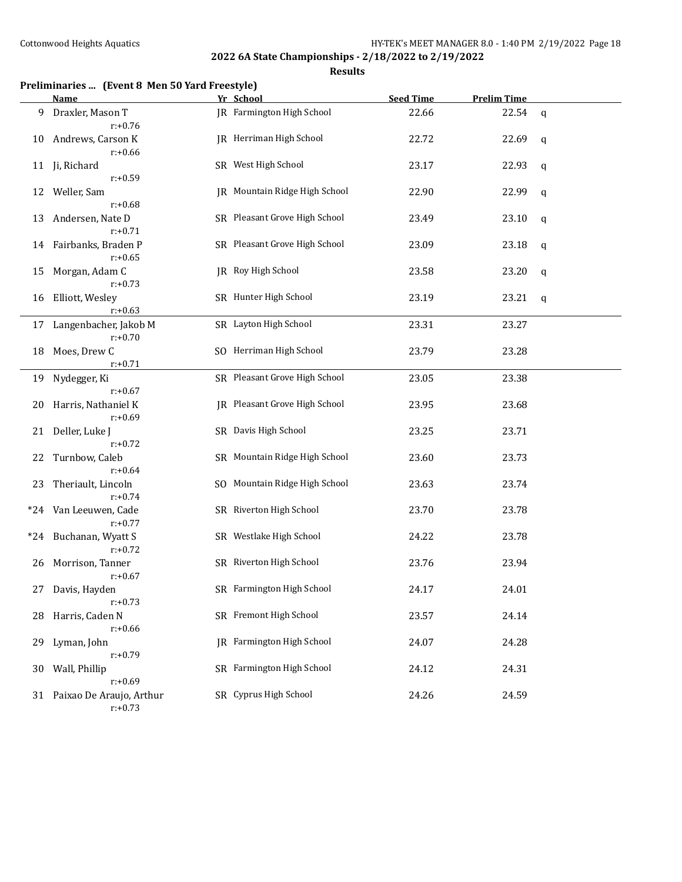|       | <b>Name</b>                                 | Yr School                        | <b>Seed Time</b> | <b>Prelim Time</b> |   |
|-------|---------------------------------------------|----------------------------------|------------------|--------------------|---|
| 9     | Draxler, Mason T<br>$r: +0.76$              | <b>IR</b> Farmington High School | 22.66            | 22.54              | q |
| 10    | Andrews, Carson K<br>$r: +0.66$             | <b>IR</b> Herriman High School   | 22.72            | 22.69              | q |
| 11    | Ji, Richard<br>$r: +0.59$                   | SR West High School              | 23.17            | 22.93              | q |
| 12    | Weller, Sam                                 | JR Mountain Ridge High School    | 22.90            | 22.99              | q |
| 13    | $r: +0.68$<br>Andersen, Nate D              | SR Pleasant Grove High School    | 23.49            | 23.10              | q |
| 14    | $r: +0.71$<br>Fairbanks, Braden P           | SR Pleasant Grove High School    | 23.09            | 23.18              | q |
| 15    | $r: +0.65$<br>Morgan, Adam C                | <b>IR</b> Roy High School        | 23.58            | 23.20              | q |
| 16    | $r: +0.73$<br>Elliott, Wesley<br>$r: +0.63$ | SR Hunter High School            | 23.19            | 23.21              | q |
|       | 17 Langenbacher, Jakob M                    | SR Layton High School            | 23.31            | 23.27              |   |
|       | $r: +0.70$                                  |                                  |                  |                    |   |
| 18    | Moes, Drew C<br>$r: +0.71$                  | SO Herriman High School          | 23.79            | 23.28              |   |
| 19    | Nydegger, Ki                                | SR Pleasant Grove High School    | 23.05            | 23.38              |   |
|       | $r: +0.67$                                  |                                  |                  |                    |   |
| 20    | Harris, Nathaniel K<br>$r: +0.69$           | IR Pleasant Grove High School    | 23.95            | 23.68              |   |
| 21    | Deller, Luke J<br>$r: +0.72$                | SR Davis High School             | 23.25            | 23.71              |   |
| 22    | Turnbow, Caleb<br>$r: +0.64$                | SR Mountain Ridge High School    | 23.60            | 23.73              |   |
| 23    | Theriault, Lincoln<br>$r: +0.74$            | SO Mountain Ridge High School    | 23.63            | 23.74              |   |
| $*24$ | Van Leeuwen, Cade<br>$r: +0.77$             | SR Riverton High School          | 23.70            | 23.78              |   |
| $*24$ | Buchanan, Wyatt S<br>$r: +0.72$             | SR Westlake High School          | 24.22            | 23.78              |   |
| 26    | Morrison, Tanner<br>$r: +0.67$              | SR Riverton High School          | 23.76            | 23.94              |   |
|       | 27 Davis, Hayden<br>$r: +0.73$              | SR Farmington High School        | 24.17            | 24.01              |   |
|       | 28 Harris, Caden N<br>$r: +0.66$            | SR Fremont High School           | 23.57            | 24.14              |   |
| 29    | Lyman, John<br>$r: +0.79$                   | <b>IR</b> Farmington High School | 24.07            | 24.28              |   |
| 30    | Wall, Phillip<br>$r: +0.69$                 | SR Farmington High School        | 24.12            | 24.31              |   |
|       | 31 Paixao De Araujo, Arthur<br>$r: +0.73$   | SR Cyprus High School            | 24.26            | 24.59              |   |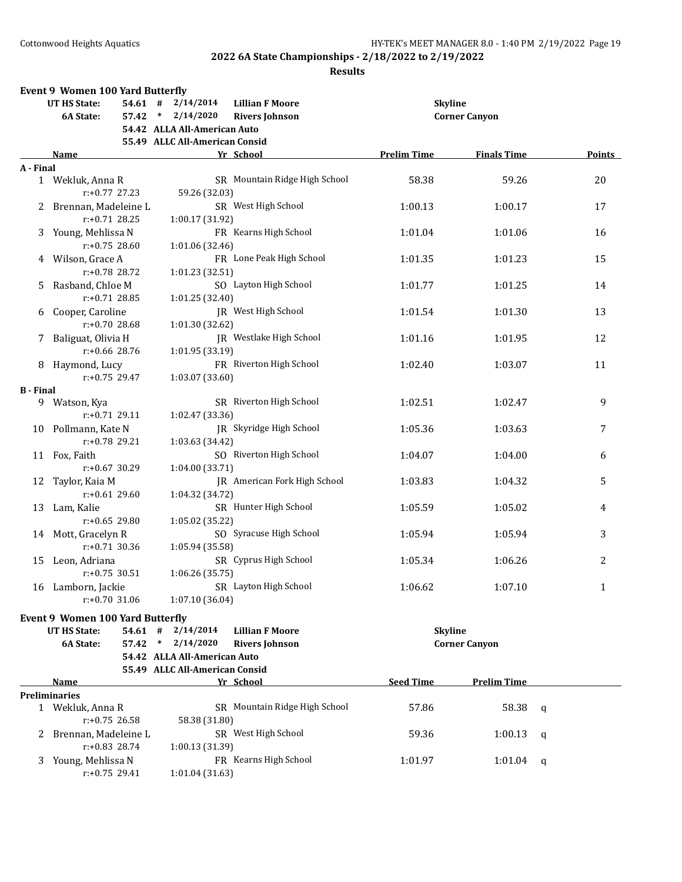|                  | <b>Event 9 Women 100 Yard Butterfly</b>  |           |                                |                               |                    |                      |   |                |
|------------------|------------------------------------------|-----------|--------------------------------|-------------------------------|--------------------|----------------------|---|----------------|
|                  | UT HS State:                             | $54.61$ # | 2/14/2014                      | <b>Lillian F Moore</b>        | <b>Skyline</b>     |                      |   |                |
|                  | 6A State:                                | $57.42$ * | 2/14/2020                      | <b>Rivers Johnson</b>         |                    | <b>Corner Canyon</b> |   |                |
|                  |                                          |           | 54.42 ALLA All-American Auto   |                               |                    |                      |   |                |
|                  |                                          |           | 55.49 ALLC All-American Consid |                               |                    |                      |   |                |
|                  | Name                                     |           |                                | Yr School                     | <b>Prelim Time</b> | <b>Finals Time</b>   |   | Points         |
| A - Final        |                                          |           |                                |                               |                    |                      |   |                |
|                  | 1 Wekluk, Anna R<br>$r: +0.77$ 27.23     |           |                                | SR Mountain Ridge High School | 58.38              | 59.26                |   | 20             |
|                  |                                          |           | 59.26 (32.03)                  |                               |                    |                      |   |                |
| 2                | Brennan, Madeleine L<br>$r: +0.71$ 28.25 |           | 1:00.17 (31.92)                | SR West High School           | 1:00.13            | 1:00.17              |   | 17             |
|                  |                                          |           |                                | FR Kearns High School         |                    |                      |   |                |
| 3                | Young, Mehlissa N<br>$r: +0.75$ 28.60    |           | 1:01.06 (32.46)                |                               | 1:01.04            | 1:01.06              |   | 16             |
|                  | 4 Wilson, Grace A                        |           |                                | FR Lone Peak High School      |                    | 1:01.23              |   | 15             |
|                  | r:+0.78 28.72                            |           | 1:01.23 (32.51)                |                               | 1:01.35            |                      |   |                |
| 5.               | Rasband, Chloe M                         |           |                                | SO Layton High School         | 1:01.77            | 1:01.25              |   | 14             |
|                  | $r: +0.71$ 28.85                         |           | 1:01.25 (32.40)                |                               |                    |                      |   |                |
| 6                | Cooper, Caroline                         |           |                                | JR West High School           | 1:01.54            | 1:01.30              |   | 13             |
|                  | $r: +0.70$ 28.68                         |           | 1:01.30 (32.62)                |                               |                    |                      |   |                |
| 7.               | Baliguat, Olivia H                       |           |                                | IR Westlake High School       | 1:01.16            | 1:01.95              |   | 12             |
|                  | $r: +0.66$ 28.76                         |           | 1:01.95 (33.19)                |                               |                    |                      |   |                |
|                  | 8 Haymond, Lucy                          |           |                                | FR Riverton High School       | 1:02.40            | 1:03.07              |   | 11             |
|                  | $r: +0.75$ 29.47                         |           | 1:03.07 (33.60)                |                               |                    |                      |   |                |
| <b>B</b> - Final |                                          |           |                                |                               |                    |                      |   |                |
|                  | 9 Watson, Kya                            |           |                                | SR Riverton High School       | 1:02.51            | 1:02.47              |   | 9              |
|                  | $r: +0.71$ 29.11                         |           | 1:02.47 (33.36)                |                               |                    |                      |   |                |
|                  | 10 Pollmann, Kate N                      |           |                                | JR Skyridge High School       | 1:05.36            | 1:03.63              |   | 7              |
|                  | $r: +0.78$ 29.21                         |           | 1:03.63 (34.42)                |                               |                    |                      |   |                |
|                  | 11 Fox, Faith                            |           |                                | SO Riverton High School       | 1:04.07            | 1:04.00              |   | 6              |
|                  | $r: +0.67$ 30.29                         |           | 1:04.00 (33.71)                |                               |                    |                      |   |                |
| 12               | Taylor, Kaia M                           |           |                                | JR American Fork High School  | 1:03.83            | 1:04.32              |   | 5              |
|                  | $r: +0.61$ 29.60                         |           | 1:04.32 (34.72)                |                               |                    |                      |   |                |
| 13               | Lam, Kalie                               |           |                                | SR Hunter High School         | 1:05.59            | 1:05.02              |   | 4              |
|                  | $r: +0.65$ 29.80                         |           | 1:05.02 (35.22)                |                               |                    |                      |   |                |
|                  | 14 Mott, Gracelyn R                      |           |                                | SO Syracuse High School       | 1:05.94            | 1:05.94              |   | 3              |
|                  | $r: +0.71$ 30.36                         |           | 1:05.94 (35.58)                |                               |                    |                      |   |                |
|                  | 15 Leon, Adriana                         |           |                                | SR Cyprus High School         | 1:05.34            | 1:06.26              |   | $\overline{2}$ |
|                  | $r: +0.75$ 30.51                         |           | 1:06.26 (35.75)                |                               |                    |                      |   |                |
|                  | 16 Lamborn, Jackie                       |           |                                | SR Layton High School         | 1:06.62            | 1:07.10              |   | $\mathbf{1}$   |
|                  | $r: +0.70$ 31.06                         |           | 1:07.10 (36.04)                |                               |                    |                      |   |                |
|                  | <b>Event 9 Women 100 Yard Butterfly</b>  |           |                                |                               |                    |                      |   |                |
|                  | <b>UT HS State:</b>                      | 54.61#    | 2/14/2014                      | <b>Lillian F Moore</b>        | <b>Skyline</b>     |                      |   |                |
|                  | 6A State:                                | $57.42$ * | 2/14/2020                      | <b>Rivers Johnson</b>         |                    | <b>Corner Canyon</b> |   |                |
|                  |                                          |           | 54.42 ALLA All-American Auto   |                               |                    |                      |   |                |
|                  |                                          |           | 55.49 ALLC All-American Consid |                               |                    |                      |   |                |
|                  | Name                                     |           |                                | Yr School                     | <b>Seed Time</b>   | <b>Prelim Time</b>   |   |                |
|                  | <b>Preliminaries</b>                     |           |                                |                               |                    |                      |   |                |
|                  | 1 Wekluk, Anna R                         |           |                                | SR Mountain Ridge High School | 57.86              | 58.38                | q |                |
|                  | $r: +0.75$ 26.58                         |           | 58.38 (31.80)                  |                               |                    |                      |   |                |
|                  | 2 Brennan, Madeleine L                   |           |                                | SR West High School           | 59.36              | 1:00.13              | q |                |
|                  | $r: +0.83$ 28.74                         |           | 1:00.13 (31.39)                |                               |                    |                      |   |                |
| 3                | Young, Mehlissa N                        |           |                                | FR Kearns High School         | 1:01.97            | 1:01.04              | q |                |
|                  | r:+0.75 29.41                            |           | 1:01.04 (31.63)                |                               |                    |                      |   |                |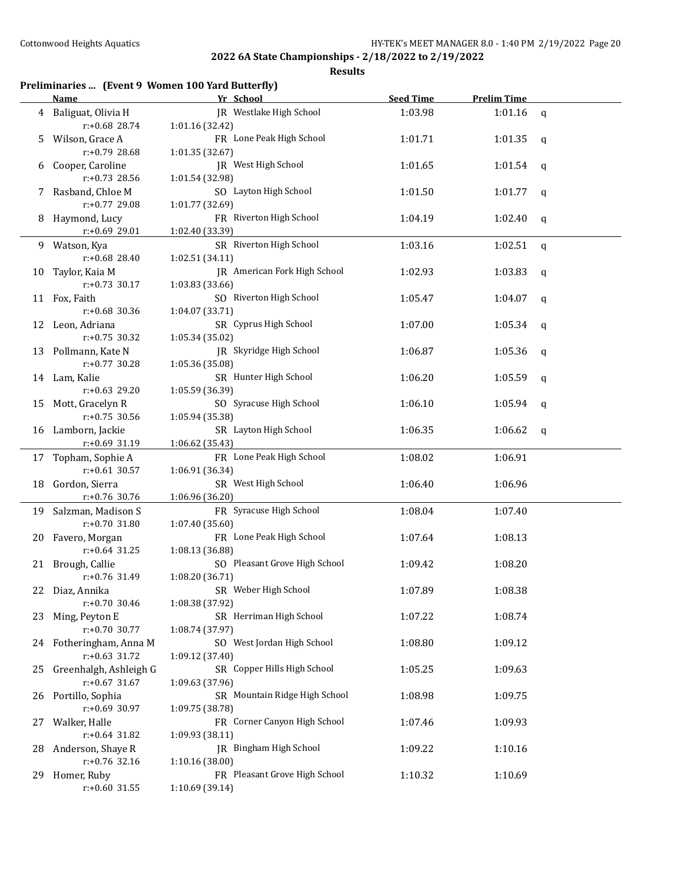|    | Preliminaries  (Event 9 Women 100 Yard Butterfly) |                 |                               |                  |                    |              |
|----|---------------------------------------------------|-----------------|-------------------------------|------------------|--------------------|--------------|
|    | <b>Name</b>                                       |                 | Yr School                     | <b>Seed Time</b> | <b>Prelim Time</b> |              |
| 4  | Baliguat, Olivia H<br>$r: +0.68$ 28.74            | 1:01.16 (32.42) | JR Westlake High School       | 1:03.98          | 1:01.16            | $\mathbf q$  |
|    | Wilson, Grace A                                   |                 | FR Lone Peak High School      | 1:01.71          | 1:01.35            |              |
| 5  | r:+0.79 28.68                                     | 1:01.35 (32.67) |                               |                  |                    | q            |
| 6  | Cooper, Caroline                                  |                 | JR West High School           | 1:01.65          | 1:01.54            | q            |
|    | $r: +0.73$ 28.56                                  | 1:01.54 (32.98) |                               |                  |                    |              |
| 7  | Rasband, Chloe M                                  |                 | SO Layton High School         | 1:01.50          | 1:01.77            | q            |
|    | r:+0.77 29.08                                     | 1:01.77 (32.69) |                               |                  |                    |              |
| 8  | Haymond, Lucy                                     |                 | FR Riverton High School       | 1:04.19          | 1:02.40            | q            |
|    | r:+0.69 29.01                                     | 1:02.40 (33.39) |                               |                  |                    |              |
| 9  | Watson, Kya                                       |                 | SR Riverton High School       | 1:03.16          | 1:02.51            | $\mathsf{q}$ |
|    | $r: +0.68$ 28.40                                  | 1:02.51 (34.11) |                               |                  |                    |              |
| 10 | Taylor, Kaia M                                    |                 | JR American Fork High School  | 1:02.93          | 1:03.83            | $\mathbf q$  |
|    | $r: +0.73$ 30.17                                  | 1:03.83 (33.66) |                               |                  |                    |              |
| 11 | Fox, Faith                                        |                 | SO Riverton High School       | 1:05.47          | 1:04.07            | q            |
|    | r:+0.68 30.36                                     | 1:04.07 (33.71) |                               |                  |                    |              |
| 12 | Leon, Adriana                                     |                 | SR Cyprus High School         | 1:07.00          | 1:05.34            | q            |
|    | $r: +0.75$ 30.32                                  | 1:05.34 (35.02) |                               |                  |                    |              |
| 13 | Pollmann, Kate N                                  |                 | JR Skyridge High School       | 1:06.87          | 1:05.36            | q            |
|    | r:+0.77 30.28                                     | 1:05.36 (35.08) |                               |                  |                    |              |
| 14 | Lam, Kalie                                        |                 | SR Hunter High School         | 1:06.20          | 1:05.59            | q            |
|    | r:+0.63 29.20                                     | 1:05.59 (36.39) |                               |                  |                    |              |
| 15 | Mott, Gracelyn R                                  |                 | SO Syracuse High School       | 1:06.10          | 1:05.94            | q            |
|    | r:+0.75 30.56<br>Lamborn, Jackie                  | 1:05.94 (35.38) | SR Layton High School         |                  |                    |              |
| 16 | r:+0.69 31.19                                     | 1:06.62 (35.43) |                               | 1:06.35          | 1:06.62            | $\mathbf q$  |
| 17 | Topham, Sophie A                                  |                 | FR Lone Peak High School      | 1:08.02          | 1:06.91            |              |
|    | $r: +0.61$ 30.57                                  | 1:06.91 (36.34) |                               |                  |                    |              |
| 18 | Gordon, Sierra                                    |                 | SR West High School           | 1:06.40          | 1:06.96            |              |
|    | r:+0.76 30.76                                     | 1:06.96 (36.20) |                               |                  |                    |              |
| 19 | Salzman, Madison S                                |                 | FR Syracuse High School       | 1:08.04          | 1:07.40            |              |
|    | r:+0.70 31.80                                     | 1:07.40 (35.60) |                               |                  |                    |              |
| 20 | Favero, Morgan                                    |                 | FR Lone Peak High School      | 1:07.64          | 1:08.13            |              |
|    | $r: +0.64$ 31.25                                  | 1:08.13 (36.88) |                               |                  |                    |              |
|    | 21 Brough, Callie                                 |                 | SO Pleasant Grove High School | 1:09.42          | 1:08.20            |              |
|    | r:+0.76 31.49                                     | 1:08.20 (36.71) |                               |                  |                    |              |
|    | 22 Diaz, Annika                                   |                 | SR Weber High School          | 1:07.89          | 1:08.38            |              |
|    | $r: +0.70$ 30.46                                  | 1:08.38 (37.92) |                               |                  |                    |              |
| 23 | Ming, Peyton E                                    |                 | SR Herriman High School       | 1:07.22          | 1:08.74            |              |
|    | r:+0.70 30.77                                     | 1:08.74 (37.97) |                               |                  |                    |              |
| 24 | Fotheringham, Anna M                              |                 | SO West Jordan High School    | 1:08.80          | 1:09.12            |              |
|    | r:+0.63 31.72                                     | 1:09.12 (37.40) |                               |                  |                    |              |
| 25 | Greenhalgh, Ashleigh G                            |                 | SR Copper Hills High School   | 1:05.25          | 1:09.63            |              |
|    | $r: +0.67$ 31.67                                  | 1:09.63 (37.96) |                               |                  |                    |              |
| 26 | Portillo, Sophia                                  |                 | SR Mountain Ridge High School | 1:08.98          | 1:09.75            |              |
|    | r:+0.69 30.97<br>Walker, Halle                    | 1:09.75 (38.78) | FR Corner Canyon High School  |                  |                    |              |
| 27 | $r+0.64$ 31.82                                    | 1:09.93 (38.11) |                               | 1:07.46          | 1:09.93            |              |
| 28 | Anderson, Shaye R                                 |                 | JR Bingham High School        | 1:09.22          | 1:10.16            |              |
|    | r:+0.76 32.16                                     | 1:10.16 (38.00) |                               |                  |                    |              |
| 29 | Homer, Ruby                                       |                 | FR Pleasant Grove High School | 1:10.32          | 1:10.69            |              |
|    | $r+0.60$ 31.55                                    | 1:10.69 (39.14) |                               |                  |                    |              |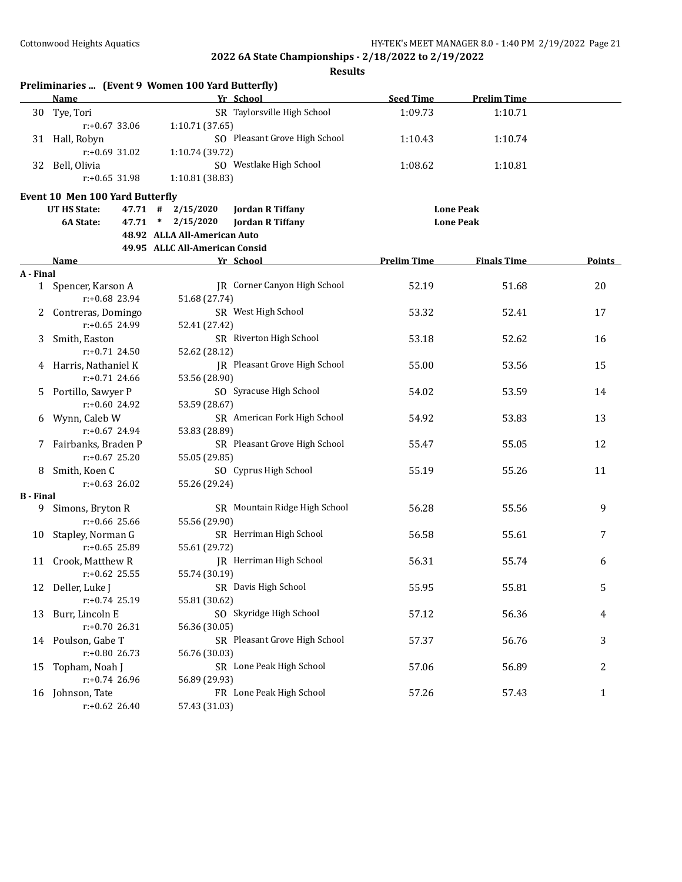|                  | Preliminaries  (Event 9 Women 100 Yard Butterfly) |                                |                               |                    |                    |              |
|------------------|---------------------------------------------------|--------------------------------|-------------------------------|--------------------|--------------------|--------------|
|                  | Name                                              |                                | Yr School                     | <b>Seed Time</b>   | <b>Prelim Time</b> |              |
| 30               | Tye, Tori                                         |                                | SR Taylorsville High School   | 1:09.73            | 1:10.71            |              |
|                  | $r: +0.67$ 33.06                                  | 1:10.71 (37.65)                |                               |                    |                    |              |
|                  | 31 Hall, Robyn                                    |                                | SO Pleasant Grove High School | 1:10.43            | 1:10.74            |              |
|                  | $r: +0.69$ 31.02                                  | 1:10.74 (39.72)                |                               |                    |                    |              |
| 32               | Bell, Olivia                                      |                                | SO Westlake High School       | 1:08.62            | 1:10.81            |              |
|                  | $r: +0.65$ 31.98                                  | 1:10.81 (38.83)                |                               |                    |                    |              |
|                  | Event 10 Men 100 Yard Butterfly                   |                                |                               |                    |                    |              |
|                  | <b>UT HS State:</b>                               | 2/15/2020<br>47.71 #           | <b>Jordan R Tiffany</b>       |                    | <b>Lone Peak</b>   |              |
|                  | 6A State:                                         | 47.71 *<br>2/15/2020           | <b>Jordan R Tiffany</b>       |                    | <b>Lone Peak</b>   |              |
|                  |                                                   | 48.92 ALLA All-American Auto   |                               |                    |                    |              |
|                  |                                                   | 49.95 ALLC All-American Consid |                               |                    |                    |              |
|                  |                                                   |                                |                               | <b>Prelim Time</b> | <b>Finals Time</b> | Points       |
|                  | Name                                              |                                | Yr School                     |                    |                    |              |
| A - Final        |                                                   |                                | JR Corner Canyon High School  | 52.19              | 51.68              | 20           |
|                  | 1 Spencer, Karson A<br>$r: +0.68$ 23.94           |                                |                               |                    |                    |              |
|                  |                                                   | 51.68 (27.74)                  |                               |                    |                    |              |
|                  | Contreras, Domingo                                |                                | SR West High School           | 53.32              | 52.41              | 17           |
|                  | $r: +0.65$ 24.99                                  | 52.41 (27.42)                  |                               |                    |                    |              |
| 3                | Smith, Easton                                     |                                | SR Riverton High School       | 53.18              | 52.62              | 16           |
|                  | r:+0.71 24.50                                     | 52.62 (28.12)                  |                               |                    |                    |              |
|                  | Harris, Nathaniel K                               |                                | JR Pleasant Grove High School | 55.00              | 53.56              | 15           |
|                  | r:+0.71 24.66                                     | 53.56 (28.90)                  |                               |                    |                    |              |
| 5.               | Portillo, Sawyer P                                |                                | SO Syracuse High School       | 54.02              | 53.59              | 14           |
|                  | r:+0.60 24.92                                     | 53.59 (28.67)                  |                               |                    |                    |              |
| 6                | Wynn, Caleb W                                     |                                | SR American Fork High School  | 54.92              | 53.83              | 13           |
|                  | $r: +0.67$ 24.94                                  | 53.83 (28.89)                  |                               |                    |                    |              |
| 7.               | Fairbanks, Braden P                               |                                | SR Pleasant Grove High School | 55.47              | 55.05              | 12           |
|                  | $r: +0.67$ 25.20                                  | 55.05 (29.85)                  |                               |                    |                    |              |
| 8                | Smith, Koen C                                     |                                | SO Cyprus High School         | 55.19              | 55.26              | 11           |
|                  | $r: +0.63$ 26.02                                  | 55.26 (29.24)                  |                               |                    |                    |              |
| <b>B</b> - Final |                                                   |                                |                               |                    |                    |              |
| 9                | Simons, Bryton R                                  |                                | SR Mountain Ridge High School | 56.28              | 55.56              | 9            |
|                  | $r: +0.66$ 25.66                                  | 55.56 (29.90)                  |                               |                    |                    |              |
| 10               | Stapley, Norman G                                 |                                | SR Herriman High School       | 56.58              | 55.61              | 7            |
|                  | $r: +0.65$ 25.89                                  | 55.61 (29.72)                  |                               |                    |                    |              |
| 11               | Crook, Matthew R                                  |                                | JR Herriman High School       | 56.31              | 55.74              | 6            |
|                  | $r: +0.62$ 25.55                                  | 55.74 (30.19)                  |                               |                    |                    |              |
| 12               | Deller, Luke J                                    |                                | SR Davis High School          | 55.95              | 55.81              | 5            |
|                  | r:+0.74 25.19                                     | 55.81 (30.62)                  |                               |                    |                    |              |
| 13               | Burr, Lincoln E                                   |                                | SO Skyridge High School       | 57.12              | 56.36              | 4            |
|                  | $r: +0.70$ 26.31                                  | 56.36 (30.05)                  |                               |                    |                    |              |
|                  | 14 Poulson, Gabe T                                |                                | SR Pleasant Grove High School | 57.37              | 56.76              | 3            |
|                  | $r: +0.80$ 26.73                                  | 56.76 (30.03)                  |                               |                    |                    |              |
| 15               | Topham, Noah J                                    |                                | SR Lone Peak High School      | 57.06              | 56.89              | 2            |
|                  | r:+0.74 26.96                                     | 56.89 (29.93)                  |                               |                    |                    |              |
|                  | 16 Johnson, Tate                                  |                                | FR Lone Peak High School      | 57.26              | 57.43              | $\mathbf{1}$ |
|                  | $r: +0.62$ 26.40                                  | 57.43 (31.03)                  |                               |                    |                    |              |
|                  |                                                   |                                |                               |                    |                    |              |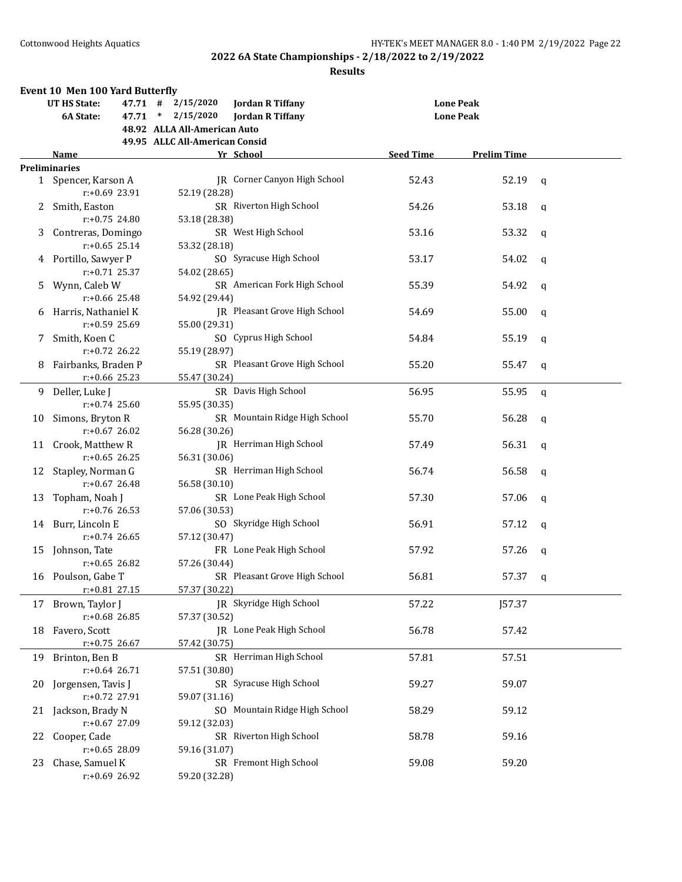|    | <b>Event 10 Men 100 Yard Butterfly</b> |                                |                                      |                  |                    |             |
|----|----------------------------------------|--------------------------------|--------------------------------------|------------------|--------------------|-------------|
|    | <b>UT HS State:</b>                    | 2/15/2020<br>47.71 #           | <b>Jordan R Tiffany</b>              |                  | <b>Lone Peak</b>   |             |
|    | 6A State:<br>47.71                     | 2/15/2020<br>$\ast$            | <b>Jordan R Tiffany</b>              |                  | <b>Lone Peak</b>   |             |
|    |                                        | 48.92 ALLA All-American Auto   |                                      |                  |                    |             |
|    |                                        | 49.95 ALLC All-American Consid |                                      |                  |                    |             |
|    | Name                                   |                                | Yr School                            | <b>Seed Time</b> | <b>Prelim Time</b> |             |
|    | <b>Preliminaries</b>                   |                                |                                      |                  |                    |             |
|    | 1 Spencer, Karson A                    |                                | JR Corner Canyon High School         | 52.43            | 52.19              | q           |
|    | r:+0.69 23.91                          | 52.19 (28.28)                  |                                      |                  |                    |             |
| 2  | Smith, Easton                          |                                | SR Riverton High School              | 54.26            | 53.18              | q           |
|    | $r: +0.75$ 24.80                       | 53.18 (28.38)                  |                                      |                  |                    |             |
|    |                                        |                                | SR West High School                  | 53.16            | 53.32              |             |
| 3  | Contreras, Domingo<br>$r: +0.65$ 25.14 |                                |                                      |                  |                    | q           |
|    |                                        | 53.32 (28.18)                  |                                      |                  |                    |             |
|    | 4 Portillo, Sawyer P                   |                                | SO Syracuse High School              | 53.17            | 54.02              | q           |
|    | $r: +0.71$ 25.37                       | 54.02 (28.65)                  |                                      |                  |                    |             |
| 5. | Wynn, Caleb W                          |                                | SR American Fork High School         | 55.39            | 54.92              | q           |
|    | $r: +0.66$ 25.48                       | 54.92 (29.44)                  |                                      |                  |                    |             |
| 6  | Harris, Nathaniel K                    |                                | <b>IR</b> Pleasant Grove High School | 54.69            | 55.00              | q           |
|    | $r: +0.59$ 25.69                       | 55.00 (29.31)                  |                                      |                  |                    |             |
| 7  | Smith, Koen C                          |                                | SO Cyprus High School                | 54.84            | 55.19              | q           |
|    | $r: +0.72$ 26.22                       | 55.19 (28.97)                  |                                      |                  |                    |             |
| 8  | Fairbanks, Braden P                    |                                | SR Pleasant Grove High School        | 55.20            | 55.47              | q           |
|    | $r: +0.66$ 25.23                       | 55.47 (30.24)                  |                                      |                  |                    |             |
|    | 9 Deller, Luke J                       |                                | SR Davis High School                 | 56.95            | 55.95              | $\mathbf q$ |
|    | $r: +0.74$ 25.60                       | 55.95 (30.35)                  |                                      |                  |                    |             |
| 10 | Simons, Bryton R                       |                                | SR Mountain Ridge High School        | 55.70            | 56.28              | q           |
|    | $r: +0.67$ 26.02                       | 56.28 (30.26)                  |                                      |                  |                    |             |
| 11 | Crook, Matthew R                       |                                | JR Herriman High School              | 57.49            | 56.31              | q           |
|    | $r: +0.65$ 26.25                       | 56.31 (30.06)                  |                                      |                  |                    |             |
| 12 | Stapley, Norman G                      |                                | SR Herriman High School              | 56.74            | 56.58              |             |
|    | $r: +0.67$ 26.48                       |                                |                                      |                  |                    | $\mathbf q$ |
|    |                                        | 56.58 (30.10)                  | SR Lone Peak High School             |                  |                    |             |
| 13 | Topham, Noah J                         |                                |                                      | 57.30            | 57.06              | $\mathbf q$ |
|    | $r: +0.76$ 26.53                       | 57.06 (30.53)                  |                                      |                  |                    |             |
| 14 | Burr, Lincoln E                        |                                | SO Skyridge High School              | 56.91            | 57.12              | q           |
|    | $r: +0.74$ 26.65                       | 57.12 (30.47)                  |                                      |                  |                    |             |
| 15 | Johnson, Tate                          |                                | FR Lone Peak High School             | 57.92            | 57.26              | q           |
|    | $r: +0.65$ 26.82                       | 57.26 (30.44)                  |                                      |                  |                    |             |
|    | 16 Poulson, Gabe T                     |                                | SR Pleasant Grove High School        | 56.81            | 57.37              | q           |
|    | r:+0.81 27.15                          | 57.37 (30.22)                  |                                      |                  |                    |             |
| 17 | Brown, Taylor J                        |                                | JR Skyridge High School              | 57.22            | <b>J57.37</b>      |             |
|    | $r+0.68$ 26.85                         | 57.37 (30.52)                  |                                      |                  |                    |             |
| 18 | Favero, Scott                          |                                | JR Lone Peak High School             | 56.78            | 57.42              |             |
|    | $r: +0.75$ 26.67                       | 57.42 (30.75)                  |                                      |                  |                    |             |
| 19 | Brinton, Ben B                         |                                | SR Herriman High School              | 57.81            | 57.51              |             |
|    | $r: +0.64$ 26.71                       | 57.51 (30.80)                  |                                      |                  |                    |             |
| 20 | Jorgensen, Tavis J                     |                                | SR Syracuse High School              | 59.27            | 59.07              |             |
|    | r:+0.72 27.91                          | 59.07 (31.16)                  |                                      |                  |                    |             |
|    |                                        |                                |                                      |                  |                    |             |
| 21 | Jackson, Brady N                       |                                | SO Mountain Ridge High School        | 58.29            | 59.12              |             |
|    | $r: +0.67$ 27.09                       | 59.12 (32.03)                  |                                      |                  |                    |             |
| 22 | Cooper, Cade                           |                                | SR Riverton High School              | 58.78            | 59.16              |             |
|    | $r: +0.65$ 28.09                       | 59.16 (31.07)                  |                                      |                  |                    |             |
| 23 | Chase, Samuel K                        |                                | SR Fremont High School               | 59.08            | 59.20              |             |
|    | r:+0.69 26.92                          | 59.20 (32.28)                  |                                      |                  |                    |             |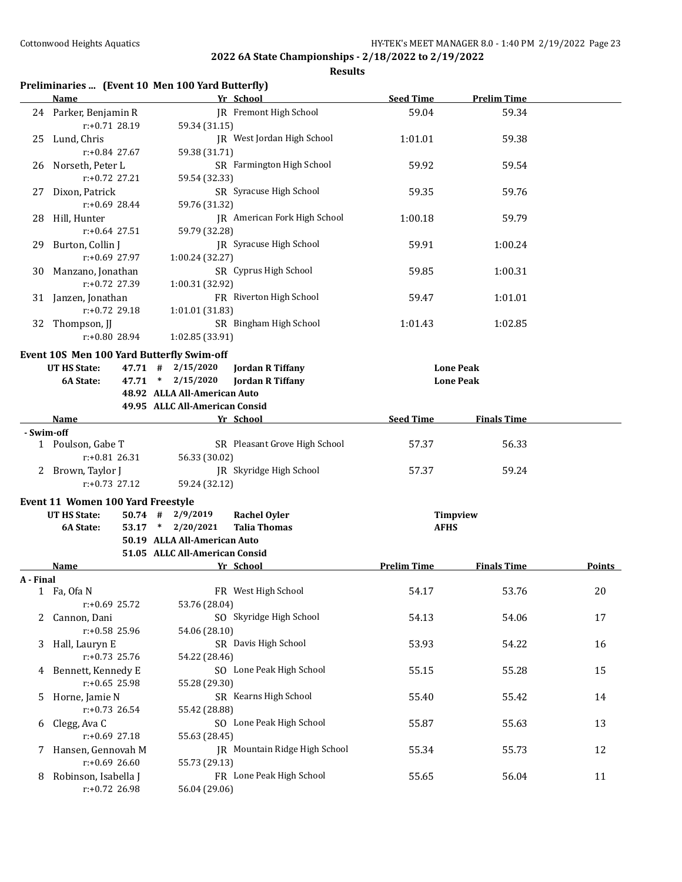| Preliminaries  (Event 10 Men 100 Yard Butterfly) |  |  |  |
|--------------------------------------------------|--|--|--|
|--------------------------------------------------|--|--|--|

|            | Name                                                                                   | Yr School                                                                                    | <b>Seed Time</b>   | <b>Prelim Time</b>                   |               |
|------------|----------------------------------------------------------------------------------------|----------------------------------------------------------------------------------------------|--------------------|--------------------------------------|---------------|
|            | JR Fremont High School<br>24 Parker, Benjamin R<br>r:+0.71 28.19<br>59.34 (31.15)      |                                                                                              | 59.04              | 59.34                                |               |
| 25         | Lund, Chris<br>r:+0.84 27.67                                                           | JR West Jordan High School<br>59.38 (31.71)                                                  | 1:01.01            | 59.38                                |               |
|            | 26 Norseth, Peter L<br>$r: +0.72$ 27.21                                                | SR Farmington High School<br>59.54 (32.33)                                                   | 59.92              | 59.54                                |               |
| 27         | SR Syracuse High School<br>Dixon, Patrick<br>r:+0.69 28.44<br>59.76 (31.32)            |                                                                                              | 59.35              | 59.76                                |               |
| 28         | Hill, Hunter<br>$r: +0.64$ 27.51                                                       | <b>IR</b> American Fork High School<br>59.79 (32.28)                                         | 1:00.18            | 59.79                                |               |
| 29.        | Burton, Collin J<br>r:+0.69 27.97                                                      | JR Syracuse High School<br>1:00.24 (32.27)                                                   | 59.91              | 1:00.24                              |               |
| 30         | Manzano, Jonathan<br>$r: +0.72$ 27.39                                                  | SR Cyprus High School<br>1:00.31 (32.92)                                                     | 59.85              | 1:00.31                              |               |
|            | 31 Janzen, Jonathan<br>$r: +0.72$ 29.18                                                | FR Riverton High School<br>1:01.01 (31.83)                                                   | 59.47              | 1:01.01                              |               |
|            | 32 Thompson, JJ<br>r:+0.80 28.94                                                       | SR Bingham High School<br>1:02.85 (33.91)                                                    | 1:01.43            | 1:02.85                              |               |
|            | Event 10S Men 100 Yard Butterfly Swim-off<br><b>UT HS State:</b><br>6A State:<br>47.71 | $47.71$ # $2/15/2020$<br><b>Jordan R Tiffany</b><br>$*$ 2/15/2020<br><b>Jordan R Tiffany</b> |                    | <b>Lone Peak</b><br><b>Lone Peak</b> |               |
|            |                                                                                        | 48.92 ALLA All-American Auto                                                                 |                    |                                      |               |
|            |                                                                                        | 49.95 ALLC All-American Consid                                                               |                    |                                      |               |
|            | Name                                                                                   | Yr School                                                                                    | <b>Seed Time</b>   | <b>Finals Time</b>                   |               |
| - Swim-off |                                                                                        |                                                                                              |                    |                                      |               |
|            | 1 Poulson, Gabe T<br>$r: +0.81$ 26.31                                                  | SR Pleasant Grove High School<br>56.33 (30.02)                                               | 57.37              | 56.33                                |               |
|            | 2 Brown, Taylor J<br>$r: +0.73$ 27.12                                                  | JR Skyridge High School<br>59.24 (32.12)                                                     | 57.37              | 59.24                                |               |
|            | Event 11 Women 100 Yard Freestyle                                                      |                                                                                              |                    |                                      |               |
|            | <b>UT HS State:</b>                                                                    | $50.74$ # 2/9/2019<br><b>Rachel Oyler</b>                                                    |                    | <b>Timpview</b>                      |               |
|            | 6A State:                                                                              | 53.17 * 2/20/2021<br><b>Talia Thomas</b>                                                     | <b>AFHS</b>        |                                      |               |
|            |                                                                                        | 50.19 ALLA All-American Auto                                                                 |                    |                                      |               |
|            |                                                                                        | 51.05 ALLC All-American Consid                                                               |                    |                                      |               |
|            | Name                                                                                   | Yr School                                                                                    | <b>Prelim Time</b> | <b>Finals Time</b>                   | <b>Points</b> |
| A - Final  | 1 Fa, Ofa N                                                                            | FR West High School                                                                          | 54.17              | 53.76                                | 20            |
|            | $r: +0.69$ 25.72                                                                       | 53.76 (28.04)                                                                                |                    |                                      |               |
| 2          | Cannon, Dani<br>$r: +0.58$ 25.96                                                       | SO Skyridge High School                                                                      | 54.13              | 54.06                                | 17            |
| 3          | Hall, Lauryn E<br>$r: +0.73$ 25.76                                                     | 54.06 (28.10)<br>SR Davis High School                                                        | 53.93              | 54.22                                | 16            |
| 4          | Bennett, Kennedy E<br>$r: +0.65$ 25.98                                                 | 54.22 (28.46)<br>SO Lone Peak High School                                                    | 55.15              | 55.28                                | 15            |
| 5          | Horne, Jamie N<br>$r: +0.73$ 26.54                                                     | 55.28 (29.30)<br>SR Kearns High School<br>55.42 (28.88)                                      | 55.40              | 55.42                                | 14            |
| 6          | Clegg, Ava C<br>$r: +0.69$ 27.18                                                       | SO Lone Peak High School<br>55.63 (28.45)                                                    | 55.87              | 55.63                                | 13            |
| 7.         | Hansen, Gennovah M<br>$r: +0.69$ 26.60                                                 | JR Mountain Ridge High School<br>55.73 (29.13)                                               | 55.34              | 55.73                                | 12            |
| 8          | Robinson, Isabella J<br>r:+0.72 26.98                                                  | FR Lone Peak High School<br>56.04 (29.06)                                                    | 55.65              | 56.04                                | 11            |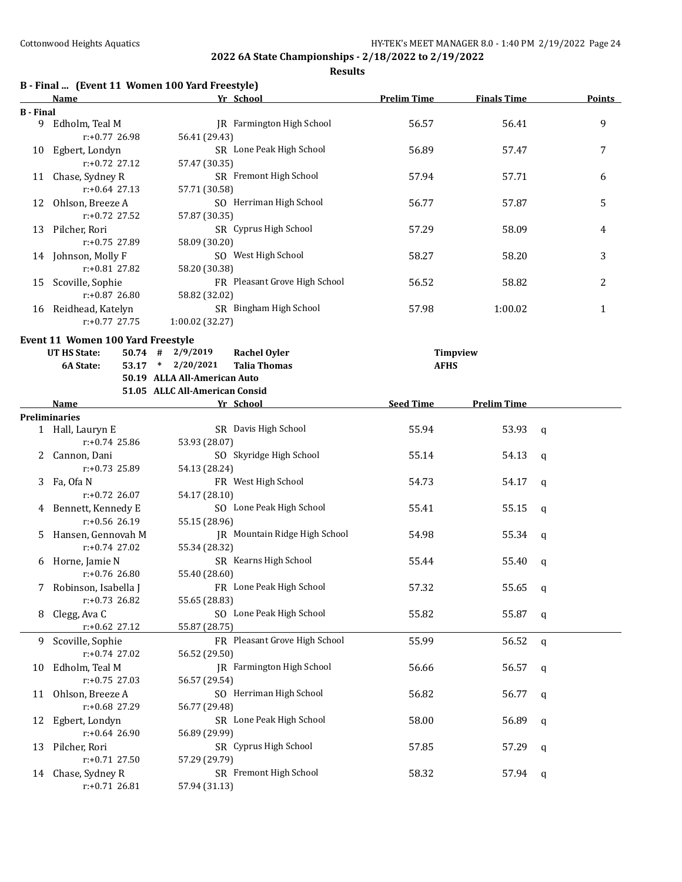|                  | B - Final  (Event 11 Women 100 Yard Freestyle) |                                |                               |                    |                    |              |               |
|------------------|------------------------------------------------|--------------------------------|-------------------------------|--------------------|--------------------|--------------|---------------|
|                  | <b>Name</b>                                    |                                | Yr School                     | <b>Prelim Time</b> | <b>Finals Time</b> |              | <b>Points</b> |
| <b>B</b> - Final | 9 Edholm, Teal M                               |                                | JR Farmington High School     | 56.57              | 56.41              |              | 9             |
|                  | r:+0.77 26.98                                  | 56.41 (29.43)                  |                               |                    |                    |              |               |
| 10               | Egbert, Londyn                                 |                                | SR Lone Peak High School      | 56.89              | 57.47              |              | 7             |
|                  | $r: +0.72$ 27.12                               | 57.47 (30.35)                  |                               |                    |                    |              |               |
| 11               | Chase, Sydney R                                |                                | SR Fremont High School        | 57.94              | 57.71              |              | 6             |
|                  | $r: +0.64$ 27.13                               | 57.71 (30.58)                  |                               |                    |                    |              |               |
| 12               | Ohlson, Breeze A                               |                                | SO Herriman High School       | 56.77              | 57.87              |              | 5             |
|                  | r:+0.72 27.52                                  | 57.87 (30.35)                  |                               |                    |                    |              |               |
| 13               | Pilcher, Rori                                  |                                | SR Cyprus High School         | 57.29              | 58.09              |              | 4             |
|                  | r:+0.75 27.89                                  | 58.09 (30.20)                  |                               |                    |                    |              |               |
|                  | 14 Johnson, Molly F                            |                                | SO West High School           | 58.27              | 58.20              |              | 3             |
|                  | r:+0.81 27.82                                  | 58.20 (30.38)                  |                               |                    |                    |              |               |
| 15               | Scoville, Sophie                               |                                | FR Pleasant Grove High School | 56.52              | 58.82              |              | 2             |
|                  | $r: +0.87$ 26.80                               | 58.82 (32.02)                  |                               |                    |                    |              |               |
|                  | 16 Reidhead, Katelyn                           |                                | SR Bingham High School        | 57.98              | 1:00.02            |              | $\mathbf{1}$  |
|                  | $r: +0.77$ 27.75                               | 1:00.02 (32.27)                |                               |                    |                    |              |               |
|                  | Event 11 Women 100 Yard Freestyle              |                                |                               |                    |                    |              |               |
|                  | <b>UT HS State:</b>                            | $50.74$ # 2/9/2019             | <b>Rachel Oyler</b>           |                    | Timpview           |              |               |
|                  | 6A State:                                      | 53.17 * 2/20/2021              | <b>Talia Thomas</b>           | <b>AFHS</b>        |                    |              |               |
|                  |                                                | 50.19 ALLA All-American Auto   |                               |                    |                    |              |               |
|                  |                                                | 51.05 ALLC All-American Consid |                               |                    |                    |              |               |
|                  | Name                                           |                                | Yr School                     | <b>Seed Time</b>   | <b>Prelim Time</b> |              |               |
|                  | <b>Preliminaries</b>                           |                                |                               |                    |                    |              |               |
|                  | 1 Hall, Lauryn E                               |                                | SR Davis High School          | 55.94              | 53.93              | $\mathbf q$  |               |
|                  | $r: +0.74$ 25.86                               | 53.93 (28.07)                  | SO Skyridge High School       |                    |                    |              |               |
| 2                | Cannon, Dani<br>$r: +0.73$ 25.89               |                                |                               | 55.14              | 54.13              | $\mathbf{q}$ |               |
|                  |                                                | 54.13 (28.24)                  | FR West High School           | 54.73              | 54.17              |              |               |
|                  | 3 Fa, Ofa N<br>$r: +0.72$ 26.07                | 54.17 (28.10)                  |                               |                    |                    | $\mathbf q$  |               |
|                  | 4 Bennett, Kennedy E                           |                                | SO Lone Peak High School      | 55.41              | 55.15              | q            |               |
|                  | $r: +0.56$ 26.19                               | 55.15 (28.96)                  |                               |                    |                    |              |               |
| 5                | Hansen, Gennovah M                             |                                | JR Mountain Ridge High School | 54.98              | 55.34              | q            |               |
|                  | $r: +0.74$ 27.02                               | 55.34 (28.32)                  |                               |                    |                    |              |               |
|                  | 6 Horne, Jamie N                               |                                | SR Kearns High School         | 55.44              | 55.40              | q            |               |
|                  | r:+0.76 26.80                                  | 55.40 (28.60)                  |                               |                    |                    |              |               |
| 7                | Robinson, Isabella J                           |                                | FR Lone Peak High School      | 57.32              | 55.65              | q            |               |
|                  | $r: +0.73$ 26.82                               | 55.65 (28.83)                  |                               |                    |                    |              |               |
| 8                | Clegg, Ava C                                   |                                | SO Lone Peak High School      | 55.82              | 55.87              | q            |               |
|                  | r:+0.62 27.12                                  | 55.87 (28.75)                  |                               |                    |                    |              |               |
| 9                | Scoville, Sophie                               |                                | FR Pleasant Grove High School | 55.99              | 56.52              | q            |               |
|                  | $r: +0.74$ 27.02                               | 56.52 (29.50)                  |                               |                    |                    |              |               |
| 10               | Edholm, Teal M                                 |                                | JR Farmington High School     | 56.66              | 56.57              | q            |               |
|                  | $r: +0.75$ 27.03                               | 56.57 (29.54)                  |                               |                    |                    |              |               |
| 11               | Ohlson, Breeze A                               |                                | SO Herriman High School       | 56.82              | 56.77              | q            |               |
|                  | r:+0.68 27.29                                  | 56.77 (29.48)                  |                               |                    |                    |              |               |
| 12               | Egbert, Londyn                                 |                                | SR Lone Peak High School      | 58.00              | 56.89              | q            |               |
|                  | r:+0.64 26.90                                  | 56.89 (29.99)                  |                               |                    |                    |              |               |
| 13               | Pilcher, Rori                                  |                                | SR Cyprus High School         | 57.85              | 57.29              | q            |               |
|                  | $r: +0.71$ 27.50                               | 57.29 (29.79)                  |                               |                    |                    |              |               |
|                  | 14 Chase, Sydney R                             |                                | SR Fremont High School        | 58.32              | 57.94              | q            |               |
|                  | $r: +0.71$ 26.81                               | 57.94 (31.13)                  |                               |                    |                    |              |               |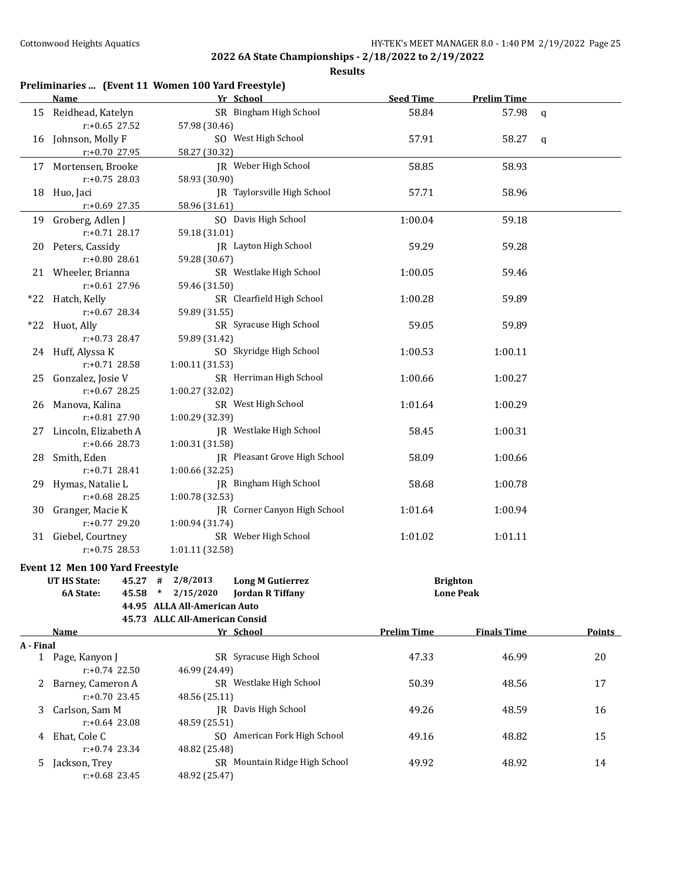| Name                                  |                                                                                                                                                                                                                                                                                 |                                                                                           | <b>Seed Time</b>                                                                                                                                                                                                                                                                                                                                                                                                                                                                                                                                                                                                                                                                                                                                                                                                                                                                                                                                                                                                                                                                                                                                                                                                                       | <b>Prelim Time</b> |                                                           |
|---------------------------------------|---------------------------------------------------------------------------------------------------------------------------------------------------------------------------------------------------------------------------------------------------------------------------------|-------------------------------------------------------------------------------------------|----------------------------------------------------------------------------------------------------------------------------------------------------------------------------------------------------------------------------------------------------------------------------------------------------------------------------------------------------------------------------------------------------------------------------------------------------------------------------------------------------------------------------------------------------------------------------------------------------------------------------------------------------------------------------------------------------------------------------------------------------------------------------------------------------------------------------------------------------------------------------------------------------------------------------------------------------------------------------------------------------------------------------------------------------------------------------------------------------------------------------------------------------------------------------------------------------------------------------------------|--------------------|-----------------------------------------------------------|
| 15 Reidhead, Katelyn                  |                                                                                                                                                                                                                                                                                 |                                                                                           | 58.84                                                                                                                                                                                                                                                                                                                                                                                                                                                                                                                                                                                                                                                                                                                                                                                                                                                                                                                                                                                                                                                                                                                                                                                                                                  | 57.98              | $\mathbf q$                                               |
| Johnson, Molly F<br>16                |                                                                                                                                                                                                                                                                                 |                                                                                           | 57.91                                                                                                                                                                                                                                                                                                                                                                                                                                                                                                                                                                                                                                                                                                                                                                                                                                                                                                                                                                                                                                                                                                                                                                                                                                  | 58.27              | q                                                         |
| Mortensen, Brooke<br>17               |                                                                                                                                                                                                                                                                                 |                                                                                           | 58.85                                                                                                                                                                                                                                                                                                                                                                                                                                                                                                                                                                                                                                                                                                                                                                                                                                                                                                                                                                                                                                                                                                                                                                                                                                  | 58.93              |                                                           |
| Huo, Jaci<br>18                       |                                                                                                                                                                                                                                                                                 |                                                                                           | 57.71                                                                                                                                                                                                                                                                                                                                                                                                                                                                                                                                                                                                                                                                                                                                                                                                                                                                                                                                                                                                                                                                                                                                                                                                                                  | 58.96              |                                                           |
| Groberg, Adlen J<br>19                |                                                                                                                                                                                                                                                                                 |                                                                                           | 1:00.04                                                                                                                                                                                                                                                                                                                                                                                                                                                                                                                                                                                                                                                                                                                                                                                                                                                                                                                                                                                                                                                                                                                                                                                                                                | 59.18              |                                                           |
| Peters, Cassidy                       |                                                                                                                                                                                                                                                                                 |                                                                                           | 59.29                                                                                                                                                                                                                                                                                                                                                                                                                                                                                                                                                                                                                                                                                                                                                                                                                                                                                                                                                                                                                                                                                                                                                                                                                                  | 59.28              |                                                           |
| 21 Wheeler, Brianna                   |                                                                                                                                                                                                                                                                                 |                                                                                           | 1:00.05                                                                                                                                                                                                                                                                                                                                                                                                                                                                                                                                                                                                                                                                                                                                                                                                                                                                                                                                                                                                                                                                                                                                                                                                                                | 59.46              |                                                           |
| r:+0.61 27.96<br>*22 Hatch, Kelly     |                                                                                                                                                                                                                                                                                 |                                                                                           | 1:00.28                                                                                                                                                                                                                                                                                                                                                                                                                                                                                                                                                                                                                                                                                                                                                                                                                                                                                                                                                                                                                                                                                                                                                                                                                                | 59.89              |                                                           |
| $r: +0.67$ 28.34<br>*22 Huot, Ally    |                                                                                                                                                                                                                                                                                 |                                                                                           | 59.05                                                                                                                                                                                                                                                                                                                                                                                                                                                                                                                                                                                                                                                                                                                                                                                                                                                                                                                                                                                                                                                                                                                                                                                                                                  | 59.89              |                                                           |
| $r: +0.73$ 28.47<br>24 Huff, Alyssa K |                                                                                                                                                                                                                                                                                 |                                                                                           | 1:00.53                                                                                                                                                                                                                                                                                                                                                                                                                                                                                                                                                                                                                                                                                                                                                                                                                                                                                                                                                                                                                                                                                                                                                                                                                                | 1:00.11            |                                                           |
| $r: +0.71$ 28.58<br>Gonzalez, Josie V |                                                                                                                                                                                                                                                                                 |                                                                                           | 1:00.66                                                                                                                                                                                                                                                                                                                                                                                                                                                                                                                                                                                                                                                                                                                                                                                                                                                                                                                                                                                                                                                                                                                                                                                                                                | 1:00.27            |                                                           |
| $r: +0.67$ 28.25<br>Manova, Kalina    |                                                                                                                                                                                                                                                                                 |                                                                                           | 1:01.64                                                                                                                                                                                                                                                                                                                                                                                                                                                                                                                                                                                                                                                                                                                                                                                                                                                                                                                                                                                                                                                                                                                                                                                                                                | 1:00.29            |                                                           |
| r:+0.81 27.90<br>Lincoln, Elizabeth A |                                                                                                                                                                                                                                                                                 |                                                                                           | 58.45                                                                                                                                                                                                                                                                                                                                                                                                                                                                                                                                                                                                                                                                                                                                                                                                                                                                                                                                                                                                                                                                                                                                                                                                                                  | 1:00.31            |                                                           |
| r:+0.66 28.73<br>Smith, Eden          |                                                                                                                                                                                                                                                                                 |                                                                                           | 58.09                                                                                                                                                                                                                                                                                                                                                                                                                                                                                                                                                                                                                                                                                                                                                                                                                                                                                                                                                                                                                                                                                                                                                                                                                                  | 1:00.66            |                                                           |
| $r: +0.71$ 28.41<br>Hymas, Natalie L  |                                                                                                                                                                                                                                                                                 |                                                                                           | 58.68                                                                                                                                                                                                                                                                                                                                                                                                                                                                                                                                                                                                                                                                                                                                                                                                                                                                                                                                                                                                                                                                                                                                                                                                                                  | 1:00.78            |                                                           |
| r:+0.68 28.25<br>Granger, Macie K     |                                                                                                                                                                                                                                                                                 |                                                                                           | 1:01.64                                                                                                                                                                                                                                                                                                                                                                                                                                                                                                                                                                                                                                                                                                                                                                                                                                                                                                                                                                                                                                                                                                                                                                                                                                | 1:00.94            |                                                           |
| r:+0.77 29.20                         |                                                                                                                                                                                                                                                                                 |                                                                                           | 1:01.02                                                                                                                                                                                                                                                                                                                                                                                                                                                                                                                                                                                                                                                                                                                                                                                                                                                                                                                                                                                                                                                                                                                                                                                                                                | 1:01.11            |                                                           |
| r:+0.75 28.53                         |                                                                                                                                                                                                                                                                                 |                                                                                           |                                                                                                                                                                                                                                                                                                                                                                                                                                                                                                                                                                                                                                                                                                                                                                                                                                                                                                                                                                                                                                                                                                                                                                                                                                        |                    |                                                           |
|                                       |                                                                                                                                                                                                                                                                                 |                                                                                           |                                                                                                                                                                                                                                                                                                                                                                                                                                                                                                                                                                                                                                                                                                                                                                                                                                                                                                                                                                                                                                                                                                                                                                                                                                        |                    |                                                           |
|                                       |                                                                                                                                                                                                                                                                                 |                                                                                           |                                                                                                                                                                                                                                                                                                                                                                                                                                                                                                                                                                                                                                                                                                                                                                                                                                                                                                                                                                                                                                                                                                                                                                                                                                        |                    |                                                           |
|                                       |                                                                                                                                                                                                                                                                                 |                                                                                           |                                                                                                                                                                                                                                                                                                                                                                                                                                                                                                                                                                                                                                                                                                                                                                                                                                                                                                                                                                                                                                                                                                                                                                                                                                        |                    |                                                           |
|                                       |                                                                                                                                                                                                                                                                                 |                                                                                           |                                                                                                                                                                                                                                                                                                                                                                                                                                                                                                                                                                                                                                                                                                                                                                                                                                                                                                                                                                                                                                                                                                                                                                                                                                        |                    |                                                           |
|                                       |                                                                                                                                                                                                                                                                                 |                                                                                           |                                                                                                                                                                                                                                                                                                                                                                                                                                                                                                                                                                                                                                                                                                                                                                                                                                                                                                                                                                                                                                                                                                                                                                                                                                        |                    | Points                                                    |
|                                       |                                                                                                                                                                                                                                                                                 |                                                                                           |                                                                                                                                                                                                                                                                                                                                                                                                                                                                                                                                                                                                                                                                                                                                                                                                                                                                                                                                                                                                                                                                                                                                                                                                                                        |                    |                                                           |
| 1 Page, Kanyon J                      |                                                                                                                                                                                                                                                                                 |                                                                                           | 47.33                                                                                                                                                                                                                                                                                                                                                                                                                                                                                                                                                                                                                                                                                                                                                                                                                                                                                                                                                                                                                                                                                                                                                                                                                                  | 46.99              | 20                                                        |
| Barney, Cameron A<br>2                |                                                                                                                                                                                                                                                                                 |                                                                                           | 50.39                                                                                                                                                                                                                                                                                                                                                                                                                                                                                                                                                                                                                                                                                                                                                                                                                                                                                                                                                                                                                                                                                                                                                                                                                                  | 48.56              | 17                                                        |
| Carlson, Sam M<br>3                   |                                                                                                                                                                                                                                                                                 |                                                                                           | 49.26                                                                                                                                                                                                                                                                                                                                                                                                                                                                                                                                                                                                                                                                                                                                                                                                                                                                                                                                                                                                                                                                                                                                                                                                                                  | 48.59              | 16                                                        |
| 4 Ehat, Cole C                        |                                                                                                                                                                                                                                                                                 |                                                                                           | 49.16                                                                                                                                                                                                                                                                                                                                                                                                                                                                                                                                                                                                                                                                                                                                                                                                                                                                                                                                                                                                                                                                                                                                                                                                                                  | 48.82              | 15                                                        |
| Jackson, Trey<br>5.                   |                                                                                                                                                                                                                                                                                 |                                                                                           | 49.92                                                                                                                                                                                                                                                                                                                                                                                                                                                                                                                                                                                                                                                                                                                                                                                                                                                                                                                                                                                                                                                                                                                                                                                                                                  | 48.92              | 14                                                        |
|                                       | r:+0.65 27.52<br>r:+0.70 27.95<br>$r: +0.75$ 28.03<br>r:+0.69 27.35<br>$r: +0.71$ 28.17<br>$r: +0.80$ 28.61<br>31 Giebel, Courtney<br>UT HS State:<br>6A State:<br>Name<br>A - Final<br>r:+0.74 22.50<br>r:+0.70 23.45<br>$r: +0.64$ 23.08<br>$r: +0.74$ 23.34<br>r:+0.68 23.45 | Event 12 Men 100 Yard Freestyle<br>2/8/2013<br>45.27<br>#<br>45.58<br>2/15/2020<br>$\ast$ | Preliminaries  (Event 11 Women 100 Yard Freestyle)<br>Yr School<br>SR Bingham High School<br>57.98 (30.46)<br>SO West High School<br>58.27 (30.32)<br>JR Weber High School<br>58.93 (30.90)<br>JR Taylorsville High School<br>58.96 (31.61)<br>SO Davis High School<br>59.18 (31.01)<br>JR Layton High School<br>59.28 (30.67)<br>SR Westlake High School<br>59.46 (31.50)<br>SR Clearfield High School<br>59.89 (31.55)<br>SR Syracuse High School<br>59.89 (31.42)<br>SO Skyridge High School<br>1:00.11(31.53)<br>SR Herriman High School<br>1:00.27 (32.02)<br>SR West High School<br>1:00.29 (32.39)<br>JR Westlake High School<br>1:00.31 (31.58)<br>JR Pleasant Grove High School<br>1:00.66 (32.25)<br>JR Bingham High School<br>1:00.78 (32.53)<br>JR Corner Canyon High School<br>1:00.94 (31.74)<br>SR Weber High School<br>1:01.11 (32.58)<br><b>Long M Gutierrez</b><br><b>Jordan R Tiffany</b><br>44.95 ALLA All-American Auto<br>45.73 ALLC All-American Consid<br>Yr School<br>SR Syracuse High School<br>46.99 (24.49)<br>SR Westlake High School<br>48.56 (25.11)<br><b>IR</b> Davis High School<br>48.59 (25.51)<br>SO American Fork High School<br>48.82 (25.48)<br>SR Mountain Ridge High School<br>48.92 (25.47) | <b>Prelim Time</b> | <b>Brighton</b><br><b>Lone Peak</b><br><b>Finals Time</b> |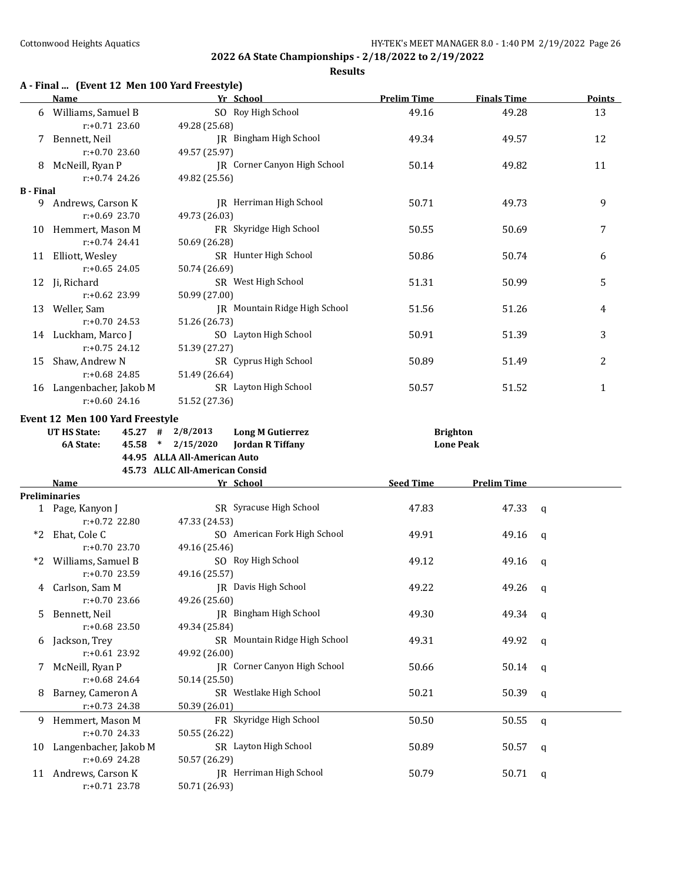|  | A - Final  (Event 12 Men 100 Yard Freestyle) |
|--|----------------------------------------------|
|--|----------------------------------------------|

|                  | <b>Name</b>                                                                                                                          |                                | Yr School                     | <b>Prelim Time</b> | <b>Finals Time</b> | <b>Points</b> |
|------------------|--------------------------------------------------------------------------------------------------------------------------------------|--------------------------------|-------------------------------|--------------------|--------------------|---------------|
|                  | 6 Williams, Samuel B                                                                                                                 |                                | SO Roy High School            | 49.16              | 49.28              | 13            |
|                  | $r: +0.71$ 23.60                                                                                                                     | 49.28 (25.68)                  |                               |                    |                    |               |
|                  | 7 Bennett, Neil                                                                                                                      |                                | JR Bingham High School        | 49.34              | 49.57              | 12            |
|                  | $r: +0.70$ 23.60                                                                                                                     | 49.57 (25.97)                  |                               |                    |                    |               |
|                  | 8 McNeill, Ryan P                                                                                                                    |                                | JR Corner Canyon High School  | 50.14              | 49.82              | 11            |
|                  | $r: +0.74$ 24.26                                                                                                                     | 49.82 (25.56)                  |                               |                    |                    |               |
| <b>B</b> - Final |                                                                                                                                      |                                |                               |                    |                    |               |
|                  | 9 Andrews, Carson K                                                                                                                  |                                | JR Herriman High School       | 50.71              | 49.73              | 9             |
|                  | $r: +0.69$ 23.70                                                                                                                     | 49.73 (26.03)                  |                               |                    |                    |               |
|                  | 10 Hemmert, Mason M                                                                                                                  |                                | FR Skyridge High School       | 50.55              | 50.69              | 7             |
|                  | $r: +0.74$ 24.41                                                                                                                     | 50.69 (26.28)                  |                               |                    |                    |               |
|                  | 11 Elliott, Wesley                                                                                                                   |                                | SR Hunter High School         | 50.86              | 50.74              | 6             |
|                  | $r: +0.65$ 24.05                                                                                                                     | 50.74 (26.69)                  |                               |                    |                    |               |
|                  | 12 Ji, Richard                                                                                                                       |                                | SR West High School           | 51.31              | 50.99              | 5             |
|                  | $r: +0.62$ 23.99                                                                                                                     | 50.99 (27.00)                  |                               |                    |                    |               |
|                  | 13 Weller, Sam                                                                                                                       |                                | JR Mountain Ridge High School | 51.56              | 51.26              | 4             |
|                  | $r: +0.70$ 24.53                                                                                                                     | 51.26 (26.73)                  | SO Layton High School         |                    |                    |               |
|                  | 14 Luckham, Marco J<br>$r: +0.75$ 24.12                                                                                              |                                |                               | 50.91              | 51.39              | 3             |
|                  |                                                                                                                                      | 51.39 (27.27)                  | SR Cyprus High School         |                    |                    |               |
| 15               | Shaw, Andrew N<br>$r: +0.68$ 24.85                                                                                                   | 51.49 (26.64)                  |                               | 50.89              | 51.49              | 2             |
|                  |                                                                                                                                      |                                | SR Layton High School         | 50.57              | 51.52              | $\mathbf{1}$  |
|                  | 16 Langenbacher, Jakob M<br>$r: +0.60$ 24.16                                                                                         | 51.52 (27.36)                  |                               |                    |                    |               |
|                  |                                                                                                                                      |                                |                               |                    |                    |               |
|                  | Event 12 Men 100 Yard Freestyle                                                                                                      |                                |                               |                    |                    |               |
|                  | UT HS State:                                                                                                                         | $45.27$ # $2/8/2013$           | <b>Long M Gutierrez</b>       | <b>Brighton</b>    |                    |               |
|                  |                                                                                                                                      |                                |                               |                    |                    |               |
|                  | 6A State:                                                                                                                            | 45.58 * 2/15/2020              | <b>Jordan R Tiffany</b>       |                    | <b>Lone Peak</b>   |               |
|                  |                                                                                                                                      | 44.95 ALLA All-American Auto   |                               |                    |                    |               |
|                  |                                                                                                                                      | 45.73 ALLC All-American Consid |                               |                    |                    |               |
|                  | <b>Name</b><br><b>Example 2018</b> Pressure 2019 Press Press Press Press Press Press Press Press Press Press Press Press Press Press |                                |                               | <b>Seed Time</b>   | <b>Prelim Time</b> |               |
|                  | <b>Preliminaries</b>                                                                                                                 |                                |                               |                    |                    |               |
|                  | 1 Page, Kanyon J                                                                                                                     |                                | SR Syracuse High School       | 47.83              | 47.33              | $\mathbf q$   |
| *2               | $r: +0.72$ 22.80                                                                                                                     | 47.33 (24.53)                  |                               |                    |                    |               |
|                  | Ehat, Cole C<br>$r: +0.70$ 23.70                                                                                                     |                                | SO American Fork High School  | 49.91              | 49.16              | $\mathbf q$   |
| *2               |                                                                                                                                      | 49.16 (25.46)                  | SO Roy High School            | 49.12              |                    | q             |
|                  | Williams, Samuel B<br>$r: +0.70$ 23.59                                                                                               | 49.16 (25.57)                  |                               |                    | 49.16              |               |
|                  |                                                                                                                                      |                                |                               |                    |                    | q             |
|                  | 4 Carlson, Sam M<br>r:+0.70 23.66                                                                                                    | 49.26 (25.60)                  | JR Davis High School          | 49.22              | 49.26              |               |
| 5.               | Bennett, Neil                                                                                                                        |                                | JR Bingham High School        | 49.30              | 49.34              | q             |
|                  | r:+0.68 23.50                                                                                                                        | 49.34 (25.84)                  |                               |                    |                    |               |
| 6                | Jackson, Trey                                                                                                                        |                                | SR Mountain Ridge High School | 49.31              | 49.92              | q             |
|                  | r:+0.61 23.92                                                                                                                        | 49.92 (26.00)                  |                               |                    |                    |               |
| 7                | McNeill, Ryan P                                                                                                                      |                                | JR Corner Canyon High School  | 50.66              | 50.14              | q             |
|                  | r:+0.68 24.64                                                                                                                        | 50.14 (25.50)                  |                               |                    |                    |               |
| 8                | Barney, Cameron A                                                                                                                    |                                | SR Westlake High School       | 50.21              | 50.39              | q             |
|                  | r:+0.73 24.38                                                                                                                        | 50.39 (26.01)                  |                               |                    |                    |               |
| 9.               | Hemmert, Mason M                                                                                                                     |                                | FR Skyridge High School       | 50.50              | 50.55              | q             |
|                  | r:+0.70 24.33                                                                                                                        | 50.55 (26.22)                  |                               |                    |                    |               |
| 10               | Langenbacher, Jakob M                                                                                                                |                                | SR Layton High School         | 50.89              | 50.57              | q             |
|                  | r:+0.69 24.28                                                                                                                        | 50.57 (26.29)                  |                               |                    |                    |               |
| 11               | Andrews, Carson K<br>$r: +0.71$ 23.78                                                                                                | 50.71 (26.93)                  | JR Herriman High School       | 50.79              | 50.71              | q             |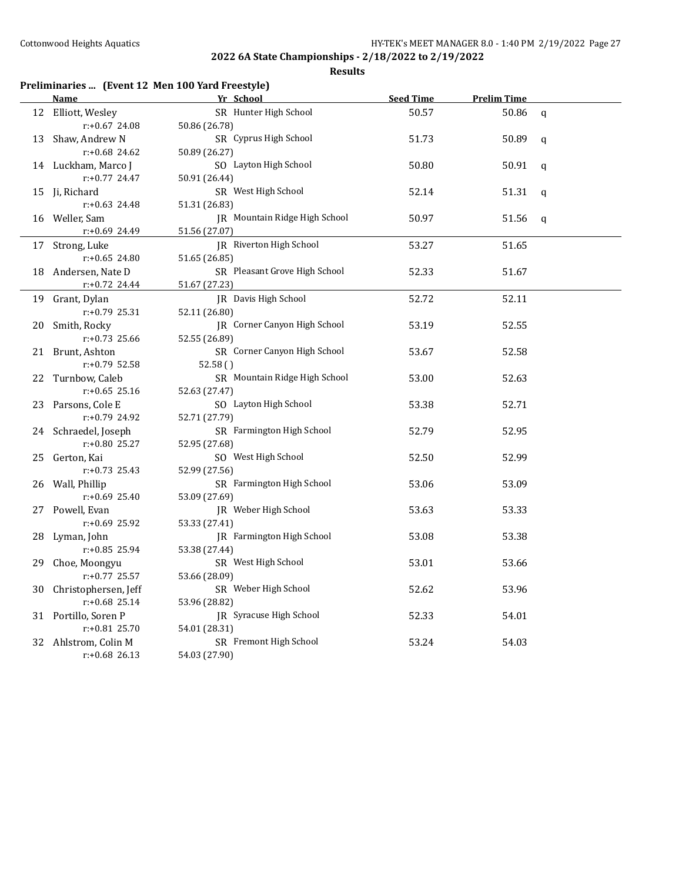|    |                      | Preliminaries  (Event 12 Men 100 Yard Freestyle) |                  |                    |              |
|----|----------------------|--------------------------------------------------|------------------|--------------------|--------------|
|    | <b>Name</b>          | Yr School                                        | <b>Seed Time</b> | <b>Prelim Time</b> |              |
|    | 12 Elliott, Wesley   | SR Hunter High School                            | 50.57            | 50.86              | $\mathbf q$  |
|    | $r: +0.67$ 24.08     | 50.86 (26.78)                                    |                  |                    |              |
| 13 | Shaw, Andrew N       | SR Cyprus High School                            | 51.73            | 50.89              | $\mathbf q$  |
|    | $r: +0.68$ 24.62     | 50.89 (26.27)                                    |                  |                    |              |
|    | 14 Luckham, Marco J  | SO Layton High School                            | 50.80            | 50.91              | $\mathbf q$  |
|    | $r: +0.77$ 24.47     | 50.91 (26.44)                                    |                  |                    |              |
|    | 15 Ji, Richard       | SR West High School                              | 52.14            | 51.31              | $\mathsf q$  |
|    | $r: +0.63$ 24.48     | 51.31 (26.83)                                    |                  |                    |              |
|    | 16 Weller, Sam       | JR Mountain Ridge High School                    | 50.97            | 51.56              | $\mathbf{q}$ |
|    | r:+0.69 24.49        | 51.56 (27.07)                                    |                  |                    |              |
| 17 | Strong, Luke         | JR Riverton High School                          | 53.27            | 51.65              |              |
|    | $r: +0.65$ 24.80     | 51.65 (26.85)                                    |                  |                    |              |
|    | 18 Andersen, Nate D  | SR Pleasant Grove High School                    | 52.33            | 51.67              |              |
|    | $r: +0.72$ 24.44     | 51.67 (27.23)                                    |                  |                    |              |
|    | 19 Grant, Dylan      | JR Davis High School                             | 52.72            | 52.11              |              |
|    | $r: +0.79$ 25.31     | 52.11 (26.80)                                    |                  |                    |              |
| 20 | Smith, Rocky         | JR Corner Canyon High School                     | 53.19            | 52.55              |              |
|    | $r: +0.73$ 25.66     | 52.55 (26.89)                                    |                  |                    |              |
|    | 21 Brunt, Ashton     | SR Corner Canyon High School                     | 53.67            | 52.58              |              |
|    | r:+0.79 52.58        | 52.58()                                          |                  |                    |              |
|    | 22 Turnbow, Caleb    | SR Mountain Ridge High School                    | 53.00            | 52.63              |              |
|    | $r: +0.65$ 25.16     | 52.63 (27.47)                                    |                  |                    |              |
|    | 23 Parsons, Cole E   | SO Layton High School                            | 53.38            | 52.71              |              |
|    | r:+0.79 24.92        | 52.71 (27.79)                                    |                  |                    |              |
|    | 24 Schraedel, Joseph | SR Farmington High School                        | 52.79            | 52.95              |              |
|    | r:+0.80 25.27        | 52.95 (27.68)                                    |                  |                    |              |
| 25 | Gerton, Kai          | SO West High School                              | 52.50            | 52.99              |              |
|    | $r: +0.73$ 25.43     | 52.99 (27.56)                                    |                  |                    |              |
|    | 26 Wall, Phillip     | SR Farmington High School                        | 53.06            | 53.09              |              |
|    | $r: +0.69$ 25.40     | 53.09 (27.69)                                    |                  |                    |              |
|    | 27 Powell, Evan      | JR Weber High School                             | 53.63            | 53.33              |              |
|    | $r: +0.69$ 25.92     | 53.33 (27.41)                                    |                  |                    |              |
|    | 28 Lyman, John       | JR Farmington High School                        | 53.08            | 53.38              |              |
|    | r:+0.85 25.94        | 53.38 (27.44)                                    |                  |                    |              |
|    | 29 Choe, Moongyu     | SR West High School                              | 53.01            | 53.66              |              |
|    | r:+0.77 25.57        | 53.66 (28.09)                                    |                  |                    |              |
| 30 | Christophersen, Jeff | SR Weber High School                             | 52.62            | 53.96              |              |
|    | $r: +0.68$ 25.14     | 53.96 (28.82)                                    |                  |                    |              |
|    | 31 Portillo, Soren P | JR Syracuse High School                          | 52.33            | 54.01              |              |
|    | $r: +0.81$ 25.70     | 54.01 (28.31)                                    |                  |                    |              |
|    | 32 Ahlstrom, Colin M | SR Fremont High School                           | 53.24            | 54.03              |              |
|    | $r: +0.68$ 26.13     | 54.03 (27.90)                                    |                  |                    |              |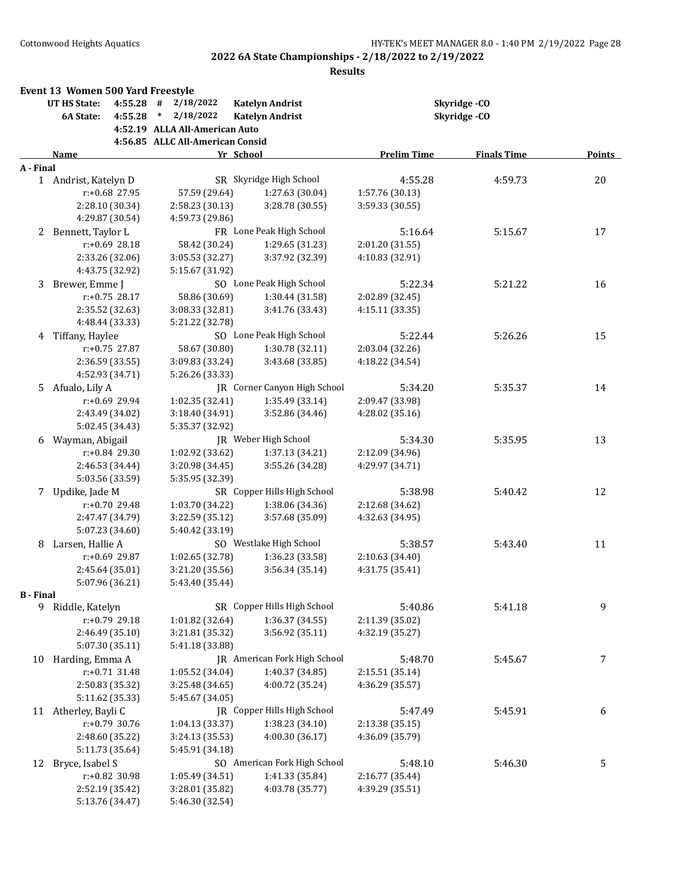| <b>UT HS State:</b><br>4:55.28<br>#<br>2/18/2022<br><b>Katelyn Andrist</b><br>Skyridge-CO<br>2/18/2022<br>Skyridge-CO<br>4:55.28<br>$\ast$<br><b>Katelyn Andrist</b><br>6A State:<br>4:52.19 ALLA All-American Auto<br>4:56.85 ALLC All-American Consid<br><b>Prelim Time</b><br>Yr School<br><b>Finals Time</b><br><b>Name</b><br>Points<br>A - Final<br>SR Skyridge High School<br>4:55.28<br>4:59.73<br>20<br>1 Andrist, Katelyn D<br>$r: +0.68$ 27.95<br>57.59 (29.64)<br>1:27.63 (30.04)<br>1:57.76 (30.13)<br>2:28.10 (30.34)<br>3:28.78 (30.55)<br>3:59.33 (30.55)<br>2:58.23 (30.13)<br>4:29.87 (30.54)<br>4:59.73 (29.86)<br>FR Lone Peak High School<br>Bennett, Taylor L<br>5:16.64<br>17<br>5:15.67<br>2<br>$r: +0.69$ 28.18<br>58.42 (30.24)<br>1:29.65 (31.23)<br>2:01.20 (31.55)<br>2:33.26 (32.06)<br>3:05.53 (32.27)<br>3:37.92 (32.39)<br>4:10.83 (32.91)<br>4:43.75 (32.92)<br>5:15.67 (31.92)<br>SO Lone Peak High School<br>Brewer, Emme J<br>5:22.34<br>5:21.22<br>16<br>3<br>r:+0.75 28.17<br>58.86 (30.69)<br>1:30.44 (31.58)<br>2:02.89 (32.45)<br>2:35.52 (32.63)<br>3:08.33 (32.81)<br>3:41.76 (33.43)<br>4:15.11 (33.35)<br>4:48.44 (33.33)<br>5:21.22 (32.78)<br>Tiffany, Haylee<br>SO Lone Peak High School<br>5:22.44<br>5:26.26<br>15<br>4<br>$r: +0.75$ 27.87<br>58.67 (30.80)<br>1:30.78 (32.11)<br>2:03.04 (32.26)<br>2:36.59 (33.55)<br>3:43.68 (33.85)<br>3:09.83 (33.24)<br>4:18.22 (34.54)<br>4:52.93 (34.71)<br>5:26.26 (33.33)<br>JR Corner Canyon High School<br>Afualo, Lily A<br>5:34.20<br>5:35.37<br>14<br>5.<br>r:+0.69 29.94<br>1:02.35 (32.41)<br>1:35.49 (33.14)<br>2:09.47 (33.98)<br>3:52.86 (34.46)<br>2:43.49 (34.02)<br>3:18.40 (34.91)<br>4:28.02 (35.16)<br>5:02.45 (34.43)<br>5:35.37 (32.92)<br>JR Weber High School<br>Wayman, Abigail<br>5:34.30<br>5:35.95<br>13<br>6<br>r:+0.84 29.30<br>1:02.92 (33.62)<br>1:37.13 (34.21)<br>2:12.09 (34.96)<br>2:46.53 (34.44)<br>3:55.26 (34.28)<br>3:20.98 (34.45)<br>4:29.97 (34.71)<br>5:03.56 (33.59)<br>5:35.95 (32.39)<br>SR Copper Hills High School<br>7 Updike, Jade M<br>5:38.98<br>12<br>5:40.42<br>r:+0.70 29.48<br>1:03.70 (34.22)<br>2:12.68 (34.62)<br>1:38.06 (34.36)<br>3:22.59 (35.12)<br>3:57.68 (35.09)<br>2:47.47 (34.79)<br>4:32.63 (34.95)<br>5:07.23 (34.60)<br>5:40.42 (33.19)<br>Larsen, Hallie A<br>SO Westlake High School<br>5:38.57<br>5:43.40<br>11<br>8<br>r:+0.69 29.87<br>1:02.65 (32.78)<br>1:36.23 (33.58)<br>2:10.63 (34.40)<br>3:21.20 (35.56)<br>3:56.34 (35.14)<br>2:45.64 (35.01)<br>4:31.75 (35.41)<br>5:07.96 (36.21)<br>5:43.40 (35.44)<br><b>B</b> - Final<br>SR Copper Hills High School<br>9<br>9 Riddle, Katelyn<br>5:40.86<br>5:41.18<br>1:36.37 (34.55)<br>r:+0.79 29.18<br>1:01.82 (32.64)<br>2:11.39 (35.02)<br>2:46.49 (35.10)<br>3:56.92 (35.11)<br>3:21.81 (35.32)<br>4:32.19 (35.27)<br>5:07.30 (35.11)<br>5:41.18 (33.88)<br>Harding, Emma A<br>7<br>JR American Fork High School<br>5:48.70<br>10<br>5:45.67<br>$r: +0.71$ 31.48<br>1:05.52(34.04)<br>1:40.37 (34.85)<br>2:15.51 (35.14)<br>2:50.83 (35.32)<br>3:25.48 (34.65)<br>4:00.72 (35.24)<br>4:36.29 (35.57)<br>5:11.62 (35.33)<br>5:45.67 (34.05)<br>JR Copper Hills High School<br>11 Atherley, Bayli C<br>5:47.49<br>6<br>5:45.91<br>r:+0.79 30.76<br>1:04.13 (33.37)<br>1:38.23 (34.10)<br>2:13.38 (35.15)<br>4:00.30 (36.17)<br>4:36.09 (35.79)<br>2:48.60 (35.22)<br>3:24.13 (35.53)<br>5:11.73 (35.64)<br>5:45.91 (34.18)<br>SO American Fork High School<br>Bryce, Isabel S<br>5:48.10<br>5:46.30<br>5<br>12<br>r:+0.82 30.98<br>1:41.33 (35.84)<br>1:05.49 (34.51)<br>2:16.77 (35.44)<br>4:03.78 (35.77)<br>4:39.29 (35.51)<br>2:52.19 (35.42)<br>3:28.01 (35.82)<br>5:13.76 (34.47) | Event 13 Women 500 Yard Freestyle |                 |  |  |
|--------------------------------------------------------------------------------------------------------------------------------------------------------------------------------------------------------------------------------------------------------------------------------------------------------------------------------------------------------------------------------------------------------------------------------------------------------------------------------------------------------------------------------------------------------------------------------------------------------------------------------------------------------------------------------------------------------------------------------------------------------------------------------------------------------------------------------------------------------------------------------------------------------------------------------------------------------------------------------------------------------------------------------------------------------------------------------------------------------------------------------------------------------------------------------------------------------------------------------------------------------------------------------------------------------------------------------------------------------------------------------------------------------------------------------------------------------------------------------------------------------------------------------------------------------------------------------------------------------------------------------------------------------------------------------------------------------------------------------------------------------------------------------------------------------------------------------------------------------------------------------------------------------------------------------------------------------------------------------------------------------------------------------------------------------------------------------------------------------------------------------------------------------------------------------------------------------------------------------------------------------------------------------------------------------------------------------------------------------------------------------------------------------------------------------------------------------------------------------------------------------------------------------------------------------------------------------------------------------------------------------------------------------------------------------------------------------------------------------------------------------------------------------------------------------------------------------------------------------------------------------------------------------------------------------------------------------------------------------------------------------------------------------------------------------------------------------------------------------------------------------------------------------------------------------------------------------------------------------------------------------------------------------------------------------------------------------------------------------------------------------------------------------------------------------------------------------------------------------------------------------------------------------------------------------------------------------------------------------------------------------------------------------------------------------------------------------------------|-----------------------------------|-----------------|--|--|
|                                                                                                                                                                                                                                                                                                                                                                                                                                                                                                                                                                                                                                                                                                                                                                                                                                                                                                                                                                                                                                                                                                                                                                                                                                                                                                                                                                                                                                                                                                                                                                                                                                                                                                                                                                                                                                                                                                                                                                                                                                                                                                                                                                                                                                                                                                                                                                                                                                                                                                                                                                                                                                                                                                                                                                                                                                                                                                                                                                                                                                                                                                                                                                                                                                                                                                                                                                                                                                                                                                                                                                                                                                                                                                                    |                                   |                 |  |  |
|                                                                                                                                                                                                                                                                                                                                                                                                                                                                                                                                                                                                                                                                                                                                                                                                                                                                                                                                                                                                                                                                                                                                                                                                                                                                                                                                                                                                                                                                                                                                                                                                                                                                                                                                                                                                                                                                                                                                                                                                                                                                                                                                                                                                                                                                                                                                                                                                                                                                                                                                                                                                                                                                                                                                                                                                                                                                                                                                                                                                                                                                                                                                                                                                                                                                                                                                                                                                                                                                                                                                                                                                                                                                                                                    |                                   |                 |  |  |
|                                                                                                                                                                                                                                                                                                                                                                                                                                                                                                                                                                                                                                                                                                                                                                                                                                                                                                                                                                                                                                                                                                                                                                                                                                                                                                                                                                                                                                                                                                                                                                                                                                                                                                                                                                                                                                                                                                                                                                                                                                                                                                                                                                                                                                                                                                                                                                                                                                                                                                                                                                                                                                                                                                                                                                                                                                                                                                                                                                                                                                                                                                                                                                                                                                                                                                                                                                                                                                                                                                                                                                                                                                                                                                                    |                                   |                 |  |  |
|                                                                                                                                                                                                                                                                                                                                                                                                                                                                                                                                                                                                                                                                                                                                                                                                                                                                                                                                                                                                                                                                                                                                                                                                                                                                                                                                                                                                                                                                                                                                                                                                                                                                                                                                                                                                                                                                                                                                                                                                                                                                                                                                                                                                                                                                                                                                                                                                                                                                                                                                                                                                                                                                                                                                                                                                                                                                                                                                                                                                                                                                                                                                                                                                                                                                                                                                                                                                                                                                                                                                                                                                                                                                                                                    |                                   |                 |  |  |
|                                                                                                                                                                                                                                                                                                                                                                                                                                                                                                                                                                                                                                                                                                                                                                                                                                                                                                                                                                                                                                                                                                                                                                                                                                                                                                                                                                                                                                                                                                                                                                                                                                                                                                                                                                                                                                                                                                                                                                                                                                                                                                                                                                                                                                                                                                                                                                                                                                                                                                                                                                                                                                                                                                                                                                                                                                                                                                                                                                                                                                                                                                                                                                                                                                                                                                                                                                                                                                                                                                                                                                                                                                                                                                                    |                                   |                 |  |  |
|                                                                                                                                                                                                                                                                                                                                                                                                                                                                                                                                                                                                                                                                                                                                                                                                                                                                                                                                                                                                                                                                                                                                                                                                                                                                                                                                                                                                                                                                                                                                                                                                                                                                                                                                                                                                                                                                                                                                                                                                                                                                                                                                                                                                                                                                                                                                                                                                                                                                                                                                                                                                                                                                                                                                                                                                                                                                                                                                                                                                                                                                                                                                                                                                                                                                                                                                                                                                                                                                                                                                                                                                                                                                                                                    |                                   |                 |  |  |
|                                                                                                                                                                                                                                                                                                                                                                                                                                                                                                                                                                                                                                                                                                                                                                                                                                                                                                                                                                                                                                                                                                                                                                                                                                                                                                                                                                                                                                                                                                                                                                                                                                                                                                                                                                                                                                                                                                                                                                                                                                                                                                                                                                                                                                                                                                                                                                                                                                                                                                                                                                                                                                                                                                                                                                                                                                                                                                                                                                                                                                                                                                                                                                                                                                                                                                                                                                                                                                                                                                                                                                                                                                                                                                                    |                                   |                 |  |  |
|                                                                                                                                                                                                                                                                                                                                                                                                                                                                                                                                                                                                                                                                                                                                                                                                                                                                                                                                                                                                                                                                                                                                                                                                                                                                                                                                                                                                                                                                                                                                                                                                                                                                                                                                                                                                                                                                                                                                                                                                                                                                                                                                                                                                                                                                                                                                                                                                                                                                                                                                                                                                                                                                                                                                                                                                                                                                                                                                                                                                                                                                                                                                                                                                                                                                                                                                                                                                                                                                                                                                                                                                                                                                                                                    |                                   |                 |  |  |
|                                                                                                                                                                                                                                                                                                                                                                                                                                                                                                                                                                                                                                                                                                                                                                                                                                                                                                                                                                                                                                                                                                                                                                                                                                                                                                                                                                                                                                                                                                                                                                                                                                                                                                                                                                                                                                                                                                                                                                                                                                                                                                                                                                                                                                                                                                                                                                                                                                                                                                                                                                                                                                                                                                                                                                                                                                                                                                                                                                                                                                                                                                                                                                                                                                                                                                                                                                                                                                                                                                                                                                                                                                                                                                                    |                                   |                 |  |  |
|                                                                                                                                                                                                                                                                                                                                                                                                                                                                                                                                                                                                                                                                                                                                                                                                                                                                                                                                                                                                                                                                                                                                                                                                                                                                                                                                                                                                                                                                                                                                                                                                                                                                                                                                                                                                                                                                                                                                                                                                                                                                                                                                                                                                                                                                                                                                                                                                                                                                                                                                                                                                                                                                                                                                                                                                                                                                                                                                                                                                                                                                                                                                                                                                                                                                                                                                                                                                                                                                                                                                                                                                                                                                                                                    |                                   |                 |  |  |
|                                                                                                                                                                                                                                                                                                                                                                                                                                                                                                                                                                                                                                                                                                                                                                                                                                                                                                                                                                                                                                                                                                                                                                                                                                                                                                                                                                                                                                                                                                                                                                                                                                                                                                                                                                                                                                                                                                                                                                                                                                                                                                                                                                                                                                                                                                                                                                                                                                                                                                                                                                                                                                                                                                                                                                                                                                                                                                                                                                                                                                                                                                                                                                                                                                                                                                                                                                                                                                                                                                                                                                                                                                                                                                                    |                                   |                 |  |  |
|                                                                                                                                                                                                                                                                                                                                                                                                                                                                                                                                                                                                                                                                                                                                                                                                                                                                                                                                                                                                                                                                                                                                                                                                                                                                                                                                                                                                                                                                                                                                                                                                                                                                                                                                                                                                                                                                                                                                                                                                                                                                                                                                                                                                                                                                                                                                                                                                                                                                                                                                                                                                                                                                                                                                                                                                                                                                                                                                                                                                                                                                                                                                                                                                                                                                                                                                                                                                                                                                                                                                                                                                                                                                                                                    |                                   |                 |  |  |
|                                                                                                                                                                                                                                                                                                                                                                                                                                                                                                                                                                                                                                                                                                                                                                                                                                                                                                                                                                                                                                                                                                                                                                                                                                                                                                                                                                                                                                                                                                                                                                                                                                                                                                                                                                                                                                                                                                                                                                                                                                                                                                                                                                                                                                                                                                                                                                                                                                                                                                                                                                                                                                                                                                                                                                                                                                                                                                                                                                                                                                                                                                                                                                                                                                                                                                                                                                                                                                                                                                                                                                                                                                                                                                                    |                                   |                 |  |  |
|                                                                                                                                                                                                                                                                                                                                                                                                                                                                                                                                                                                                                                                                                                                                                                                                                                                                                                                                                                                                                                                                                                                                                                                                                                                                                                                                                                                                                                                                                                                                                                                                                                                                                                                                                                                                                                                                                                                                                                                                                                                                                                                                                                                                                                                                                                                                                                                                                                                                                                                                                                                                                                                                                                                                                                                                                                                                                                                                                                                                                                                                                                                                                                                                                                                                                                                                                                                                                                                                                                                                                                                                                                                                                                                    |                                   |                 |  |  |
|                                                                                                                                                                                                                                                                                                                                                                                                                                                                                                                                                                                                                                                                                                                                                                                                                                                                                                                                                                                                                                                                                                                                                                                                                                                                                                                                                                                                                                                                                                                                                                                                                                                                                                                                                                                                                                                                                                                                                                                                                                                                                                                                                                                                                                                                                                                                                                                                                                                                                                                                                                                                                                                                                                                                                                                                                                                                                                                                                                                                                                                                                                                                                                                                                                                                                                                                                                                                                                                                                                                                                                                                                                                                                                                    |                                   |                 |  |  |
|                                                                                                                                                                                                                                                                                                                                                                                                                                                                                                                                                                                                                                                                                                                                                                                                                                                                                                                                                                                                                                                                                                                                                                                                                                                                                                                                                                                                                                                                                                                                                                                                                                                                                                                                                                                                                                                                                                                                                                                                                                                                                                                                                                                                                                                                                                                                                                                                                                                                                                                                                                                                                                                                                                                                                                                                                                                                                                                                                                                                                                                                                                                                                                                                                                                                                                                                                                                                                                                                                                                                                                                                                                                                                                                    |                                   |                 |  |  |
|                                                                                                                                                                                                                                                                                                                                                                                                                                                                                                                                                                                                                                                                                                                                                                                                                                                                                                                                                                                                                                                                                                                                                                                                                                                                                                                                                                                                                                                                                                                                                                                                                                                                                                                                                                                                                                                                                                                                                                                                                                                                                                                                                                                                                                                                                                                                                                                                                                                                                                                                                                                                                                                                                                                                                                                                                                                                                                                                                                                                                                                                                                                                                                                                                                                                                                                                                                                                                                                                                                                                                                                                                                                                                                                    |                                   |                 |  |  |
|                                                                                                                                                                                                                                                                                                                                                                                                                                                                                                                                                                                                                                                                                                                                                                                                                                                                                                                                                                                                                                                                                                                                                                                                                                                                                                                                                                                                                                                                                                                                                                                                                                                                                                                                                                                                                                                                                                                                                                                                                                                                                                                                                                                                                                                                                                                                                                                                                                                                                                                                                                                                                                                                                                                                                                                                                                                                                                                                                                                                                                                                                                                                                                                                                                                                                                                                                                                                                                                                                                                                                                                                                                                                                                                    |                                   |                 |  |  |
|                                                                                                                                                                                                                                                                                                                                                                                                                                                                                                                                                                                                                                                                                                                                                                                                                                                                                                                                                                                                                                                                                                                                                                                                                                                                                                                                                                                                                                                                                                                                                                                                                                                                                                                                                                                                                                                                                                                                                                                                                                                                                                                                                                                                                                                                                                                                                                                                                                                                                                                                                                                                                                                                                                                                                                                                                                                                                                                                                                                                                                                                                                                                                                                                                                                                                                                                                                                                                                                                                                                                                                                                                                                                                                                    |                                   |                 |  |  |
|                                                                                                                                                                                                                                                                                                                                                                                                                                                                                                                                                                                                                                                                                                                                                                                                                                                                                                                                                                                                                                                                                                                                                                                                                                                                                                                                                                                                                                                                                                                                                                                                                                                                                                                                                                                                                                                                                                                                                                                                                                                                                                                                                                                                                                                                                                                                                                                                                                                                                                                                                                                                                                                                                                                                                                                                                                                                                                                                                                                                                                                                                                                                                                                                                                                                                                                                                                                                                                                                                                                                                                                                                                                                                                                    |                                   |                 |  |  |
|                                                                                                                                                                                                                                                                                                                                                                                                                                                                                                                                                                                                                                                                                                                                                                                                                                                                                                                                                                                                                                                                                                                                                                                                                                                                                                                                                                                                                                                                                                                                                                                                                                                                                                                                                                                                                                                                                                                                                                                                                                                                                                                                                                                                                                                                                                                                                                                                                                                                                                                                                                                                                                                                                                                                                                                                                                                                                                                                                                                                                                                                                                                                                                                                                                                                                                                                                                                                                                                                                                                                                                                                                                                                                                                    |                                   |                 |  |  |
|                                                                                                                                                                                                                                                                                                                                                                                                                                                                                                                                                                                                                                                                                                                                                                                                                                                                                                                                                                                                                                                                                                                                                                                                                                                                                                                                                                                                                                                                                                                                                                                                                                                                                                                                                                                                                                                                                                                                                                                                                                                                                                                                                                                                                                                                                                                                                                                                                                                                                                                                                                                                                                                                                                                                                                                                                                                                                                                                                                                                                                                                                                                                                                                                                                                                                                                                                                                                                                                                                                                                                                                                                                                                                                                    |                                   |                 |  |  |
|                                                                                                                                                                                                                                                                                                                                                                                                                                                                                                                                                                                                                                                                                                                                                                                                                                                                                                                                                                                                                                                                                                                                                                                                                                                                                                                                                                                                                                                                                                                                                                                                                                                                                                                                                                                                                                                                                                                                                                                                                                                                                                                                                                                                                                                                                                                                                                                                                                                                                                                                                                                                                                                                                                                                                                                                                                                                                                                                                                                                                                                                                                                                                                                                                                                                                                                                                                                                                                                                                                                                                                                                                                                                                                                    |                                   |                 |  |  |
|                                                                                                                                                                                                                                                                                                                                                                                                                                                                                                                                                                                                                                                                                                                                                                                                                                                                                                                                                                                                                                                                                                                                                                                                                                                                                                                                                                                                                                                                                                                                                                                                                                                                                                                                                                                                                                                                                                                                                                                                                                                                                                                                                                                                                                                                                                                                                                                                                                                                                                                                                                                                                                                                                                                                                                                                                                                                                                                                                                                                                                                                                                                                                                                                                                                                                                                                                                                                                                                                                                                                                                                                                                                                                                                    |                                   |                 |  |  |
|                                                                                                                                                                                                                                                                                                                                                                                                                                                                                                                                                                                                                                                                                                                                                                                                                                                                                                                                                                                                                                                                                                                                                                                                                                                                                                                                                                                                                                                                                                                                                                                                                                                                                                                                                                                                                                                                                                                                                                                                                                                                                                                                                                                                                                                                                                                                                                                                                                                                                                                                                                                                                                                                                                                                                                                                                                                                                                                                                                                                                                                                                                                                                                                                                                                                                                                                                                                                                                                                                                                                                                                                                                                                                                                    |                                   |                 |  |  |
|                                                                                                                                                                                                                                                                                                                                                                                                                                                                                                                                                                                                                                                                                                                                                                                                                                                                                                                                                                                                                                                                                                                                                                                                                                                                                                                                                                                                                                                                                                                                                                                                                                                                                                                                                                                                                                                                                                                                                                                                                                                                                                                                                                                                                                                                                                                                                                                                                                                                                                                                                                                                                                                                                                                                                                                                                                                                                                                                                                                                                                                                                                                                                                                                                                                                                                                                                                                                                                                                                                                                                                                                                                                                                                                    |                                   |                 |  |  |
|                                                                                                                                                                                                                                                                                                                                                                                                                                                                                                                                                                                                                                                                                                                                                                                                                                                                                                                                                                                                                                                                                                                                                                                                                                                                                                                                                                                                                                                                                                                                                                                                                                                                                                                                                                                                                                                                                                                                                                                                                                                                                                                                                                                                                                                                                                                                                                                                                                                                                                                                                                                                                                                                                                                                                                                                                                                                                                                                                                                                                                                                                                                                                                                                                                                                                                                                                                                                                                                                                                                                                                                                                                                                                                                    |                                   |                 |  |  |
|                                                                                                                                                                                                                                                                                                                                                                                                                                                                                                                                                                                                                                                                                                                                                                                                                                                                                                                                                                                                                                                                                                                                                                                                                                                                                                                                                                                                                                                                                                                                                                                                                                                                                                                                                                                                                                                                                                                                                                                                                                                                                                                                                                                                                                                                                                                                                                                                                                                                                                                                                                                                                                                                                                                                                                                                                                                                                                                                                                                                                                                                                                                                                                                                                                                                                                                                                                                                                                                                                                                                                                                                                                                                                                                    |                                   |                 |  |  |
|                                                                                                                                                                                                                                                                                                                                                                                                                                                                                                                                                                                                                                                                                                                                                                                                                                                                                                                                                                                                                                                                                                                                                                                                                                                                                                                                                                                                                                                                                                                                                                                                                                                                                                                                                                                                                                                                                                                                                                                                                                                                                                                                                                                                                                                                                                                                                                                                                                                                                                                                                                                                                                                                                                                                                                                                                                                                                                                                                                                                                                                                                                                                                                                                                                                                                                                                                                                                                                                                                                                                                                                                                                                                                                                    |                                   |                 |  |  |
|                                                                                                                                                                                                                                                                                                                                                                                                                                                                                                                                                                                                                                                                                                                                                                                                                                                                                                                                                                                                                                                                                                                                                                                                                                                                                                                                                                                                                                                                                                                                                                                                                                                                                                                                                                                                                                                                                                                                                                                                                                                                                                                                                                                                                                                                                                                                                                                                                                                                                                                                                                                                                                                                                                                                                                                                                                                                                                                                                                                                                                                                                                                                                                                                                                                                                                                                                                                                                                                                                                                                                                                                                                                                                                                    |                                   |                 |  |  |
|                                                                                                                                                                                                                                                                                                                                                                                                                                                                                                                                                                                                                                                                                                                                                                                                                                                                                                                                                                                                                                                                                                                                                                                                                                                                                                                                                                                                                                                                                                                                                                                                                                                                                                                                                                                                                                                                                                                                                                                                                                                                                                                                                                                                                                                                                                                                                                                                                                                                                                                                                                                                                                                                                                                                                                                                                                                                                                                                                                                                                                                                                                                                                                                                                                                                                                                                                                                                                                                                                                                                                                                                                                                                                                                    |                                   |                 |  |  |
|                                                                                                                                                                                                                                                                                                                                                                                                                                                                                                                                                                                                                                                                                                                                                                                                                                                                                                                                                                                                                                                                                                                                                                                                                                                                                                                                                                                                                                                                                                                                                                                                                                                                                                                                                                                                                                                                                                                                                                                                                                                                                                                                                                                                                                                                                                                                                                                                                                                                                                                                                                                                                                                                                                                                                                                                                                                                                                                                                                                                                                                                                                                                                                                                                                                                                                                                                                                                                                                                                                                                                                                                                                                                                                                    |                                   |                 |  |  |
|                                                                                                                                                                                                                                                                                                                                                                                                                                                                                                                                                                                                                                                                                                                                                                                                                                                                                                                                                                                                                                                                                                                                                                                                                                                                                                                                                                                                                                                                                                                                                                                                                                                                                                                                                                                                                                                                                                                                                                                                                                                                                                                                                                                                                                                                                                                                                                                                                                                                                                                                                                                                                                                                                                                                                                                                                                                                                                                                                                                                                                                                                                                                                                                                                                                                                                                                                                                                                                                                                                                                                                                                                                                                                                                    |                                   |                 |  |  |
|                                                                                                                                                                                                                                                                                                                                                                                                                                                                                                                                                                                                                                                                                                                                                                                                                                                                                                                                                                                                                                                                                                                                                                                                                                                                                                                                                                                                                                                                                                                                                                                                                                                                                                                                                                                                                                                                                                                                                                                                                                                                                                                                                                                                                                                                                                                                                                                                                                                                                                                                                                                                                                                                                                                                                                                                                                                                                                                                                                                                                                                                                                                                                                                                                                                                                                                                                                                                                                                                                                                                                                                                                                                                                                                    |                                   |                 |  |  |
|                                                                                                                                                                                                                                                                                                                                                                                                                                                                                                                                                                                                                                                                                                                                                                                                                                                                                                                                                                                                                                                                                                                                                                                                                                                                                                                                                                                                                                                                                                                                                                                                                                                                                                                                                                                                                                                                                                                                                                                                                                                                                                                                                                                                                                                                                                                                                                                                                                                                                                                                                                                                                                                                                                                                                                                                                                                                                                                                                                                                                                                                                                                                                                                                                                                                                                                                                                                                                                                                                                                                                                                                                                                                                                                    |                                   |                 |  |  |
|                                                                                                                                                                                                                                                                                                                                                                                                                                                                                                                                                                                                                                                                                                                                                                                                                                                                                                                                                                                                                                                                                                                                                                                                                                                                                                                                                                                                                                                                                                                                                                                                                                                                                                                                                                                                                                                                                                                                                                                                                                                                                                                                                                                                                                                                                                                                                                                                                                                                                                                                                                                                                                                                                                                                                                                                                                                                                                                                                                                                                                                                                                                                                                                                                                                                                                                                                                                                                                                                                                                                                                                                                                                                                                                    |                                   |                 |  |  |
|                                                                                                                                                                                                                                                                                                                                                                                                                                                                                                                                                                                                                                                                                                                                                                                                                                                                                                                                                                                                                                                                                                                                                                                                                                                                                                                                                                                                                                                                                                                                                                                                                                                                                                                                                                                                                                                                                                                                                                                                                                                                                                                                                                                                                                                                                                                                                                                                                                                                                                                                                                                                                                                                                                                                                                                                                                                                                                                                                                                                                                                                                                                                                                                                                                                                                                                                                                                                                                                                                                                                                                                                                                                                                                                    |                                   |                 |  |  |
|                                                                                                                                                                                                                                                                                                                                                                                                                                                                                                                                                                                                                                                                                                                                                                                                                                                                                                                                                                                                                                                                                                                                                                                                                                                                                                                                                                                                                                                                                                                                                                                                                                                                                                                                                                                                                                                                                                                                                                                                                                                                                                                                                                                                                                                                                                                                                                                                                                                                                                                                                                                                                                                                                                                                                                                                                                                                                                                                                                                                                                                                                                                                                                                                                                                                                                                                                                                                                                                                                                                                                                                                                                                                                                                    |                                   |                 |  |  |
|                                                                                                                                                                                                                                                                                                                                                                                                                                                                                                                                                                                                                                                                                                                                                                                                                                                                                                                                                                                                                                                                                                                                                                                                                                                                                                                                                                                                                                                                                                                                                                                                                                                                                                                                                                                                                                                                                                                                                                                                                                                                                                                                                                                                                                                                                                                                                                                                                                                                                                                                                                                                                                                                                                                                                                                                                                                                                                                                                                                                                                                                                                                                                                                                                                                                                                                                                                                                                                                                                                                                                                                                                                                                                                                    |                                   |                 |  |  |
|                                                                                                                                                                                                                                                                                                                                                                                                                                                                                                                                                                                                                                                                                                                                                                                                                                                                                                                                                                                                                                                                                                                                                                                                                                                                                                                                                                                                                                                                                                                                                                                                                                                                                                                                                                                                                                                                                                                                                                                                                                                                                                                                                                                                                                                                                                                                                                                                                                                                                                                                                                                                                                                                                                                                                                                                                                                                                                                                                                                                                                                                                                                                                                                                                                                                                                                                                                                                                                                                                                                                                                                                                                                                                                                    |                                   |                 |  |  |
|                                                                                                                                                                                                                                                                                                                                                                                                                                                                                                                                                                                                                                                                                                                                                                                                                                                                                                                                                                                                                                                                                                                                                                                                                                                                                                                                                                                                                                                                                                                                                                                                                                                                                                                                                                                                                                                                                                                                                                                                                                                                                                                                                                                                                                                                                                                                                                                                                                                                                                                                                                                                                                                                                                                                                                                                                                                                                                                                                                                                                                                                                                                                                                                                                                                                                                                                                                                                                                                                                                                                                                                                                                                                                                                    |                                   |                 |  |  |
|                                                                                                                                                                                                                                                                                                                                                                                                                                                                                                                                                                                                                                                                                                                                                                                                                                                                                                                                                                                                                                                                                                                                                                                                                                                                                                                                                                                                                                                                                                                                                                                                                                                                                                                                                                                                                                                                                                                                                                                                                                                                                                                                                                                                                                                                                                                                                                                                                                                                                                                                                                                                                                                                                                                                                                                                                                                                                                                                                                                                                                                                                                                                                                                                                                                                                                                                                                                                                                                                                                                                                                                                                                                                                                                    |                                   |                 |  |  |
|                                                                                                                                                                                                                                                                                                                                                                                                                                                                                                                                                                                                                                                                                                                                                                                                                                                                                                                                                                                                                                                                                                                                                                                                                                                                                                                                                                                                                                                                                                                                                                                                                                                                                                                                                                                                                                                                                                                                                                                                                                                                                                                                                                                                                                                                                                                                                                                                                                                                                                                                                                                                                                                                                                                                                                                                                                                                                                                                                                                                                                                                                                                                                                                                                                                                                                                                                                                                                                                                                                                                                                                                                                                                                                                    |                                   |                 |  |  |
|                                                                                                                                                                                                                                                                                                                                                                                                                                                                                                                                                                                                                                                                                                                                                                                                                                                                                                                                                                                                                                                                                                                                                                                                                                                                                                                                                                                                                                                                                                                                                                                                                                                                                                                                                                                                                                                                                                                                                                                                                                                                                                                                                                                                                                                                                                                                                                                                                                                                                                                                                                                                                                                                                                                                                                                                                                                                                                                                                                                                                                                                                                                                                                                                                                                                                                                                                                                                                                                                                                                                                                                                                                                                                                                    |                                   |                 |  |  |
|                                                                                                                                                                                                                                                                                                                                                                                                                                                                                                                                                                                                                                                                                                                                                                                                                                                                                                                                                                                                                                                                                                                                                                                                                                                                                                                                                                                                                                                                                                                                                                                                                                                                                                                                                                                                                                                                                                                                                                                                                                                                                                                                                                                                                                                                                                                                                                                                                                                                                                                                                                                                                                                                                                                                                                                                                                                                                                                                                                                                                                                                                                                                                                                                                                                                                                                                                                                                                                                                                                                                                                                                                                                                                                                    |                                   |                 |  |  |
|                                                                                                                                                                                                                                                                                                                                                                                                                                                                                                                                                                                                                                                                                                                                                                                                                                                                                                                                                                                                                                                                                                                                                                                                                                                                                                                                                                                                                                                                                                                                                                                                                                                                                                                                                                                                                                                                                                                                                                                                                                                                                                                                                                                                                                                                                                                                                                                                                                                                                                                                                                                                                                                                                                                                                                                                                                                                                                                                                                                                                                                                                                                                                                                                                                                                                                                                                                                                                                                                                                                                                                                                                                                                                                                    |                                   |                 |  |  |
|                                                                                                                                                                                                                                                                                                                                                                                                                                                                                                                                                                                                                                                                                                                                                                                                                                                                                                                                                                                                                                                                                                                                                                                                                                                                                                                                                                                                                                                                                                                                                                                                                                                                                                                                                                                                                                                                                                                                                                                                                                                                                                                                                                                                                                                                                                                                                                                                                                                                                                                                                                                                                                                                                                                                                                                                                                                                                                                                                                                                                                                                                                                                                                                                                                                                                                                                                                                                                                                                                                                                                                                                                                                                                                                    |                                   |                 |  |  |
|                                                                                                                                                                                                                                                                                                                                                                                                                                                                                                                                                                                                                                                                                                                                                                                                                                                                                                                                                                                                                                                                                                                                                                                                                                                                                                                                                                                                                                                                                                                                                                                                                                                                                                                                                                                                                                                                                                                                                                                                                                                                                                                                                                                                                                                                                                                                                                                                                                                                                                                                                                                                                                                                                                                                                                                                                                                                                                                                                                                                                                                                                                                                                                                                                                                                                                                                                                                                                                                                                                                                                                                                                                                                                                                    |                                   |                 |  |  |
|                                                                                                                                                                                                                                                                                                                                                                                                                                                                                                                                                                                                                                                                                                                                                                                                                                                                                                                                                                                                                                                                                                                                                                                                                                                                                                                                                                                                                                                                                                                                                                                                                                                                                                                                                                                                                                                                                                                                                                                                                                                                                                                                                                                                                                                                                                                                                                                                                                                                                                                                                                                                                                                                                                                                                                                                                                                                                                                                                                                                                                                                                                                                                                                                                                                                                                                                                                                                                                                                                                                                                                                                                                                                                                                    |                                   |                 |  |  |
|                                                                                                                                                                                                                                                                                                                                                                                                                                                                                                                                                                                                                                                                                                                                                                                                                                                                                                                                                                                                                                                                                                                                                                                                                                                                                                                                                                                                                                                                                                                                                                                                                                                                                                                                                                                                                                                                                                                                                                                                                                                                                                                                                                                                                                                                                                                                                                                                                                                                                                                                                                                                                                                                                                                                                                                                                                                                                                                                                                                                                                                                                                                                                                                                                                                                                                                                                                                                                                                                                                                                                                                                                                                                                                                    |                                   |                 |  |  |
|                                                                                                                                                                                                                                                                                                                                                                                                                                                                                                                                                                                                                                                                                                                                                                                                                                                                                                                                                                                                                                                                                                                                                                                                                                                                                                                                                                                                                                                                                                                                                                                                                                                                                                                                                                                                                                                                                                                                                                                                                                                                                                                                                                                                                                                                                                                                                                                                                                                                                                                                                                                                                                                                                                                                                                                                                                                                                                                                                                                                                                                                                                                                                                                                                                                                                                                                                                                                                                                                                                                                                                                                                                                                                                                    |                                   |                 |  |  |
|                                                                                                                                                                                                                                                                                                                                                                                                                                                                                                                                                                                                                                                                                                                                                                                                                                                                                                                                                                                                                                                                                                                                                                                                                                                                                                                                                                                                                                                                                                                                                                                                                                                                                                                                                                                                                                                                                                                                                                                                                                                                                                                                                                                                                                                                                                                                                                                                                                                                                                                                                                                                                                                                                                                                                                                                                                                                                                                                                                                                                                                                                                                                                                                                                                                                                                                                                                                                                                                                                                                                                                                                                                                                                                                    |                                   |                 |  |  |
|                                                                                                                                                                                                                                                                                                                                                                                                                                                                                                                                                                                                                                                                                                                                                                                                                                                                                                                                                                                                                                                                                                                                                                                                                                                                                                                                                                                                                                                                                                                                                                                                                                                                                                                                                                                                                                                                                                                                                                                                                                                                                                                                                                                                                                                                                                                                                                                                                                                                                                                                                                                                                                                                                                                                                                                                                                                                                                                                                                                                                                                                                                                                                                                                                                                                                                                                                                                                                                                                                                                                                                                                                                                                                                                    |                                   |                 |  |  |
|                                                                                                                                                                                                                                                                                                                                                                                                                                                                                                                                                                                                                                                                                                                                                                                                                                                                                                                                                                                                                                                                                                                                                                                                                                                                                                                                                                                                                                                                                                                                                                                                                                                                                                                                                                                                                                                                                                                                                                                                                                                                                                                                                                                                                                                                                                                                                                                                                                                                                                                                                                                                                                                                                                                                                                                                                                                                                                                                                                                                                                                                                                                                                                                                                                                                                                                                                                                                                                                                                                                                                                                                                                                                                                                    |                                   | 5:46.30 (32.54) |  |  |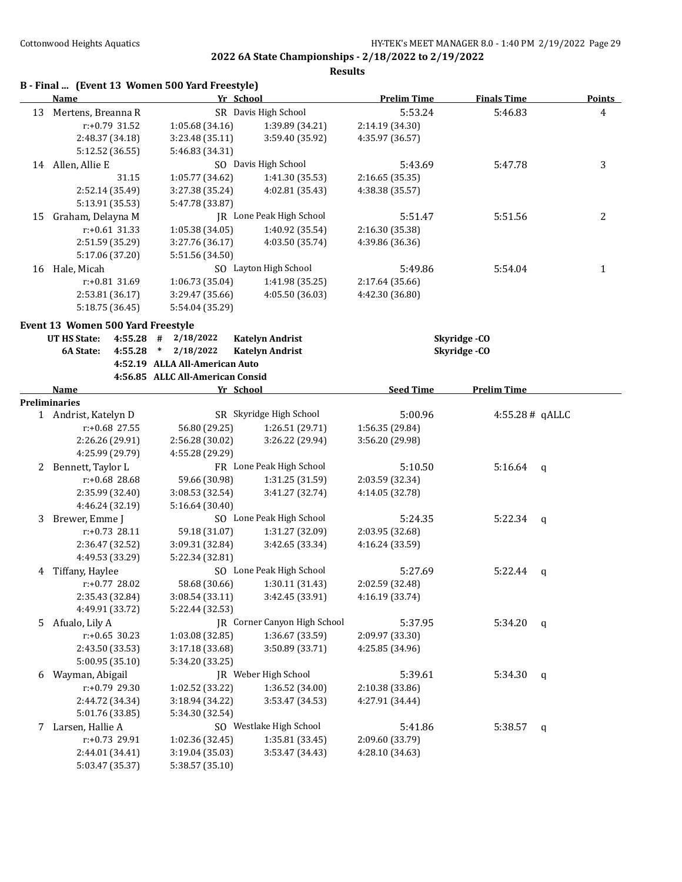|    |                                    | B - Final  (Event 13 Women 500 Yard Freestyle) |                              |                    |                    |               |
|----|------------------------------------|------------------------------------------------|------------------------------|--------------------|--------------------|---------------|
|    | Name                               | Yr School                                      |                              | <b>Prelim Time</b> | <b>Finals Time</b> | <b>Points</b> |
| 13 | Mertens, Breanna R                 |                                                | SR Davis High School         | 5:53.24            | 5:46.83            | 4             |
|    | r:+0.79 31.52                      | 1:05.68 (34.16)                                | 1:39.89 (34.21)              | 2:14.19 (34.30)    |                    |               |
|    | 2:48.37 (34.18)                    | 3:23.48 (35.11)                                | 3:59.40 (35.92)              | 4:35.97 (36.57)    |                    |               |
|    | 5:12.52 (36.55)                    | 5:46.83 (34.31)                                |                              |                    |                    |               |
|    | 14 Allen, Allie E                  |                                                | SO Davis High School         | 5:43.69            | 5:47.78            | 3             |
|    | 31.15                              | 1:05.77 (34.62)                                | 1:41.30 (35.53)              | 2:16.65 (35.35)    |                    |               |
|    | 2:52.14 (35.49)                    | 3:27.38 (35.24)                                | 4:02.81 (35.43)              | 4:38.38 (35.57)    |                    |               |
|    | 5:13.91 (35.53)                    | 5:47.78 (33.87)                                |                              |                    |                    |               |
| 15 | Graham, Delayna M                  |                                                | JR Lone Peak High School     | 5:51.47            | 5:51.56            | 2             |
|    | $r: +0.61$ 31.33                   | 1:05.38 (34.05)                                | 1:40.92 (35.54)              | 2:16.30 (35.38)    |                    |               |
|    | 2:51.59 (35.29)                    | 3:27.76 (36.17)                                | 4:03.50 (35.74)              | 4:39.86 (36.36)    |                    |               |
|    | 5:17.06 (37.20)                    | 5:51.56 (34.50)                                |                              |                    |                    |               |
|    | 16 Hale, Micah                     |                                                | SO Layton High School        | 5:49.86            | 5:54.04            | 1             |
|    | $r: +0.81$ 31.69                   | 1:06.73 (35.04)                                | 1:41.98 (35.25)              | 2:17.64 (35.66)    |                    |               |
|    | 2:53.81 (36.17)                    | 3:29.47 (35.66)                                | 4:05.50 (36.03)              | 4:42.30 (36.80)    |                    |               |
|    | 5:18.75 (36.45)                    | 5:54.04 (35.29)                                |                              |                    |                    |               |
|    | Event 13 Women 500 Yard Freestyle  |                                                |                              |                    |                    |               |
|    | <b>UT HS State:</b><br>$4:55.28$ # | 2/18/2022                                      | <b>Katelyn Andrist</b>       |                    | Skyridge-CO        |               |
|    | 4:55.28<br><b>6A State:</b>        | 2/18/2022<br>$\ast$                            | <b>Katelyn Andrist</b>       |                    | Skyridge-CO        |               |
|    |                                    | 4:52.19 ALLA All-American Auto                 |                              |                    |                    |               |
|    |                                    | 4:56.85 ALLC All-American Consid               |                              |                    |                    |               |
|    | Name                               | Yr School                                      |                              | <b>Seed Time</b>   | <b>Prelim Time</b> |               |
|    | Preliminaries                      |                                                |                              |                    |                    |               |
|    | 1 Andrist, Katelyn D               |                                                | SR Skyridge High School      | 5:00.96            | 4:55.28# qALLC     |               |
|    | r:+0.68 27.55                      | 56.80 (29.25)                                  | 1:26.51 (29.71)              | 1:56.35 (29.84)    |                    |               |
|    | 2:26.26 (29.91)                    | 2:56.28 (30.02)                                | 3:26.22 (29.94)              | 3:56.20 (29.98)    |                    |               |
|    | 4:25.99 (29.79)                    | 4:55.28 (29.29)                                |                              |                    |                    |               |
| 2  | Bennett, Taylor L                  |                                                | FR Lone Peak High School     | 5:10.50            | 5:16.64            | q             |
|    | r:+0.68 28.68                      | 59.66 (30.98)                                  | 1:31.25 (31.59)              | 2:03.59 (32.34)    |                    |               |
|    | 2:35.99 (32.40)                    | 3:08.53 (32.54)                                | 3:41.27 (32.74)              | 4:14.05 (32.78)    |                    |               |
|    | 4:46.24 (32.19)                    | 5:16.64 (30.40)                                |                              |                    |                    |               |
| 3  | Brewer, Emme J                     |                                                | SO Lone Peak High School     | 5:24.35            | 5:22.34            | q             |
|    | $r: +0.73$ 28.11                   | 59.18 (31.07)                                  | 1:31.27 (32.09)              | 2:03.95 (32.68)    |                    |               |
|    | 2:36.47 (32.52)                    | 3:09.31 (32.84)                                | 3:42.65 (33.34)              | 4:16.24 (33.59)    |                    |               |
|    | 4:49.53 (33.29)                    | 5:22.34 (32.81)                                |                              |                    |                    |               |
| 4  | Tiffany, Haylee                    |                                                | SO Lone Peak High School     | 5:27.69            | 5:22.44            | q             |
|    | r:+0.77 28.02                      | 58.68 (30.66)                                  | 1:30.11 (31.43)              | 2:02.59 (32.48)    |                    |               |
|    | 2:35.43 (32.84)                    | 3:08.54 (33.11)                                | 3:42.45 (33.91)              | 4:16.19 (33.74)    |                    |               |
|    | 4:49.91 (33.72)                    | 5:22.44 (32.53)                                |                              |                    |                    |               |
| 5  | Afualo, Lily A                     |                                                | JR Corner Canyon High School | 5:37.95            | 5:34.20            | q             |
|    | $r: +0.65$ 30.23                   | 1:03.08 (32.85)                                | 1:36.67 (33.59)              | 2:09.97 (33.30)    |                    |               |
|    | 2:43.50 (33.53)                    | 3:17.18 (33.68)                                | 3:50.89 (33.71)              | 4:25.85 (34.96)    |                    |               |
|    | 5:00.95 (35.10)                    | 5:34.20 (33.25)                                |                              |                    |                    |               |
| 6  | Wayman, Abigail                    |                                                | JR Weber High School         | 5:39.61            | 5:34.30            | $\mathbf q$   |
|    | r:+0.79 29.30                      | 1:02.52 (33.22)                                | 1:36.52 (34.00)              | 2:10.38 (33.86)    |                    |               |
|    | 2:44.72 (34.34)                    | 3:18.94 (34.22)                                | 3:53.47 (34.53)              | 4:27.91 (34.44)    |                    |               |
|    | 5:01.76 (33.85)                    | 5:34.30 (32.54)                                |                              |                    |                    |               |
| 7  | Larsen, Hallie A                   |                                                | SO Westlake High School      | 5:41.86            | 5:38.57            | q             |
|    | r:+0.73 29.91                      | 1:02.36 (32.45)                                | 1:35.81 (33.45)              | 2:09.60 (33.79)    |                    |               |
|    |                                    |                                                |                              |                    |                    |               |
|    | 2:44.01 (34.41)                    | 3:19.04 (35.03)                                | 3:53.47 (34.43)              | 4:28.10 (34.63)    |                    |               |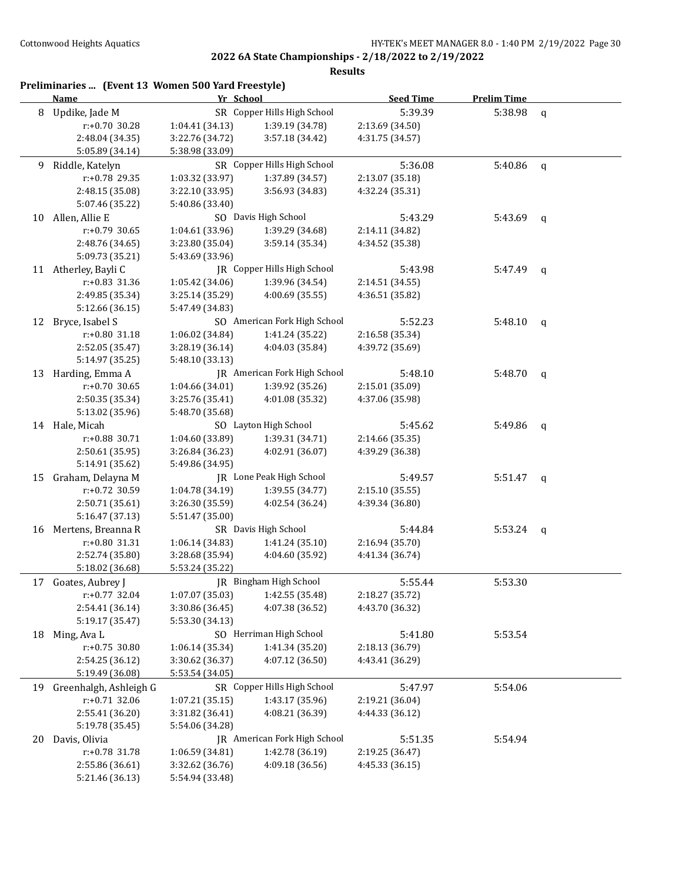| 8  | Updike, Jade M<br>r:+0.70 30.28  | Yr School                          |                                    | <b>Seed Time</b> | <b>Prelim Time</b> |              |
|----|----------------------------------|------------------------------------|------------------------------------|------------------|--------------------|--------------|
|    |                                  |                                    | SR Copper Hills High School        | 5:39.39          | 5:38.98            | $\mathbf q$  |
|    |                                  | 1:04.41 (34.13)                    | 1:39.19 (34.78)                    | 2:13.69 (34.50)  |                    |              |
|    | 2:48.04 (34.35)                  | 3:22.76 (34.72)                    | 3:57.18 (34.42)                    | 4:31.75 (34.57)  |                    |              |
|    | 5:05.89 (34.14)                  | 5:38.98 (33.09)                    |                                    |                  |                    |              |
| 9. | Riddle, Katelyn                  |                                    | SR Copper Hills High School        | 5:36.08          | 5:40.86            | $\mathsf{q}$ |
|    | $r: +0.78$ 29.35                 | 1:03.32 (33.97)                    | 1:37.89 (34.57)                    | 2:13.07 (35.18)  |                    |              |
|    | 2:48.15 (35.08)                  | 3:22.10 (33.95)                    | 3:56.93 (34.83)                    | 4:32.24 (35.31)  |                    |              |
|    | 5:07.46 (35.22)                  | 5:40.86 (33.40)                    |                                    |                  |                    |              |
| 10 | Allen, Allie E                   |                                    | SO Davis High School               | 5:43.29          | 5:43.69            | q            |
|    | r:+0.79 30.65                    | 1:04.61 (33.96)                    | 1:39.29 (34.68)                    | 2:14.11 (34.82)  |                    |              |
|    | 2:48.76 (34.65)                  | 3:23.80 (35.04)                    | 3:59.14 (35.34)                    | 4:34.52 (35.38)  |                    |              |
|    | 5:09.73 (35.21)                  | 5:43.69 (33.96)                    |                                    |                  |                    |              |
|    | 11 Atherley, Bayli C             |                                    | JR Copper Hills High School        | 5:43.98          | 5:47.49            | $\mathsf{q}$ |
|    | r:+0.83 31.36                    | 1:05.42 (34.06)                    | 1:39.96 (34.54)                    | 2:14.51 (34.55)  |                    |              |
|    | 2:49.85 (35.34)                  | 3:25.14 (35.29)                    | 4:00.69 (35.55)                    | 4:36.51 (35.82)  |                    |              |
|    | 5:12.66 (36.15)                  | 5:47.49 (34.83)                    |                                    |                  |                    |              |
| 12 | Bryce, Isabel S                  |                                    | SO American Fork High School       | 5:52.23          | 5:48.10            | q            |
|    | $r: +0.80$ 31.18                 | 1:06.02 (34.84)                    | 1:41.24 (35.22)                    | 2:16.58 (35.34)  |                    |              |
|    | 2:52.05 (35.47)                  | 3:28.19 (36.14)                    | 4:04.03 (35.84)                    | 4:39.72 (35.69)  |                    |              |
|    | 5:14.97 (35.25)                  | 5:48.10 (33.13)                    |                                    |                  |                    |              |
| 13 | Harding, Emma A                  |                                    | JR American Fork High School       | 5:48.10          | 5:48.70            | q            |
|    | $r: +0.70$ 30.65                 | 1:04.66 (34.01)                    | 1:39.92 (35.26)                    | 2:15.01 (35.09)  |                    |              |
|    | 2:50.35 (35.34)                  | 3:25.76 (35.41)                    | 4:01.08 (35.32)                    | 4:37.06 (35.98)  |                    |              |
|    | 5:13.02 (35.96)                  | 5:48.70 (35.68)                    |                                    |                  |                    |              |
|    | 14 Hale, Micah                   |                                    | SO Layton High School              | 5:45.62          | 5:49.86            | $\mathbf q$  |
|    | r:+0.88 30.71                    | 1:04.60 (33.89)                    | 1:39.31 (34.71)                    | 2:14.66 (35.35)  |                    |              |
|    | 2:50.61 (35.95)                  | 3:26.84 (36.23)                    | 4:02.91 (36.07)                    | 4:39.29 (36.38)  |                    |              |
|    | 5:14.91 (35.62)                  | 5:49.86 (34.95)                    |                                    |                  |                    |              |
| 15 | Graham, Delayna M                |                                    | JR Lone Peak High School           | 5:49.57          | 5:51.47            | q            |
|    | r:+0.72 30.59                    | 1:04.78 (34.19)                    | 1:39.55 (34.77)                    | 2:15.10 (35.55)  |                    |              |
|    | 2:50.71 (35.61)                  | 3:26.30 (35.59)                    | 4:02.54 (36.24)                    | 4:39.34 (36.80)  |                    |              |
|    | 5:16.47 (37.13)                  | 5:51.47 (35.00)                    |                                    |                  |                    |              |
| 16 | Mertens, Breanna R               |                                    | SR Davis High School               | 5:44.84          | 5:53.24            | q            |
|    | r:+0.80 31.31                    | 1:06.14 (34.83)                    | 1:41.24 (35.10)                    | 2:16.94 (35.70)  |                    |              |
|    | 2:52.74 (35.80)                  | 3:28.68 (35.94)                    | 4:04.60 (35.92)                    | 4:41.34 (36.74)  |                    |              |
|    | 5:18.02 (36.68)                  | 5:53.24 (35.22)                    |                                    |                  |                    |              |
| 17 | Goates, Aubrey J                 |                                    | JR Bingham High School             | 5:55.44          | 5:53.30            |              |
|    | $r.+0.77$ 32.04                  | 1:07.07 (35.03)                    | 1:42.55 (35.48)                    | 2:18.27 (35.72)  |                    |              |
|    | 2:54.41 (36.14)                  | 3:30.86 (36.45)                    | 4:07.38 (36.52)                    | 4:43.70 (36.32)  |                    |              |
|    | 5:19.17 (35.47)                  | 5:53.30 (34.13)                    |                                    |                  |                    |              |
| 18 | Ming, Ava L                      |                                    | SO Herriman High School            | 5:41.80          | 5:53.54            |              |
|    | r:+0.75 30.80                    | 1:06.14 (35.34)                    | 1:41.34 (35.20)                    | 2:18.13 (36.79)  |                    |              |
|    | 2:54.25 (36.12)                  | 3:30.62 (36.37)                    | 4:07.12 (36.50)                    | 4:43.41 (36.29)  |                    |              |
|    | 5:19.49 (36.08)                  | 5:53.54 (34.05)                    |                                    |                  |                    |              |
| 19 | Greenhalgh, Ashleigh G           |                                    | SR Copper Hills High School        | 5:47.97          | 5:54.06            |              |
|    | $r: +0.71$ 32.06                 | 1:07.21 (35.15)                    | 1:43.17 (35.96)                    | 2:19.21 (36.04)  |                    |              |
|    | 2:55.41 (36.20)                  | 3:31.82 (36.41)                    | 4:08.21 (36.39)                    | 4:44.33 (36.12)  |                    |              |
|    | 5:19.78 (35.45)                  | 5:54.06 (34.28)                    | JR American Fork High School       |                  |                    |              |
| 20 | Davis, Olivia                    |                                    |                                    | 5:51.35          | 5:54.94            |              |
|    | r:+0.78 31.78<br>2:55.86 (36.61) | 1:06.59 (34.81)<br>3:32.62 (36.76) | 1:42.78 (36.19)<br>4:09.18 (36.56) | 2:19.25 (36.47)  |                    |              |
|    | 5:21.46 (36.13)                  | 5:54.94 (33.48)                    |                                    | 4:45.33 (36.15)  |                    |              |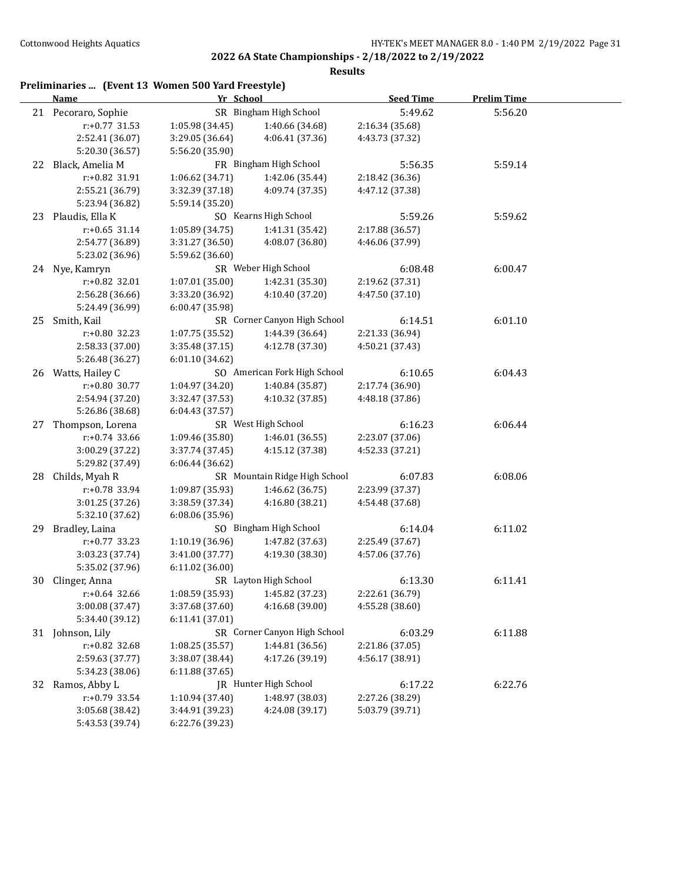| Preliminaries  (Event 13 Women 500 Yard Freestyle) |  |  |  |
|----------------------------------------------------|--|--|--|
|----------------------------------------------------|--|--|--|

|    | <b>Name</b>                    |                                   | Yr School                       | <b>Seed Time</b>           | <b>Prelim Time</b> |  |
|----|--------------------------------|-----------------------------------|---------------------------------|----------------------------|--------------------|--|
|    | 21 Pecoraro, Sophie            |                                   | SR Bingham High School          | 5:49.62                    | 5:56.20            |  |
|    | r:+0.77 31.53                  | 1:05.98(34.45)                    | 1:40.66 (34.68)                 | 2:16.34 (35.68)            |                    |  |
|    | 2:52.41 (36.07)                | 3:29.05 (36.64)                   | 4:06.41 (37.36)                 | 4:43.73 (37.32)            |                    |  |
|    | 5:20.30 (36.57)                | 5:56.20 (35.90)                   |                                 |                            |                    |  |
| 22 | Black, Amelia M                |                                   | FR Bingham High School          | 5:56.35                    | 5:59.14            |  |
|    | r:+0.82 31.91                  | 1:06.62 (34.71)                   | 1:42.06 (35.44)                 | 2:18.42 (36.36)            |                    |  |
|    | 2:55.21 (36.79)                | 3:32.39 (37.18)                   | 4:09.74 (37.35)                 | 4:47.12 (37.38)            |                    |  |
|    | 5:23.94 (36.82)                | 5:59.14 (35.20)                   |                                 |                            |                    |  |
| 23 | Plaudis, Ella K                |                                   | SO Kearns High School           | 5:59.26                    | 5:59.62            |  |
|    | $r: +0.65$ 31.14               | 1:05.89(34.75)                    | 1:41.31 (35.42)                 | 2:17.88 (36.57)            |                    |  |
|    | 2:54.77 (36.89)                | 3:31.27(36.50)                    | 4:08.07 (36.80)                 | 4:46.06 (37.99)            |                    |  |
|    | 5:23.02 (36.96)                | 5:59.62 (36.60)                   |                                 |                            |                    |  |
|    | 24 Nye, Kamryn                 |                                   | SR Weber High School            | 6:08.48                    | 6:00.47            |  |
|    | r:+0.82 32.01                  | 1:07.01 (35.00)                   | 1:42.31 (35.30)                 | 2:19.62 (37.31)            |                    |  |
|    | 2:56.28 (36.66)                | 3:33.20 (36.92)                   | 4:10.40 (37.20)                 | 4:47.50 (37.10)            |                    |  |
|    | 5:24.49 (36.99)                | 6:00.47 (35.98)                   |                                 |                            |                    |  |
| 25 | Smith, Kail                    |                                   | SR Corner Canyon High School    | 6:14.51                    | 6:01.10            |  |
|    | r:+0.80 32.23                  | 1:07.75 (35.52)                   | 1:44.39 (36.64)                 | 2:21.33 (36.94)            |                    |  |
|    | 2:58.33 (37.00)                | 3:35.48 (37.15)                   | 4:12.78 (37.30)                 | 4:50.21 (37.43)            |                    |  |
|    | 5:26.48 (36.27)                | 6:01.10 (34.62)                   |                                 |                            |                    |  |
|    | 26 Watts, Hailey C             |                                   | SO American Fork High School    | 6:10.65                    | 6:04.43            |  |
|    | r:+0.80 30.77                  | 1:04.97 (34.20)                   | 1:40.84 (35.87)                 | 2:17.74 (36.90)            |                    |  |
|    | 2:54.94 (37.20)                | 3:32.47 (37.53)                   | 4:10.32 (37.85)                 | 4:48.18 (37.86)            |                    |  |
|    | 5:26.86 (38.68)                | 6:04.43(37.57)                    |                                 |                            |                    |  |
| 27 | Thompson, Lorena               |                                   | SR West High School             | 6:16.23                    | 6:06.44            |  |
|    | $r: +0.74$ 33.66               | 1:09.46 (35.80)                   | 1:46.01 (36.55)                 | 2:23.07 (37.06)            |                    |  |
|    | 3:00.29 (37.22)                | 3:37.74 (37.45)                   | 4:15.12 (37.38)                 | 4:52.33 (37.21)            |                    |  |
|    | 5:29.82 (37.49)                | 6:06.44(36.62)                    |                                 |                            |                    |  |
| 28 | Childs, Myah R                 |                                   | SR Mountain Ridge High School   | 6:07.83                    | 6:08.06            |  |
|    | r:+0.78 33.94                  | 1:09.87 (35.93)                   | 1:46.62 (36.75)                 | 2:23.99 (37.37)            |                    |  |
|    | 3:01.25 (37.26)                | 3:38.59 (37.34)                   | 4:16.80 (38.21)                 | 4:54.48 (37.68)            |                    |  |
|    | 5:32.10 (37.62)                | 6:08.06 (35.96)                   |                                 |                            |                    |  |
| 29 | Bradley, Laina                 |                                   | SO Bingham High School          | 6:14.04                    | 6:11.02            |  |
|    | $r.+0.77$ 33.23                | 1:10.19 (36.96)                   | 1:47.82 (37.63)                 | 2:25.49 (37.67)            |                    |  |
|    | 3:03.23 (37.74)                | 3:41.00 (37.77)                   | 4:19.30 (38.30)                 | 4:57.06 (37.76)            |                    |  |
|    | 5:35.02 (37.96)                | 6:11.02 (36.00)                   | SR Layton High School           |                            |                    |  |
| 30 | Clinger, Anna<br>r:+0.64 32.66 |                                   | 1:08.59 (35.93) 1:45.82 (37.23) | 6:13.30<br>2:22.61 (36.79) | 6:11.41            |  |
|    | 3:00.08 (37.47)                | 3:37.68 (37.60)                   | 4:16.68 (39.00)                 | 4:55.28 (38.60)            |                    |  |
|    | 5:34.40 (39.12)                | 6:11.41 (37.01)                   |                                 |                            |                    |  |
|    | 31 Johnson, Lily               |                                   | SR Corner Canyon High School    | 6:03.29                    | 6:11.88            |  |
|    | r:+0.82 32.68                  | 1:08.25 (35.57)                   | 1:44.81 (36.56)                 | 2:21.86 (37.05)            |                    |  |
|    | 2:59.63 (37.77)                |                                   | 4:17.26 (39.19)                 |                            |                    |  |
|    | 5:34.23 (38.06)                | 3:38.07 (38.44)<br>6:11.88(37.65) |                                 | 4:56.17 (38.91)            |                    |  |
| 32 | Ramos, Abby L                  |                                   | JR Hunter High School           | 6:17.22                    | 6:22.76            |  |
|    | r:+0.79 33.54                  | 1:10.94 (37.40)                   | 1:48.97 (38.03)                 | 2:27.26 (38.29)            |                    |  |
|    | 3:05.68 (38.42)                | 3:44.91 (39.23)                   | 4:24.08 (39.17)                 | 5:03.79 (39.71)            |                    |  |
|    | 5:43.53 (39.74)                | 6:22.76 (39.23)                   |                                 |                            |                    |  |
|    |                                |                                   |                                 |                            |                    |  |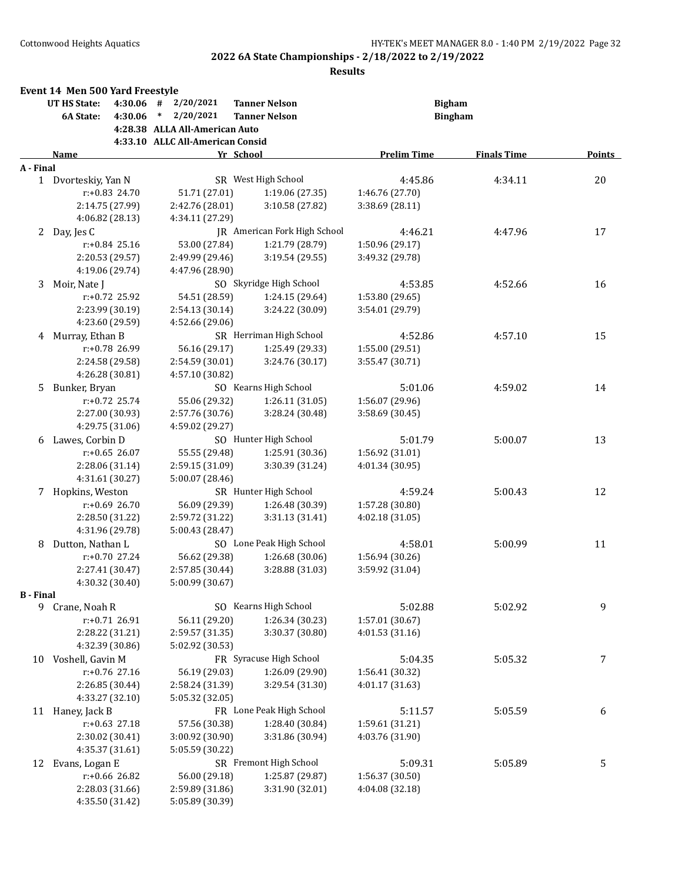|           | Event 14 Men 500 Yard Freestyle |                  |                                  |                                     |                    |                    |        |
|-----------|---------------------------------|------------------|----------------------------------|-------------------------------------|--------------------|--------------------|--------|
|           | <b>UT HS State:</b>             |                  | $4:30.06$ # $2/20/2021$          | <b>Tanner Nelson</b>                | <b>Bigham</b>      |                    |        |
|           | 6A State:                       | 4:30.06          | $*$<br>2/20/2021                 | <b>Tanner Nelson</b>                |                    | <b>Bingham</b>     |        |
|           |                                 |                  | 4:28.38 ALLA All-American Auto   |                                     |                    |                    |        |
|           |                                 |                  | 4:33.10 ALLC All-American Consid |                                     |                    |                    |        |
|           | Name                            |                  |                                  | Yr School                           | <b>Prelim Time</b> | <b>Finals Time</b> | Points |
| A - Final |                                 |                  |                                  |                                     |                    |                    |        |
|           | 1 Dvorteskiy, Yan N             |                  |                                  | SR West High School                 | 4:45.86            | 4:34.11            | 20     |
|           |                                 | $r: +0.83$ 24.70 | 51.71 (27.01)                    | 1:19.06 (27.35)                     | 1:46.76 (27.70)    |                    |        |
|           |                                 | 2:14.75 (27.99)  | 2:42.76 (28.01)                  | 3:10.58 (27.82)                     | 3:38.69 (28.11)    |                    |        |
|           |                                 | 4:06.82 (28.13)  | 4:34.11 (27.29)                  |                                     |                    |                    |        |
| 2         | Day, Jes C                      |                  |                                  | <b>IR</b> American Fork High School | 4:46.21            | 4:47.96            | 17     |
|           |                                 | $r: +0.84$ 25.16 | 53.00 (27.84)                    | 1:21.79 (28.79)                     | 1:50.96 (29.17)    |                    |        |
|           |                                 | 2:20.53 (29.57)  | 2:49.99 (29.46)                  | 3:19.54(29.55)                      | 3:49.32 (29.78)    |                    |        |
|           |                                 | 4:19.06 (29.74)  | 4:47.96 (28.90)                  |                                     |                    |                    |        |
| 3         | Moir, Nate J                    |                  |                                  | SO Skyridge High School             | 4:53.85            | 4:52.66            | 16     |
|           |                                 | $r: +0.72$ 25.92 | 54.51 (28.59)                    | 1:24.15 (29.64)                     | 1:53.80 (29.65)    |                    |        |
|           |                                 | 2:23.99 (30.19)  | 2:54.13 (30.14)                  | 3:24.22 (30.09)                     | 3:54.01 (29.79)    |                    |        |
|           |                                 | 4:23.60 (29.59)  | 4:52.66 (29.06)                  |                                     |                    |                    |        |
| 4         | Murray, Ethan B                 |                  |                                  | SR Herriman High School             | 4:52.86            | 4:57.10            | 15     |
|           |                                 | r:+0.78 26.99    | 56.16 (29.17)                    | 1:25.49 (29.33)                     | 1:55.00 (29.51)    |                    |        |
|           |                                 | 2:24.58 (29.58)  | 2:54.59 (30.01)                  | 3:24.76 (30.17)                     | 3:55.47 (30.71)    |                    |        |
|           |                                 | 4:26.28 (30.81)  | 4:57.10 (30.82)                  |                                     |                    |                    |        |
| 5.        | Bunker, Bryan                   |                  |                                  | SO Kearns High School               | 5:01.06            | 4:59.02            | 14     |
|           |                                 | $r: +0.72$ 25.74 | 55.06 (29.32)                    | 1:26.11 (31.05)                     | 1:56.07 (29.96)    |                    |        |
|           |                                 | 2:27.00 (30.93)  | 2:57.76 (30.76)                  | 3:28.24 (30.48)                     | 3:58.69 (30.45)    |                    |        |
|           |                                 | 4:29.75 (31.06)  | 4:59.02 (29.27)                  |                                     |                    |                    |        |
| 6         | Lawes, Corbin D                 |                  |                                  | SO Hunter High School               | 5:01.79            | 5:00.07            | 13     |
|           |                                 | $r: +0.65$ 26.07 | 55.55 (29.48)                    | 1:25.91 (30.36)                     | 1:56.92 (31.01)    |                    |        |
|           |                                 | 2:28.06 (31.14)  | 2:59.15 (31.09)                  | 3:30.39 (31.24)                     | 4:01.34 (30.95)    |                    |        |
|           |                                 | 4:31.61 (30.27)  | 5:00.07 (28.46)                  |                                     |                    |                    |        |
|           | 7 Hopkins, Weston               |                  |                                  | SR Hunter High School               | 4:59.24            | 5:00.43            | 12     |
|           |                                 | r:+0.69 26.70    | 56.09 (29.39)                    | 1:26.48 (30.39)                     | 1:57.28 (30.80)    |                    |        |
|           |                                 | 2:28.50 (31.22)  | 2:59.72 (31.22)                  | 3:31.13 (31.41)                     | 4:02.18 (31.05)    |                    |        |
|           |                                 | 4:31.96 (29.78)  | 5:00.43 (28.47)                  |                                     |                    |                    |        |
| 8         | Dutton, Nathan L                |                  |                                  | SO Lone Peak High School            | 4:58.01            | 5:00.99            | 11     |
|           |                                 | $r: +0.70$ 27.24 | 56.62 (29.38)                    | 1:26.68 (30.06)                     | 1:56.94 (30.26)    |                    |        |
|           |                                 | 2:27.41 (30.47)  | 2:57.85 (30.44)                  | 3:28.88 (31.03)                     | 3:59.92 (31.04)    |                    |        |
|           |                                 | 4:30.32 (30.40)  | 5:00.99 (30.67)                  |                                     |                    |                    |        |
| B - Final |                                 |                  |                                  |                                     |                    |                    |        |
|           | 9 Crane, Noah R                 |                  |                                  | SO Kearns High School               | 5:02.88            | 5:02.92            | 9      |
|           |                                 | r:+0.71 26.91    | 56.11 (29.20)                    | 1:26.34 (30.23)                     | 1:57.01 (30.67)    |                    |        |
|           |                                 | 2:28.22 (31.21)  | 2:59.57 (31.35)                  | 3:30.37 (30.80)                     | 4:01.53 (31.16)    |                    |        |
|           |                                 | 4:32.39 (30.86)  | 5:02.92 (30.53)                  |                                     |                    |                    |        |
|           | 10 Voshell, Gavin M             |                  |                                  | FR Syracuse High School             | 5:04.35            | 5:05.32            | 7      |
|           |                                 | r:+0.76 27.16    | 56.19 (29.03)                    | 1:26.09 (29.90)                     | 1:56.41 (30.32)    |                    |        |
|           |                                 | 2:26.85 (30.44)  | 2:58.24 (31.39)                  | 3:29.54 (31.30)                     | 4:01.17 (31.63)    |                    |        |
|           |                                 | 4:33.27 (32.10)  | 5:05.32 (32.05)                  |                                     |                    |                    |        |
|           | 11 Haney, Jack B                |                  |                                  | FR Lone Peak High School            | 5:11.57            | 5:05.59            | 6      |
|           |                                 | $r: +0.63$ 27.18 | 57.56 (30.38)                    | 1:28.40 (30.84)                     | 1:59.61 (31.21)    |                    |        |
|           |                                 | 2:30.02 (30.41)  | 3:00.92 (30.90)                  | 3:31.86 (30.94)                     | 4:03.76 (31.90)    |                    |        |
|           |                                 | 4:35.37 (31.61)  | 5:05.59 (30.22)                  |                                     |                    |                    |        |
| 12        | Evans, Logan E                  |                  |                                  | SR Fremont High School              | 5:09.31            | 5:05.89            | 5      |
|           |                                 | r:+0.66 26.82    | 56.00 (29.18)                    | 1:25.87 (29.87)                     | 1:56.37 (30.50)    |                    |        |
|           |                                 | 2:28.03 (31.66)  | 2:59.89 (31.86)                  | 3:31.90 (32.01)                     | 4:04.08 (32.18)    |                    |        |
|           |                                 | 4:35.50 (31.42)  | 5:05.89 (30.39)                  |                                     |                    |                    |        |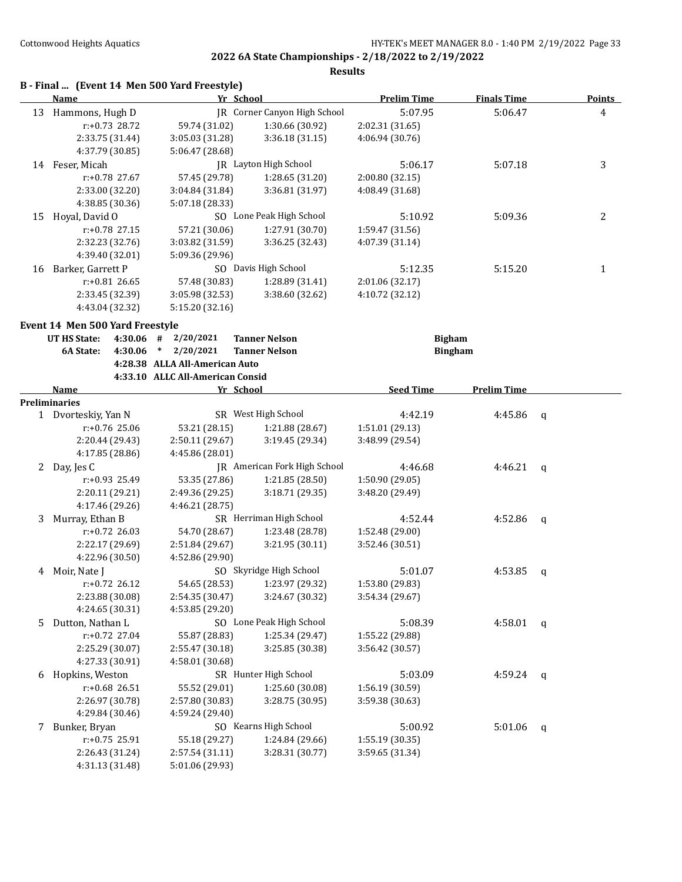|    | B - Final  (Event 14 Men 500 Yard Freestyle) |                                  |                                     |                    |                    |             |                |
|----|----------------------------------------------|----------------------------------|-------------------------------------|--------------------|--------------------|-------------|----------------|
|    | Name                                         | Yr School                        |                                     | <b>Prelim Time</b> | <b>Finals Time</b> |             | <b>Points</b>  |
| 13 | Hammons, Hugh D                              |                                  | <b>JR</b> Corner Canyon High School | 5:07.95            | 5:06.47            |             | $\overline{4}$ |
|    | $r: +0.73$ 28.72                             | 59.74 (31.02)                    | 1:30.66 (30.92)                     | 2:02.31 (31.65)    |                    |             |                |
|    | 2:33.75 (31.44)                              | 3:05.03 (31.28)                  | 3:36.18 (31.15)                     | 4:06.94 (30.76)    |                    |             |                |
|    | 4:37.79 (30.85)                              | 5:06.47 (28.68)                  |                                     |                    |                    |             |                |
|    | 14 Feser, Micah                              |                                  | JR Layton High School               | 5:06.17            | 5:07.18            |             | 3              |
|    | r:+0.78 27.67                                | 57.45 (29.78)                    | 1:28.65 (31.20)                     | 2:00.80 (32.15)    |                    |             |                |
|    | 2:33.00 (32.20)                              | 3:04.84 (31.84)                  | 3:36.81 (31.97)                     | 4:08.49 (31.68)    |                    |             |                |
|    | 4:38.85 (30.36)                              | 5:07.18 (28.33)                  |                                     |                    |                    |             |                |
| 15 | Hoyal, David O                               |                                  | SO Lone Peak High School            | 5:10.92            | 5:09.36            |             | 2              |
|    | r:+0.78 27.15                                | 57.21 (30.06)                    | 1:27.91 (30.70)                     | 1:59.47 (31.56)    |                    |             |                |
|    | 2:32.23 (32.76)                              | 3:03.82 (31.59)                  | 3:36.25 (32.43)                     | 4:07.39 (31.14)    |                    |             |                |
|    | 4:39.40 (32.01)                              | 5:09.36 (29.96)                  |                                     |                    |                    |             |                |
| 16 | Barker, Garrett P                            |                                  | SO Davis High School                | 5:12.35            | 5:15.20            |             | 1              |
|    | r:+0.81 26.65                                | 57.48 (30.83)                    | 1:28.89 (31.41)                     | 2:01.06 (32.17)    |                    |             |                |
|    | 2:33.45 (32.39)                              | 3:05.98 (32.53)                  | 3:38.60 (32.62)                     | 4:10.72 (32.12)    |                    |             |                |
|    | 4:43.04 (32.32)                              | 5:15.20 (32.16)                  |                                     |                    |                    |             |                |
|    | Event 14 Men 500 Yard Freestyle              |                                  |                                     |                    |                    |             |                |
|    | <b>UT HS State:</b>                          | $4:30.06$ # $2/20/2021$          | <b>Tanner Nelson</b>                | <b>Bigham</b>      |                    |             |                |
|    | 6A State:<br>4:30.06                         | $*$ 2/20/2021                    | <b>Tanner Nelson</b>                |                    | <b>Bingham</b>     |             |                |
|    |                                              | 4:28.38 ALLA All-American Auto   |                                     |                    |                    |             |                |
|    |                                              | 4:33.10 ALLC All-American Consid |                                     |                    |                    |             |                |
|    | <b>Name</b>                                  | Yr School                        |                                     | <b>Seed Time</b>   | <b>Prelim Time</b> |             |                |
|    | Preliminaries                                |                                  |                                     |                    |                    |             |                |
|    | 1 Dvorteskiy, Yan N                          |                                  | SR West High School                 | 4:42.19            | 4:45.86            | q           |                |
|    | r:+0.76 25.06                                | 53.21 (28.15)                    | 1:21.88 (28.67)                     | 1:51.01 (29.13)    |                    |             |                |
|    | 2:20.44 (29.43)                              | 2:50.11 (29.67)                  | 3:19.45 (29.34)                     | 3:48.99 (29.54)    |                    |             |                |
|    | 4:17.85 (28.86)                              | 4:45.86 (28.01)                  |                                     |                    |                    |             |                |
| 2  | Day, Jes C                                   |                                  | <b>IR</b> American Fork High School | 4:46.68            | 4:46.21            | $\mathbf q$ |                |
|    | r:+0.93 25.49                                | 53.35 (27.86)                    | 1:21.85 (28.50)                     | 1:50.90(29.05)     |                    |             |                |
|    | 2:20.11 (29.21)                              | 2:49.36 (29.25)                  | 3:18.71 (29.35)                     | 3:48.20 (29.49)    |                    |             |                |
|    | 4:17.46 (29.26)                              | 4:46.21 (28.75)                  |                                     |                    |                    |             |                |
| 3  | Murray, Ethan B                              |                                  | SR Herriman High School             | 4:52.44            | 4:52.86            | q           |                |
|    | $r: +0.72$ 26.03                             | 54.70 (28.67)                    | 1:23.48 (28.78)                     | 1:52.48 (29.00)    |                    |             |                |
|    | 2:22.17 (29.69)                              | 2:51.84 (29.67)                  | 3:21.95 (30.11)                     | 3:52.46 (30.51)    |                    |             |                |
|    | 4:22.96 (30.50)                              | 4:52.86 (29.90)                  |                                     |                    |                    |             |                |
| 4  | Moir, Nate J                                 |                                  | SO Skyridge High School             | 5:01.07            | 4:53.85            | q           |                |
|    | $r: +0.72$ 26.12                             | 54.65 (28.53)                    | 1:23.97 (29.32)                     | 1:53.80 (29.83)    |                    |             |                |
|    | 2:23.88 (30.08)                              | 2:54.35 (30.47)                  | 3:24.67 (30.32)                     | 3:54.34 (29.67)    |                    |             |                |
|    | 4:24.65 (30.31)                              | 4:53.85 (29.20)                  |                                     |                    |                    |             |                |
| 5  | Dutton, Nathan L                             |                                  | SO Lone Peak High School            | 5:08.39            | 4:58.01            | $\mathbf q$ |                |
|    | r:+0.72 27.04                                | 55.87 (28.83)                    | 1:25.34 (29.47)                     | 1:55.22 (29.88)    |                    |             |                |
|    | 2:25.29 (30.07)                              | 2:55.47 (30.18)                  | 3:25.85 (30.38)                     | 3:56.42 (30.57)    |                    |             |                |
|    | 4:27.33 (30.91)                              | 4:58.01 (30.68)                  |                                     |                    |                    |             |                |
| 6  | Hopkins, Weston                              |                                  | SR Hunter High School               | 5:03.09            | 4:59.24            | q           |                |
|    | r:+0.68 26.51                                | 55.52 (29.01)                    | 1:25.60 (30.08)                     | 1:56.19 (30.59)    |                    |             |                |
|    | 2:26.97 (30.78)                              | 2:57.80 (30.83)                  | 3:28.75 (30.95)                     | 3:59.38 (30.63)    |                    |             |                |
|    | 4:29.84 (30.46)                              | 4:59.24 (29.40)                  |                                     |                    |                    |             |                |
| 7  | Bunker, Bryan                                |                                  | SO Kearns High School               | 5:00.92            | 5:01.06            | q           |                |
|    | r:+0.75 25.91                                | 55.18 (29.27)                    | 1:24.84 (29.66)                     | 1:55.19 (30.35)    |                    |             |                |
|    | 2:26.43 (31.24)                              | 2:57.54 (31.11)                  | 3:28.31 (30.77)                     | 3:59.65 (31.34)    |                    |             |                |
|    | 4:31.13 (31.48)                              | 5:01.06 (29.93)                  |                                     |                    |                    |             |                |
|    |                                              |                                  |                                     |                    |                    |             |                |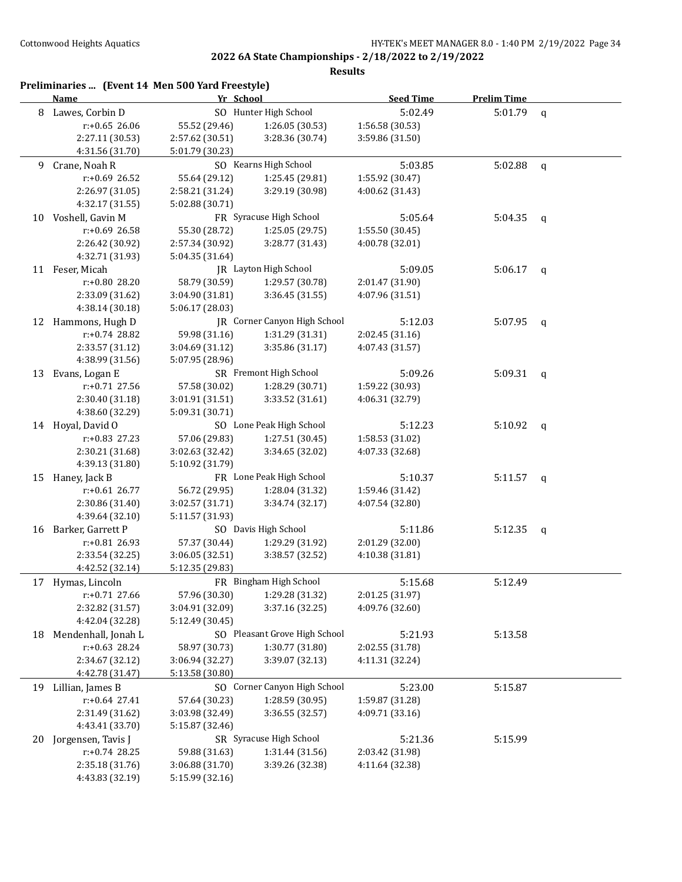|    | Preliminaries  (Event 14 Men 500 Yard Freestyle)<br><b>Name</b> | Yr School       |                               | <b>Seed Time</b> | <b>Prelim Time</b> |              |
|----|-----------------------------------------------------------------|-----------------|-------------------------------|------------------|--------------------|--------------|
| 8  | Lawes, Corbin D                                                 |                 | SO Hunter High School         | 5:02.49          | 5:01.79            | $\mathbf q$  |
|    | r:+0.65 26.06                                                   | 55.52 (29.46)   | 1:26.05 (30.53)               | 1:56.58 (30.53)  |                    |              |
|    | 2:27.11 (30.53)                                                 | 2:57.62 (30.51) | 3:28.36 (30.74)               | 3:59.86 (31.50)  |                    |              |
|    | 4:31.56 (31.70)                                                 | 5:01.79 (30.23) |                               |                  |                    |              |
| 9  | Crane, Noah R                                                   |                 | SO Kearns High School         | 5:03.85          | 5:02.88            | $\mathsf{q}$ |
|    | r:+0.69 26.52                                                   | 55.64 (29.12)   | 1:25.45 (29.81)               | 1:55.92 (30.47)  |                    |              |
|    | 2:26.97 (31.05)                                                 | 2:58.21 (31.24) | 3:29.19 (30.98)               | 4:00.62 (31.43)  |                    |              |
|    | 4:32.17 (31.55)                                                 | 5:02.88 (30.71) |                               |                  |                    |              |
| 10 | Voshell, Gavin M                                                |                 | FR Syracuse High School       | 5:05.64          | 5:04.35            | q            |
|    | r:+0.69 26.58                                                   | 55.30 (28.72)   | 1:25.05 (29.75)               | 1:55.50 (30.45)  |                    |              |
|    | 2:26.42 (30.92)                                                 | 2:57.34 (30.92) | 3:28.77 (31.43)               | 4:00.78 (32.01)  |                    |              |
|    | 4:32.71 (31.93)                                                 | 5:04.35 (31.64) |                               |                  |                    |              |
|    | 11 Feser, Micah                                                 |                 | JR Layton High School         | 5:09.05          | 5:06.17            | $\mathsf{q}$ |
|    | r:+0.80 28.20                                                   | 58.79 (30.59)   | 1:29.57 (30.78)               | 2:01.47 (31.90)  |                    |              |
|    | 2:33.09 (31.62)                                                 | 3:04.90 (31.81) | 3:36.45 (31.55)               | 4:07.96 (31.51)  |                    |              |
|    | 4:38.14 (30.18)                                                 | 5:06.17 (28.03) |                               |                  |                    |              |
|    | 12 Hammons, Hugh D                                              |                 | JR Corner Canyon High School  | 5:12.03          | 5:07.95            | q            |
|    | $r: +0.74$ 28.82                                                | 59.98 (31.16)   | 1:31.29 (31.31)               | 2:02.45 (31.16)  |                    |              |
|    | 2:33.57 (31.12)                                                 | 3:04.69 (31.12) | 3:35.86 (31.17)               | 4:07.43 (31.57)  |                    |              |
|    | 4:38.99 (31.56)                                                 | 5:07.95 (28.96) |                               |                  |                    |              |
| 13 | Evans, Logan E                                                  |                 | SR Fremont High School        | 5:09.26          | 5:09.31            | q            |
|    | r:+0.71 27.56                                                   | 57.58 (30.02)   | 1:28.29 (30.71)               | 1:59.22 (30.93)  |                    |              |
|    | 2:30.40 (31.18)                                                 | 3:01.91 (31.51) | 3:33.52 (31.61)               | 4:06.31 (32.79)  |                    |              |
|    | 4:38.60 (32.29)                                                 | 5:09.31 (30.71) |                               |                  |                    |              |
|    | 14 Hoyal, David O                                               |                 | SO Lone Peak High School      | 5:12.23          | 5:10.92            | q            |
|    | $r: +0.83$ 27.23                                                | 57.06 (29.83)   | 1:27.51 (30.45)               | 1:58.53 (31.02)  |                    |              |
|    | 2:30.21 (31.68)                                                 | 3:02.63 (32.42) | 3:34.65 (32.02)               | 4:07.33 (32.68)  |                    |              |
|    | 4:39.13 (31.80)                                                 | 5:10.92 (31.79) |                               |                  |                    |              |
| 15 | Haney, Jack B                                                   |                 | FR Lone Peak High School      | 5:10.37          | 5:11.57            | q            |
|    | r:+0.61 26.77                                                   | 56.72 (29.95)   | 1:28.04 (31.32)               | 1:59.46 (31.42)  |                    |              |
|    | 2:30.86 (31.40)                                                 | 3:02.57 (31.71) | 3:34.74 (32.17)               | 4:07.54 (32.80)  |                    |              |
|    | 4:39.64 (32.10)                                                 | 5:11.57 (31.93) |                               |                  |                    |              |
| 16 | Barker, Garrett P                                               |                 | SO Davis High School          | 5:11.86          | 5:12.35            | q            |
|    | $r: +0.81$ 26.93                                                | 57.37 (30.44)   | 1:29.29 (31.92)               | 2:01.29 (32.00)  |                    |              |
|    | 2:33.54 (32.25)                                                 | 3:06.05 (32.51) | 3:38.57 (32.52)               | 4:10.38 (31.81)  |                    |              |
|    | 4:42.52 (32.14)                                                 | 5:12.35 (29.83) | FR Bingham High School        | 5:15.68          | 5:12.49            |              |
| 17 | Hymas, Lincoln<br>r:+0.71 27.66                                 | 57.96 (30.30)   | 1:29.28 (31.32)               | 2:01.25 (31.97)  |                    |              |
|    | 2:32.82 (31.57)                                                 | 3:04.91 (32.09) | 3:37.16 (32.25)               | 4:09.76 (32.60)  |                    |              |
|    | 4:42.04 (32.28)                                                 | 5:12.49 (30.45) |                               |                  |                    |              |
| 18 | Mendenhall, Jonah L                                             |                 | SO Pleasant Grove High School | 5:21.93          | 5:13.58            |              |
|    | $r: +0.63$ 28.24                                                | 58.97 (30.73)   | 1:30.77 (31.80)               | 2:02.55 (31.78)  |                    |              |
|    | 2:34.67 (32.12)                                                 | 3:06.94 (32.27) | 3:39.07 (32.13)               | 4:11.31 (32.24)  |                    |              |
|    | 4:42.78 (31.47)                                                 | 5:13.58 (30.80) |                               |                  |                    |              |
| 19 | Lillian, James B                                                |                 | SO Corner Canyon High School  | 5:23.00          | 5:15.87            |              |
|    | r:+0.64 27.41                                                   | 57.64 (30.23)   | 1:28.59 (30.95)               | 1:59.87 (31.28)  |                    |              |
|    | 2:31.49 (31.62)                                                 | 3:03.98 (32.49) | 3:36.55 (32.57)               | 4:09.71 (33.16)  |                    |              |
|    | 4:43.41 (33.70)                                                 | 5:15.87 (32.46) |                               |                  |                    |              |
| 20 | Jorgensen, Tavis J                                              |                 | SR Syracuse High School       | 5:21.36          | 5:15.99            |              |
|    | r:+0.74 28.25                                                   | 59.88 (31.63)   | 1:31.44 (31.56)               | 2:03.42 (31.98)  |                    |              |
|    | 2:35.18 (31.76)                                                 | 3:06.88 (31.70) | 3:39.26 (32.38)               | 4:11.64 (32.38)  |                    |              |
|    | 4:43.83 (32.19)                                                 | 5:15.99 (32.16) |                               |                  |                    |              |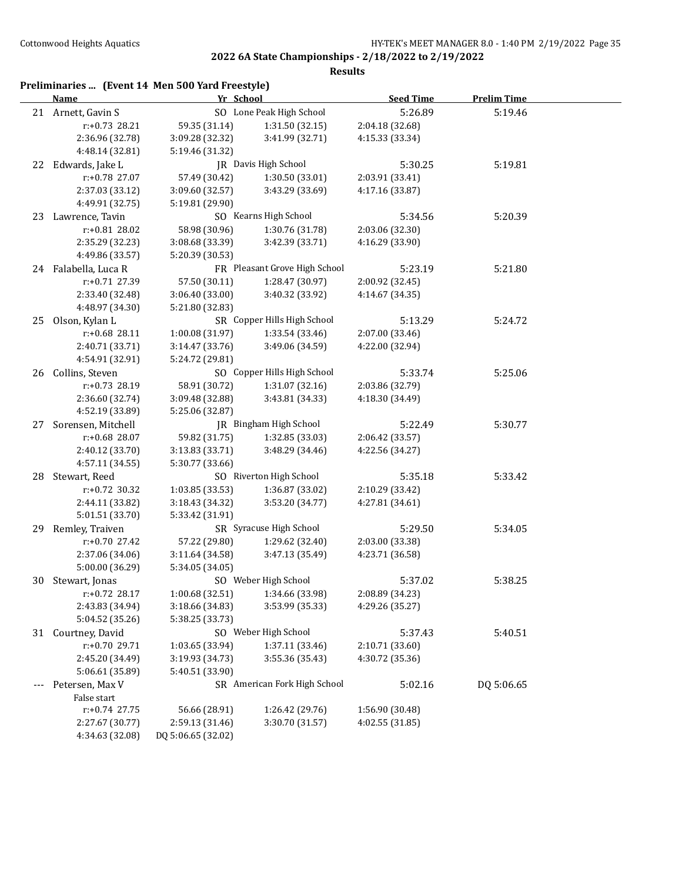| Preliminaries  (Event 14 Men 500 Yard Freestyle) |  |  |  |  |
|--------------------------------------------------|--|--|--|--|
|--------------------------------------------------|--|--|--|--|

|    | <b>Name</b>          | Yr School          |                                   | <b>Seed Time</b> | <b>Prelim Time</b> |  |
|----|----------------------|--------------------|-----------------------------------|------------------|--------------------|--|
|    | 21 Arnett, Gavin S   |                    | SO Lone Peak High School          | 5:26.89          | 5:19.46            |  |
|    | r:+0.73 28.21        | 59.35 (31.14)      | 1:31.50 (32.15)                   | 2:04.18 (32.68)  |                    |  |
|    | 2:36.96 (32.78)      | 3:09.28 (32.32)    | 3:41.99 (32.71)                   | 4:15.33 (33.34)  |                    |  |
|    | 4:48.14 (32.81)      | 5:19.46 (31.32)    |                                   |                  |                    |  |
|    | 22 Edwards, Jake L   |                    | JR Davis High School              | 5:30.25          | 5:19.81            |  |
|    | r:+0.78 27.07        | 57.49 (30.42)      | 1:30.50 (33.01)                   | 2:03.91 (33.41)  |                    |  |
|    | 2:37.03 (33.12)      | 3:09.60 (32.57)    | 3:43.29 (33.69)                   | 4:17.16 (33.87)  |                    |  |
|    | 4:49.91 (32.75)      | 5:19.81 (29.90)    |                                   |                  |                    |  |
| 23 | Lawrence, Tavin      |                    | SO Kearns High School             | 5:34.56          | 5:20.39            |  |
|    | r:+0.81 28.02        | 58.98 (30.96)      | 1:30.76 (31.78)                   | 2:03.06 (32.30)  |                    |  |
|    | 2:35.29 (32.23)      | 3:08.68 (33.39)    | 3:42.39 (33.71)                   | 4:16.29 (33.90)  |                    |  |
|    | 4:49.86 (33.57)      | 5:20.39 (30.53)    |                                   |                  |                    |  |
|    | 24 Falabella, Luca R |                    | FR Pleasant Grove High School     | 5:23.19          | 5:21.80            |  |
|    | r:+0.71 27.39        | 57.50 (30.11)      | 1:28.47 (30.97)                   | 2:00.92 (32.45)  |                    |  |
|    | 2:33.40 (32.48)      | 3:06.40 (33.00)    | 3:40.32 (33.92)                   | 4:14.67 (34.35)  |                    |  |
|    | 4:48.97 (34.30)      | 5:21.80 (32.83)    |                                   |                  |                    |  |
|    | 25 Olson, Kylan L    |                    | SR Copper Hills High School       | 5:13.29          | 5:24.72            |  |
|    | r:+0.68 28.11        | 1:00.08 (31.97)    | 1:33.54 (33.46)                   | 2:07.00 (33.46)  |                    |  |
|    | 2:40.71 (33.71)      | 3:14.47 (33.76)    | 3:49.06 (34.59)                   | 4:22.00 (32.94)  |                    |  |
|    | 4:54.91 (32.91)      | 5:24.72 (29.81)    |                                   |                  |                    |  |
|    | 26 Collins, Steven   |                    | SO Copper Hills High School       | 5:33.74          | 5:25.06            |  |
|    | r:+0.73 28.19        | 58.91 (30.72)      | 1:31.07 (32.16)                   | 2:03.86 (32.79)  |                    |  |
|    | 2:36.60 (32.74)      | 3:09.48 (32.88)    | 3:43.81 (34.33)                   | 4:18.30 (34.49)  |                    |  |
|    | 4:52.19 (33.89)      | 5:25.06 (32.87)    |                                   |                  |                    |  |
| 27 | Sorensen, Mitchell   |                    | JR Bingham High School            | 5:22.49          | 5:30.77            |  |
|    | r:+0.68 28.07        | 59.82 (31.75)      | 1:32.85 (33.03)                   | 2:06.42 (33.57)  |                    |  |
|    | 2:40.12 (33.70)      | 3:13.83 (33.71)    | 3:48.29 (34.46)                   | 4:22.56 (34.27)  |                    |  |
|    | 4:57.11 (34.55)      | 5:30.77 (33.66)    |                                   |                  |                    |  |
|    | 28 Stewart, Reed     |                    | SO Riverton High School           | 5:35.18          | 5:33.42            |  |
|    | $r: +0.72$ 30.32     | 1:03.85 (33.53)    | 1:36.87 (33.02)                   | 2:10.29 (33.42)  |                    |  |
|    | 2:44.11 (33.82)      | 3:18.43 (34.32)    | 3:53.20 (34.77)                   | 4:27.81 (34.61)  |                    |  |
|    | 5:01.51 (33.70)      | 5:33.42 (31.91)    |                                   |                  |                    |  |
| 29 | Remley, Traiven      |                    | SR Syracuse High School           | 5:29.50          | 5:34.05            |  |
|    | $r: +0.70$ 27.42     | 57.22 (29.80)      | 1:29.62 (32.40)                   | 2:03.00 (33.38)  |                    |  |
|    | 2:37.06 (34.06)      | 3:11.64 (34.58)    | 3:47.13 (35.49)                   | 4:23.71 (36.58)  |                    |  |
|    | 5:00.00 (36.29)      | 5:34.05 (34.05)    |                                   |                  |                    |  |
|    | 30 Stewart, Jonas    |                    | SO Weber High School              | 5:37.02          | 5:38.25            |  |
|    | r:+0.72 28.17        |                    | $1:00.68(32.51)$ $1:34.66(33.98)$ | 2:08.89 (34.23)  |                    |  |
|    | 2:43.83 (34.94)      | 3:18.66 (34.83)    | 3:53.99 (35.33)                   | 4:29.26 (35.27)  |                    |  |
|    | 5:04.52 (35.26)      | 5:38.25 (33.73)    |                                   |                  |                    |  |
|    | 31 Courtney, David   |                    | SO Weber High School              | 5:37.43          | 5:40.51            |  |
|    | r:+0.70 29.71        | 1:03.65 (33.94)    | 1:37.11 (33.46)                   | 2:10.71 (33.60)  |                    |  |
|    | 2:45.20 (34.49)      | 3:19.93 (34.73)    | 3:55.36 (35.43)                   | 4:30.72 (35.36)  |                    |  |
|    | 5:06.61 (35.89)      | 5:40.51 (33.90)    |                                   |                  |                    |  |
|    | Petersen, Max V      |                    | SR American Fork High School      | 5:02.16          | DQ 5:06.65         |  |
|    | False start          |                    |                                   |                  |                    |  |
|    | r:+0.74 27.75        | 56.66 (28.91)      | 1:26.42 (29.76)                   | 1:56.90 (30.48)  |                    |  |
|    | 2:27.67 (30.77)      | 2:59.13 (31.46)    | 3:30.70 (31.57)                   | 4:02.55 (31.85)  |                    |  |
|    | 4:34.63 (32.08)      | DQ 5:06.65 (32.02) |                                   |                  |                    |  |
|    |                      |                    |                                   |                  |                    |  |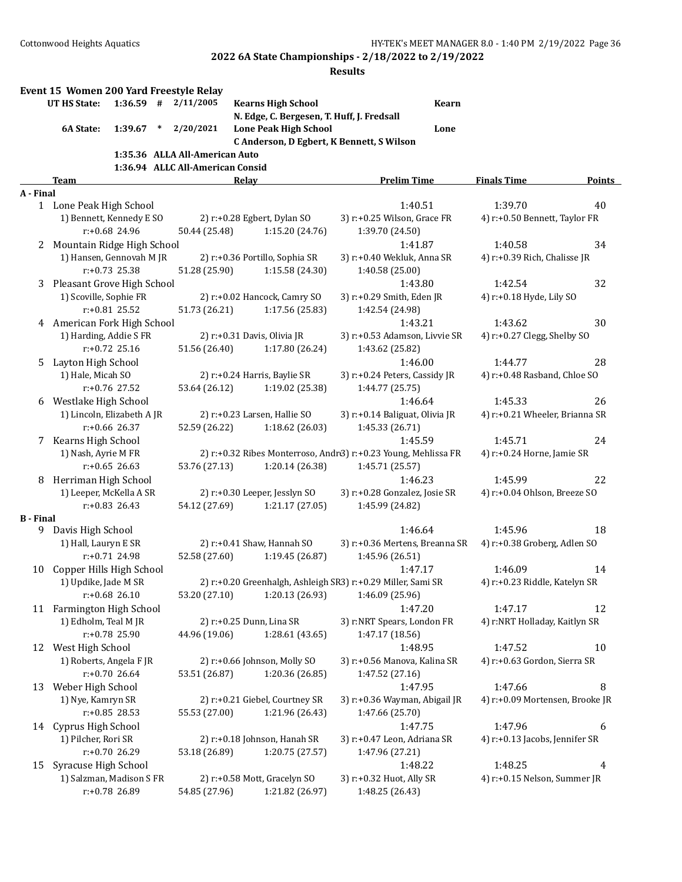|                  | Event 15 Women 200 Yard Freestyle Relay   |                  |        |                                  |       |                                |                                                                |              |                                          |        |
|------------------|-------------------------------------------|------------------|--------|----------------------------------|-------|--------------------------------|----------------------------------------------------------------|--------------|------------------------------------------|--------|
|                  | UT HS State:                              | $1:36.59$ #      |        | 2/11/2005                        |       | <b>Kearns High School</b>      |                                                                | <b>Kearn</b> |                                          |        |
|                  |                                           |                  |        |                                  |       |                                | N. Edge, C. Bergesen, T. Huff, J. Fredsall                     |              |                                          |        |
|                  | 6A State:                                 | 1:39.67          | $\ast$ | 2/20/2021                        |       | <b>Lone Peak High School</b>   |                                                                | Lone         |                                          |        |
|                  |                                           |                  |        |                                  |       |                                | C Anderson, D Egbert, K Bennett, S Wilson                      |              |                                          |        |
|                  |                                           |                  |        | 1:35.36 ALLA All-American Auto   |       |                                |                                                                |              |                                          |        |
|                  |                                           |                  |        | 1:36.94 ALLC All-American Consid |       |                                |                                                                |              |                                          |        |
|                  | Team                                      |                  |        |                                  | Relay |                                | <b>Prelim Time</b>                                             |              | <b>Finals Time</b>                       | Points |
| A - Final        |                                           |                  |        |                                  |       |                                |                                                                |              |                                          |        |
|                  | 1 Lone Peak High School                   |                  |        |                                  |       | 2) r:+0.28 Egbert, Dylan SO    | 1:40.51<br>3) r:+0.25 Wilson, Grace FR                         |              | 1:39.70<br>4) r:+0.50 Bennett, Taylor FR | 40     |
|                  | 1) Bennett, Kennedy E SO                  | r:+0.68 24.96    |        | 50.44 (25.48)                    |       | 1:15.20 (24.76)                | 1:39.70 (24.50)                                                |              |                                          |        |
|                  | 2 Mountain Ridge High School              |                  |        |                                  |       |                                | 1:41.87                                                        |              | 1:40.58                                  | 34     |
|                  | 1) Hansen, Gennovah M JR                  |                  |        |                                  |       | 2) r:+0.36 Portillo, Sophia SR | 3) r:+0.40 Wekluk, Anna SR                                     |              | 4) r:+0.39 Rich, Chalisse JR             |        |
|                  |                                           | $r: +0.73$ 25.38 |        | 51.28 (25.90)                    |       | 1:15.58 (24.30)                | 1:40.58 (25.00)                                                |              |                                          |        |
|                  | 3 Pleasant Grove High School              |                  |        |                                  |       |                                | 1:43.80                                                        |              | 1:42.54                                  | 32     |
|                  | 1) Scoville, Sophie FR                    |                  |        |                                  |       | 2) r:+0.02 Hancock, Camry SO   | 3) r:+0.29 Smith, Eden JR                                      |              | 4) r:+0.18 Hyde, Lily SO                 |        |
|                  |                                           | $r: +0.81$ 25.52 |        | 51.73 (26.21)                    |       | 1:17.56 (25.83)                | 1:42.54 (24.98)                                                |              |                                          |        |
|                  | 4 American Fork High School               |                  |        |                                  |       |                                | 1:43.21                                                        |              | 1:43.62                                  | 30     |
|                  | 1) Harding, Addie S FR                    |                  |        |                                  |       | 2) r:+0.31 Davis, Olivia JR    | 3) r:+0.53 Adamson, Livvie SR                                  |              | 4) r:+0.27 Clegg, Shelby SO              |        |
|                  |                                           | $r: +0.72$ 25.16 |        | 51.56 (26.40)                    |       | 1:17.80 (26.24)                | 1:43.62 (25.82)                                                |              |                                          |        |
| 5.               | Layton High School                        |                  |        |                                  |       |                                | 1:46.00                                                        |              | 1:44.77                                  | 28     |
|                  | 1) Hale, Micah SO                         |                  |        |                                  |       | 2) r:+0.24 Harris, Baylie SR   | 3) r:+0.24 Peters, Cassidy JR                                  |              | 4) r:+0.48 Rasband, Chloe SO             |        |
|                  |                                           | $r: +0.76$ 27.52 |        | 53.64 (26.12)                    |       | 1:19.02 (25.38)                | 1:44.77 (25.75)                                                |              |                                          |        |
| 6                | Westlake High School                      |                  |        |                                  |       |                                | 1:46.64                                                        |              | 1:45.33                                  | 26     |
|                  | 1) Lincoln, Elizabeth A JR                |                  |        |                                  |       | 2) r:+0.23 Larsen, Hallie SO   | 3) r:+0.14 Baliguat, Olivia JR                                 |              | 4) r:+0.21 Wheeler, Brianna SR           |        |
|                  |                                           | $r: +0.66$ 26.37 |        | 52.59 (26.22)                    |       | 1:18.62(26.03)                 | 1:45.33 (26.71)                                                |              |                                          |        |
|                  | 7 Kearns High School                      |                  |        |                                  |       |                                | 1:45.59                                                        |              | 1:45.71                                  | 24     |
|                  | 1) Nash, Ayrie M FR                       |                  |        |                                  |       |                                | 2) r:+0.32 Ribes Monterroso, Andr3) r:+0.23 Young, Mehlissa FR |              | 4) r:+0.24 Horne, Jamie SR               |        |
|                  |                                           | $r: +0.65$ 26.63 |        | 53.76 (27.13)                    |       | 1:20.14 (26.38)                | 1:45.71 (25.57)                                                |              |                                          |        |
| 8                | Herriman High School                      |                  |        |                                  |       |                                | 1:46.23                                                        |              | 1:45.99                                  | 22     |
|                  | 1) Leeper, McKella A SR                   |                  |        |                                  |       | 2) r:+0.30 Leeper, Jesslyn SO  | 3) r:+0.28 Gonzalez, Josie SR                                  |              | 4) r:+0.04 Ohlson, Breeze SO             |        |
|                  |                                           | $r: +0.83$ 26.43 |        | 54.12 (27.69)                    |       | 1:21.17 (27.05)                | 1:45.99 (24.82)                                                |              |                                          |        |
| <b>B</b> - Final |                                           |                  |        |                                  |       |                                |                                                                |              |                                          |        |
| 9                | Davis High School<br>1) Hall, Lauryn E SR |                  |        |                                  |       | 2) r:+0.41 Shaw, Hannah SO     | 1:46.64<br>3) r:+0.36 Mertens, Breanna SR                      |              | 1:45.96                                  | 18     |
|                  |                                           | r:+0.71 24.98    |        | 52.58 (27.60)                    |       | 1:19.45 (26.87)                |                                                                |              | 4) r:+0.38 Groberg, Adlen SO             |        |
| 10               | Copper Hills High School                  |                  |        |                                  |       |                                | 1:45.96 (26.51)<br>1:47.17                                     |              | 1:46.09                                  | 14     |
|                  | 1) Updike, Jade M SR                      |                  |        |                                  |       |                                | 2) r:+0.20 Greenhalgh, Ashleigh SR3) r:+0.29 Miller, Sami SR   |              | 4) r:+0.23 Riddle, Katelyn SR            |        |
|                  |                                           | $r: +0.68$ 26.10 |        | 53.20 (27.10)                    |       | 1:20.13 (26.93)                | 1:46.09 (25.96)                                                |              |                                          |        |
|                  | 11 Farmington High School                 |                  |        |                                  |       |                                | 1:47.20                                                        |              | 1:47.17                                  | 12     |
|                  | 1) Edholm, Teal M JR                      |                  |        |                                  |       | 2) r:+0.25 Dunn, Lina SR       | 3) r:NRT Spears, London FR                                     |              | 4) r:NRT Holladay, Kaitlyn SR            |        |
|                  |                                           | r:+0.78 25.90    |        | 44.96 (19.06)                    |       | 1:28.61 (43.65)                | 1:47.17 (18.56)                                                |              |                                          |        |
|                  | 12 West High School                       |                  |        |                                  |       |                                | 1:48.95                                                        |              | 1:47.52                                  | 10     |
|                  | 1) Roberts, Angela F JR                   |                  |        |                                  |       | 2) r:+0.66 Johnson, Molly SO   | 3) r:+0.56 Manova, Kalina SR                                   |              | 4) r:+0.63 Gordon, Sierra SR             |        |
|                  |                                           | r:+0.70 26.64    |        | 53.51 (26.87)                    |       | 1:20.36 (26.85)                | 1:47.52 (27.16)                                                |              |                                          |        |
| 13               | Weber High School                         |                  |        |                                  |       |                                | 1:47.95                                                        |              | 1:47.66                                  | 8      |
|                  | 1) Nye, Kamryn SR                         |                  |        |                                  |       | 2) r:+0.21 Giebel, Courtney SR | 3) r:+0.36 Wayman, Abigail JR                                  |              | 4) r:+0.09 Mortensen, Brooke JR          |        |
|                  |                                           | $r: +0.85$ 28.53 |        | 55.53 (27.00)                    |       | 1:21.96 (26.43)                | 1:47.66 (25.70)                                                |              |                                          |        |
| 14               | Cyprus High School                        |                  |        |                                  |       |                                | 1:47.75                                                        |              | 1:47.96                                  | 6      |
|                  | 1) Pilcher, Rori SR                       |                  |        |                                  |       | 2) r:+0.18 Johnson, Hanah SR   | 3) r:+0.47 Leon, Adriana SR                                    |              | 4) r:+0.13 Jacobs, Jennifer SR           |        |
|                  |                                           | r:+0.70 26.29    |        | 53.18 (26.89)                    |       | 1:20.75 (27.57)                | 1:47.96 (27.21)                                                |              |                                          |        |
| 15               | Syracuse High School                      |                  |        |                                  |       |                                | 1:48.22                                                        |              | 1:48.25                                  | 4      |
|                  | 1) Salzman, Madison S FR                  |                  |        |                                  |       | 2) r:+0.58 Mott, Gracelyn SO   | 3) r:+0.32 Huot, Ally SR                                       |              | 4) r:+0.15 Nelson, Summer JR             |        |
|                  |                                           | r:+0.78 26.89    |        | 54.85 (27.96)                    |       | 1:21.82 (26.97)                | 1:48.25 (26.43)                                                |              |                                          |        |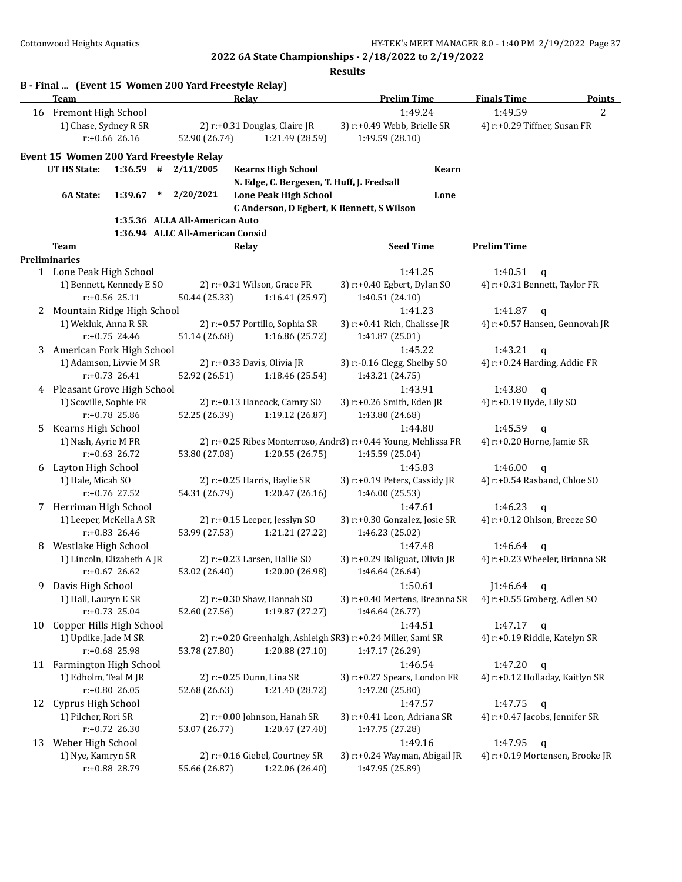|    | Team                         |                            | B - Final  (Event 15 Women 200 Yard Freestyle Relay) | Relay                        |                                | <b>Prelim Time</b>                                             | <b>Finals Time</b>              | <b>Points</b> |
|----|------------------------------|----------------------------|------------------------------------------------------|------------------------------|--------------------------------|----------------------------------------------------------------|---------------------------------|---------------|
|    | 16 Fremont High School       |                            |                                                      |                              |                                | 1:49.24                                                        | 1:49.59                         | 2             |
|    | 1) Chase, Sydney R SR        |                            |                                                      |                              | 2) r:+0.31 Douglas, Claire JR  | 3) r:+0.49 Webb, Brielle SR                                    | 4) r:+0.29 Tiffner, Susan FR    |               |
|    |                              | $r: +0.66$ 26.16           | 52.90 (26.74)                                        |                              | 1:21.49 (28.59)                | 1:49.59 (28.10)                                                |                                 |               |
|    |                              |                            |                                                      |                              |                                |                                                                |                                 |               |
|    |                              |                            | Event 15 Women 200 Yard Freestyle Relay              |                              |                                |                                                                |                                 |               |
|    | <b>UT HS State:</b>          | $1:36.59$ #                | 2/11/2005                                            |                              | <b>Kearns High School</b>      | <b>Kearn</b>                                                   |                                 |               |
|    |                              |                            |                                                      |                              |                                | N. Edge, C. Bergesen, T. Huff, J. Fredsall                     |                                 |               |
|    | 6A State:                    | 1:39.67                    | * $2/20/2021$                                        |                              | <b>Lone Peak High School</b>   | Lone                                                           |                                 |               |
|    |                              |                            | 1:35.36 ALLA All-American Auto                       |                              |                                | C Anderson, D Egbert, K Bennett, S Wilson                      |                                 |               |
|    |                              |                            | 1:36.94 ALLC All-American Consid                     |                              |                                |                                                                |                                 |               |
|    | <b>Team</b>                  |                            |                                                      | Relay                        |                                | <b>Seed Time</b>                                               | <b>Prelim Time</b>              |               |
|    | <b>Preliminaries</b>         |                            |                                                      |                              |                                |                                                                |                                 |               |
|    | 1 Lone Peak High School      |                            |                                                      |                              |                                | 1:41.25                                                        | 1:40.51<br>q                    |               |
|    |                              | 1) Bennett, Kennedy E SO   |                                                      | 2) r:+0.31 Wilson, Grace FR  |                                | 3) r:+0.40 Egbert, Dylan SO                                    | 4) r:+0.31 Bennett, Taylor FR   |               |
|    |                              | r:+0.56 25.11              | 50.44 (25.33)                                        |                              | 1:16.41 (25.97)                | 1:40.51 (24.10)                                                |                                 |               |
| 2  | Mountain Ridge High School   |                            |                                                      |                              |                                | 1:41.23                                                        | 1:41.87<br>$\mathbf{q}$         |               |
|    | 1) Wekluk, Anna R SR         |                            |                                                      |                              | 2) r:+0.57 Portillo, Sophia SR | 3) r:+0.41 Rich, Chalisse JR                                   | 4) r:+0.57 Hansen, Gennovah JR  |               |
|    |                              | $r: +0.75$ 24.46           | 51.14 (26.68)                                        |                              | 1:16.86 (25.72)                | 1:41.87 (25.01)                                                |                                 |               |
| 3  | American Fork High School    |                            |                                                      |                              |                                | 1:45.22                                                        | 1:43.21<br>$\mathbf q$          |               |
|    |                              | 1) Adamson, Livvie M SR    |                                                      | 2) r:+0.33 Davis, Olivia JR  |                                | 3) r:-0.16 Clegg, Shelby SO                                    | 4) r:+0.24 Harding, Addie FR    |               |
|    |                              | $r: +0.73$ 26.41           | 52.92 (26.51)                                        |                              | 1:18.46 (25.54)                | 1:43.21 (24.75)                                                |                                 |               |
|    | 4 Pleasant Grove High School |                            |                                                      |                              |                                | 1:43.91                                                        | 1:43.80<br>$\mathbf{q}$         |               |
|    | 1) Scoville, Sophie FR       |                            |                                                      | 2) r:+0.13 Hancock, Camry SO | 3) r:+0.26 Smith, Eden JR      | 4) r:+0.19 Hyde, Lily SO                                       |                                 |               |
|    |                              | r:+0.78 25.86              | 52.25 (26.39)                                        |                              | 1:19.12 (26.87)                | 1:43.80 (24.68)                                                |                                 |               |
| 5. | Kearns High School           |                            |                                                      |                              |                                | 1:44.80                                                        | 1:45.59<br>$\alpha$             |               |
|    | 1) Nash, Ayrie M FR          |                            |                                                      |                              |                                | 2) r:+0.25 Ribes Monterroso, Andr3) r:+0.44 Young, Mehlissa FR | 4) r:+0.20 Horne, Jamie SR      |               |
|    |                              | $r: +0.63$ 26.72           | 53.80 (27.08)                                        |                              | 1:20.55 (26.75)                | 1:45.59 (25.04)                                                |                                 |               |
| 6  | Layton High School           |                            |                                                      |                              |                                | 1:45.83                                                        | 1:46.00<br>$\mathbf{q}$         |               |
|    | 1) Hale, Micah SO            |                            |                                                      | 2) r:+0.25 Harris, Baylie SR |                                | 3) r:+0.19 Peters, Cassidy JR                                  | 4) r:+0.54 Rasband, Chloe SO    |               |
|    |                              | r:+0.76 27.52              | 54.31 (26.79)                                        |                              | 1:20.47 (26.16)                | 1:46.00 (25.53)                                                |                                 |               |
| 7  | Herriman High School         |                            |                                                      |                              |                                | 1:47.61                                                        | 1:46.23<br>$\mathbf{q}$         |               |
|    | 1) Leeper, McKella A SR      |                            |                                                      |                              | 2) r:+0.15 Leeper, Jesslyn SO  | 3) r:+0.30 Gonzalez, Josie SR                                  | 4) r:+0.12 Ohlson, Breeze SO    |               |
|    |                              | $r: +0.83$ 26.46           | 53.99 (27.53)                                        |                              | 1:21.21 (27.22)                | 1:46.23 (25.02)                                                |                                 |               |
| 8  | Westlake High School         |                            |                                                      |                              |                                | 1:47.48                                                        | 1:46.64<br>$\mathbf q$          |               |
|    |                              | 1) Lincoln, Elizabeth A JR |                                                      | 2) r:+0.23 Larsen, Hallie SO |                                | 3) r:+0.29 Baliguat, Olivia JR                                 | 4) r:+0.23 Wheeler, Brianna SR  |               |
|    |                              | $r+0.67$ 26.62             | 53.02 (26.40)                                        |                              | 1:20.00 (26.98)                | 1:46.64 (26.64)                                                |                                 |               |
| 9  | Davis High School            |                            |                                                      |                              |                                | 1:50.61                                                        | $1:46.64$ q                     |               |
|    | 1) Hall, Lauryn E SR         |                            |                                                      |                              | 2) r:+0.30 Shaw, Hannah SO     | 3) r:+0.40 Mertens, Breanna SR                                 | 4) r:+0.55 Groberg, Adlen SO    |               |
|    |                              | $r: +0.73$ 25.04           | 52.60 (27.56)                                        |                              | 1:19.87 (27.27)                | 1:46.64 (26.77)                                                |                                 |               |
| 10 | Copper Hills High School     |                            |                                                      |                              |                                | 1:44.51                                                        | 1:47.17<br>$\mathbf q$          |               |
|    | 1) Updike, Jade M SR         |                            |                                                      |                              |                                | 2) r:+0.20 Greenhalgh, Ashleigh SR3) r:+0.24 Miller, Sami SR   | 4) r:+0.19 Riddle, Katelyn SR   |               |
|    |                              | r:+0.68 25.98              | 53.78 (27.80)                                        |                              | 1:20.88 (27.10)                | 1:47.17 (26.29)                                                |                                 |               |
|    | 11 Farmington High School    |                            |                                                      |                              |                                | 1:46.54                                                        | 1:47.20<br>q                    |               |
|    | 1) Edholm, Teal M JR         |                            |                                                      | 2) r:+0.25 Dunn, Lina SR     |                                | 3) r:+0.27 Spears, London FR                                   | 4) r:+0.12 Holladay, Kaitlyn SR |               |
|    |                              | $r: +0.80$ 26.05           | 52.68 (26.63)                                        |                              | 1:21.40 (28.72)                | 1:47.20 (25.80)                                                |                                 |               |
| 12 | Cyprus High School           |                            |                                                      |                              |                                | 1:47.57                                                        | 1:47.75<br>q                    |               |
|    | 1) Pilcher, Rori SR          |                            |                                                      |                              | 2) r:+0.00 Johnson, Hanah SR   | 3) r:+0.41 Leon, Adriana SR                                    | 4) r:+0.47 Jacobs, Jennifer SR  |               |
|    |                              | r:+0.72 26.30              | 53.07 (26.77)                                        |                              | 1:20.47 (27.40)                | 1:47.75 (27.28)                                                |                                 |               |
| 13 | Weber High School            |                            |                                                      |                              |                                | 1:49.16                                                        | 1:47.95<br>q                    |               |
|    | 1) Nye, Kamryn SR            |                            |                                                      |                              | 2) r:+0.16 Giebel, Courtney SR | 3) r:+0.24 Wayman, Abigail JR                                  | 4) r:+0.19 Mortensen, Brooke JR |               |
|    |                              |                            |                                                      |                              |                                |                                                                |                                 |               |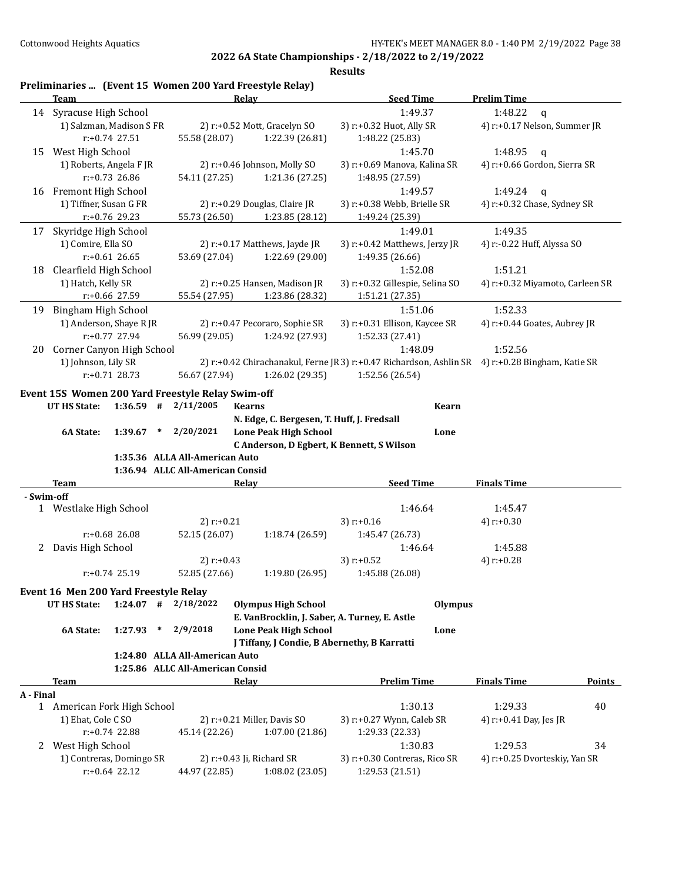|            | Preliminaries  (Event 15 Women 200 Yard Freestyle Relay) |                                  |                                               |                                                                                                 |                                 |        |
|------------|----------------------------------------------------------|----------------------------------|-----------------------------------------------|-------------------------------------------------------------------------------------------------|---------------------------------|--------|
|            | Team                                                     | Relay                            |                                               | <b>Seed Time</b>                                                                                | <b>Prelim Time</b>              |        |
|            | 14 Syracuse High School                                  |                                  |                                               | 1:49.37                                                                                         | 1:48.22<br>q                    |        |
|            | 1) Salzman, Madison S FR                                 |                                  | 2) r:+0.52 Mott, Gracelyn SO                  | 3) r:+0.32 Huot, Ally SR                                                                        | 4) r:+0.17 Nelson, Summer JR    |        |
|            | r:+0.74 27.51                                            | 55.58 (28.07)                    | 1:22.39 (26.81)                               | 1:48.22 (25.83)                                                                                 |                                 |        |
| 15         | West High School                                         |                                  |                                               | 1:45.70                                                                                         | 1:48.95<br>q                    |        |
|            | 1) Roberts, Angela F JR                                  |                                  | 2) r:+0.46 Johnson, Molly SO                  | 3) r:+0.69 Manova, Kalina SR                                                                    | 4) r:+0.66 Gordon, Sierra SR    |        |
|            | r:+0.73 26.86                                            | 54.11 (27.25)                    | 1:21.36 (27.25)                               | 1:48.95 (27.59)                                                                                 |                                 |        |
| 16         | Fremont High School                                      |                                  |                                               | 1:49.57                                                                                         | 1:49.24<br>q                    |        |
|            | 1) Tiffner, Susan G FR                                   |                                  | 2) r:+0.29 Douglas, Claire JR                 | 3) r:+0.38 Webb, Brielle SR                                                                     | 4) r:+0.32 Chase, Sydney SR     |        |
|            | r:+0.76 29.23                                            | 55.73 (26.50)                    | 1:23.85 (28.12)                               | 1:49.24 (25.39)                                                                                 |                                 |        |
| 17         | Skyridge High School                                     |                                  |                                               | 1:49.01                                                                                         | 1:49.35                         |        |
|            | 1) Comire, Ella SO                                       |                                  | 2) r:+0.17 Matthews, Jayde JR                 | 3) r:+0.42 Matthews, Jerzy JR                                                                   | 4) r:-0.22 Huff, Alyssa SO      |        |
|            | $r: +0.61$ 26.65                                         | 53.69 (27.04)                    | 1:22.69 (29.00)                               | 1:49.35 (26.66)                                                                                 |                                 |        |
| 18         | Clearfield High School                                   |                                  |                                               | 1:52.08                                                                                         | 1:51.21                         |        |
|            | 1) Hatch, Kelly SR                                       |                                  | 2) r:+0.25 Hansen, Madison JR                 | 3) r:+0.32 Gillespie, Selina SO                                                                 | 4) r:+0.32 Miyamoto, Carleen SR |        |
|            | r:+0.66 27.59                                            | 55.54 (27.95)                    | 1:23.86 (28.32)                               | 1:51.21 (27.35)                                                                                 |                                 |        |
| 19         | Bingham High School                                      |                                  |                                               | 1:51.06                                                                                         | 1:52.33                         |        |
|            | 1) Anderson, Shaye R JR                                  |                                  | 2) r:+0.47 Pecoraro, Sophie SR                | 3) r:+0.31 Ellison, Kaycee SR                                                                   | 4) r:+0.44 Goates, Aubrey JR    |        |
|            | r:+0.77 27.94                                            | 56.99 (29.05)                    | 1:24.92 (27.93)                               | 1:52.33 (27.41)                                                                                 |                                 |        |
| 20         | Corner Canyon High School                                |                                  |                                               | 1:48.09                                                                                         | 1:52.56                         |        |
|            | 1) Johnson, Lily SR                                      |                                  |                                               | 2) r:+0.42 Chirachanakul, Ferne JR3) r:+0.47 Richardson, Ashlin SR 4) r:+0.28 Bingham, Katie SR |                                 |        |
|            | $r: +0.71$ 28.73                                         | 56.67 (27.94)                    | 1:26.02 (29.35)                               | 1:52.56 (26.54)                                                                                 |                                 |        |
|            |                                                          |                                  |                                               |                                                                                                 |                                 |        |
|            | Event 15S Women 200 Yard Freestyle Relay Swim-off        |                                  |                                               |                                                                                                 |                                 |        |
|            | $1:36.59$ #<br>UT HS State:                              | 2/11/2005                        | <b>Kearns</b>                                 | <b>Kearn</b>                                                                                    |                                 |        |
|            |                                                          |                                  | N. Edge, C. Bergesen, T. Huff, J. Fredsall    |                                                                                                 |                                 |        |
|            | 6A State:<br>1:39.67<br>$\ast$                           | 2/20/2021                        | <b>Lone Peak High School</b>                  | Lone                                                                                            |                                 |        |
|            |                                                          |                                  | C Anderson, D Egbert, K Bennett, S Wilson     |                                                                                                 |                                 |        |
|            |                                                          | 1:35.36 ALLA All-American Auto   |                                               |                                                                                                 |                                 |        |
|            |                                                          | 1:36.94 ALLC All-American Consid |                                               |                                                                                                 |                                 |        |
|            | Team                                                     | Relay                            |                                               | <b>Seed Time</b>                                                                                | <b>Finals Time</b>              |        |
| - Swim-off |                                                          |                                  |                                               |                                                                                                 |                                 |        |
|            | 1 Westlake High School                                   |                                  |                                               | 1:46.64                                                                                         | 1:45.47                         |        |
|            |                                                          | $2)$ r:+0.21                     |                                               | 3) $r: +0.16$                                                                                   | 4) $r: +0.30$                   |        |
|            | r:+0.68 26.08                                            | 52.15 (26.07)                    | 1:18.74 (26.59)                               | 1:45.47 (26.73)                                                                                 |                                 |        |
|            | 2 Davis High School                                      |                                  |                                               | 1:46.64                                                                                         | 1:45.88                         |        |
|            |                                                          | 2) $r: +0.43$                    |                                               | 3) $r: +0.52$                                                                                   | 4) $r: +0.28$                   |        |
|            | r:+0.74 25.19                                            | 52.85 (27.66)                    | 1:19.80(26.95)                                | 1:45.88 (26.08)                                                                                 |                                 |        |
|            | Event 16 Men 200 Yard Freestyle Relay                    |                                  |                                               |                                                                                                 |                                 |        |
|            | UT HS State:<br>$1:24.07$ #                              | 2/18/2022                        | <b>Olympus High School</b>                    | Olympus                                                                                         |                                 |        |
|            |                                                          |                                  | E. VanBrocklin, J. Saber, A. Turney, E. Astle |                                                                                                 |                                 |        |
|            | 6A State:<br>1:27.93<br>$\ast$                           | 2/9/2018                         | <b>Lone Peak High School</b>                  | Lone                                                                                            |                                 |        |
|            |                                                          |                                  | J Tiffany, J Condie, B Abernethy, B Karratti  |                                                                                                 |                                 |        |
|            |                                                          | 1:24.80 ALLA All-American Auto   |                                               |                                                                                                 |                                 |        |
|            |                                                          | 1:25.86 ALLC All-American Consid |                                               |                                                                                                 |                                 |        |
|            | <b>Team</b>                                              | <b>Relay</b>                     |                                               | <b>Prelim Time</b>                                                                              | <b>Finals Time</b>              | Points |
| A - Final  |                                                          |                                  |                                               |                                                                                                 |                                 |        |
|            | 1 American Fork High School                              |                                  |                                               | 1:30.13                                                                                         | 1:29.33                         | 40     |
|            |                                                          |                                  |                                               |                                                                                                 |                                 |        |
|            | 1) Ehat, Cole C SO<br>$r: +0.74$ 22.88                   | 45.14 (22.26)                    | 2) r:+0.21 Miller, Davis SO                   | 3) r:+0.27 Wynn, Caleb SR                                                                       | 4) r:+0.41 Day, Jes JR          |        |
|            |                                                          |                                  | 1:07.00 (21.86)                               | 1:29.33 (22.33)                                                                                 |                                 |        |
| 2          | West High School                                         |                                  |                                               | 1:30.83                                                                                         | 1:29.53                         | 34     |
|            |                                                          |                                  |                                               |                                                                                                 |                                 |        |
|            | 1) Contreras, Domingo SR<br>$r: +0.64$ 22.12             | 44.97 (22.85)                    | 2) r:+0.43 Ji, Richard SR<br>1:08.02 (23.05)  | 3) r:+0.30 Contreras, Rico SR<br>1:29.53 (21.51)                                                | 4) r:+0.25 Dvorteskiy, Yan SR   |        |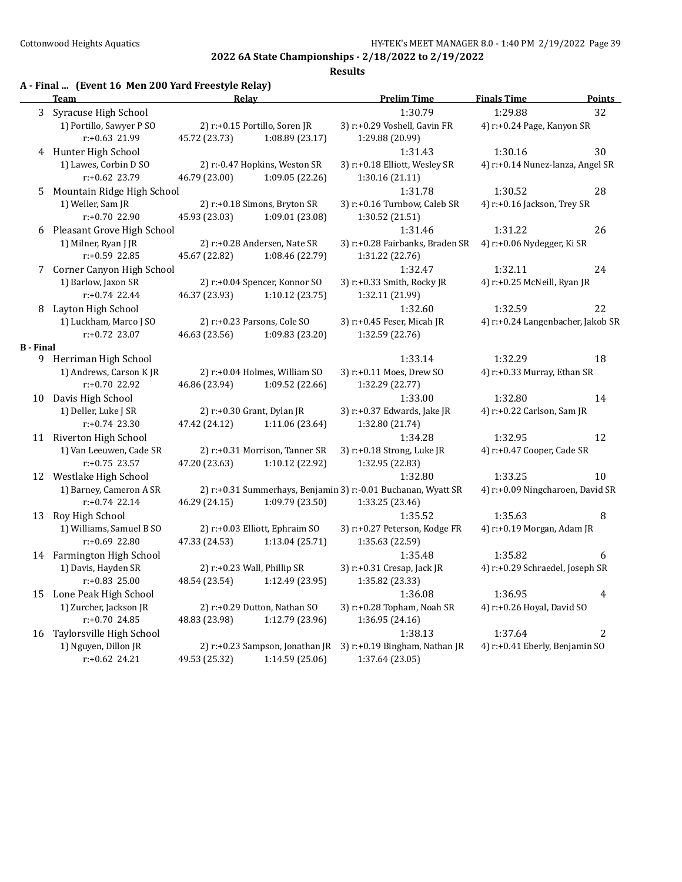## **Results**

## **A - Final ... (Event 16 Men 200 Yard Freestyle Relay)**

|                  | <b>Team</b>                | Relay         |                                 | <b>Prelim Time</b>                                            | <b>Finals Time</b>                | <b>Points</b>  |
|------------------|----------------------------|---------------|---------------------------------|---------------------------------------------------------------|-----------------------------------|----------------|
| 3                | Syracuse High School       |               |                                 | 1:30.79                                                       | 1:29.88                           | 32             |
|                  | 1) Portillo, Sawyer P SO   |               | 2) r:+0.15 Portillo, Soren JR   | 3) r:+0.29 Voshell, Gavin FR                                  | 4) r:+0.24 Page, Kanyon SR        |                |
|                  | r:+0.63 21.99              | 45.72 (23.73) | 1:08.89 (23.17)                 | 1:29.88 (20.99)                                               |                                   |                |
|                  | 4 Hunter High School       |               |                                 | 1:31.43                                                       | 1:30.16                           | 30             |
|                  | 1) Lawes, Corbin D SO      |               | 2) r:-0.47 Hopkins, Weston SR   | 3) r:+0.18 Elliott, Wesley SR                                 | 4) r:+0.14 Nunez-lanza, Angel SR  |                |
|                  | r:+0.62 23.79              | 46.79 (23.00) | 1:09.05 (22.26)                 | 1:30.16 (21.11)                                               |                                   |                |
| 5                | Mountain Ridge High School |               |                                 | 1:31.78                                                       | 1:30.52                           | 28             |
|                  | 1) Weller, Sam JR          |               | 2) r:+0.18 Simons, Bryton SR    | 3) r:+0.16 Turnbow, Caleb SR                                  | 4) r:+0.16 Jackson, Trey SR       |                |
|                  | r:+0.70 22.90              | 45.93 (23.03) | 1:09.01 (23.08)                 | 1:30.52 (21.51)                                               |                                   |                |
| 6                | Pleasant Grove High School |               |                                 | 1:31.46                                                       | 1:31.22                           | 26             |
|                  | 1) Milner, Ryan J JR       |               | 2) r:+0.28 Andersen, Nate SR    | 3) r:+0.28 Fairbanks, Braden SR                               | 4) r:+0.06 Nydegger, Ki SR        |                |
|                  | r:+0.59 22.85              | 45.67 (22.82) | 1:08.46 (22.79)                 | 1:31.22 (22.76)                                               |                                   |                |
| 7                | Corner Canyon High School  |               |                                 | 1:32.47                                                       | 1:32.11                           | 24             |
|                  | 1) Barlow, Jaxon SR        |               | 2) r:+0.04 Spencer, Konnor SO   | 3) r:+0.33 Smith, Rocky JR                                    | 4) r:+0.25 McNeill, Ryan JR       |                |
|                  | $r: +0.74$ 22.44           | 46.37 (23.93) | 1:10.12(23.75)                  | 1:32.11 (21.99)                                               |                                   |                |
| 8                | Layton High School         |               |                                 | 1:32.60                                                       | 1:32.59                           | 22             |
|                  | 1) Luckham, Marco J SO     |               | 2) r:+0.23 Parsons, Cole SO     | 3) r:+0.45 Feser, Micah JR                                    | 4) r:+0.24 Langenbacher, Jakob SR |                |
|                  | r:+0.72 23.07              | 46.63 (23.56) | 1:09.83 (23.20)                 | 1:32.59 (22.76)                                               |                                   |                |
| <b>B</b> - Final |                            |               |                                 |                                                               |                                   |                |
|                  | 9 Herriman High School     |               |                                 | 1:33.14                                                       | 1:32.29                           | 18             |
|                  | 1) Andrews, Carson KJR     |               | 2) r:+0.04 Holmes, William SO   | 3) r:+0.11 Moes, Drew SO                                      | 4) r:+0.33 Murray, Ethan SR       |                |
|                  | r:+0.70 22.92              | 46.86 (23.94) | 1:09.52 (22.66)                 | 1:32.29 (22.77)                                               |                                   |                |
| 10               | Davis High School          |               |                                 | 1:33.00                                                       | 1:32.80                           | 14             |
|                  | 1) Deller, Luke J SR       |               | 2) r:+0.30 Grant, Dylan JR      | 3) r:+0.37 Edwards, Jake JR                                   | 4) r:+0.22 Carlson, Sam JR        |                |
|                  | $r: +0.74$ 23.30           | 47.42 (24.12) | 1:11.06 (23.64)                 | 1:32.80 (21.74)                                               |                                   |                |
|                  | 11 Riverton High School    |               |                                 | 1:34.28                                                       | 1:32.95                           | 12             |
|                  | 1) Van Leeuwen, Cade SR    |               | 2) r:+0.31 Morrison, Tanner SR  | 3) r:+0.18 Strong, Luke JR                                    | 4) r:+0.47 Cooper, Cade SR        |                |
|                  | $r: +0.75$ 23.57           | 47.20 (23.63) | 1:10.12 (22.92)                 | 1:32.95 (22.83)                                               |                                   |                |
|                  | 12 Westlake High School    |               |                                 | 1:32.80                                                       | 1:33.25                           | 10             |
|                  | 1) Barney, Cameron A SR    |               |                                 | 2) r:+0.31 Summerhays, Benjamin 3) r:-0.01 Buchanan, Wyatt SR | 4) r:+0.09 Ningcharoen, David SR  |                |
|                  | $r: +0.74$ 22.14           | 46.29 (24.15) | 1:09.79 (23.50)                 | 1:33.25 (23.46)                                               |                                   |                |
| 13               | Roy High School            |               |                                 | 1:35.52                                                       | 1:35.63                           | 8              |
|                  | 1) Williams, Samuel B SO   |               | 2) r:+0.03 Elliott, Ephraim SO  | 3) r:+0.27 Peterson, Kodge FR                                 | 4) r:+0.19 Morgan, Adam JR        |                |
|                  | r:+0.69 22.80              | 47.33 (24.53) | 1:13.04 (25.71)                 | 1:35.63 (22.59)                                               |                                   |                |
|                  | 14 Farmington High School  |               |                                 | 1:35.48                                                       | 1:35.82                           | 6              |
|                  | 1) Davis, Hayden SR        |               | 2) $r.+0.23$ Wall, Phillip SR   | 3) r:+0.31 Cresap, Jack JR                                    | 4) r:+0.29 Schraedel, Joseph SR   |                |
|                  | $r: +0.83$ 25.00           | 48.54 (23.54) | 1:12.49 (23.95)                 | 1:35.82 (23.33)                                               |                                   |                |
| 15               | Lone Peak High School      |               |                                 | 1:36.08                                                       | 1:36.95                           | 4              |
|                  | 1) Zurcher, Jackson JR     |               | 2) r:+0.29 Dutton, Nathan SO    | 3) r:+0.28 Topham, Noah SR                                    | 4) r:+0.26 Hoyal, David SO        |                |
|                  | r:+0.70 24.85              | 48.83 (23.98) | 1:12.79 (23.96)                 | 1:36.95 (24.16)                                               |                                   |                |
| 16               | Taylorsville High School   |               |                                 | 1:38.13                                                       | 1:37.64                           | $\overline{2}$ |
|                  | 1) Nguyen, Dillon JR       |               | 2) r:+0.23 Sampson, Jonathan JR | 3) r:+0.19 Bingham, Nathan JR                                 | 4) r:+0.41 Eberly, Benjamin SO    |                |
|                  | r:+0.62 24.21              | 49.53 (25.32) | 1:14.59 (25.06)                 | 1:37.64 (23.05)                                               |                                   |                |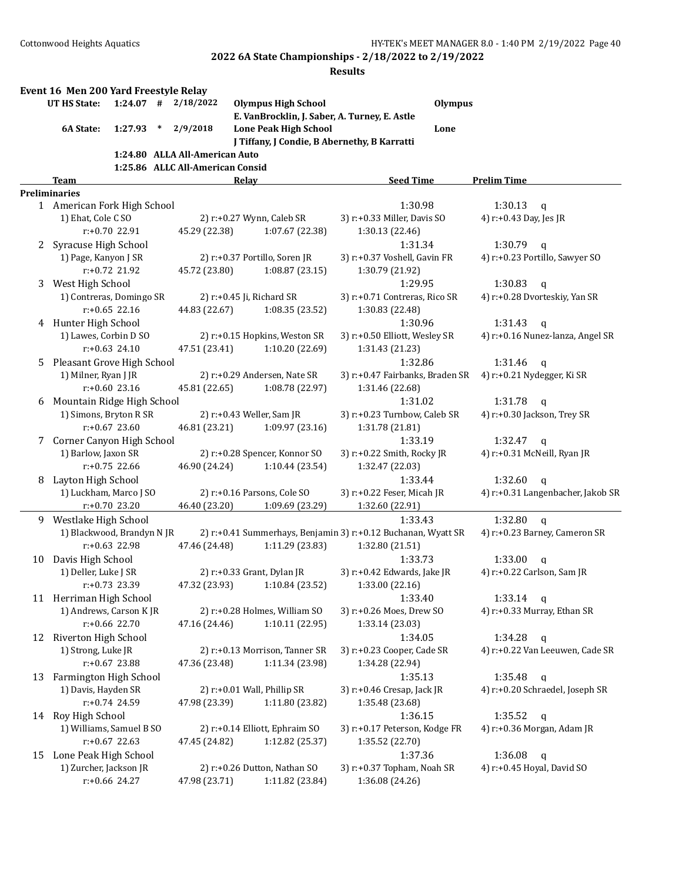|    | Event 16 Men 200 Yard Freestyle Relay |                  |        |                                  |       |                                |                                                               |                |                             |                                   |
|----|---------------------------------------|------------------|--------|----------------------------------|-------|--------------------------------|---------------------------------------------------------------|----------------|-----------------------------|-----------------------------------|
|    | <b>UT HS State:</b>                   | $1:24.07$ #      |        | 2/18/2022                        |       | <b>Olympus High School</b>     |                                                               | <b>Olympus</b> |                             |                                   |
|    |                                       |                  |        |                                  |       |                                | E. VanBrocklin, J. Saber, A. Turney, E. Astle                 |                |                             |                                   |
|    | 6A State:                             | 1:27.93          | $\ast$ | 2/9/2018                         |       | <b>Lone Peak High School</b>   |                                                               | Lone           |                             |                                   |
|    |                                       |                  |        |                                  |       |                                | J Tiffany, J Condie, B Abernethy, B Karratti                  |                |                             |                                   |
|    |                                       |                  |        | 1:24.80 ALLA All-American Auto   |       |                                |                                                               |                |                             |                                   |
|    | <b>Team</b>                           |                  |        | 1:25.86 ALLC All-American Consid | Relay |                                | <b>Seed Time</b>                                              |                | <b>Prelim Time</b>          |                                   |
|    | <b>Preliminaries</b>                  |                  |        |                                  |       |                                |                                                               |                |                             |                                   |
|    | 1 American Fork High School           |                  |        |                                  |       |                                | 1:30.98                                                       |                | 1:30.13                     | $\mathbf q$                       |
|    | 1) Ehat, Cole C SO                    |                  |        |                                  |       | 2) r:+0.27 Wynn, Caleb SR      | 3) r:+0.33 Miller, Davis SO                                   |                | 4) r:+0.43 Day, Jes JR      |                                   |
|    |                                       | $r: +0.70$ 22.91 |        | 45.29 (22.38)                    |       | 1:07.67 (22.38)                | 1:30.13 (22.46)                                               |                |                             |                                   |
| 2  | Syracuse High School                  |                  |        |                                  |       |                                | 1:31.34                                                       |                | 1:30.79                     | $\mathsf{q}$                      |
|    | 1) Page, Kanyon J SR                  |                  |        |                                  |       | 2) r:+0.37 Portillo, Soren JR  | 3) r:+0.37 Voshell, Gavin FR                                  |                |                             | 4) r:+0.23 Portillo, Sawyer SO    |
|    |                                       | $r: +0.72$ 21.92 |        | 45.72 (23.80)                    |       | 1:08.87 (23.15)                | 1:30.79 (21.92)                                               |                |                             |                                   |
| 3  | West High School                      |                  |        |                                  |       |                                | 1:29.95                                                       |                | 1:30.83                     | $\mathsf{q}$                      |
|    | 1) Contreras, Domingo SR              |                  |        |                                  |       | 2) r:+0.45 Ji, Richard SR      | 3) r:+0.71 Contreras, Rico SR                                 |                |                             | 4) r:+0.28 Dvorteskiy, Yan SR     |
|    |                                       | $r: +0.65$ 22.16 |        | 44.83 (22.67)                    |       | 1:08.35 (23.52)                | 1:30.83 (22.48)                                               |                |                             |                                   |
|    | 4 Hunter High School                  |                  |        |                                  |       |                                | 1:30.96                                                       |                | 1:31.43                     | $\mathsf{q}$                      |
|    | 1) Lawes, Corbin D SO                 |                  |        |                                  |       | 2) r:+0.15 Hopkins, Weston SR  | 3) r:+0.50 Elliott, Wesley SR                                 |                |                             | 4) r:+0.16 Nunez-lanza, Angel SR  |
|    |                                       | $r: +0.63$ 24.10 |        | 47.51 (23.41)                    |       | 1:10.20 (22.69)                | 1:31.43 (21.23)                                               |                |                             |                                   |
| 5. | Pleasant Grove High School            |                  |        |                                  |       |                                | 1:32.86                                                       |                | 1:31.46                     | $\mathsf{q}$                      |
|    | 1) Milner, Ryan J JR                  | $r: +0.60$ 23.16 |        |                                  |       | 2) r:+0.29 Andersen, Nate SR   | 3) r:+0.47 Fairbanks, Braden SR                               |                | 4) r:+0.21 Nydegger, Ki SR  |                                   |
|    | Mountain Ridge High School            |                  |        | 45.81 (22.65)                    |       | 1:08.78 (22.97)                | 1:31.46 (22.68)<br>1:31.02                                    |                | 1:31.78                     | $\mathbf{q}$                      |
| 6  | 1) Simons, Bryton R SR                |                  |        |                                  |       | 2) r:+0.43 Weller, Sam JR      | 3) r:+0.23 Turnbow, Caleb SR                                  |                | 4) r:+0.30 Jackson, Trey SR |                                   |
|    |                                       | $r: +0.67$ 23.60 |        | 46.81 (23.21)                    |       | 1:09.97 (23.16)                | 1:31.78 (21.81)                                               |                |                             |                                   |
| 7  | Corner Canyon High School             |                  |        |                                  |       |                                | 1:33.19                                                       |                | 1:32.47                     | $\mathbf{q}$                      |
|    | 1) Barlow, Jaxon SR                   |                  |        |                                  |       | 2) r:+0.28 Spencer, Konnor SO  | 3) r:+0.22 Smith, Rocky JR                                    |                | 4) r:+0.31 McNeill, Ryan JR |                                   |
|    |                                       | $r: +0.75$ 22.66 |        | 46.90 (24.24)                    |       | 1:10.44 (23.54)                | 1:32.47 (22.03)                                               |                |                             |                                   |
| 8  | Layton High School                    |                  |        |                                  |       |                                | 1:33.44                                                       |                | 1:32.60                     | $\mathsf{q}$                      |
|    | 1) Luckham, Marco J SO                |                  |        |                                  |       | 2) r:+0.16 Parsons, Cole SO    | 3) r:+0.22 Feser, Micah JR                                    |                |                             | 4) r:+0.31 Langenbacher, Jakob SR |
|    |                                       | $r: +0.70$ 23.20 |        | 46.40 (23.20)                    |       | 1:09.69 (23.29)                | 1:32.60 (22.91)                                               |                |                             |                                   |
| 9  | Westlake High School                  |                  |        |                                  |       |                                | 1:33.43                                                       |                | 1:32.80                     | $\mathsf{q}$                      |
|    | 1) Blackwood, Brandyn N JR            |                  |        |                                  |       |                                | 2) r:+0.41 Summerhays, Benjamin 3) r:+0.12 Buchanan, Wyatt SR |                |                             | 4) r:+0.23 Barney, Cameron SR     |
|    |                                       | $r: +0.63$ 22.98 |        | 47.46 (24.48)                    |       | 1:11.29 (23.83)                | 1:32.80 (21.51)                                               |                |                             |                                   |
| 10 | Davis High School                     |                  |        |                                  |       |                                | 1:33.73                                                       |                | 1:33.00                     | q                                 |
|    | 1) Deller, Luke J SR                  |                  |        |                                  |       | 2) r:+0.33 Grant, Dylan JR     | 3) r:+0.42 Edwards, Jake JR                                   |                | 4) r:+0.22 Carlson, Sam JR  |                                   |
|    | 11 Herriman High School               | r:+0.73 23.39    |        | 47.32 (23.93)                    |       | 1:10.84 (23.52)                | 1:33.00 (22.16)<br>1:33.40                                    |                | 1:33.14                     |                                   |
|    | 1) Andrews, Carson KJR                |                  |        |                                  |       | 2) r:+0.28 Holmes, William SO  | 3) r:+0.26 Moes, Drew SO                                      |                |                             | q<br>4) r:+0.33 Murray, Ethan SR  |
|    |                                       | $r: +0.66$ 22.70 |        | 47.16 (24.46)                    |       | 1:10.11 (22.95)                | 1:33.14 (23.03)                                               |                |                             |                                   |
| 12 | Riverton High School                  |                  |        |                                  |       |                                | 1:34.05                                                       |                | 1:34.28                     | $\mathsf{q}$                      |
|    | 1) Strong, Luke JR                    |                  |        |                                  |       | 2) r:+0.13 Morrison, Tanner SR | 3) r:+0.23 Cooper, Cade SR                                    |                |                             | 4) r:+0.22 Van Leeuwen, Cade SR   |
|    |                                       | r:+0.67 23.88    |        | 47.36 (23.48)                    |       | 1:11.34 (23.98)                | 1:34.28 (22.94)                                               |                |                             |                                   |
| 13 | Farmington High School                |                  |        |                                  |       |                                | 1:35.13                                                       |                | 1:35.48                     | q                                 |
|    | 1) Davis, Hayden SR                   |                  |        |                                  |       | 2) r:+0.01 Wall, Phillip SR    | 3) r:+0.46 Cresap, Jack JR                                    |                |                             | 4) r:+0.20 Schraedel, Joseph SR   |
|    |                                       | $r: +0.74$ 24.59 |        | 47.98 (23.39)                    |       | 1:11.80 (23.82)                | 1:35.48 (23.68)                                               |                |                             |                                   |
| 14 | Roy High School                       |                  |        |                                  |       |                                | 1:36.15                                                       |                | 1:35.52                     | $\mathbf{q}$                      |
|    | 1) Williams, Samuel B SO              |                  |        |                                  |       | 2) r:+0.14 Elliott, Ephraim SO | 3) r:+0.17 Peterson, Kodge FR                                 |                |                             | 4) r:+0.36 Morgan, Adam JR        |
|    |                                       | $r: +0.67$ 22.63 |        | 47.45 (24.82)                    |       | 1:12.82 (25.37)                | 1:35.52 (22.70)                                               |                |                             |                                   |
| 15 | Lone Peak High School                 |                  |        |                                  |       |                                | 1:37.36                                                       |                | 1:36.08                     | $\mathbf q$                       |
|    | 1) Zurcher, Jackson JR                |                  |        |                                  |       | 2) r:+0.26 Dutton, Nathan SO   | 3) r:+0.37 Topham, Noah SR                                    |                | 4) r:+0.45 Hoyal, David SO  |                                   |
|    |                                       | r:+0.66 24.27    |        | 47.98 (23.71)                    |       | 1:11.82 (23.84)                | 1:36.08 (24.26)                                               |                |                             |                                   |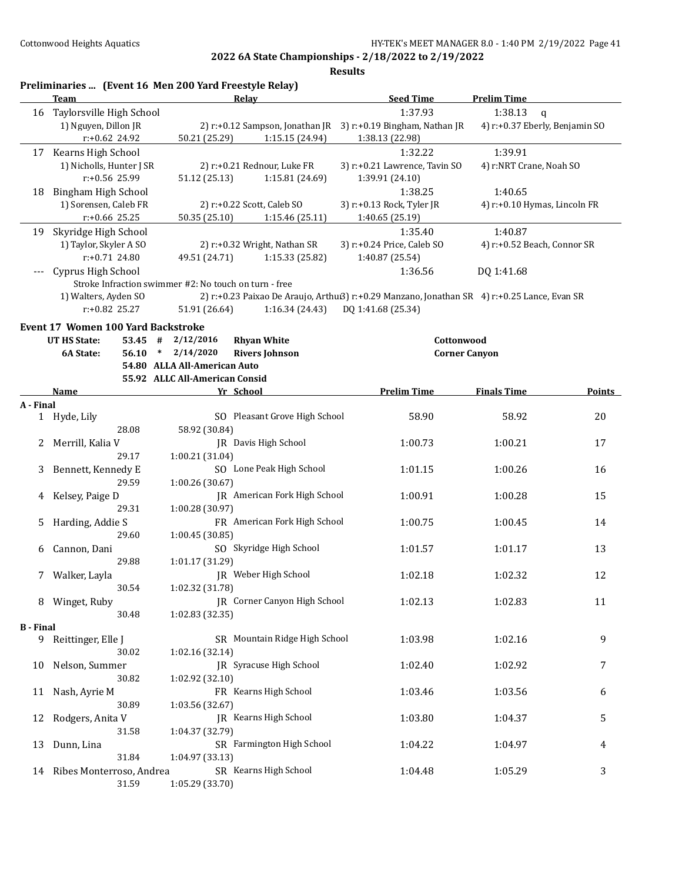| Relay<br><b>Seed Time</b><br><b>Prelim Time</b><br>Team<br>1:37.93<br>Taylorsville High School<br>1:38.13<br>16<br>1) Nguyen, Dillon JR<br>2) r:+0.12 Sampson, Jonathan JR 3) r:+0.19 Bingham, Nathan JR<br>r:+0.62 24.92<br>1:15.15 (24.94)<br>50.21 (25.29)<br>1:38.13 (22.98)<br>1:32.22<br>1:39.91<br>Kearns High School<br>17<br>1) Nicholls, Hunter J SR<br>2) r:+0.21 Rednour, Luke FR<br>3) r:+0.21 Lawrence, Tavin SO<br>r:+0.56 25.99<br>51.12 (25.13)<br>1:15.81 (24.69)<br>1:39.91 (24.10)<br><b>Bingham High School</b><br>1:38.25<br>1:40.65<br>18<br>1) Sorensen, Caleb FR<br>2) r:+0.22 Scott, Caleb SO<br>3) r:+0.13 Rock, Tyler JR<br>r:+0.66 25.25<br>50.35 (25.10)<br>1:15.46(25.11)<br>1:40.65 (25.19)<br>1:35.40<br>Skyridge High School<br>1:40.87<br>19<br>1) Taylor, Skyler A SO<br>3) r:+0.24 Price, Caleb SO<br>2) r:+0.32 Wright, Nathan SR<br>$r: +0.71$ 24.80<br>49.51 (24.71)<br>1:15.33 (25.82)<br>1:40.87 (25.54)<br>Cyprus High School<br>1:36.56<br>DQ 1:41.68<br>Stroke Infraction swimmer #2: No touch on turn - free<br>1) Walters, Ayden SO<br>2) r:+0.23 Paixao De Araujo, Arthu:3) r:+0.29 Manzano, Jonathan SR 4) r:+0.25 Lance, Evan SR<br>r:+0.82 25.27<br>51.91 (26.64)<br>DQ 1:41.68 (25.34)<br>1:16.34 (24.43)<br><b>Event 17 Women 100 Yard Backstroke</b><br><b>UT HS State:</b><br>53.45 #<br>2/12/2016<br><b>Rhyan White</b><br>Cottonwood<br>2/14/2020<br><b>Rivers Johnson</b><br>6A State:<br>56.10<br><b>Corner Canyon</b><br>$\ast$<br>54.80 ALLA All-American Auto<br>55.92 ALLC All-American Consid<br>Yr School<br><b>Prelim Time</b><br><b>Finals Time</b><br><b>Name</b><br>A - Final<br>SO Pleasant Grove High School<br>1 Hyde, Lily<br>58.90<br>58.92<br>28.08<br>58.92 (30.84)<br>JR Davis High School<br>Merrill, Kalia V<br>1:00.73<br>1:00.21<br>2<br>29.17<br>1:00.21 (31.04)<br>SO Lone Peak High School<br>Bennett, Kennedy E<br>1:01.15<br>1:00.26<br>3<br>29.59<br>1:00.26 (30.67)<br>JR American Fork High School<br>1:00.91<br>1:00.28<br>Kelsey, Paige D<br>4<br>29.31<br>1:00.28 (30.97) | $\mathbf{q}$<br>4) r:+0.37 Eberly, Benjamin SO<br>4) r:NRT Crane, Noah SO<br>4) r:+0.10 Hymas, Lincoln FR<br>4) r:+0.52 Beach, Connor SR |
|-----------------------------------------------------------------------------------------------------------------------------------------------------------------------------------------------------------------------------------------------------------------------------------------------------------------------------------------------------------------------------------------------------------------------------------------------------------------------------------------------------------------------------------------------------------------------------------------------------------------------------------------------------------------------------------------------------------------------------------------------------------------------------------------------------------------------------------------------------------------------------------------------------------------------------------------------------------------------------------------------------------------------------------------------------------------------------------------------------------------------------------------------------------------------------------------------------------------------------------------------------------------------------------------------------------------------------------------------------------------------------------------------------------------------------------------------------------------------------------------------------------------------------------------------------------------------------------------------------------------------------------------------------------------------------------------------------------------------------------------------------------------------------------------------------------------------------------------------------------------------------------------------------------------------------------------------------------------------------------------------------------------------------------------------------------------------|------------------------------------------------------------------------------------------------------------------------------------------|
|                                                                                                                                                                                                                                                                                                                                                                                                                                                                                                                                                                                                                                                                                                                                                                                                                                                                                                                                                                                                                                                                                                                                                                                                                                                                                                                                                                                                                                                                                                                                                                                                                                                                                                                                                                                                                                                                                                                                                                                                                                                                       |                                                                                                                                          |
|                                                                                                                                                                                                                                                                                                                                                                                                                                                                                                                                                                                                                                                                                                                                                                                                                                                                                                                                                                                                                                                                                                                                                                                                                                                                                                                                                                                                                                                                                                                                                                                                                                                                                                                                                                                                                                                                                                                                                                                                                                                                       |                                                                                                                                          |
|                                                                                                                                                                                                                                                                                                                                                                                                                                                                                                                                                                                                                                                                                                                                                                                                                                                                                                                                                                                                                                                                                                                                                                                                                                                                                                                                                                                                                                                                                                                                                                                                                                                                                                                                                                                                                                                                                                                                                                                                                                                                       |                                                                                                                                          |
|                                                                                                                                                                                                                                                                                                                                                                                                                                                                                                                                                                                                                                                                                                                                                                                                                                                                                                                                                                                                                                                                                                                                                                                                                                                                                                                                                                                                                                                                                                                                                                                                                                                                                                                                                                                                                                                                                                                                                                                                                                                                       |                                                                                                                                          |
|                                                                                                                                                                                                                                                                                                                                                                                                                                                                                                                                                                                                                                                                                                                                                                                                                                                                                                                                                                                                                                                                                                                                                                                                                                                                                                                                                                                                                                                                                                                                                                                                                                                                                                                                                                                                                                                                                                                                                                                                                                                                       |                                                                                                                                          |
|                                                                                                                                                                                                                                                                                                                                                                                                                                                                                                                                                                                                                                                                                                                                                                                                                                                                                                                                                                                                                                                                                                                                                                                                                                                                                                                                                                                                                                                                                                                                                                                                                                                                                                                                                                                                                                                                                                                                                                                                                                                                       |                                                                                                                                          |
|                                                                                                                                                                                                                                                                                                                                                                                                                                                                                                                                                                                                                                                                                                                                                                                                                                                                                                                                                                                                                                                                                                                                                                                                                                                                                                                                                                                                                                                                                                                                                                                                                                                                                                                                                                                                                                                                                                                                                                                                                                                                       |                                                                                                                                          |
|                                                                                                                                                                                                                                                                                                                                                                                                                                                                                                                                                                                                                                                                                                                                                                                                                                                                                                                                                                                                                                                                                                                                                                                                                                                                                                                                                                                                                                                                                                                                                                                                                                                                                                                                                                                                                                                                                                                                                                                                                                                                       |                                                                                                                                          |
|                                                                                                                                                                                                                                                                                                                                                                                                                                                                                                                                                                                                                                                                                                                                                                                                                                                                                                                                                                                                                                                                                                                                                                                                                                                                                                                                                                                                                                                                                                                                                                                                                                                                                                                                                                                                                                                                                                                                                                                                                                                                       |                                                                                                                                          |
|                                                                                                                                                                                                                                                                                                                                                                                                                                                                                                                                                                                                                                                                                                                                                                                                                                                                                                                                                                                                                                                                                                                                                                                                                                                                                                                                                                                                                                                                                                                                                                                                                                                                                                                                                                                                                                                                                                                                                                                                                                                                       |                                                                                                                                          |
|                                                                                                                                                                                                                                                                                                                                                                                                                                                                                                                                                                                                                                                                                                                                                                                                                                                                                                                                                                                                                                                                                                                                                                                                                                                                                                                                                                                                                                                                                                                                                                                                                                                                                                                                                                                                                                                                                                                                                                                                                                                                       |                                                                                                                                          |
|                                                                                                                                                                                                                                                                                                                                                                                                                                                                                                                                                                                                                                                                                                                                                                                                                                                                                                                                                                                                                                                                                                                                                                                                                                                                                                                                                                                                                                                                                                                                                                                                                                                                                                                                                                                                                                                                                                                                                                                                                                                                       |                                                                                                                                          |
|                                                                                                                                                                                                                                                                                                                                                                                                                                                                                                                                                                                                                                                                                                                                                                                                                                                                                                                                                                                                                                                                                                                                                                                                                                                                                                                                                                                                                                                                                                                                                                                                                                                                                                                                                                                                                                                                                                                                                                                                                                                                       |                                                                                                                                          |
|                                                                                                                                                                                                                                                                                                                                                                                                                                                                                                                                                                                                                                                                                                                                                                                                                                                                                                                                                                                                                                                                                                                                                                                                                                                                                                                                                                                                                                                                                                                                                                                                                                                                                                                                                                                                                                                                                                                                                                                                                                                                       |                                                                                                                                          |
|                                                                                                                                                                                                                                                                                                                                                                                                                                                                                                                                                                                                                                                                                                                                                                                                                                                                                                                                                                                                                                                                                                                                                                                                                                                                                                                                                                                                                                                                                                                                                                                                                                                                                                                                                                                                                                                                                                                                                                                                                                                                       |                                                                                                                                          |
|                                                                                                                                                                                                                                                                                                                                                                                                                                                                                                                                                                                                                                                                                                                                                                                                                                                                                                                                                                                                                                                                                                                                                                                                                                                                                                                                                                                                                                                                                                                                                                                                                                                                                                                                                                                                                                                                                                                                                                                                                                                                       |                                                                                                                                          |
|                                                                                                                                                                                                                                                                                                                                                                                                                                                                                                                                                                                                                                                                                                                                                                                                                                                                                                                                                                                                                                                                                                                                                                                                                                                                                                                                                                                                                                                                                                                                                                                                                                                                                                                                                                                                                                                                                                                                                                                                                                                                       |                                                                                                                                          |
|                                                                                                                                                                                                                                                                                                                                                                                                                                                                                                                                                                                                                                                                                                                                                                                                                                                                                                                                                                                                                                                                                                                                                                                                                                                                                                                                                                                                                                                                                                                                                                                                                                                                                                                                                                                                                                                                                                                                                                                                                                                                       |                                                                                                                                          |
|                                                                                                                                                                                                                                                                                                                                                                                                                                                                                                                                                                                                                                                                                                                                                                                                                                                                                                                                                                                                                                                                                                                                                                                                                                                                                                                                                                                                                                                                                                                                                                                                                                                                                                                                                                                                                                                                                                                                                                                                                                                                       |                                                                                                                                          |
|                                                                                                                                                                                                                                                                                                                                                                                                                                                                                                                                                                                                                                                                                                                                                                                                                                                                                                                                                                                                                                                                                                                                                                                                                                                                                                                                                                                                                                                                                                                                                                                                                                                                                                                                                                                                                                                                                                                                                                                                                                                                       |                                                                                                                                          |
|                                                                                                                                                                                                                                                                                                                                                                                                                                                                                                                                                                                                                                                                                                                                                                                                                                                                                                                                                                                                                                                                                                                                                                                                                                                                                                                                                                                                                                                                                                                                                                                                                                                                                                                                                                                                                                                                                                                                                                                                                                                                       |                                                                                                                                          |
|                                                                                                                                                                                                                                                                                                                                                                                                                                                                                                                                                                                                                                                                                                                                                                                                                                                                                                                                                                                                                                                                                                                                                                                                                                                                                                                                                                                                                                                                                                                                                                                                                                                                                                                                                                                                                                                                                                                                                                                                                                                                       | Points                                                                                                                                   |
|                                                                                                                                                                                                                                                                                                                                                                                                                                                                                                                                                                                                                                                                                                                                                                                                                                                                                                                                                                                                                                                                                                                                                                                                                                                                                                                                                                                                                                                                                                                                                                                                                                                                                                                                                                                                                                                                                                                                                                                                                                                                       |                                                                                                                                          |
|                                                                                                                                                                                                                                                                                                                                                                                                                                                                                                                                                                                                                                                                                                                                                                                                                                                                                                                                                                                                                                                                                                                                                                                                                                                                                                                                                                                                                                                                                                                                                                                                                                                                                                                                                                                                                                                                                                                                                                                                                                                                       | 20                                                                                                                                       |
|                                                                                                                                                                                                                                                                                                                                                                                                                                                                                                                                                                                                                                                                                                                                                                                                                                                                                                                                                                                                                                                                                                                                                                                                                                                                                                                                                                                                                                                                                                                                                                                                                                                                                                                                                                                                                                                                                                                                                                                                                                                                       |                                                                                                                                          |
|                                                                                                                                                                                                                                                                                                                                                                                                                                                                                                                                                                                                                                                                                                                                                                                                                                                                                                                                                                                                                                                                                                                                                                                                                                                                                                                                                                                                                                                                                                                                                                                                                                                                                                                                                                                                                                                                                                                                                                                                                                                                       | 17                                                                                                                                       |
|                                                                                                                                                                                                                                                                                                                                                                                                                                                                                                                                                                                                                                                                                                                                                                                                                                                                                                                                                                                                                                                                                                                                                                                                                                                                                                                                                                                                                                                                                                                                                                                                                                                                                                                                                                                                                                                                                                                                                                                                                                                                       |                                                                                                                                          |
|                                                                                                                                                                                                                                                                                                                                                                                                                                                                                                                                                                                                                                                                                                                                                                                                                                                                                                                                                                                                                                                                                                                                                                                                                                                                                                                                                                                                                                                                                                                                                                                                                                                                                                                                                                                                                                                                                                                                                                                                                                                                       | 16                                                                                                                                       |
|                                                                                                                                                                                                                                                                                                                                                                                                                                                                                                                                                                                                                                                                                                                                                                                                                                                                                                                                                                                                                                                                                                                                                                                                                                                                                                                                                                                                                                                                                                                                                                                                                                                                                                                                                                                                                                                                                                                                                                                                                                                                       |                                                                                                                                          |
|                                                                                                                                                                                                                                                                                                                                                                                                                                                                                                                                                                                                                                                                                                                                                                                                                                                                                                                                                                                                                                                                                                                                                                                                                                                                                                                                                                                                                                                                                                                                                                                                                                                                                                                                                                                                                                                                                                                                                                                                                                                                       | 15                                                                                                                                       |
|                                                                                                                                                                                                                                                                                                                                                                                                                                                                                                                                                                                                                                                                                                                                                                                                                                                                                                                                                                                                                                                                                                                                                                                                                                                                                                                                                                                                                                                                                                                                                                                                                                                                                                                                                                                                                                                                                                                                                                                                                                                                       |                                                                                                                                          |
| FR American Fork High School<br>Harding, Addie S<br>1:00.75<br>5<br>1:00.45                                                                                                                                                                                                                                                                                                                                                                                                                                                                                                                                                                                                                                                                                                                                                                                                                                                                                                                                                                                                                                                                                                                                                                                                                                                                                                                                                                                                                                                                                                                                                                                                                                                                                                                                                                                                                                                                                                                                                                                           | 14                                                                                                                                       |
| 1:00.45 (30.85)<br>29.60                                                                                                                                                                                                                                                                                                                                                                                                                                                                                                                                                                                                                                                                                                                                                                                                                                                                                                                                                                                                                                                                                                                                                                                                                                                                                                                                                                                                                                                                                                                                                                                                                                                                                                                                                                                                                                                                                                                                                                                                                                              |                                                                                                                                          |
| SO Skyridge High School<br>Cannon, Dani<br>1:01.57<br>1:01.17<br>6                                                                                                                                                                                                                                                                                                                                                                                                                                                                                                                                                                                                                                                                                                                                                                                                                                                                                                                                                                                                                                                                                                                                                                                                                                                                                                                                                                                                                                                                                                                                                                                                                                                                                                                                                                                                                                                                                                                                                                                                    | 13                                                                                                                                       |
| 29.88<br>1:01.17 (31.29)                                                                                                                                                                                                                                                                                                                                                                                                                                                                                                                                                                                                                                                                                                                                                                                                                                                                                                                                                                                                                                                                                                                                                                                                                                                                                                                                                                                                                                                                                                                                                                                                                                                                                                                                                                                                                                                                                                                                                                                                                                              |                                                                                                                                          |
| JR Weber High School<br>1:02.18<br>1:02.32<br>7 Walker, Layla                                                                                                                                                                                                                                                                                                                                                                                                                                                                                                                                                                                                                                                                                                                                                                                                                                                                                                                                                                                                                                                                                                                                                                                                                                                                                                                                                                                                                                                                                                                                                                                                                                                                                                                                                                                                                                                                                                                                                                                                         | 12                                                                                                                                       |
| 30.54<br>1:02.32 (31.78)                                                                                                                                                                                                                                                                                                                                                                                                                                                                                                                                                                                                                                                                                                                                                                                                                                                                                                                                                                                                                                                                                                                                                                                                                                                                                                                                                                                                                                                                                                                                                                                                                                                                                                                                                                                                                                                                                                                                                                                                                                              |                                                                                                                                          |
| <b>IR</b> Corner Canyon High School<br>8 Winget, Ruby<br>1:02.13<br>1:02.83                                                                                                                                                                                                                                                                                                                                                                                                                                                                                                                                                                                                                                                                                                                                                                                                                                                                                                                                                                                                                                                                                                                                                                                                                                                                                                                                                                                                                                                                                                                                                                                                                                                                                                                                                                                                                                                                                                                                                                                           | 11                                                                                                                                       |
| 30.48<br>1:02.83 (32.35)                                                                                                                                                                                                                                                                                                                                                                                                                                                                                                                                                                                                                                                                                                                                                                                                                                                                                                                                                                                                                                                                                                                                                                                                                                                                                                                                                                                                                                                                                                                                                                                                                                                                                                                                                                                                                                                                                                                                                                                                                                              |                                                                                                                                          |
| <b>B</b> - Final<br>SR Mountain Ridge High School                                                                                                                                                                                                                                                                                                                                                                                                                                                                                                                                                                                                                                                                                                                                                                                                                                                                                                                                                                                                                                                                                                                                                                                                                                                                                                                                                                                                                                                                                                                                                                                                                                                                                                                                                                                                                                                                                                                                                                                                                     | 9                                                                                                                                        |
| 9 Reittinger, Elle J<br>1:03.98<br>1:02.16<br>30.02<br>1:02.16 (32.14)                                                                                                                                                                                                                                                                                                                                                                                                                                                                                                                                                                                                                                                                                                                                                                                                                                                                                                                                                                                                                                                                                                                                                                                                                                                                                                                                                                                                                                                                                                                                                                                                                                                                                                                                                                                                                                                                                                                                                                                                |                                                                                                                                          |
| JR Syracuse High School<br>Nelson, Summer<br>1:02.40<br>1:02.92<br>10                                                                                                                                                                                                                                                                                                                                                                                                                                                                                                                                                                                                                                                                                                                                                                                                                                                                                                                                                                                                                                                                                                                                                                                                                                                                                                                                                                                                                                                                                                                                                                                                                                                                                                                                                                                                                                                                                                                                                                                                 | 7                                                                                                                                        |
| 1:02.92 (32.10)<br>30.82                                                                                                                                                                                                                                                                                                                                                                                                                                                                                                                                                                                                                                                                                                                                                                                                                                                                                                                                                                                                                                                                                                                                                                                                                                                                                                                                                                                                                                                                                                                                                                                                                                                                                                                                                                                                                                                                                                                                                                                                                                              |                                                                                                                                          |
| FR Kearns High School<br>Nash, Ayrie M<br>1:03.46<br>1:03.56<br>11                                                                                                                                                                                                                                                                                                                                                                                                                                                                                                                                                                                                                                                                                                                                                                                                                                                                                                                                                                                                                                                                                                                                                                                                                                                                                                                                                                                                                                                                                                                                                                                                                                                                                                                                                                                                                                                                                                                                                                                                    | 6                                                                                                                                        |
| 30.89<br>1:03.56 (32.67)                                                                                                                                                                                                                                                                                                                                                                                                                                                                                                                                                                                                                                                                                                                                                                                                                                                                                                                                                                                                                                                                                                                                                                                                                                                                                                                                                                                                                                                                                                                                                                                                                                                                                                                                                                                                                                                                                                                                                                                                                                              |                                                                                                                                          |
| JR Kearns High School<br>1:03.80<br>Rodgers, Anita V<br>1:04.37<br>12                                                                                                                                                                                                                                                                                                                                                                                                                                                                                                                                                                                                                                                                                                                                                                                                                                                                                                                                                                                                                                                                                                                                                                                                                                                                                                                                                                                                                                                                                                                                                                                                                                                                                                                                                                                                                                                                                                                                                                                                 |                                                                                                                                          |
| 31.58<br>1:04.37 (32.79)                                                                                                                                                                                                                                                                                                                                                                                                                                                                                                                                                                                                                                                                                                                                                                                                                                                                                                                                                                                                                                                                                                                                                                                                                                                                                                                                                                                                                                                                                                                                                                                                                                                                                                                                                                                                                                                                                                                                                                                                                                              |                                                                                                                                          |
| SR Farmington High School<br>Dunn, Lina<br>1:04.22<br>1:04.97<br>13                                                                                                                                                                                                                                                                                                                                                                                                                                                                                                                                                                                                                                                                                                                                                                                                                                                                                                                                                                                                                                                                                                                                                                                                                                                                                                                                                                                                                                                                                                                                                                                                                                                                                                                                                                                                                                                                                                                                                                                                   | 5                                                                                                                                        |
| 31.84<br>1:04.97 (33.13)                                                                                                                                                                                                                                                                                                                                                                                                                                                                                                                                                                                                                                                                                                                                                                                                                                                                                                                                                                                                                                                                                                                                                                                                                                                                                                                                                                                                                                                                                                                                                                                                                                                                                                                                                                                                                                                                                                                                                                                                                                              |                                                                                                                                          |
| SR Kearns High School<br>Ribes Monterroso, Andrea<br>1:05.29<br>1:04.48<br>14                                                                                                                                                                                                                                                                                                                                                                                                                                                                                                                                                                                                                                                                                                                                                                                                                                                                                                                                                                                                                                                                                                                                                                                                                                                                                                                                                                                                                                                                                                                                                                                                                                                                                                                                                                                                                                                                                                                                                                                         | 4                                                                                                                                        |
| 31.59<br>1:05.29 (33.70)                                                                                                                                                                                                                                                                                                                                                                                                                                                                                                                                                                                                                                                                                                                                                                                                                                                                                                                                                                                                                                                                                                                                                                                                                                                                                                                                                                                                                                                                                                                                                                                                                                                                                                                                                                                                                                                                                                                                                                                                                                              | 3                                                                                                                                        |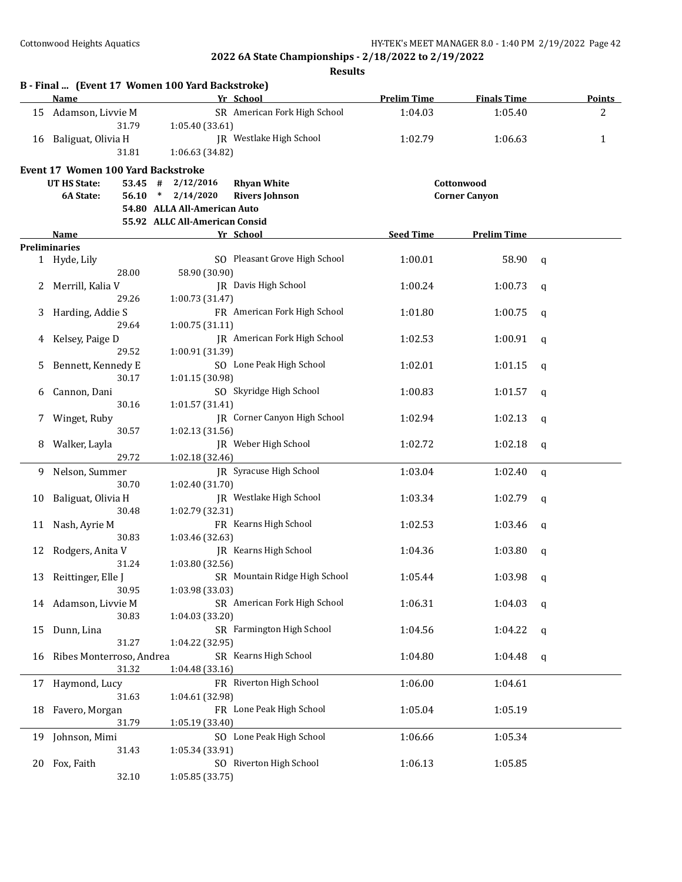|    | B - Final  (Event 17 Women 100 Yard Backstroke)<br>Name |                                | Yr School                           | <b>Prelim Time</b> | <b>Finals Time</b>   |   | <b>Points</b>  |
|----|---------------------------------------------------------|--------------------------------|-------------------------------------|--------------------|----------------------|---|----------------|
|    | 15 Adamson, Livvie M                                    |                                | SR American Fork High School        | 1:04.03            | 1:05.40              |   | $\overline{2}$ |
|    | 31.79                                                   |                                |                                     |                    |                      |   |                |
|    |                                                         | 1:05.40 (33.61)                | JR Westlake High School             | 1:02.79            |                      |   | 1              |
|    | 16 Baliguat, Olivia H<br>31.81                          | 1:06.63 (34.82)                |                                     |                    | 1:06.63              |   |                |
|    |                                                         |                                |                                     |                    |                      |   |                |
|    | <b>Event 17 Women 100 Yard Backstroke</b>               |                                |                                     |                    |                      |   |                |
|    | UT HS State:                                            | $53.45$ # $2/12/2016$          | <b>Rhyan White</b>                  |                    | Cottonwood           |   |                |
|    | 6A State:                                               | $56.10 * 2/14/2020$            | <b>Rivers Johnson</b>               |                    | <b>Corner Canyon</b> |   |                |
|    |                                                         | 54.80 ALLA All-American Auto   |                                     |                    |                      |   |                |
|    |                                                         | 55.92 ALLC All-American Consid |                                     |                    |                      |   |                |
|    | Name<br><b>Preliminaries</b>                            |                                | Yr School                           | <b>Seed Time</b>   | <b>Prelim Time</b>   |   |                |
|    | 1 Hyde, Lily                                            |                                | SO Pleasant Grove High School       | 1:00.01            | 58.90                | q |                |
|    | 28.00                                                   | 58.90 (30.90)                  |                                     |                    |                      |   |                |
| 2  | Merrill, Kalia V                                        |                                | JR Davis High School                | 1:00.24            | 1:00.73              | q |                |
|    | 29.26                                                   | 1:00.73 (31.47)                |                                     |                    |                      |   |                |
| 3  | Harding, Addie S                                        |                                | FR American Fork High School        | 1:01.80            | 1:00.75              | q |                |
|    | 29.64                                                   | 1:00.75(31.11)                 |                                     |                    |                      |   |                |
|    | Kelsey, Paige D                                         |                                | <b>IR</b> American Fork High School | 1:02.53            | 1:00.91              | q |                |
|    | 29.52                                                   | 1:00.91 (31.39)                |                                     |                    |                      |   |                |
|    | Bennett, Kennedy E                                      |                                | SO Lone Peak High School            | 1:02.01            | 1:01.15              | q |                |
|    | 30.17                                                   | 1:01.15 (30.98)                |                                     |                    |                      |   |                |
| 6  | Cannon, Dani                                            |                                | SO Skyridge High School             | 1:00.83            | 1:01.57              | q |                |
|    | 30.16                                                   | 1:01.57 (31.41)                |                                     |                    |                      |   |                |
|    | Winget, Ruby                                            |                                | JR Corner Canyon High School        | 1:02.94            | 1:02.13              | q |                |
|    | 30.57                                                   | 1:02.13 (31.56)                |                                     |                    |                      |   |                |
| 8  | Walker, Layla                                           |                                | JR Weber High School                | 1:02.72            | 1:02.18              | q |                |
|    | 29.72                                                   | 1:02.18 (32.46)                |                                     |                    |                      |   |                |
| 9  | Nelson, Summer                                          |                                | JR Syracuse High School             | 1:03.04            | 1:02.40              | q |                |
|    | 30.70                                                   | 1:02.40 (31.70)                |                                     |                    |                      |   |                |
| 10 | Baliguat, Olivia H                                      |                                | JR Westlake High School             | 1:03.34            | 1:02.79              | q |                |
|    | 30.48                                                   | 1:02.79 (32.31)                |                                     |                    |                      |   |                |
| 11 | Nash, Ayrie M                                           |                                | FR Kearns High School               | 1:02.53            | 1:03.46              | q |                |
|    | 30.83                                                   | 1:03.46 (32.63)                |                                     |                    |                      |   |                |
| 12 | Rodgers, Anita V                                        |                                | JR Kearns High School               | 1:04.36            | 1:03.80              | q |                |
|    | 31.24                                                   | 1:03.80 (32.56)                |                                     |                    |                      |   |                |
|    | 13 Reittinger, Elle J                                   |                                | SR Mountain Ridge High School       | 1:05.44            | 1:03.98              | q |                |
|    | 30.95                                                   | 1:03.98 (33.03)                |                                     |                    |                      |   |                |
| 14 | Adamson, Livvie M                                       |                                | SR American Fork High School        | 1:06.31            | 1:04.03              | q |                |
|    | 30.83                                                   | 1:04.03 (33.20)                |                                     |                    |                      |   |                |
| 15 | Dunn, Lina                                              |                                | SR Farmington High School           | 1:04.56            | 1:04.22              | q |                |
|    | 31.27                                                   | 1:04.22 (32.95)                |                                     |                    |                      |   |                |
| 16 | Ribes Monterroso, Andrea                                |                                | SR Kearns High School               | 1:04.80            | 1:04.48              | q |                |
|    | 31.32                                                   | 1:04.48 (33.16)                |                                     |                    |                      |   |                |
| 17 | Haymond, Lucy                                           |                                | FR Riverton High School             | 1:06.00            | 1:04.61              |   |                |
|    | 31.63                                                   | 1:04.61 (32.98)                |                                     |                    |                      |   |                |
| 18 | Favero, Morgan                                          |                                | FR Lone Peak High School            | 1:05.04            | 1:05.19              |   |                |
|    | 31.79                                                   | 1:05.19 (33.40)                |                                     |                    |                      |   |                |
| 19 | Johnson, Mimi                                           |                                | SO Lone Peak High School            | 1:06.66            | 1:05.34              |   |                |
|    | 31.43                                                   | 1:05.34 (33.91)                |                                     |                    |                      |   |                |
| 20 | Fox, Faith                                              |                                | SO Riverton High School             | 1:06.13            | 1:05.85              |   |                |
|    | 32.10                                                   | 1:05.85 (33.75)                |                                     |                    |                      |   |                |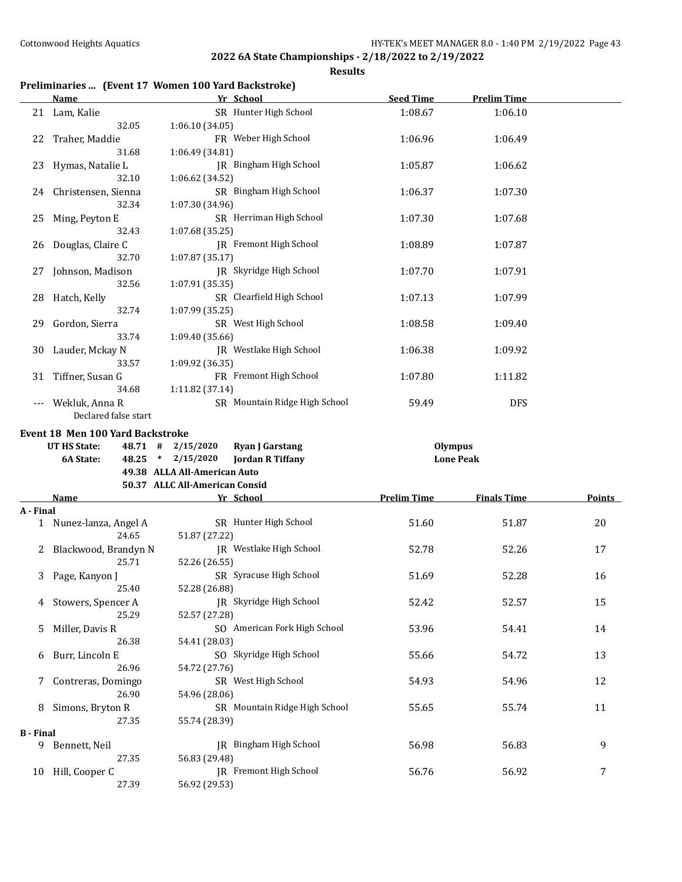**Results**

# **Preliminaries ... (Event 17 Women 100 Yard Backstroke)**

|                  | <b>Name</b>                            | Yr School                                                         | <b>Seed Time</b>   | <b>Prelim Time</b> |               |
|------------------|----------------------------------------|-------------------------------------------------------------------|--------------------|--------------------|---------------|
|                  | 21 Lam, Kalie                          | SR Hunter High School                                             | 1:08.67            | 1:06.10            |               |
| 22               | 32.05<br>Traher, Maddie                | 1:06.10 (34.05)<br>FR Weber High School                           | 1:06.96            | 1:06.49            |               |
|                  | 31.68                                  | 1:06.49 (34.81)                                                   |                    |                    |               |
| 23               | Hymas, Natalie L<br>32.10              | JR Bingham High School<br>1:06.62 (34.52)                         | 1:05.87            | 1:06.62            |               |
| 24               | Christensen, Sienna<br>32.34           | SR Bingham High School<br>1:07.30 (34.96)                         | 1:06.37            | 1:07.30            |               |
| 25               | Ming, Peyton E<br>32.43                | SR Herriman High School<br>1:07.68 (35.25)                        | 1:07.30            | 1:07.68            |               |
|                  | 26 Douglas, Claire C<br>32.70          | <b>IR</b> Fremont High School<br>1:07.87 (35.17)                  | 1:08.89            | 1:07.87            |               |
| 27               | Johnson, Madison<br>32.56              | JR Skyridge High School<br>1:07.91 (35.35)                        | 1:07.70            | 1:07.91            |               |
|                  | 28 Hatch, Kelly<br>32.74               | SR Clearfield High School<br>1:07.99 (35.25)                      | 1:07.13            | 1:07.99            |               |
| 29               | Gordon, Sierra<br>33.74                | SR West High School<br>1:09.40 (35.66)                            | 1:08.58            | 1:09.40            |               |
| 30               | Lauder, Mckay N<br>33.57               | JR Westlake High School<br>1:09.92 (36.35)                        | 1:06.38            | 1:09.92            |               |
| 31               | Tiffner, Susan G<br>34.68              | FR Fremont High School<br>1:11.82 (37.14)                         | 1:07.80            | 1:11.82            |               |
| $---$            | Wekluk, Anna R<br>Declared false start | SR Mountain Ridge High School                                     | 59.49              | <b>DFS</b>         |               |
|                  | Event 18 Men 100 Yard Backstroke       |                                                                   |                    |                    |               |
|                  |                                        |                                                                   |                    |                    |               |
|                  | <b>UT HS State:</b>                    | 48.71 # 2/15/2020<br><b>Ryan J Garstang</b>                       | <b>Olympus</b>     |                    |               |
|                  | 6A State:                              | 48.25 * 2/15/2020<br><b>Jordan R Tiffany</b>                      |                    | <b>Lone Peak</b>   |               |
|                  |                                        | 49.38 ALLA All-American Auto                                      |                    |                    |               |
|                  |                                        | 50.37 ALLC All-American Consid                                    |                    |                    |               |
|                  | <b>Name</b>                            | Yr School                                                         | <b>Prelim Time</b> | <b>Finals Time</b> | <b>Points</b> |
| A - Final        |                                        |                                                                   |                    |                    |               |
|                  | 1 Nunez-lanza, Angel A<br>24.65        | SR Hunter High School                                             | 51.60              | 51.87              | 20            |
| 2                | Blackwood, Brandyn N                   | 51.87 (27.22)<br>JR Westlake High School                          | 52.78              | 52.26              | 17            |
|                  | 25.71                                  | 52.26 (26.55)                                                     |                    |                    |               |
| 3                | Page, Kanyon J<br>25.40                | SR Syracuse High School<br>52.28 (26.88)                          | 51.69              | 52.28              | 16            |
|                  | 4 Stowers, Spencer A                   | JR Skyridge High School                                           | 52.42              | 52.57              | 15            |
| 5                | 25.29<br>Miller, Davis R               | 52.57 (27.28)<br>SO American Fork High School                     | 53.96              | 54.41              | 14            |
| 6                | 26.38<br>Burr, Lincoln E               | 54.41 (28.03)<br>SO Skyridge High School                          | 55.66              | 54.72              | 13            |
| 7                | 26.96<br>Contreras, Domingo            | 54.72 (27.76)<br>SR West High School                              | 54.93              | 54.96              | 12            |
| 8                | 26.90<br>Simons, Bryton R              | 54.96 (28.06)<br>SR Mountain Ridge High School                    | 55.65              | 55.74              | 11            |
|                  | 27.35                                  | 55.74 (28.39)                                                     |                    |                    |               |
| <b>B</b> - Final |                                        |                                                                   |                    |                    |               |
|                  | 9 Bennett, Neil<br>27.35               | JR Bingham High School<br>56.83 (29.48)<br>JR Fremont High School | 56.98              | 56.83              | 9             |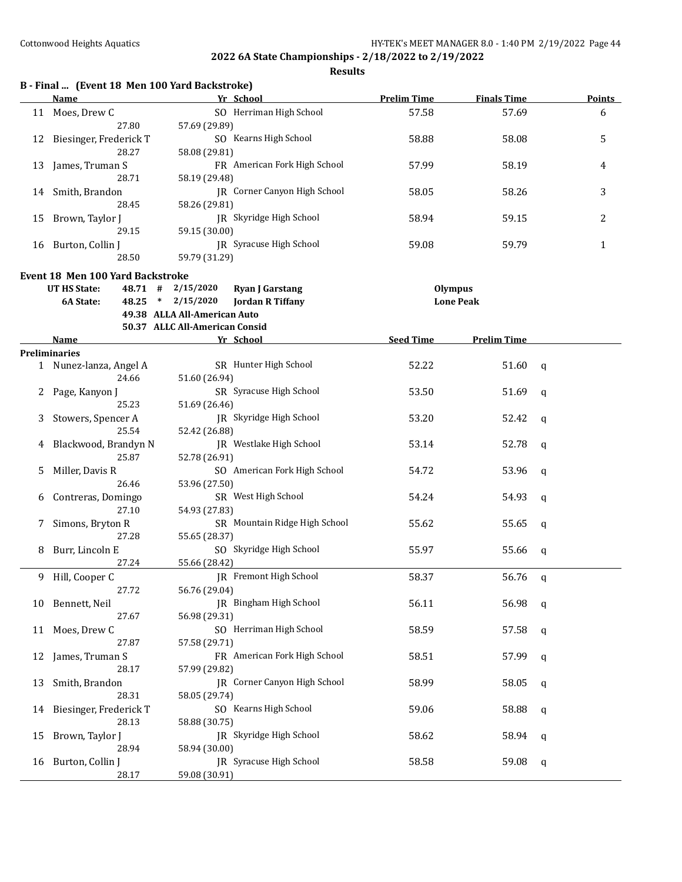|    | B - Final  (Event 18 Men 100 Yard Backstroke) |                                            | Yr School                                         |                    |                                    |               |
|----|-----------------------------------------------|--------------------------------------------|---------------------------------------------------|--------------------|------------------------------------|---------------|
|    | Name                                          |                                            |                                                   | <b>Prelim Time</b> | <b>Finals Time</b>                 | <b>Points</b> |
| 11 | Moes, Drew C<br>27.80                         | 57.69 (29.89)                              | SO Herriman High School                           | 57.58              | 57.69                              | 6             |
| 12 | Biesinger, Frederick T<br>28.27               | 58.08 (29.81)                              | SO Kearns High School                             | 58.88              | 58.08                              | 5             |
| 13 | James, Truman S<br>28.71                      |                                            | FR American Fork High School                      | 57.99              | 58.19                              | 4             |
| 14 | Smith, Brandon                                | 58.19 (29.48)                              | JR Corner Canyon High School                      | 58.05              | 58.26                              | 3             |
| 15 | 28.45<br>Brown, Taylor J                      | 58.26 (29.81)                              | JR Skyridge High School                           | 58.94              | 59.15                              | 2             |
|    | 29.15<br>16 Burton, Collin J                  | 59.15 (30.00)                              | JR Syracuse High School                           | 59.08              | 59.79                              | 1             |
|    | 28.50                                         | 59.79 (31.29)                              |                                                   |                    |                                    |               |
|    | <b>Event 18 Men 100 Yard Backstroke</b>       |                                            |                                                   |                    |                                    |               |
|    | UT HS State:<br>6A State:                     | $48.71$ # $2/15/2020$<br>48.25 * 2/15/2020 | <b>Ryan J Garstang</b><br><b>Jordan R Tiffany</b> |                    | <b>Olympus</b><br><b>Lone Peak</b> |               |
|    |                                               | 49.38 ALLA All-American Auto               |                                                   |                    |                                    |               |
|    |                                               | 50.37 ALLC All-American Consid             |                                                   |                    |                                    |               |
|    | Name                                          |                                            | Yr School                                         | <b>Seed Time</b>   | <b>Prelim Time</b>                 |               |
|    | <b>Preliminaries</b>                          |                                            |                                                   |                    |                                    |               |
|    | 1 Nunez-lanza, Angel A<br>24.66               | 51.60 (26.94)                              | SR Hunter High School                             | 52.22              | 51.60                              | q             |
|    | Page, Kanyon J                                |                                            | SR Syracuse High School                           | 53.50              | 51.69                              |               |
|    | 25.23                                         | 51.69 (26.46)                              |                                                   |                    |                                    | q             |
|    | Stowers, Spencer A                            |                                            | JR Skyridge High School                           | 53.20              | 52.42                              | q             |
|    | 25.54                                         | 52.42 (26.88)                              |                                                   |                    |                                    |               |
|    | Blackwood, Brandyn N<br>25.87                 | 52.78 (26.91)                              | JR Westlake High School                           | 53.14              | 52.78                              | q             |
| 5  | Miller, Davis R                               |                                            | SO American Fork High School                      | 54.72              | 53.96                              | q             |
|    | 26.46                                         | 53.96 (27.50)                              |                                                   |                    |                                    |               |
| 6  | Contreras, Domingo<br>27.10                   | 54.93 (27.83)                              | SR West High School                               | 54.24              | 54.93                              | q             |
| 7. | Simons, Bryton R<br>27.28                     | 55.65 (28.37)                              | SR Mountain Ridge High School                     | 55.62              | 55.65                              | q             |
| 8. | Burr, Lincoln E                               |                                            | SO Skyridge High School                           | 55.97              | 55.66                              | q             |
|    | 27.24                                         | 55.66 (28.42)                              |                                                   |                    |                                    |               |
|    | 9 Hill, Cooper C                              |                                            | JR Fremont High School                            | 58.37              | 56.76                              | - q           |
|    | 27.72                                         | 56.76 (29.04)                              |                                                   |                    |                                    |               |
| 10 | Bennett, Neil                                 |                                            | <b>IR</b> Bingham High School                     | 56.11              | 56.98                              | q             |
|    | 27.67                                         | 56.98 (29.31)                              |                                                   |                    |                                    |               |
|    | 11 Moes, Drew C                               |                                            | SO Herriman High School                           | 58.59              | 57.58                              | q             |
|    | 27.87                                         | 57.58 (29.71)                              |                                                   |                    |                                    |               |
| 12 | James, Truman S<br>28.17                      | 57.99 (29.82)                              | FR American Fork High School                      | 58.51              | 57.99                              | q             |
| 13 | Smith, Brandon                                |                                            | <b>IR</b> Corner Canyon High School               | 58.99              | 58.05                              | q             |
|    | 28.31                                         | 58.05 (29.74)                              |                                                   |                    |                                    |               |
| 14 | Biesinger, Frederick T                        |                                            | SO Kearns High School                             | 59.06              | 58.88                              | q             |
|    | 28.13                                         | 58.88 (30.75)                              | JR Skyridge High School                           | 58.62              |                                    |               |
| 15 | Brown, Taylor J<br>28.94                      | 58.94 (30.00)                              |                                                   |                    | 58.94                              | q             |
| 16 | Burton, Collin J                              |                                            | JR Syracuse High School                           | 58.58              | 59.08                              | q             |
|    | 28.17                                         | 59.08 (30.91)                              |                                                   |                    |                                    |               |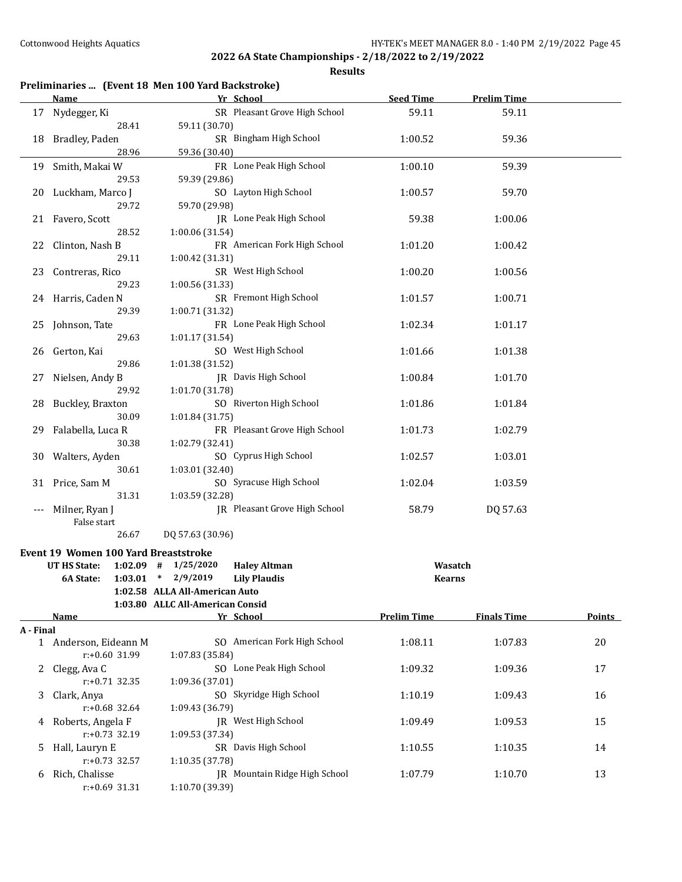|           |                                      | Preliminaries  (Event 18 Men 100 Yard Backstroke) |                               |                    |                    |        |
|-----------|--------------------------------------|---------------------------------------------------|-------------------------------|--------------------|--------------------|--------|
|           | <b>Name</b>                          | Yr School                                         |                               | <b>Seed Time</b>   | <b>Prelim Time</b> |        |
| 17        | Nydegger, Ki<br>28.41                | 59.11 (30.70)                                     | SR Pleasant Grove High School | 59.11              | 59.11              |        |
| 18        | Bradley, Paden                       |                                                   | SR Bingham High School        | 1:00.52            | 59.36              |        |
|           | 28.96                                | 59.36 (30.40)                                     |                               |                    |                    |        |
| 19        | Smith, Makai W<br>29.53              | 59.39 (29.86)                                     | FR Lone Peak High School      | 1:00.10            | 59.39              |        |
| 20        | Luckham, Marco J<br>29.72            | 59.70 (29.98)                                     | SO Layton High School         | 1:00.57            | 59.70              |        |
| 21        | Favero, Scott<br>28.52               |                                                   | JR Lone Peak High School      | 59.38              | 1:00.06            |        |
| 22        | Clinton, Nash B                      | 1:00.06 (31.54)                                   | FR American Fork High School  | 1:01.20            | 1:00.42            |        |
|           | 29.11                                | 1:00.42 (31.31)                                   |                               |                    |                    |        |
| 23        | Contreras, Rico                      | SR West High School                               |                               | 1:00.20            | 1:00.56            |        |
| 24        | 29.23<br>Harris, Caden N             | 1:00.56 (31.33)                                   | SR Fremont High School        | 1:01.57            | 1:00.71            |        |
|           | 29.39                                | 1:00.71 (31.32)                                   |                               |                    |                    |        |
| 25        | Johnson, Tate                        |                                                   | FR Lone Peak High School      | 1:02.34            | 1:01.17            |        |
| 26        | 29.63<br>Gerton, Kai                 | 1:01.17 (31.54)<br>SO West High School            |                               | 1:01.66            | 1:01.38            |        |
|           | 29.86                                | 1:01.38 (31.52)                                   |                               |                    |                    |        |
| 27        | Nielsen, Andy B<br>29.92             | JR Davis High School<br>1:01.70 (31.78)           |                               | 1:00.84            | 1:01.70            |        |
| 28        | Buckley, Braxton                     |                                                   | SO Riverton High School       | 1:01.86            | 1:01.84            |        |
|           | 30.09                                | 1:01.84 (31.75)                                   |                               |                    |                    |        |
| 29        | Falabella, Luca R<br>30.38           | 1:02.79 (32.41)                                   | FR Pleasant Grove High School | 1:01.73            | 1:02.79            |        |
| 30        | Walters, Ayden                       |                                                   | SO Cyprus High School         | 1:02.57            | 1:03.01            |        |
|           | 30.61                                | 1:03.01 (32.40)                                   |                               |                    |                    |        |
| 31        | Price, Sam M                         |                                                   | SO Syracuse High School       | 1:02.04            | 1:03.59            |        |
|           | 31.31                                | 1:03.59 (32.28)                                   |                               |                    |                    |        |
| $---$     | Milner, Ryan J<br>False start        |                                                   | JR Pleasant Grove High School | 58.79              | DQ 57.63           |        |
|           | 26.67                                | DQ 57.63 (30.96)                                  |                               |                    |                    |        |
|           | Event 19 Women 100 Yard Breaststroke |                                                   |                               |                    |                    |        |
|           | <b>UT HS State:</b>                  | $1:02.09$ # $1/25/2020$                           | <b>Haley Altman</b>           | Wasatch            |                    |        |
|           |                                      | 6A State: 1:03.01 * 2/9/2019 Lily Plaudis         |                               | <b>Kearns</b>      |                    |        |
|           |                                      | 1:02.58 ALLA All-American Auto                    |                               |                    |                    |        |
|           |                                      | 1:03.80 ALLC All-American Consid                  |                               |                    |                    |        |
|           | <b>Name</b>                          | Yr School                                         |                               | <b>Prelim Time</b> | <b>Finals Time</b> | Points |
| A - Final |                                      |                                                   |                               |                    |                    |        |
|           | 1 Anderson, Eideann M                |                                                   | SO American Fork High School  | 1:08.11            | 1:07.83            | 20     |
| 2         | r:+0.60 31.99<br>Clegg, Ava C        | 1:07.83 (35.84)                                   | SO Lone Peak High School      | 1:09.32            | 1:09.36            | 17     |
|           | $r: +0.71$ 32.35                     | 1:09.36 (37.01)                                   |                               |                    |                    |        |
| 3         | Clark, Anya                          |                                                   | SO Skyridge High School       | 1:10.19            | 1:09.43            | 16     |
|           | r:+0.68 32.64                        | 1:09.43 (36.79)                                   |                               |                    |                    |        |
| 4         | Roberts, Angela F                    | JR West High School                               |                               | 1:09.49            | 1:09.53            | 15     |
|           | $r: +0.73$ 32.19                     | 1:09.53 (37.34)                                   |                               |                    |                    |        |
| 5         | Hall, Lauryn E<br>r:+0.73 32.57      | SR Davis High School<br>1:10.35 (37.78)           |                               | 1:10.55            | 1:10.35            | 14     |
| 6         | Rich, Chalisse                       |                                                   | JR Mountain Ridge High School | 1:07.79            | 1:10.70            | 13     |
|           | $r: +0.69$ 31.31                     | 1:10.70 (39.39)                                   |                               |                    |                    |        |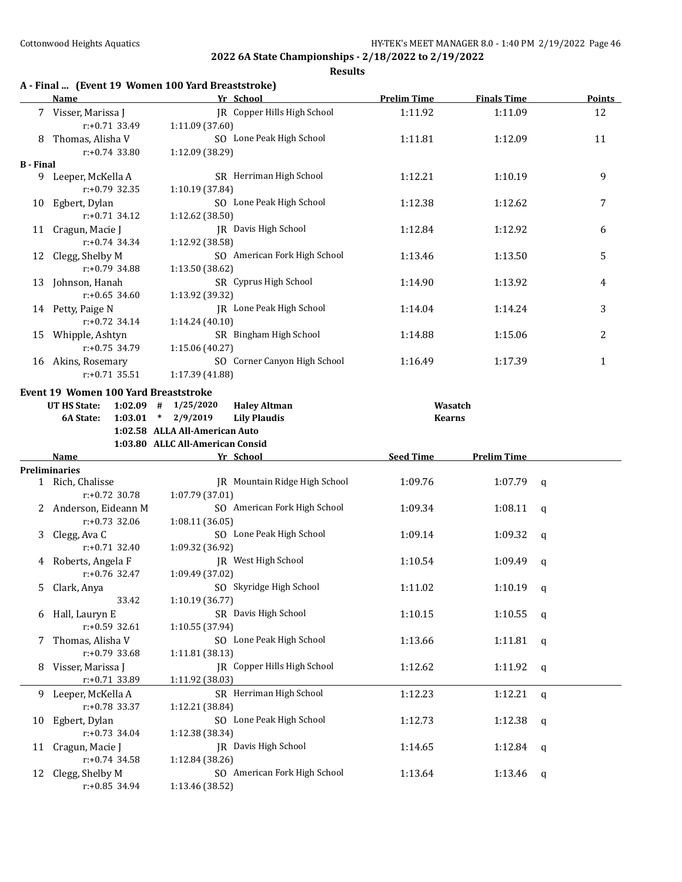|                  | Name                                 | A - Final  (Event 19 Women 100 Yard Breaststroke)<br>Yr School | <b>Prelim Time</b> | <b>Finals Time</b> | Points       |
|------------------|--------------------------------------|----------------------------------------------------------------|--------------------|--------------------|--------------|
|                  | 7 Visser, Marissa J<br>r:+0.71 33.49 | JR Copper Hills High School<br>1:11.09 (37.60)                 | 1:11.92            | 1:11.09            | 12           |
|                  | 8 Thomas, Alisha V                   | SO Lone Peak High School                                       | 1:11.81            | 1:12.09            | 11           |
|                  | $r: +0.74$ 33.80                     | 1:12.09 (38.29)                                                |                    |                    |              |
| <b>B</b> - Final |                                      |                                                                |                    |                    |              |
|                  | 9 Leeper, McKella A                  | SR Herriman High School                                        | 1:12.21            | 1:10.19            | 9            |
|                  | $r: +0.79$ 32.35                     | 1:10.19 (37.84)                                                |                    |                    |              |
|                  | 10 Egbert, Dylan                     | SO Lone Peak High School                                       | 1:12.38            | 1:12.62            | 7            |
|                  | $r: +0.71$ 34.12                     | 1:12.62 (38.50)                                                |                    |                    |              |
|                  | 11 Cragun, Macie J                   | <b>IR</b> Davis High School                                    | 1:12.84            | 1:12.92            | 6            |
|                  | $r: +0.74$ 34.34                     | 1:12.92 (38.58)                                                |                    |                    |              |
|                  | 12 Clegg, Shelby M                   | SO American Fork High School                                   | 1:13.46            | 1:13.50            | 5            |
|                  | $r: +0.79$ 34.88                     | 1:13.50 (38.62)                                                |                    |                    |              |
|                  | 13 Johnson, Hanah                    | SR Cyprus High School                                          | 1:14.90            | 1:13.92            | 4            |
|                  | $r: +0.65$ 34.60                     | 1:13.92 (39.32)                                                |                    |                    |              |
|                  | 14 Petty, Paige N                    | JR Lone Peak High School                                       | 1:14.04            | 1:14.24            | 3            |
|                  | $r: +0.72$ 34.14                     | 1:14.24 (40.10)                                                |                    |                    |              |
| 15               | Whipple, Ashtyn                      | SR Bingham High School                                         | 1:14.88            | 1:15.06            | 2            |
|                  | $r: +0.75$ 34.79                     | 1:15.06 (40.27)                                                |                    |                    |              |
|                  | 16 Akins, Rosemary                   | SO Corner Canyon High School                                   | 1:16.49            | 1:17.39            | $\mathbf{1}$ |
|                  | $r: +0.71$ 35.51                     | 1:17.39 (41.88)                                                |                    |                    |              |
|                  | Event 19 Women 100 Yard Breaststroke |                                                                |                    |                    |              |
|                  | UT HS State:                         | $1:02.09$ # $1/25/2020$<br><b>Haley Altman</b>                 | Wasatch            |                    |              |
|                  | 1:03.01<br>6A State:                 | $\ast$<br>2/9/2019<br><b>Lily Plaudis</b>                      | <b>Kearns</b>      |                    |              |
|                  |                                      | 1:02.58 ALLA All-American Auto                                 |                    |                    |              |
|                  |                                      | 1:03.80 ALLC All-American Consid                               |                    |                    |              |
|                  |                                      |                                                                |                    |                    |              |
|                  | Name                                 | Yr School                                                      | <b>Seed Time</b>   | <b>Prelim Time</b> |              |
|                  | <b>Preliminaries</b>                 |                                                                |                    |                    |              |
|                  | 1 Rich, Chalisse                     | JR Mountain Ridge High School                                  | 1:09.76            | 1:07.79            | q            |
|                  | $r: +0.72$ 30.78                     | 1:07.79 (37.01)                                                |                    |                    |              |
|                  | 2 Anderson, Eideann M                | SO American Fork High School                                   | 1:09.34            | 1:08.11            | $\mathbf q$  |
|                  | r:+0.73 32.06                        | 1:08.11 (36.05)                                                |                    |                    |              |
| 3                | Clegg, Ava C                         | SO Lone Peak High School                                       | 1:09.14            | 1:09.32            | $\mathbf q$  |
|                  | $r: +0.71$ 32.40                     | 1:09.32 (36.92)                                                |                    |                    |              |
| 4                | Roberts, Angela F                    | JR West High School                                            | 1:10.54            | 1:09.49            | q            |
|                  | $r: +0.76$ 32.47                     | 1:09.49 (37.02)                                                |                    |                    |              |
| 5                | Clark, Anya                          | SO Skyridge High School                                        | 1:11.02            | 1:10.19            | q            |
|                  | 33.42                                | 1:10.19 (36.77)                                                |                    |                    |              |
| 6                | Hall, Lauryn E                       | SR Davis High School                                           | 1:10.15            | 1:10.55            | q            |
|                  | r:+0.59 32.61                        | 1:10.55 (37.94)                                                |                    |                    |              |
| 7                | Thomas, Alisha V                     | SO Lone Peak High School                                       | 1:13.66            | 1:11.81            | q            |
|                  | $r: +0.79$ 33.68                     | 1:11.81 (38.13)                                                |                    |                    |              |
| 8                | Visser, Marissa J                    | JR Copper Hills High School                                    | 1:12.62            | 1:11.92            | q            |
|                  | r:+0.71 33.89                        | 1:11.92 (38.03)                                                |                    |                    |              |
| 9.               | Leeper, McKella A                    | SR Herriman High School                                        | 1:12.23            | 1:12.21            | q            |
|                  | r:+0.78 33.37                        | 1:12.21 (38.84)                                                |                    |                    |              |
| 10               | Egbert, Dylan                        | SO Lone Peak High School                                       | 1:12.73            | 1:12.38            | q            |
|                  | $r: +0.73$ 34.04                     | 1:12.38 (38.34)                                                |                    |                    |              |
| 11               | Cragun, Macie J                      | JR Davis High School                                           | 1:14.65            | 1:12.84            | q            |
|                  | $r: +0.74$ 34.58                     | 1:12.84 (38.26)                                                |                    |                    |              |
| 12               | Clegg, Shelby M                      | SO American Fork High School                                   | 1:13.64            | 1:13.46            | q            |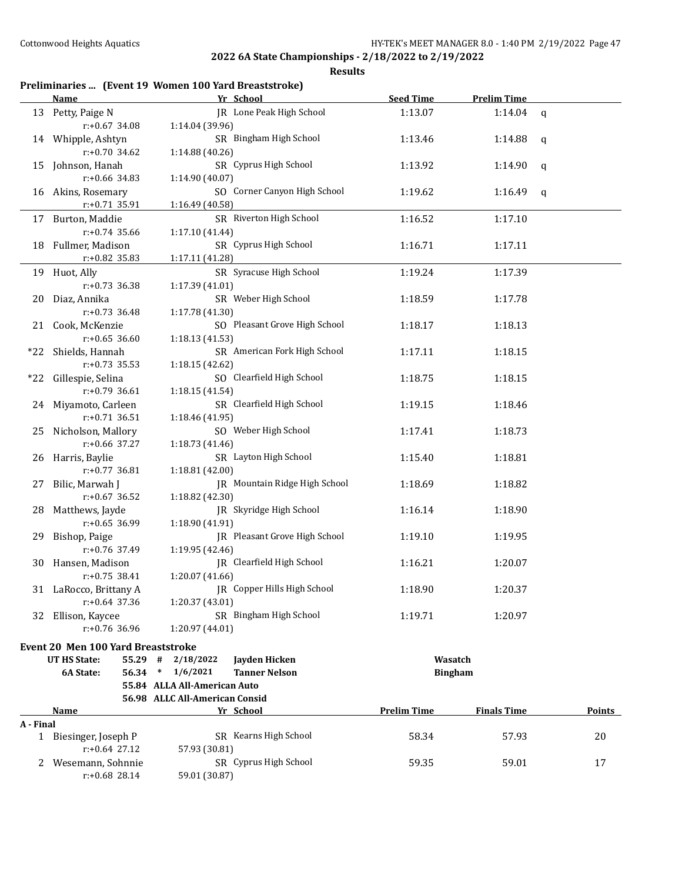|           |                                           | Preliminaries  (Event 19 Women 100 Yard Breaststroke) |                    |                    |               |
|-----------|-------------------------------------------|-------------------------------------------------------|--------------------|--------------------|---------------|
|           | Name                                      | Yr School                                             | <b>Seed Time</b>   | <b>Prelim Time</b> |               |
| 13        | Petty, Paige N<br>$r: +0.67$ 34.08        | JR Lone Peak High School<br>1:14.04 (39.96)           | 1:13.07            | 1:14.04            | $\mathbf q$   |
|           | 14 Whipple, Ashtyn<br>$r: +0.70$ 34.62    | SR Bingham High School<br>1:14.88 (40.26)             | 1:13.46            | 1:14.88            | q             |
| 15        | Johnson, Hanah<br>r:+0.66 34.83           | SR Cyprus High School<br>1:14.90 (40.07)              | 1:13.92            | 1:14.90            | q             |
| 16        | Akins, Rosemary                           | SO Corner Canyon High School                          | 1:19.62            | 1:16.49            | q             |
| 17        | $r: +0.71$ 35.91<br>Burton, Maddie        | 1:16.49 (40.58)<br>SR Riverton High School            | 1:16.52            | 1:17.10            |               |
|           | $r: +0.74$ 35.66                          | 1:17.10 (41.44)                                       |                    |                    |               |
| 18        | Fullmer, Madison<br>r:+0.82 35.83         | SR Cyprus High School<br>1:17.11 (41.28)              | 1:16.71            | 1:17.11            |               |
| 19        | Huot, Ally                                | SR Syracuse High School                               | 1:19.24            | 1:17.39            |               |
| 20        | $r: +0.73$ 36.38<br>Diaz, Annika          | 1:17.39 (41.01)<br>SR Weber High School               | 1:18.59            | 1:17.78            |               |
|           | $r: +0.73$ 36.48                          | 1:17.78 (41.30)                                       |                    |                    |               |
| 21        | Cook, McKenzie<br>$r: +0.65$ 36.60        | SO Pleasant Grove High School<br>1:18.13 (41.53)      | 1:18.17            | 1:18.13            |               |
| *22       | Shields, Hannah<br>$r: +0.73$ 35.53       | SR American Fork High School<br>1:18.15 (42.62)       | 1:17.11            | 1:18.15            |               |
| $*22$     | Gillespie, Selina                         | SO Clearfield High School                             | 1:18.75            | 1:18.15            |               |
| 24        | $r: +0.79$ 36.61<br>Miyamoto, Carleen     | 1:18.15 (41.54)<br>SR Clearfield High School          | 1:19.15            | 1:18.46            |               |
| 25        | $r: +0.71$ 36.51<br>Nicholson, Mallory    | 1:18.46 (41.95)<br>SO Weber High School               | 1:17.41            | 1:18.73            |               |
| 26        | r:+0.66 37.27<br>Harris, Baylie           | 1:18.73 (41.46)<br>SR Layton High School              | 1:15.40            | 1:18.81            |               |
|           | r:+0.77 36.81                             | 1:18.81 (42.00)                                       |                    |                    |               |
| 27        | Bilic, Marwah J<br>$r: +0.67$ 36.52       | JR Mountain Ridge High School<br>1:18.82 (42.30)      | 1:18.69            | 1:18.82            |               |
| 28        | Matthews, Jayde<br>$r: +0.65$ 36.99       | JR Skyridge High School<br>1:18.90 (41.91)            | 1:16.14            | 1:18.90            |               |
| 29        | Bishop, Paige                             | JR Pleasant Grove High School                         | 1:19.10            | 1:19.95            |               |
| 30        | r:+0.76 37.49<br>Hansen, Madison          | 1:19.95 (42.46)<br>JR Clearfield High School          | 1:16.21            | 1:20.07            |               |
|           | r:+0.75 38.41                             | 1:20.07 (41.66)                                       |                    |                    |               |
|           | 31 LaRocco, Brittany A<br>r:+0.64 37.36   | JR Copper Hills High School<br>1:20.37 (43.01)        | 1:18.90            | 1:20.37            |               |
| 32        | Ellison, Kaycee<br>$r: +0.76$ 36.96       | SR Bingham High School<br>1:20.97 (44.01)             | 1:19.71            | 1:20.97            |               |
|           | Event 20 Men 100 Yard Breaststroke        |                                                       |                    |                    |               |
|           | <b>UT HS State:</b><br>$55.29$ #          | 2/18/2022<br>Jayden Hicken                            |                    | Wasatch            |               |
|           | 56.34<br>6A State:                        | 1/6/2021<br>$\ast$<br><b>Tanner Nelson</b>            |                    | <b>Bingham</b>     |               |
|           |                                           | 55.84 ALLA All-American Auto                          |                    |                    |               |
|           |                                           | 56.98 ALLC All-American Consid                        |                    |                    |               |
|           | <b>Name</b>                               | Yr School                                             | <b>Prelim Time</b> | <b>Finals Time</b> | <b>Points</b> |
| A - Final |                                           |                                                       |                    |                    |               |
|           | 1 Biesinger, Joseph P<br>$r: +0.64$ 27.12 | SR Kearns High School<br>57.93 (30.81)                | 58.34              | 57.93              | 20            |
| 2         | Wesemann, Sohnnie<br>r:+0.68 28.14        | SR Cyprus High School<br>59.01 (30.87)                | 59.35              | 59.01              | 17            |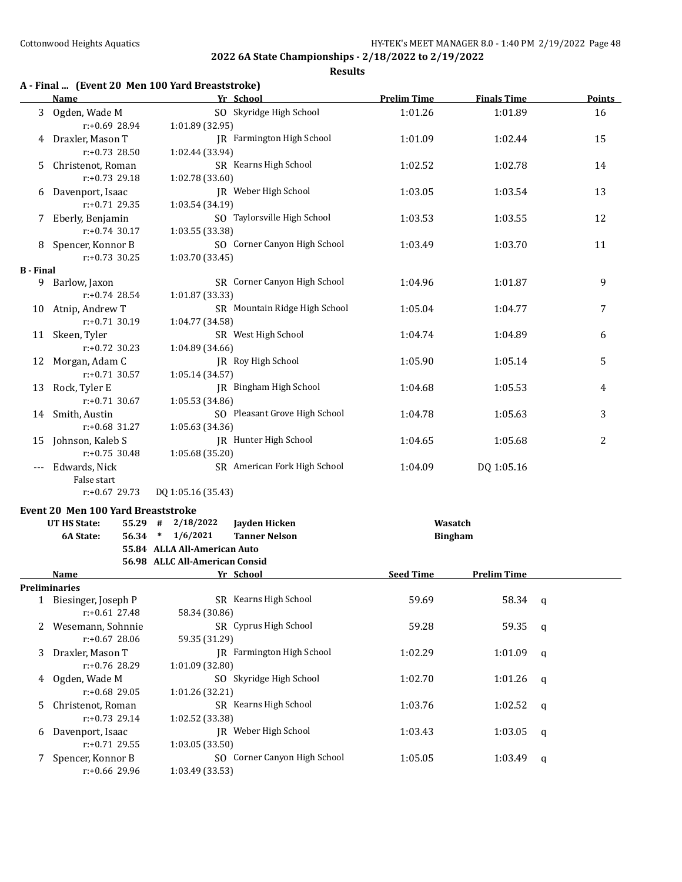**Results**

#### **A - Final ... (Event 20 Men 100 Yard Breaststroke)**

|                  | <b>Name</b>         | Yr School                        | <b>Prelim Time</b> | <b>Finals Time</b> | <b>Points</b> |
|------------------|---------------------|----------------------------------|--------------------|--------------------|---------------|
| 3                | Ogden, Wade M       | SO Skyridge High School          | 1:01.26            | 1:01.89            | 16            |
|                  | $r: +0.69$ 28.94    | 1:01.89 (32.95)                  |                    |                    |               |
| 4                | Draxler, Mason T    | <b>IR</b> Farmington High School | 1:01.09            | 1:02.44            | 15            |
|                  | $r: +0.73$ 28.50    | 1:02.44 (33.94)                  |                    |                    |               |
| 5                | Christenot, Roman   | SR Kearns High School            | 1:02.52            | 1:02.78            | 14            |
|                  | $r: +0.73$ 29.18    | 1:02.78 (33.60)                  |                    |                    |               |
| 6                | Davenport, Isaac    | JR Weber High School             | 1:03.05            | 1:03.54            | 13            |
|                  | $r: +0.71$ 29.35    | 1:03.54 (34.19)                  |                    |                    |               |
|                  | Eberly, Benjamin    | SO Taylorsville High School      | 1:03.53            | 1:03.55            | 12            |
|                  | $r: +0.74$ 30.17    | 1:03.55 (33.38)                  |                    |                    |               |
| 8                | Spencer, Konnor B   | SO Corner Canyon High School     | 1:03.49            | 1:03.70            | 11            |
|                  | $r: +0.73$ 30.25    | 1:03.70 (33.45)                  |                    |                    |               |
| <b>B</b> - Final |                     |                                  |                    |                    |               |
| 9                | Barlow, Jaxon       | SR Corner Canyon High School     | 1:04.96            | 1:01.87            | 9             |
|                  | $r: +0.74$ 28.54    | 1:01.87 (33.33)                  |                    |                    |               |
| 10               | Atnip, Andrew T     | SR Mountain Ridge High School    | 1:05.04            | 1:04.77            | 7             |
|                  | $r: +0.71$ 30.19    | 1:04.77 (34.58)                  |                    |                    |               |
|                  | 11 Skeen, Tyler     | SR West High School              | 1:04.74            | 1:04.89            | 6             |
|                  | $r: +0.72$ 30.23    | 1:04.89 (34.66)                  |                    |                    |               |
| 12               | Morgan, Adam C      | IR Roy High School               | 1:05.90            | 1:05.14            | 5             |
|                  | $r: +0.71$ 30.57    | 1:05.14(34.57)                   |                    |                    |               |
| 13               | Rock, Tyler E       | JR Bingham High School           | 1:04.68            | 1:05.53            | 4             |
|                  | $r: +0.71$ 30.67    | 1:05.53 (34.86)                  |                    |                    |               |
|                  | 14 Smith, Austin    | SO Pleasant Grove High School    | 1:04.78            | 1:05.63            | 3             |
|                  | $r: +0.68$ 31.27    | 1:05.63(34.36)                   |                    |                    |               |
|                  | 15 Johnson, Kaleb S | <b>IR</b> Hunter High School     | 1:04.65            | 1:05.68            | 2             |
|                  | $r: +0.75$ 30.48    | 1:05.68 (35.20)                  |                    |                    |               |
|                  | Edwards, Nick       | SR American Fork High School     | 1:04.09            | DQ 1:05.16         |               |
|                  | False start         |                                  |                    |                    |               |

r:+0.67 29.73 DQ 1:05.16 (35.43)

## **Event 20 Men 100 Yard Breaststroke**<br>**EXAMPLE State:** FE 30 44 3/19/2022

|    | <b>UT HS State:</b><br>55.29 | #      | 2/18/2022                      | Jayden Hicken                |                  | Wasatch            |   |  |
|----|------------------------------|--------|--------------------------------|------------------------------|------------------|--------------------|---|--|
|    | 6A State:<br>56.34           | $\ast$ | 1/6/2021                       | <b>Tanner Nelson</b>         |                  | <b>Bingham</b>     |   |  |
|    |                              |        | 55.84 ALLA All-American Auto   |                              |                  |                    |   |  |
|    |                              |        | 56.98 ALLC All-American Consid |                              |                  |                    |   |  |
|    | <b>Name</b>                  |        |                                | Yr School                    | <b>Seed Time</b> | <b>Prelim Time</b> |   |  |
|    | Preliminaries                |        |                                |                              |                  |                    |   |  |
|    | Biesinger, Joseph P          |        |                                | SR Kearns High School        | 59.69            | 58.34              | q |  |
|    | $r: +0.61$ 27.48             |        | 58.34 (30.86)                  |                              |                  |                    |   |  |
|    | Wesemann, Sohnnie            |        |                                | SR Cyprus High School        | 59.28            | 59.35              | q |  |
|    | $r: +0.67$ 28.06             |        | 59.35 (31.29)                  |                              |                  |                    |   |  |
| 3  | Draxler, Mason T             |        |                                | IR Farmington High School    | 1:02.29          | 1:01.09            | q |  |
|    | $r: +0.76$ 28.29             |        | 1:01.09(32.80)                 |                              |                  |                    |   |  |
| 4  | Ogden, Wade M                |        |                                | SO Skyridge High School      | 1:02.70          | 1:01.26            | q |  |
|    | $r: +0.68$ 29.05             |        | 1:01.26(32.21)                 |                              |                  |                    |   |  |
| 5. | Christenot, Roman            |        |                                | SR Kearns High School        | 1:03.76          | 1:02.52            | q |  |
|    | $r: +0.73$ 29.14             |        | 1:02.52(33.38)                 |                              |                  |                    |   |  |
| 6  | Davenport, Isaac             |        | IR                             | Weber High School            | 1:03.43          | 1:03.05            | q |  |
|    | $r: +0.71$ 29.55             |        | 1:03.05(33.50)                 |                              |                  |                    |   |  |
| 7  | Spencer, Konnor B            |        |                                | SO Corner Canyon High School | 1:05.05          | 1:03.49            | q |  |
|    | $r: +0.66$ 29.96             |        | 1:03.49(33.53)                 |                              |                  |                    |   |  |
|    |                              |        |                                |                              |                  |                    |   |  |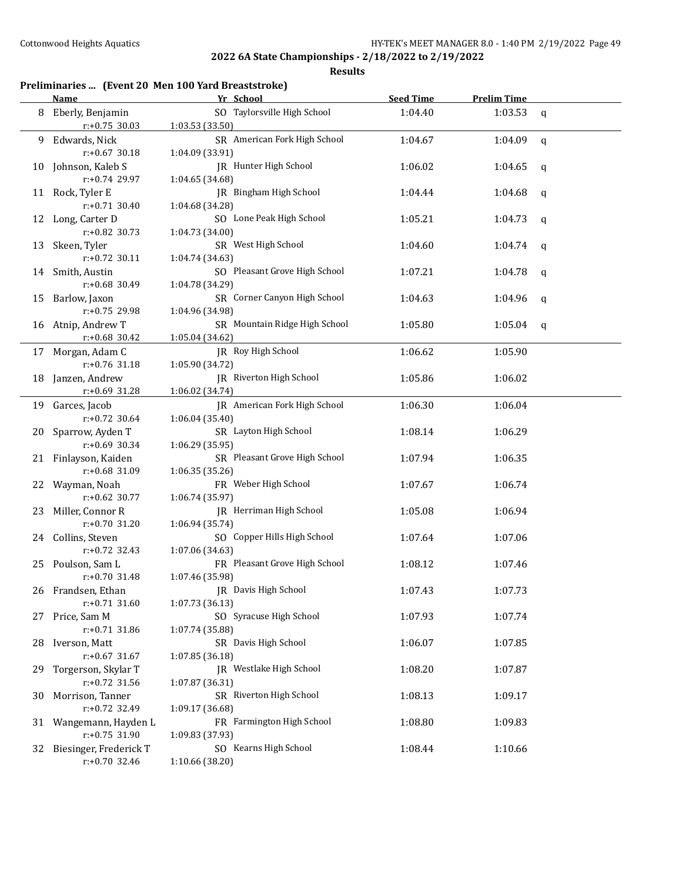**Results**

#### **Preliminaries ... (Event 20 Men 100 Yard Breaststroke)**

|    | Name                                       | Yr School                                        | <b>Seed Time</b> | <b>Prelim Time</b> |              |
|----|--------------------------------------------|--------------------------------------------------|------------------|--------------------|--------------|
| 8  | Eberly, Benjamin<br>$r: +0.75$ 30.03       | SO Taylorsville High School<br>1:03.53 (33.50)   | 1:04.40          | 1:03.53            | $\mathsf{q}$ |
| 9  | Edwards, Nick<br>$r: +0.67$ 30.18          | SR American Fork High School<br>1:04.09 (33.91)  | 1:04.67          | 1:04.09            | $\mathsf{q}$ |
| 10 | Johnson, Kaleb S<br>r:+0.74 29.97          | JR Hunter High School<br>1:04.65 (34.68)         | 1:06.02          | 1:04.65            | q            |
|    | 11 Rock, Tyler E<br>$r: +0.71$ 30.40       | JR Bingham High School<br>1:04.68 (34.28)        | 1:04.44          | 1:04.68            | q            |
|    | 12 Long, Carter D<br>$r: +0.82$ 30.73      | SO Lone Peak High School<br>1:04.73 (34.00)      | 1:05.21          | 1:04.73            | q            |
| 13 | Skeen, Tyler<br>$r: +0.72$ 30.11           | SR West High School<br>1:04.74 (34.63)           | 1:04.60          | 1:04.74            | q            |
| 14 | Smith, Austin<br>r:+0.68 30.49             | SO Pleasant Grove High School<br>1:04.78 (34.29) | 1:07.21          | 1:04.78            | q            |
| 15 | Barlow, Jaxon<br>r:+0.75 29.98             | SR Corner Canyon High School<br>1:04.96 (34.98)  | 1:04.63          | 1:04.96            | q            |
| 16 | Atnip, Andrew T<br>$r$ :+0.68 30.42        | SR Mountain Ridge High School<br>1:05.04 (34.62) | 1:05.80          | 1:05.04            | q            |
|    | 17 Morgan, Adam C<br>r:+0.76 31.18         | JR Roy High School<br>1:05.90 (34.72)            | 1:06.62          | 1:05.90            |              |
| 18 | Janzen, Andrew<br>$r+0.69$ 31.28           | IR Riverton High School<br>1:06.02 (34.74)       | 1:05.86          | 1:06.02            |              |
| 19 | Garces, Jacob<br>$r: +0.72$ 30.64          | JR American Fork High School<br>1:06.04 (35.40)  | 1:06.30          | 1:06.04            |              |
| 20 | Sparrow, Ayden T<br>r:+0.69 30.34          | SR Layton High School<br>1:06.29 (35.95)         | 1:08.14          | 1:06.29            |              |
| 21 | Finlayson, Kaiden<br>r:+0.68 31.09         | SR Pleasant Grove High School<br>1:06.35 (35.26) | 1:07.94          | 1:06.35            |              |
| 22 | Wayman, Noah<br>$r: +0.62$ 30.77           | FR Weber High School<br>1:06.74 (35.97)          | 1:07.67          | 1:06.74            |              |
| 23 | Miller, Connor R<br>$r: +0.70$ 31.20       | JR Herriman High School<br>1:06.94 (35.74)       | 1:05.08          | 1:06.94            |              |
|    | 24 Collins, Steven<br>$r: +0.72$ 32.43     | SO Copper Hills High School<br>1:07.06 (34.63)   | 1:07.64          | 1:07.06            |              |
|    | 25 Poulson, Sam L<br>$r: +0.70$ 31.48      | FR Pleasant Grove High School<br>1:07.46 (35.98) | 1:08.12          | 1:07.46            |              |
|    | 26 Frandsen, Ethan<br>$r: +0.71$ 31.60     | JR Davis High School<br>1:07.73 (36.13)          | 1:07.43          | 1:07.73            |              |
| 27 | Price, Sam M<br>r:+0.71 31.86              | SO Syracuse High School<br>1:07.74 (35.88)       | 1:07.93          | 1:07.74            |              |
| 28 | Iverson, Matt<br>$r: +0.67$ 31.67          | SR Davis High School<br>1:07.85 (36.18)          | 1:06.07          | 1:07.85            |              |
| 29 | Torgerson, Skylar T<br>$r: +0.72$ 31.56    | JR Westlake High School<br>1:07.87 (36.31)       | 1:08.20          | 1:07.87            |              |
| 30 | Morrison, Tanner<br>$r: +0.72$ 32.49       | SR Riverton High School<br>1:09.17 (36.68)       | 1:08.13          | 1:09.17            |              |
| 31 | Wangemann, Hayden L<br>$r: +0.75$ 31.90    | FR Farmington High School<br>1:09.83 (37.93)     | 1:08.80          | 1:09.83            |              |
| 32 | Biesinger, Frederick T<br>$r: +0.70$ 32.46 | SO Kearns High School<br>1:10.66 (38.20)         | 1:08.44          | 1:10.66            |              |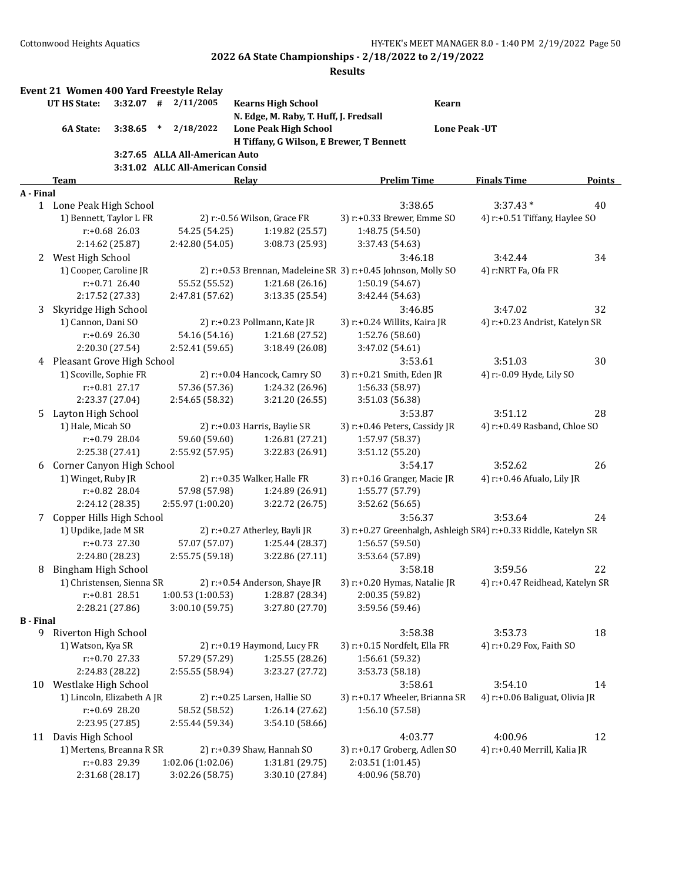|                  | Event 21 Women 400 Yard Freestyle Relay |                  |        |                                     |                                          |                                                                 |                                 |               |
|------------------|-----------------------------------------|------------------|--------|-------------------------------------|------------------------------------------|-----------------------------------------------------------------|---------------------------------|---------------|
|                  | <b>UT HS State:</b>                     |                  |        | $3:32.07$ # $2/11/2005$             | <b>Kearns High School</b>                | <b>Kearn</b>                                                    |                                 |               |
|                  |                                         |                  |        |                                     | N. Edge, M. Raby, T. Huff, J. Fredsall   |                                                                 |                                 |               |
|                  | 6A State:                               | 3:38.65          | $\ast$ | 2/18/2022                           | <b>Lone Peak High School</b>             |                                                                 | <b>Lone Peak -UT</b>            |               |
|                  |                                         |                  |        |                                     | H Tiffany, G Wilson, E Brewer, T Bennett |                                                                 |                                 |               |
|                  |                                         |                  |        | 3:27.65 ALLA All-American Auto      |                                          |                                                                 |                                 |               |
|                  | <b>Team</b>                             |                  |        | 3:31.02 ALLC All-American Consid    | Relay                                    | <b>Prelim Time</b>                                              | <b>Finals Time</b>              | <b>Points</b> |
| A - Final        |                                         |                  |        |                                     |                                          |                                                                 |                                 |               |
|                  | 1 Lone Peak High School                 |                  |        |                                     |                                          | 3:38.65                                                         | $3:37.43*$                      | 40            |
|                  | 1) Bennett, Taylor L FR                 |                  |        |                                     | 2) r:-0.56 Wilson, Grace FR              | 3) r:+0.33 Brewer, Emme SO                                      | 4) r:+0.51 Tiffany, Haylee SO   |               |
|                  |                                         | $r: +0.68$ 26.03 |        | 54.25 (54.25)                       | 1:19.82 (25.57)                          | 1:48.75 (54.50)                                                 |                                 |               |
|                  |                                         | 2:14.62 (25.87)  |        | 2:42.80 (54.05)                     | 3:08.73 (25.93)                          | 3:37.43 (54.63)                                                 |                                 |               |
|                  | 2 West High School                      |                  |        |                                     |                                          | 3:46.18                                                         | 3:42.44                         | 34            |
|                  | 1) Cooper, Caroline JR                  |                  |        |                                     |                                          | 2) r:+0.53 Brennan, Madeleine SR 3) r:+0.45 Johnson, Molly SO   | 4) r:NRT Fa, Ofa FR             |               |
|                  |                                         | $r: +0.71$ 26.40 |        | 55.52 (55.52)                       | 1:21.68 (26.16)                          | 1:50.19 (54.67)                                                 |                                 |               |
|                  |                                         | 2:17.52 (27.33)  |        | 2:47.81 (57.62)                     | 3:13.35 (25.54)                          | 3:42.44 (54.63)                                                 |                                 |               |
| 3                | Skyridge High School                    |                  |        |                                     |                                          | 3:46.85                                                         | 3:47.02                         | 32            |
|                  | 1) Cannon, Dani SO                      |                  |        |                                     | 2) r:+0.23 Pollmann, Kate JR             | 3) r:+0.24 Willits, Kaira JR                                    | 4) r:+0.23 Andrist, Katelyn SR  |               |
|                  |                                         | $r: +0.69$ 26.30 |        | 54.16 (54.16)                       | 1:21.68 (27.52)                          | 1:52.76 (58.60)                                                 |                                 |               |
|                  |                                         | 2:20.30 (27.54)  |        | 2:52.41 (59.65)                     | 3:18.49 (26.08)                          | 3:47.02 (54.61)                                                 |                                 |               |
|                  | 4 Pleasant Grove High School            |                  |        |                                     |                                          | 3:53.61                                                         | 3:51.03                         | 30            |
|                  | 1) Scoville, Sophie FR                  |                  |        |                                     | 2) r:+0.04 Hancock, Camry SO             | 3) r:+0.21 Smith, Eden JR                                       | 4) r:-0.09 Hyde, Lily SO        |               |
|                  |                                         | r:+0.81 27.17    |        | 57.36 (57.36)                       | 1:24.32 (26.96)                          | 1:56.33 (58.97)                                                 |                                 |               |
|                  |                                         | 2:23.37 (27.04)  |        | 2:54.65 (58.32)                     | 3:21.20 (26.55)                          | 3:51.03 (56.38)                                                 |                                 |               |
| 5.               | Layton High School                      |                  |        |                                     |                                          | 3:53.87                                                         | 3:51.12                         | 28            |
|                  | 1) Hale, Micah SO                       |                  |        |                                     | 2) r:+0.03 Harris, Baylie SR             | 3) r:+0.46 Peters, Cassidy JR                                   | 4) r:+0.49 Rasband, Chloe SO    |               |
|                  |                                         | r:+0.79 28.04    |        | 59.60 (59.60)                       | 1:26.81 (27.21)                          | 1:57.97 (58.37)                                                 |                                 |               |
|                  |                                         | 2:25.38 (27.41)  |        | 2:55.92 (57.95)                     | 3:22.83 (26.91)                          | 3:51.12 (55.20)                                                 |                                 |               |
| 6                | Corner Canyon High School               |                  |        |                                     |                                          | 3:54.17                                                         | 3:52.62                         | 26            |
|                  | 1) Winget, Ruby JR                      |                  |        |                                     | 2) r:+0.35 Walker, Halle FR              | 3) r:+0.16 Granger, Macie JR                                    | 4) r:+0.46 Afualo, Lily JR      |               |
|                  |                                         | r:+0.82 28.04    |        | 57.98 (57.98)                       | 1:24.89 (26.91)                          | 1:55.77 (57.79)                                                 |                                 |               |
|                  |                                         | 2:24.12 (28.35)  |        | 2:55.97 (1:00.20)                   | 3:22.72 (26.75)                          | 3:52.62 (56.65)                                                 |                                 |               |
| 7                | Copper Hills High School                |                  |        |                                     |                                          | 3:56.37                                                         | 3:53.64                         | 24            |
|                  | 1) Updike, Jade M SR                    |                  |        |                                     | 2) r:+0.27 Atherley, Bayli JR            | 3) r:+0.27 Greenhalgh, Ashleigh SR4) r:+0.33 Riddle, Katelyn SR |                                 |               |
|                  |                                         | $r: +0.73$ 27.30 |        | 57.07 (57.07)                       | 1:25.44 (28.37)                          | 1:56.57 (59.50)                                                 |                                 |               |
|                  |                                         | 2:24.80 (28.23)  |        | 2:55.75 (59.18)                     | 3:22.86 (27.11)                          | 3:53.64 (57.89)                                                 |                                 |               |
| 8                | Bingham High School                     |                  |        |                                     |                                          | 3:58.18                                                         | 3:59.56                         | 22            |
|                  | 1) Christensen, Sienna SR               | r:+0.81 28.51    |        |                                     | 2) r:+0.54 Anderson, Shaye JR            | 3) r:+0.20 Hymas, Natalie JR                                    | 4) r:+0.47 Reidhead, Katelyn SR |               |
|                  |                                         | 2:28.21 (27.86)  |        | 1:00.53(1:00.53)<br>3:00.10 (59.75) | 1:28.87 (28.34)<br>3:27.80 (27.70)       | 2:00.35 (59.82)<br>3:59.56 (59.46)                              |                                 |               |
| <b>B</b> - Final |                                         |                  |        |                                     |                                          |                                                                 |                                 |               |
|                  | 9 Riverton High School                  |                  |        |                                     |                                          | 3:58.38                                                         | 3:53.73                         | 18            |
|                  | 1) Watson, Kya SR                       |                  |        |                                     | 2) r:+0.19 Haymond, Lucy FR              | 3) r:+0.15 Nordfelt, Ella FR                                    | 4) r:+0.29 Fox, Faith SO        |               |
|                  |                                         | $r: +0.70$ 27.33 |        | 57.29 (57.29)                       | 1:25.55(28.26)                           | 1:56.61 (59.32)                                                 |                                 |               |
|                  |                                         | 2:24.83 (28.22)  |        | 2:55.55 (58.94)                     | 3:23.27 (27.72)                          | 3:53.73 (58.18)                                                 |                                 |               |
|                  | 10 Westlake High School                 |                  |        |                                     |                                          | 3:58.61                                                         | 3:54.10                         | 14            |
|                  | 1) Lincoln, Elizabeth A JR              |                  |        |                                     | 2) r:+0.25 Larsen, Hallie SO             | 3) r:+0.17 Wheeler, Brianna SR                                  | 4) r:+0.06 Baliguat, Olivia JR  |               |
|                  |                                         | r:+0.69 28.20    |        | 58.52 (58.52)                       | 1:26.14 (27.62)                          | 1:56.10 (57.58)                                                 |                                 |               |
|                  |                                         | 2:23.95 (27.85)  |        | 2:55.44 (59.34)                     | 3:54.10 (58.66)                          |                                                                 |                                 |               |
|                  | 11 Davis High School                    |                  |        |                                     |                                          | 4:03.77                                                         | 4:00.96                         | 12            |
|                  | 1) Mertens, Breanna R SR                |                  |        |                                     | 2) r:+0.39 Shaw, Hannah SO               | 3) r:+0.17 Groberg, Adlen SO                                    | 4) r:+0.40 Merrill, Kalia JR    |               |
|                  |                                         | r:+0.83 29.39    |        | 1:02.06 (1:02.06)                   | 1:31.81 (29.75)                          | 2:03.51 (1:01.45)                                               |                                 |               |
|                  |                                         | 2:31.68 (28.17)  |        | 3:02.26 (58.75)                     | 3:30.10 (27.84)                          | 4:00.96 (58.70)                                                 |                                 |               |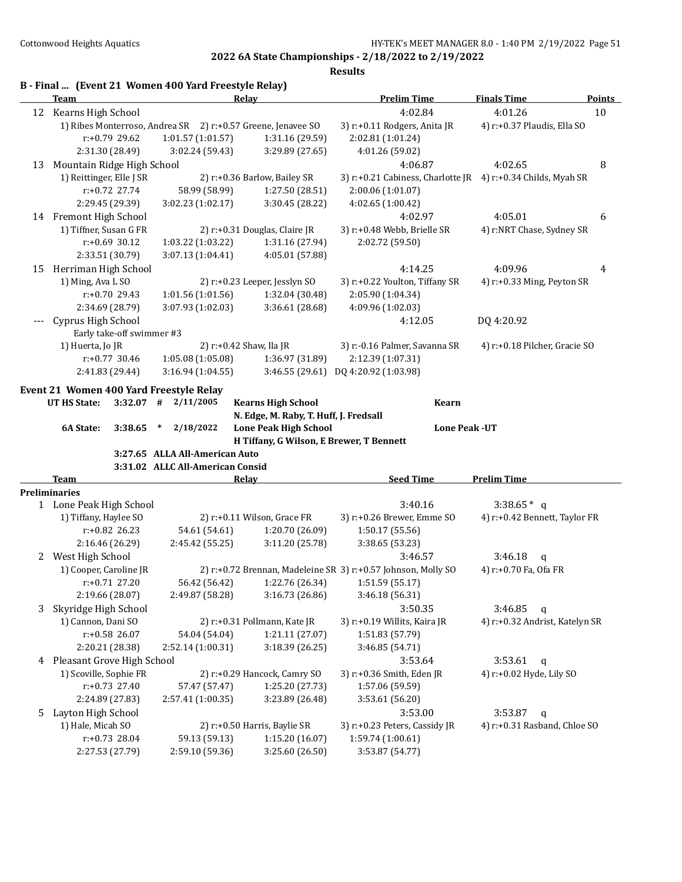|    | B - Final  (Event 21 Women 400 Yard Freestyle Relay)<br>Team |                                  | Relay                                                               | <b>Prelim Time</b>                                            | <b>Finals Time</b>             | <b>Points</b> |
|----|--------------------------------------------------------------|----------------------------------|---------------------------------------------------------------------|---------------------------------------------------------------|--------------------------------|---------------|
|    | 12 Kearns High School                                        |                                  |                                                                     | 4:02.84                                                       | 4:01.26                        | 10            |
|    | 1) Ribes Monterroso, Andrea SR 2) r:+0.57 Greene, Jenavee SO |                                  |                                                                     | 3) r:+0.11 Rodgers, Anita JR                                  | 4) r:+0.37 Plaudis, Ella SO    |               |
|    | r:+0.79 29.62                                                | 1:01.57 (1:01.57)                | 1:31.16 (29.59)                                                     | 2:02.81 (1:01.24)                                             |                                |               |
|    | 2:31.30 (28.49)                                              | 3:02.24 (59.43)                  | 3:29.89 (27.65)                                                     | 4:01.26 (59.02)                                               |                                |               |
| 13 | Mountain Ridge High School                                   |                                  |                                                                     | 4:06.87                                                       | 4:02.65                        | 8             |
|    | 1) Reittinger, Elle J SR                                     |                                  | 2) r:+0.36 Barlow, Bailey SR                                        | 3) r:+0.21 Cabiness, Charlotte JR 4) r:+0.34 Childs, Myah SR  |                                |               |
|    | $r: +0.72$ 27.74                                             | 58.99 (58.99)                    | 1:27.50 (28.51)                                                     | 2:00.06 (1:01.07)                                             |                                |               |
|    | 2:29.45 (29.39)                                              | 3:02.23 (1:02.17)                | 3:30.45 (28.22)                                                     | 4:02.65 (1:00.42)                                             |                                |               |
|    |                                                              |                                  |                                                                     |                                                               |                                |               |
|    | 14 Fremont High School<br>1) Tiffner, Susan G FR             |                                  |                                                                     | 4:02.97                                                       | 4:05.01                        | 6             |
|    | $r: +0.69$ 30.12                                             |                                  | 2) r:+0.31 Douglas, Claire JR                                       | 3) r:+0.48 Webb, Brielle SR                                   | 4) r:NRT Chase, Sydney SR      |               |
|    |                                                              | 1:03.22 (1:03.22)                | 1:31.16 (27.94)                                                     | 2:02.72 (59.50)                                               |                                |               |
|    | 2:33.51 (30.79)                                              | 3:07.13 (1:04.41)                | 4:05.01 (57.88)                                                     |                                                               |                                |               |
|    | 15 Herriman High School                                      |                                  |                                                                     | 4:14.25                                                       | 4:09.96                        | 4             |
|    | 1) Ming, Ava L SO                                            |                                  | 2) r:+0.23 Leeper, Jesslyn SO                                       | 3) r:+0.22 Youlton, Tiffany SR                                | 4) r:+0.33 Ming, Peyton SR     |               |
|    | r:+0.70 29.43                                                | 1:01.56 (1:01.56)                | 1:32.04 (30.48)                                                     | 2:05.90 (1:04.34)                                             |                                |               |
|    | 2:34.69 (28.79)                                              | 3:07.93 (1:02.03)                | 3:36.61 (28.68)                                                     | 4:09.96 (1:02.03)                                             |                                |               |
|    | Cyprus High School<br>Early take-off swimmer #3              |                                  |                                                                     | 4:12.05                                                       | DQ 4:20.92                     |               |
|    | 1) Huerta, Jo JR                                             |                                  | 2) r:+0.42 Shaw, Ila JR                                             | 3) r:-0.16 Palmer, Savanna SR                                 | 4) r:+0.18 Pilcher, Gracie SO  |               |
|    | $r: +0.77$ 30.46                                             | 1:05.08 (1:05.08)                | 1:36.97 (31.89)                                                     | 2:12.39 (1:07.31)                                             |                                |               |
|    | 2:41.83 (29.44)                                              | 3:16.94(1:04.55)                 | 3:46.55(29.61)                                                      | DQ 4:20.92 (1:03.98)                                          |                                |               |
|    | Event 21 Women 400 Yard Freestyle Relay                      |                                  |                                                                     |                                                               |                                |               |
|    | UT HS State:<br>3:32.07                                      | 2/11/2005<br>#                   | <b>Kearns High School</b><br>N. Edge, M. Raby, T. Huff, J. Fredsall | Kearn                                                         |                                |               |
|    | 6A State:<br>3:38.65                                         | 2/18/2022<br>$\ast$              | <b>Lone Peak High School</b>                                        | <b>Lone Peak - UT</b>                                         |                                |               |
|    |                                                              |                                  | H Tiffany, G Wilson, E Brewer, T Bennett                            |                                                               |                                |               |
|    |                                                              | 3:27.65 ALLA All-American Auto   |                                                                     |                                                               |                                |               |
|    |                                                              | 3:31.02 ALLC All-American Consid |                                                                     |                                                               |                                |               |
|    | Team                                                         |                                  | Relay                                                               | <b>Seed Time</b>                                              | <b>Prelim Time</b>             |               |
|    | <b>Preliminaries</b>                                         |                                  |                                                                     |                                                               |                                |               |
|    | 1 Lone Peak High School                                      |                                  |                                                                     | 3:40.16                                                       | $3:38.65*$ q                   |               |
|    | 1) Tiffany, Haylee SO                                        |                                  | 2) r:+0.11 Wilson, Grace FR                                         | 3) r:+0.26 Brewer, Emme SO                                    | 4) r:+0.42 Bennett, Taylor FR  |               |
|    | $r: +0.82$ 26.23                                             | 54.61 (54.61)                    | 1:20.70 (26.09)                                                     | 1:50.17 (55.56)                                               |                                |               |
|    | 2:16.46 (26.29)                                              | 2:45.42 (55.25)                  | 3:11.20 (25.78)                                                     | 3:38.65 (53.23)                                               |                                |               |
|    | 2 West High School                                           |                                  |                                                                     | 3:46.57                                                       | 3:46.18<br>q                   |               |
|    | 1) Cooper, Caroline JR                                       |                                  |                                                                     | 2) r:+0.72 Brennan, Madeleine SR 3) r:+0.57 Johnson, Molly SO | 4) r:+0.70 Fa, Ofa FR          |               |
|    | r:+0.71 27.20                                                | 56.42 (56.42)                    | 1:22.76 (26.34)                                                     | 1:51.59 (55.17)                                               |                                |               |
|    | 2:19.66 (28.07)                                              | 2:49.87 (58.28)                  | 3:16.73 (26.86)                                                     | 3:46.18 (56.31)                                               |                                |               |
| 3  | Skyridge High School                                         |                                  |                                                                     | 3:50.35                                                       | 3:46.85<br>$\mathsf{q}$        |               |
|    | 1) Cannon, Dani SO                                           |                                  | 2) r:+0.31 Pollmann, Kate JR                                        | 3) r:+0.19 Willits, Kaira JR                                  | 4) r:+0.32 Andrist, Katelyn SR |               |
|    | r:+0.58 26.07                                                | 54.04 (54.04)                    | 1:21.11 (27.07)                                                     | 1:51.83 (57.79)                                               |                                |               |
|    | 2:20.21 (28.38)                                              | 2:52.14 (1:00.31)                | 3:18.39 (26.25)                                                     | 3:46.85 (54.71)                                               |                                |               |
|    | 4 Pleasant Grove High School                                 |                                  |                                                                     | 3:53.64                                                       | 3:53.61<br>$\mathbf q$         |               |
|    | 1) Scoville, Sophie FR                                       |                                  | 2) r:+0.29 Hancock, Camry SO                                        | 3) r:+0.36 Smith, Eden JR                                     | 4) r:+0.02 Hyde, Lily SO       |               |
|    | $r: +0.73$ 27.40                                             | 57.47 (57.47)                    | 1:25.20 (27.73)                                                     | 1:57.06 (59.59)                                               |                                |               |
|    | 2:24.89 (27.83)                                              | 2:57.41 (1:00.35)                | 3:23.89 (26.48)                                                     | 3:53.61 (56.20)                                               |                                |               |
| 5  | Layton High School                                           |                                  |                                                                     | 3:53.00                                                       | 3:53.87<br>$\mathsf{q}$        |               |
|    | 1) Hale, Micah SO                                            |                                  | 2) r:+0.50 Harris, Baylie SR                                        | 3) r:+0.23 Peters, Cassidy JR                                 | 4) r:+0.31 Rasband, Chloe SO   |               |
|    | r:+0.73 28.04<br>2:27.53 (27.79)                             | 59.13 (59.13)                    | 1:15.20 (16.07)                                                     | 1:59.74 (1:00.61)                                             |                                |               |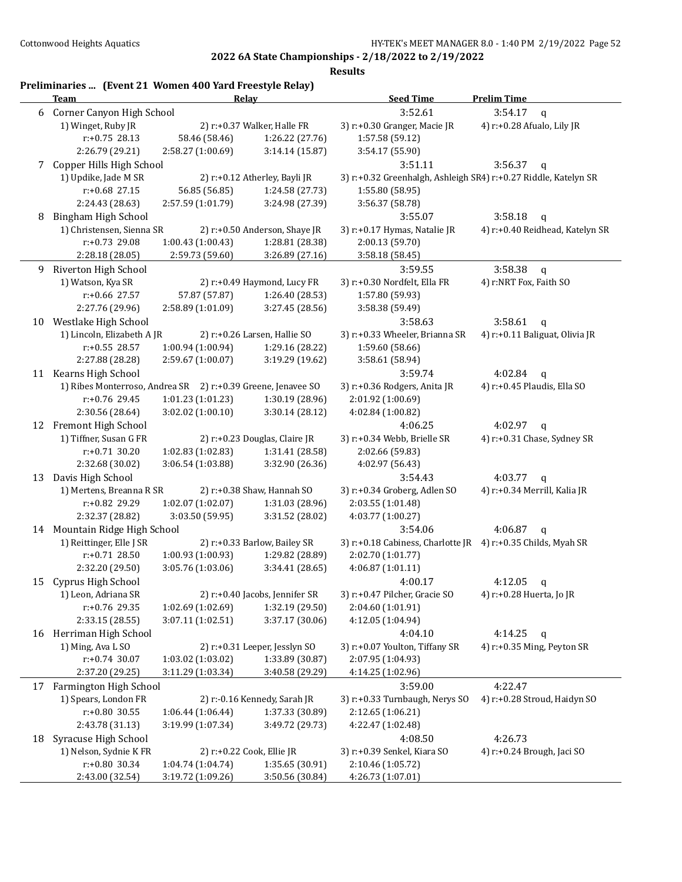|    | Preliminaries  (Event 21 Women 400 Yard Freestyle Relay)<br>Team | Relay             |                                | <b>Seed Time</b>                                                | <b>Prelim Time</b>              |
|----|------------------------------------------------------------------|-------------------|--------------------------------|-----------------------------------------------------------------|---------------------------------|
| 6  | Corner Canyon High School                                        |                   |                                | 3:52.61                                                         | 3:54.17<br>$\mathbf{q}$         |
|    | 1) Winget, Ruby JR                                               |                   | 2) r:+0.37 Walker, Halle FR    | 3) r:+0.30 Granger, Macie JR                                    | 4) r:+0.28 Afualo, Lily JR      |
|    | $r: +0.75$ 28.13                                                 | 58.46 (58.46)     | 1:26.22 (27.76)                | 1:57.58 (59.12)                                                 |                                 |
|    | 2:26.79 (29.21)                                                  | 2:58.27 (1:00.69) | 3:14.14 (15.87)                | 3:54.17 (55.90)                                                 |                                 |
| 7  | Copper Hills High School                                         |                   |                                | 3:51.11                                                         | 3:56.37<br>q                    |
|    | 1) Updike, Jade M SR                                             |                   | 2) r:+0.12 Atherley, Bayli JR  | 3) r:+0.32 Greenhalgh, Ashleigh SR4) r:+0.27 Riddle, Katelyn SR |                                 |
|    | $r: +0.68$ 27.15                                                 | 56.85 (56.85)     | 1:24.58 (27.73)                | 1:55.80 (58.95)                                                 |                                 |
|    | 2:24.43 (28.63)                                                  | 2:57.59 (1:01.79) | 3:24.98 (27.39)                | 3:56.37 (58.78)                                                 |                                 |
| 8  | Bingham High School                                              |                   |                                | 3:55.07                                                         | 3:58.18<br>$\mathsf{q}$         |
|    | 1) Christensen, Sienna SR                                        |                   | 2) r:+0.50 Anderson, Shaye JR  | 3) r:+0.17 Hymas, Natalie JR                                    | 4) r:+0.40 Reidhead, Katelyn SR |
|    | r:+0.73 29.08                                                    | 1:00.43 (1:00.43) | 1:28.81 (28.38)                | 2:00.13 (59.70)                                                 |                                 |
|    | 2:28.18 (28.05)                                                  | 2:59.73 (59.60)   | 3:26.89 (27.16)                | 3:58.18 (58.45)                                                 |                                 |
| 9. | Riverton High School                                             |                   |                                | 3:59.55                                                         | 3:58.38<br>$\mathsf{q}$         |
|    | 1) Watson, Kya SR                                                |                   | 2) r:+0.49 Haymond, Lucy FR    | 3) r:+0.30 Nordfelt, Ella FR                                    | 4) r:NRT Fox, Faith SO          |
|    | r:+0.66 27.57                                                    | 57.87 (57.87)     | 1:26.40 (28.53)                |                                                                 |                                 |
|    |                                                                  | 2:58.89 (1:01.09) | 3:27.45 (28.56)                | 1:57.80 (59.93)<br>3:58.38 (59.49)                              |                                 |
|    | 2:27.76 (29.96)                                                  |                   |                                |                                                                 |                                 |
|    | 10 Westlake High School                                          |                   |                                | 3:58.63                                                         | 3:58.61<br>$\mathsf{q}$         |
|    | 1) Lincoln, Elizabeth A JR                                       |                   | 2) r:+0.26 Larsen, Hallie SO   | 3) r:+0.33 Wheeler, Brianna SR                                  | 4) r:+0.11 Baliguat, Olivia JR  |
|    | $r: +0.55$ 28.57                                                 | 1:00.94 (1:00.94) | 1:29.16 (28.22)                | 1:59.60 (58.66)                                                 |                                 |
|    | 2:27.88 (28.28)                                                  | 2:59.67 (1:00.07) | 3:19.29 (19.62)                | 3:58.61 (58.94)                                                 |                                 |
|    | 11 Kearns High School                                            |                   |                                | 3:59.74                                                         | 4:02.84<br>$\mathsf{q}$         |
|    | 1) Ribes Monterroso, Andrea SR 2) r:+0.39 Greene, Jenavee SO     |                   |                                | 3) r:+0.36 Rodgers, Anita JR                                    | 4) r:+0.45 Plaudis, Ella SO     |
|    | r:+0.76 29.45                                                    | 1:01.23 (1:01.23) | 1:30.19 (28.96)                | 2:01.92 (1:00.69)                                               |                                 |
|    | 2:30.56 (28.64)                                                  | 3:02.02 (1:00.10) | 3:30.14 (28.12)                | 4:02.84 (1:00.82)                                               |                                 |
|    | 12 Fremont High School                                           |                   |                                | 4:06.25                                                         | 4:02.97<br>$\mathbf q$          |
|    | 1) Tiffner, Susan G FR                                           |                   | 2) r:+0.23 Douglas, Claire JR  | 3) r:+0.34 Webb, Brielle SR                                     | 4) r:+0.31 Chase, Sydney SR     |
|    | $r: +0.71$ 30.20                                                 | 1:02.83 (1:02.83) | 1:31.41 (28.58)                | 2:02.66 (59.83)                                                 |                                 |
|    | 2:32.68 (30.02)                                                  | 3:06.54 (1:03.88) | 3:32.90 (26.36)                | 4:02.97 (56.43)                                                 |                                 |
| 13 | Davis High School                                                |                   |                                | 3:54.43                                                         | 4:03.77<br>q                    |
|    | 1) Mertens, Breanna R SR                                         |                   | 2) r:+0.38 Shaw, Hannah SO     | 3) r:+0.34 Groberg, Adlen SO                                    | 4) r:+0.34 Merrill, Kalia JR    |
|    | r:+0.82 29.29                                                    | 1:02.07 (1:02.07) | 1:31.03 (28.96)                | 2:03.55 (1:01.48)                                               |                                 |
|    | 2:32.37 (28.82)                                                  | 3:03.50 (59.95)   | 3:31.52 (28.02)                | 4:03.77 (1:00.27)                                               |                                 |
|    | 14 Mountain Ridge High School                                    |                   |                                | 3:54.06                                                         | 4:06.87<br>$\mathbf q$          |
|    | 1) Reittinger, Elle J SR                                         |                   | 2) r:+0.33 Barlow, Bailey SR   | 3) r:+0.18 Cabiness, Charlotte JR 4) r:+0.35 Childs, Myah SR    |                                 |
|    | $r: +0.71$ 28.50                                                 | 1:00.93 (1:00.93) | 1:29.82 (28.89)                | 2:02.70 (1:01.77)                                               |                                 |
|    | 2:32.20 (29.50)                                                  | 3:05.76 (1:03.06) | 3:34.41 (28.65)                | 4:06.87(1:01.11)                                                |                                 |
| 15 | Cyprus High School                                               |                   |                                | 4:00.17                                                         | 4:12.05<br>q                    |
|    | 1) Leon, Adriana SR                                              |                   | 2) r:+0.40 Jacobs, Jennifer SR | 3) r:+0.47 Pilcher, Gracie SO                                   | 4) r:+0.28 Huerta, Jo JR        |
|    | r:+0.76 29.35                                                    | 1:02.69 (1:02.69) | 1:32.19 (29.50)                | 2:04.60 (1:01.91)                                               |                                 |
|    | 2:33.15 (28.55)                                                  | 3:07.11 (1:02.51) | 3:37.17 (30.06)                | 4:12.05 (1:04.94)                                               |                                 |
| 16 | Herriman High School                                             |                   |                                | 4:04.10                                                         | 4:14.25<br>q                    |
|    | 1) Ming, Ava L SO                                                |                   | 2) r:+0.31 Leeper, Jesslyn SO  | 3) r:+0.07 Youlton, Tiffany SR                                  | 4) r:+0.35 Ming, Peyton SR      |
|    | $r: +0.74$ 30.07                                                 | 1:03.02 (1:03.02) | 1:33.89 (30.87)                | 2:07.95 (1:04.93)                                               |                                 |
|    | 2:37.20 (29.25)                                                  | 3:11.29 (1:03.34) | 3:40.58 (29.29)                | 4:14.25 (1:02.96)                                               |                                 |
|    | 17 Farmington High School                                        |                   |                                | 3:59.00                                                         | 4:22.47                         |
|    | 1) Spears, London FR<br>2) r:-0.16 Kennedy, Sarah JR             |                   | 3) r:+0.33 Turnbaugh, Nerys SO | 4) r:+0.28 Stroud, Haidyn SO                                    |                                 |
|    | $r: +0.80$ 30.55                                                 | 1:06.44 (1:06.44) | 1:37.33 (30.89)                | 2:12.65 (1:06.21)                                               |                                 |
|    | 2:43.78 (31.13)                                                  | 3:19.99 (1:07.34) | 3:49.72 (29.73)                | 4:22.47 (1:02.48)                                               |                                 |
| 18 | Syracuse High School                                             |                   |                                | 4:08.50                                                         | 4:26.73                         |
|    | 1) Nelson, Sydnie K FR                                           |                   | 2) r:+0.22 Cook, Ellie JR      | 3) r:+0.39 Senkel, Kiara SO                                     | 4) r:+0.24 Brough, Jaci SO      |
|    | $r: +0.80$ 30.34                                                 | 1:04.74 (1:04.74) | 1:35.65 (30.91)                | 2:10.46 (1:05.72)                                               |                                 |
|    | 2:43.00 (32.54)                                                  | 3:19.72 (1:09.26) | 3:50.56 (30.84)                | 4:26.73 (1:07.01)                                               |                                 |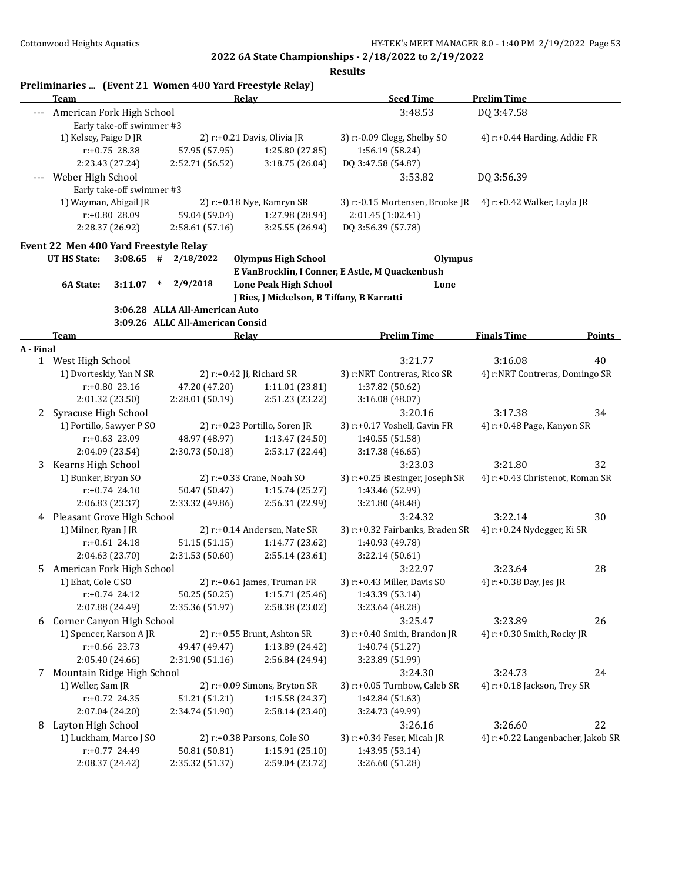|                      |                              |                           |                                                                  | Preliminaries  (Event 21 Women 400 Yard Freestyle Relay) |                                                            |                                   |               |
|----------------------|------------------------------|---------------------------|------------------------------------------------------------------|----------------------------------------------------------|------------------------------------------------------------|-----------------------------------|---------------|
|                      | Team                         |                           |                                                                  | Relay                                                    | <b>Seed Time</b>                                           | <b>Prelim Time</b>                |               |
|                      | American Fork High School    |                           |                                                                  |                                                          | 3:48.53                                                    | DQ 3:47.58                        |               |
|                      |                              | Early take-off swimmer #3 |                                                                  |                                                          |                                                            |                                   |               |
|                      | 1) Kelsey, Paige D JR        |                           |                                                                  | 2) r:+0.21 Davis, Olivia JR                              | 3) r:-0.09 Clegg, Shelby SO                                | 4) r:+0.44 Harding, Addie FR      |               |
|                      |                              | r:+0.75 28.38             | 57.95 (57.95)                                                    | 1:25.80 (27.85)                                          | 1:56.19 (58.24)                                            |                                   |               |
|                      |                              | 2:23.43 (27.24)           | 2:52.71 (56.52)                                                  | 3:18.75 (26.04)                                          | DQ 3:47.58 (54.87)                                         |                                   |               |
|                      | Weber High School            | Early take-off swimmer #3 |                                                                  |                                                          | 3:53.82                                                    | DQ 3:56.39                        |               |
|                      |                              | 1) Wayman, Abigail JR     |                                                                  |                                                          |                                                            |                                   |               |
|                      |                              | r:+0.80 28.09             | 59.04 (59.04)                                                    | 2) r:+0.18 Nye, Kamryn SR<br>1:27.98 (28.94)             | 3) r:-0.15 Mortensen, Brooke JR<br>2:01.45 (1:02.41)       | 4) r:+0.42 Walker, Layla JR       |               |
|                      |                              | 2:28.37 (26.92)           | 2:58.61(57.16)                                                   | 3:25.55 (26.94)                                          | DQ 3:56.39 (57.78)                                         |                                   |               |
|                      |                              |                           |                                                                  |                                                          |                                                            |                                   |               |
|                      | <b>UT HS State:</b>          |                           | Event 22 Men 400 Yard Freestyle Relay<br>$3:08.65$ # $2/18/2022$ | <b>Olympus High School</b>                               | <b>Olympus</b>                                             |                                   |               |
|                      |                              |                           |                                                                  |                                                          | E VanBrocklin, I Conner, E Astle, M Quackenbush            |                                   |               |
|                      | 6A State:                    | 3:11.07                   | 2/9/2018<br>$\ast$                                               | <b>Lone Peak High School</b>                             | Lone                                                       |                                   |               |
|                      |                              |                           |                                                                  | J Ries, J Mickelson, B Tiffany, B Karratti               |                                                            |                                   |               |
|                      |                              |                           | 3:06.28 ALLA All-American Auto                                   |                                                          |                                                            |                                   |               |
|                      |                              |                           | 3:09.26 ALLC All-American Consid                                 |                                                          |                                                            |                                   |               |
|                      | Team                         |                           |                                                                  | <b>Relay</b>                                             | <b>Prelim Time</b>                                         | <b>Finals Time</b>                | <b>Points</b> |
| A - Final            |                              |                           |                                                                  |                                                          |                                                            |                                   |               |
|                      | 1 West High School           |                           |                                                                  |                                                          | 3:21.77                                                    | 3:16.08                           | 40            |
|                      |                              | 1) Dvorteskiy, Yan N SR   |                                                                  | 2) r:+0.42 Ji, Richard SR                                | 3) r:NRT Contreras, Rico SR                                | 4) r:NRT Contreras, Domingo SR    |               |
|                      |                              | r:+0.80 23.16             | 47.20 (47.20)                                                    | 1:11.01 (23.81)                                          | 1:37.82 (50.62)                                            |                                   |               |
|                      |                              | 2:01.32 (23.50)           | 2:28.01 (50.19)                                                  | 2:51.23 (23.22)                                          | 3:16.08 (48.07)                                            |                                   |               |
| $\mathbf{2}^{\circ}$ | Syracuse High School         |                           |                                                                  |                                                          | 3:20.16                                                    | 3:17.38                           | 34            |
|                      |                              | 1) Portillo, Sawyer P SO  |                                                                  | 2) r:+0.23 Portillo, Soren JR                            | 3) r:+0.17 Voshell, Gavin FR                               | 4) r:+0.48 Page, Kanyon SR        |               |
|                      |                              | r:+0.63 23.09             | 48.97 (48.97)                                                    | 1:13.47 (24.50)                                          | 1:40.55 (51.58)                                            |                                   |               |
|                      |                              | 2:04.09 (23.54)           | 2:30.73 (50.18)                                                  | 2:53.17 (22.44)                                          | 3:17.38 (46.65)                                            |                                   |               |
| 3                    | Kearns High School           |                           |                                                                  |                                                          | 3:23.03                                                    | 3:21.80                           | 32            |
|                      | 1) Bunker, Bryan SO          |                           |                                                                  | 2) r:+0.33 Crane, Noah SO                                | 3) r:+0.25 Biesinger, Joseph SR                            | 4) r:+0.43 Christenot, Roman SR   |               |
|                      |                              | $r: +0.74$ 24.10          | 50.47 (50.47)                                                    | 1:15.74 (25.27)                                          | 1:43.46 (52.99)                                            |                                   |               |
|                      |                              | 2:06.83 (23.37)           | 2:33.32 (49.86)                                                  | 2:56.31 (22.99)                                          | 3:21.80 (48.48)                                            |                                   |               |
|                      | 4 Pleasant Grove High School |                           |                                                                  |                                                          | 3:24.32                                                    | 3:22.14                           | 30            |
|                      | 1) Milner, Ryan J JR         |                           |                                                                  | 2) r:+0.14 Andersen, Nate SR                             | 3) r:+0.32 Fairbanks, Braden SR 4) r:+0.24 Nydegger, Ki SR |                                   |               |
|                      |                              | $r: +0.61$ 24.18          | 51.15 (51.15)                                                    | 1:14.77 (23.62)                                          | 1:40.93 (49.78)                                            |                                   |               |
|                      |                              | 2:04.63 (23.70)           | 2:31.53 (50.60)                                                  | 2:55.14 (23.61)                                          | 3:22.14(50.61)                                             |                                   |               |
| 5                    | American Fork High School    |                           |                                                                  |                                                          | 3:22.97                                                    | 3:23.64                           | 28            |
|                      | 1) Ehat, Cole C SO           |                           |                                                                  | 2) r:+0.61 James, Truman FR                              | 3) r:+0.43 Miller, Davis SO                                | 4) r:+0.38 Day, Jes JR            |               |
|                      |                              | $r: +0.74$ 24.12          | 50.25 (50.25)                                                    | 1:15.71(25.46)                                           | 1:43.39 (53.14)                                            |                                   |               |
|                      |                              | 2:07.88 (24.49)           | 2:35.36 (51.97)                                                  | 2:58.38 (23.02)                                          | 3:23.64 (48.28)                                            |                                   |               |
| 6                    | Corner Canyon High School    |                           |                                                                  |                                                          | 3:25.47                                                    | 3:23.89                           | 26            |
|                      |                              | 1) Spencer, Karson A JR   |                                                                  | 2) r:+0.55 Brunt, Ashton SR                              | 3) r:+0.40 Smith, Brandon JR                               | 4) r:+0.30 Smith, Rocky JR        |               |
|                      |                              | $r: +0.66$ 23.73          | 49.47 (49.47)                                                    | 1:13.89 (24.42)                                          | 1:40.74 (51.27)                                            |                                   |               |
|                      |                              | 2:05.40 (24.66)           | 2:31.90 (51.16)                                                  | 2:56.84 (24.94)                                          | 3:23.89 (51.99)                                            |                                   |               |
| 7                    | Mountain Ridge High School   |                           |                                                                  |                                                          | 3:24.30                                                    | 3:24.73                           | 24            |
|                      | 1) Weller, Sam JR            |                           |                                                                  | 2) r:+0.09 Simons, Bryton SR                             | 3) r:+0.05 Turnbow, Caleb SR                               | 4) r:+0.18 Jackson, Trey SR       |               |
|                      |                              | $r: +0.72$ 24.35          | 51.21 (51.21)                                                    | 1:15.58 (24.37)                                          | 1:42.84 (51.63)                                            |                                   |               |
|                      |                              | 2:07.04 (24.20)           | 2:34.74 (51.90)                                                  | 2:58.14 (23.40)                                          | 3:24.73 (49.99)                                            |                                   |               |
|                      | 8 Layton High School         |                           |                                                                  |                                                          | 3:26.16                                                    | 3:26.60                           | 22            |
|                      |                              | 1) Luckham, Marco J SO    |                                                                  | 2) r:+0.38 Parsons, Cole SO                              | 3) r:+0.34 Feser, Micah JR                                 | 4) r:+0.22 Langenbacher, Jakob SR |               |
|                      |                              | r:+0.77 24.49             | 50.81 (50.81)                                                    | 1:15.91 (25.10)                                          | 1:43.95 (53.14)                                            |                                   |               |
|                      |                              | 2:08.37 (24.42)           | 2:35.32 (51.37)                                                  | 2:59.04 (23.72)                                          | 3:26.60 (51.28)                                            |                                   |               |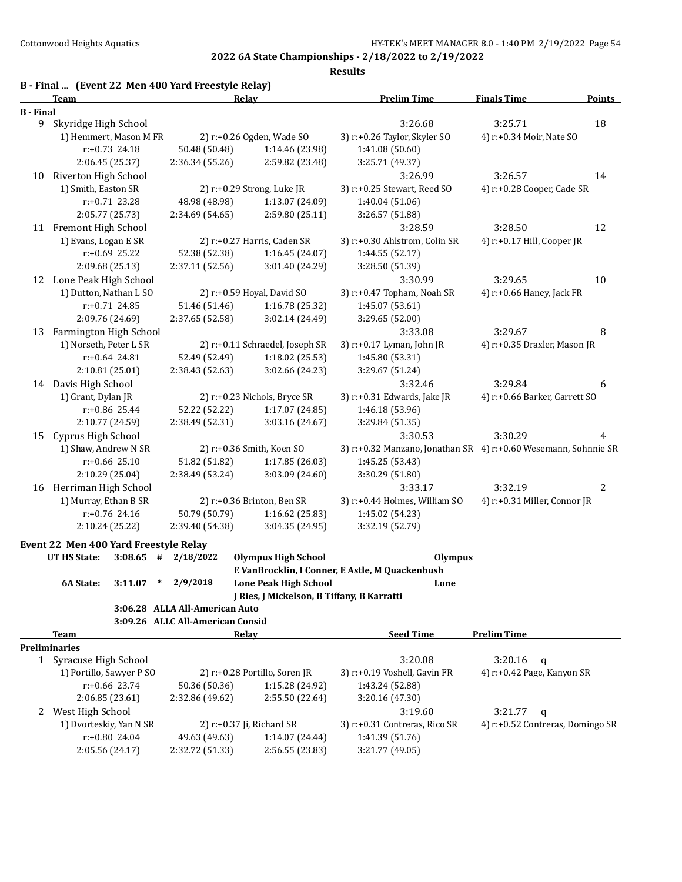|                  | B - Final  (Event 22 Men 400 Yard Freestyle Relay)<br>Relay<br>Team |                                  |                                            | <b>Prelim Time</b>                                              | <b>Finals Time</b>            | Points |
|------------------|---------------------------------------------------------------------|----------------------------------|--------------------------------------------|-----------------------------------------------------------------|-------------------------------|--------|
| <b>B</b> - Final |                                                                     |                                  |                                            |                                                                 |                               |        |
|                  | 9 Skyridge High School                                              |                                  |                                            | 3:26.68                                                         | 3:25.71                       | 18     |
|                  | 1) Hemmert, Mason M FR                                              |                                  | 2) r:+0.26 Ogden, Wade SO                  | 3) r:+0.26 Taylor, Skyler SO                                    | 4) r:+0.34 Moir, Nate SO      |        |
|                  | $r: +0.73$ 24.18                                                    | 50.48 (50.48)                    | 1:14.46 (23.98)                            | 1:41.08(50.60)                                                  |                               |        |
|                  | 2:06.45 (25.37)                                                     | 2:36.34 (55.26)                  | 2:59.82 (23.48)                            | 3:25.71 (49.37)                                                 |                               |        |
| 10               | Riverton High School                                                |                                  |                                            | 3:26.99                                                         | 3:26.57                       | 14     |
|                  | 1) Smith, Easton SR                                                 |                                  | 2) r:+0.29 Strong, Luke JR                 | 3) r:+0.25 Stewart, Reed SO                                     | 4) r:+0.28 Cooper, Cade SR    |        |
|                  | $r: +0.71$ 23.28                                                    | 48.98 (48.98)                    | 1:13.07 (24.09)                            | 1:40.04 (51.06)                                                 |                               |        |
|                  | 2:05.77 (25.73)                                                     | 2:34.69 (54.65)                  | 2:59.80 (25.11)                            | 3:26.57 (51.88)                                                 |                               |        |
|                  | 11 Fremont High School                                              |                                  |                                            | 3:28.59                                                         | 3:28.50                       | 12     |
|                  | 1) Evans, Logan E SR                                                |                                  | 2) r:+0.27 Harris, Caden SR                | 3) r:+0.30 Ahlstrom, Colin SR                                   | 4) r:+0.17 Hill, Cooper JR    |        |
|                  | r:+0.69 25.22                                                       | 52.38 (52.38)                    | 1:16.45 (24.07)                            | 1:44.55 (52.17)                                                 |                               |        |
|                  | 2:09.68 (25.13)                                                     | 2:37.11 (52.56)                  | 3:01.40 (24.29)                            | 3:28.50 (51.39)                                                 |                               |        |
|                  | 12 Lone Peak High School                                            |                                  |                                            | 3:30.99                                                         | 3:29.65                       | 10     |
|                  | 1) Dutton, Nathan L SO                                              |                                  | 2) r:+0.59 Hoyal, David SO                 | 3) r:+0.47 Topham, Noah SR                                      | 4) r:+0.66 Haney, Jack FR     |        |
|                  | $r: +0.71$ 24.85                                                    | 51.46 (51.46)                    | 1:16.78 (25.32)                            | 1:45.07 (53.61)                                                 |                               |        |
|                  | 2:09.76 (24.69)                                                     | 2:37.65 (52.58)                  | 3:02.14 (24.49)                            | 3:29.65 (52.00)                                                 |                               |        |
| 13               | Farmington High School                                              |                                  |                                            | 3:33.08                                                         | 3:29.67                       | 8      |
|                  | 1) Norseth, Peter L SR                                              |                                  | 2) r:+0.11 Schraedel, Joseph SR            | 3) r:+0.17 Lyman, John JR                                       | 4) r:+0.35 Draxler, Mason JR  |        |
|                  | $r: +0.64$ 24.81                                                    | 52.49 (52.49)                    | 1:18.02 (25.53)                            | 1:45.80 (53.31)                                                 |                               |        |
|                  | 2:10.81 (25.01)                                                     | 2:38.43 (52.63)                  | 3:02.66 (24.23)                            | 3:29.67 (51.24)                                                 |                               |        |
| 14               | Davis High School                                                   |                                  |                                            | 3:32.46                                                         | 3:29.84                       | 6      |
|                  | 1) Grant, Dylan JR                                                  |                                  | 2) r:+0.23 Nichols, Bryce SR               | 3) r:+0.31 Edwards, Jake JR                                     | 4) r:+0.66 Barker, Garrett SO |        |
|                  | r:+0.86 25.44                                                       | 52.22 (52.22)                    | 1:17.07 (24.85)                            | 1:46.18 (53.96)                                                 |                               |        |
|                  | 2:10.77 (24.59)                                                     | 2:38.49 (52.31)                  | 3:03.16 (24.67)                            | 3:29.84 (51.35)                                                 |                               |        |
| 15               | Cyprus High School                                                  |                                  |                                            | 3:30.53                                                         | 3:30.29                       | 4      |
|                  | 1) Shaw, Andrew N SR                                                |                                  | 2) r:+0.36 Smith, Koen SO                  | 3) r:+0.32 Manzano, Jonathan SR 4) r:+0.60 Wesemann, Sohnnie SR |                               |        |
|                  | r:+0.66 25.10                                                       | 51.82 (51.82)                    | 1:17.85 (26.03)                            | 1:45.25 (53.43)                                                 |                               |        |
|                  | 2:10.29 (25.04)                                                     | 2:38.49 (53.24)                  | 3:03.09 (24.60)                            | 3:30.29 (51.80)                                                 |                               |        |
| 16               | Herriman High School                                                |                                  |                                            | 3:33.17                                                         | 3:32.19                       | 2      |
|                  | 1) Murray, Ethan B SR                                               |                                  | 2) r:+0.36 Brinton, Ben SR                 | 3) r:+0.44 Holmes, William SO                                   | 4) r:+0.31 Miller, Connor JR  |        |
|                  | r:+0.76 24.16                                                       | 50.79 (50.79)                    | 1:16.62 (25.83)                            | 1:45.02 (54.23)                                                 |                               |        |
|                  | 2:10.24 (25.22)                                                     | 2:39.40 (54.38)                  | 3:04.35 (24.95)                            | 3:32.19 (52.79)                                                 |                               |        |
|                  | Event 22 Men 400 Yard Freestyle Relay                               |                                  |                                            |                                                                 |                               |        |
|                  | <b>UT HS State:</b><br>$3:08.65$ #                                  | 2/18/2022                        | <b>Olympus High School</b>                 | <b>Olympus</b>                                                  |                               |        |
|                  |                                                                     |                                  |                                            | E VanBrocklin, I Conner, E Astle, M Quackenbush                 |                               |        |
|                  | 6A State:<br>$3:11.07$ * $2/9/2018$                                 |                                  | <b>Lone Peak High School</b>               | Lone                                                            |                               |        |
|                  |                                                                     |                                  | J Ries, J Mickelson, B Tiffany, B Karratti |                                                                 |                               |        |
|                  |                                                                     | 3:06.28 ALLA All-American Auto   |                                            |                                                                 |                               |        |
|                  |                                                                     | 3:09.26 ALLC All-American Consid |                                            |                                                                 |                               |        |
|                  | <b>Team</b>                                                         |                                  | <b>Relay</b>                               | <b>Seed Time</b>                                                | <b>Prelim Time</b>            |        |
|                  | <b>Preliminaries</b>                                                |                                  |                                            |                                                                 |                               |        |
|                  | 1 Syracuse High School                                              |                                  |                                            | 3:20.08                                                         | $3:20.16$ q                   |        |

| $\mathbf{u}$             |                 |                                |                               |                                  |
|--------------------------|-----------------|--------------------------------|-------------------------------|----------------------------------|
| Syracuse High School     |                 |                                | 3:20.08                       | 3:20.16<br>a                     |
| 1) Portillo, Sawyer P SO |                 | 2) $r+0.28$ Portillo, Soren JR | 3) r:+0.19 Voshell, Gavin FR  | 4) r:+0.42 Page, Kanyon SR       |
| $r: +0.66$ 23.74         | 50.36 (50.36)   | 1:15.28 (24.92)                | 1:43.24 (52.88)               |                                  |
| 2:06.85(23.61)           | 2:32.86 (49.62) | 2:55.50 (22.64)                | 3:20.16(47.30)                |                                  |
| West High School         |                 |                                | 3:19.60                       | 3:21.77<br>$\alpha$              |
| 1) Dvorteskiy, Yan N SR  |                 | 2) $r: +0.37$ Ji, Richard SR   | 3) r:+0.31 Contreras, Rico SR | 4) r:+0.52 Contreras, Domingo SR |
| $r: +0.80$ 24.04         | 49.63 (49.63)   | 1:14.07(24.44)                 | 1:41.39 (51.76)               |                                  |
| 2:05.56(24.17)           | 2:32.72 (51.33) | 2:56.55(23.83)                 | 3:21.77 (49.05)               |                                  |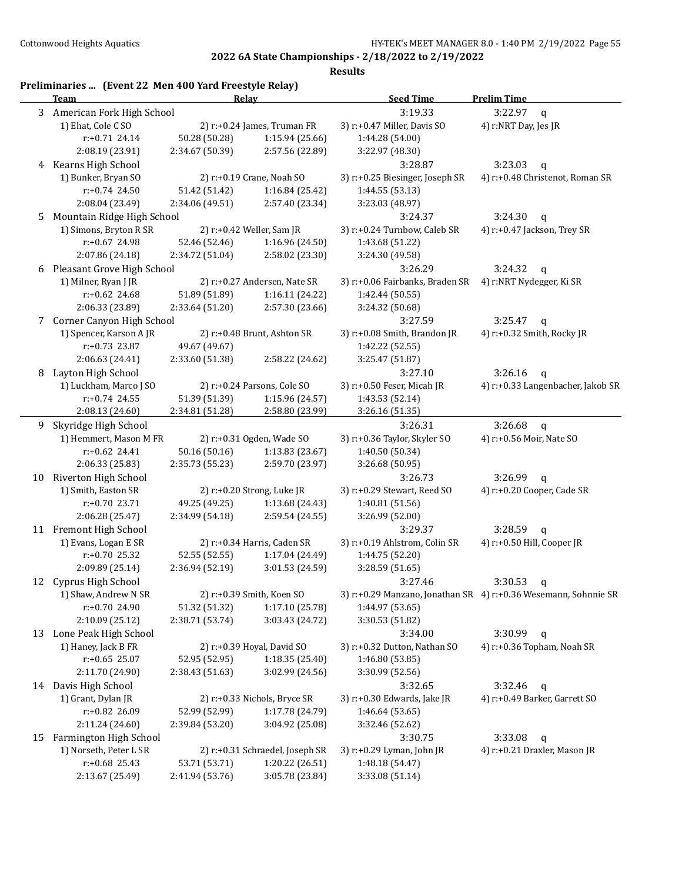| 3<br>3:19.33<br>3:22.97<br>American Fork High School<br>$\mathbf{q}$<br>1) Ehat, Cole CSO<br>3) r:+0.47 Miller, Davis SO<br>4) r:NRT Day, Jes JR<br>2) $r: +0.24$ James, Truman FR<br>$r: +0.71$ 24.14<br>50.28 (50.28)<br>1:15.94(25.66)<br>1:44.28 (54.00)<br>2:08.19 (23.91)<br>2:34.67 (50.39)<br>2:57.56 (22.89)<br>3:22.97 (48.30)<br>4 Kearns High School<br>3:28.87<br>3:23.03<br>$\mathbf q$<br>1) Bunker, Bryan SO<br>4) r:+0.48 Christenot, Roman SR<br>2) r:+0.19 Crane, Noah SO<br>3) r:+0.25 Biesinger, Joseph SR<br>$r: +0.74$ 24.50<br>51.42 (51.42)<br>1:16.84(25.42)<br>1:44.55 (53.13)<br>2:08.04 (23.49)<br>2:34.06 (49.51)<br>2:57.40 (23.34)<br>3:23.03 (48.97)<br>Mountain Ridge High School<br>3:24.30<br>3:24.37<br>5<br>$\mathsf{q}$<br>1) Simons, Bryton R SR<br>2) r:+0.42 Weller, Sam JR<br>3) r:+0.24 Turnbow, Caleb SR<br>4) r:+0.47 Jackson, Trey SR<br>r:+0.67 24.98<br>52.46 (52.46)<br>1:16.96 (24.50)<br>1:43.68 (51.22)<br>2:07.86 (24.18)<br>2:34.72 (51.04)<br>2:58.02 (23.30)<br>3:24.30 (49.58)<br>Pleasant Grove High School<br>3:26.29<br>3:24.32<br>$\mathbf q$<br>6<br>1) Milner, Ryan J JR<br>2) r:+0.27 Andersen, Nate SR<br>3) r:+0.06 Fairbanks, Braden SR<br>4) r:NRT Nydegger, Ki SR<br>$r: +0.62$ 24.68<br>51.89 (51.89)<br>1:16.11 (24.22)<br>1:42.44 (50.55)<br>2:06.33 (23.89)<br>2:57.30 (23.66)<br>2:33.64 (51.20)<br>3:24.32 (50.68)<br>Corner Canyon High School<br>3:27.59<br>3:25.47<br>7<br>$\mathbf q$<br>1) Spencer, Karson A JR<br>2) r:+0.48 Brunt, Ashton SR<br>3) r:+0.08 Smith, Brandon JR<br>4) r:+0.32 Smith, Rocky JR<br>$r: +0.73$ 23.87<br>49.67 (49.67)<br>1:42.22 (52.55)<br>2:06.63 (24.41)<br>2:33.60 (51.38)<br>2:58.22 (24.62)<br>3:25.47 (51.87)<br>Layton High School<br>3:26.16<br>8<br>3:27.10<br>$\mathbf q$<br>1) Luckham, Marco J SO<br>2) r:+0.24 Parsons, Cole SO<br>3) r:+0.50 Feser, Micah JR<br>4) r:+0.33 Langenbacher, Jakob SR<br>$r: +0.74$ 24.55<br>51.39 (51.39)<br>1:15.96 (24.57)<br>1:43.53 (52.14)<br>2:08.13 (24.60)<br>2:34.81 (51.28)<br>2:58.80 (23.99)<br>3:26.16 (51.35)<br>Skyridge High School<br>3:26.31<br>3:26.68<br>9<br>$\mathbf q$<br>1) Hemmert, Mason M FR<br>2) r:+0.31 Ogden, Wade SO<br>3) r:+0.36 Taylor, Skyler SO<br>4) r:+0.56 Moir, Nate SO<br>$r: +0.62$ 24.41<br>50.16 (50.16)<br>1:13.83 (23.67)<br>1:40.50 (50.34)<br>2:06.33 (25.83)<br>2:35.73 (55.23)<br>2:59.70 (23.97)<br>3:26.68 (50.95)<br>Riverton High School<br>3:26.73<br>3:26.99<br>10<br>q<br>1) Smith, Easton SR<br>2) r:+0.20 Strong, Luke JR<br>3) r:+0.29 Stewart, Reed SO<br>4) r:+0.20 Cooper, Cade SR<br>$r: +0.70$ 23.71<br>49.25 (49.25)<br>1:13.68 (24.43)<br>1:40.81 (51.56)<br>2:06.28 (25.47)<br>2:34.99 (54.18)<br>2:59.54 (24.55)<br>3:26.99 (52.00)<br>11 Fremont High School<br>3:29.37<br>3:28.59<br>$\mathbf q$<br>1) Evans, Logan E SR<br>2) r:+0.34 Harris, Caden SR<br>3) r:+0.19 Ahlstrom, Colin SR<br>4) r:+0.50 Hill, Cooper JR<br>$r: +0.70$ 25.32<br>52.55 (52.55)<br>1:17.04 (24.49)<br>1:44.75 (52.20)<br>2:09.89 (25.14)<br>2:36.94 (52.19)<br>3:01.53 (24.59)<br>3:28.59 (51.65)<br>12<br>Cyprus High School<br>3:27.46<br>3:30.53<br>q<br>1) Shaw, Andrew N SR<br>2) r:+0.39 Smith, Koen SO<br>3) r:+0.29 Manzano, Jonathan SR 4) r:+0.36 Wesemann, Sohnnie SR<br>r:+0.70 24.90<br>1:17.10(25.78)<br>1:44.97 (53.65)<br>51.32 (51.32)<br>2:10.09 (25.12)<br>2:38.71 (53.74)<br>3:03.43 (24.72)<br>3:30.53 (51.82)<br>Lone Peak High School<br>3:30.99<br>3:34.00<br>13<br>$\mathbf q$<br>2) r:+0.39 Hoyal, David SO<br>1) Haney, Jack B FR<br>3) r:+0.32 Dutton, Nathan SO<br>4) r:+0.36 Topham, Noah SR<br>$r: +0.65$ 25.07<br>52.95 (52.95)<br>1:18.35 (25.40)<br>1:46.80 (53.85)<br>2:11.70 (24.90)<br>2:38.43 (51.63)<br>3:02.99 (24.56)<br>3:30.99 (52.56)<br>14 Davis High School<br>3:32.46<br>3:32.65<br>q<br>1) Grant, Dylan JR<br>2) r:+0.33 Nichols, Bryce SR<br>3) r:+0.30 Edwards, Jake JR<br>4) r:+0.49 Barker, Garrett SO<br>r:+0.82 26.09<br>52.99 (52.99)<br>1:17.78 (24.79)<br>1:46.64 (53.65)<br>2:11.24 (24.60)<br>2:39.84 (53.20)<br>3:04.92 (25.08)<br>3:32.46 (52.62)<br>Farmington High School<br>3:30.75<br>3:33.08<br>15<br>$\mathbf q$<br>1) Norseth, Peter L SR<br>2) r:+0.31 Schraedel, Joseph SR<br>3) r:+0.29 Lyman, John JR<br>4) r:+0.21 Draxler, Mason JR<br>$r: +0.68$ 25.43<br>53.71 (53.71)<br>1:20.22 (26.51)<br>1:48.18 (54.47)<br>2:13.67 (25.49)<br>2:41.94 (53.76)<br>3:05.78 (23.84)<br>3:33.08 (51.14) | Preliminaries  (Event 22 Men 400 Yard Freestyle Relay)<br><u>Team</u> |  | Relay | <b>Seed Time</b> | <b>Prelim Time</b> |
|-----------------------------------------------------------------------------------------------------------------------------------------------------------------------------------------------------------------------------------------------------------------------------------------------------------------------------------------------------------------------------------------------------------------------------------------------------------------------------------------------------------------------------------------------------------------------------------------------------------------------------------------------------------------------------------------------------------------------------------------------------------------------------------------------------------------------------------------------------------------------------------------------------------------------------------------------------------------------------------------------------------------------------------------------------------------------------------------------------------------------------------------------------------------------------------------------------------------------------------------------------------------------------------------------------------------------------------------------------------------------------------------------------------------------------------------------------------------------------------------------------------------------------------------------------------------------------------------------------------------------------------------------------------------------------------------------------------------------------------------------------------------------------------------------------------------------------------------------------------------------------------------------------------------------------------------------------------------------------------------------------------------------------------------------------------------------------------------------------------------------------------------------------------------------------------------------------------------------------------------------------------------------------------------------------------------------------------------------------------------------------------------------------------------------------------------------------------------------------------------------------------------------------------------------------------------------------------------------------------------------------------------------------------------------------------------------------------------------------------------------------------------------------------------------------------------------------------------------------------------------------------------------------------------------------------------------------------------------------------------------------------------------------------------------------------------------------------------------------------------------------------------------------------------------------------------------------------------------------------------------------------------------------------------------------------------------------------------------------------------------------------------------------------------------------------------------------------------------------------------------------------------------------------------------------------------------------------------------------------------------------------------------------------------------------------------------------------------------------------------------------------------------------------------------------------------------------------------------------------------------------------------------------------------------------------------------------------------------------------------------------------------------------------------------------------------------------------------------------------------------------------------------------------------------------------------------------------------------------------------------------------------------------------------------------------------------------------------------------------------------------------------------------------------------------------------------------------------------------------|-----------------------------------------------------------------------|--|-------|------------------|--------------------|
|                                                                                                                                                                                                                                                                                                                                                                                                                                                                                                                                                                                                                                                                                                                                                                                                                                                                                                                                                                                                                                                                                                                                                                                                                                                                                                                                                                                                                                                                                                                                                                                                                                                                                                                                                                                                                                                                                                                                                                                                                                                                                                                                                                                                                                                                                                                                                                                                                                                                                                                                                                                                                                                                                                                                                                                                                                                                                                                                                                                                                                                                                                                                                                                                                                                                                                                                                                                                                                                                                                                                                                                                                                                                                                                                                                                                                                                                                                                                                                                                                                                                                                                                                                                                                                                                                                                                                                                                                                                                                   |                                                                       |  |       |                  |                    |
|                                                                                                                                                                                                                                                                                                                                                                                                                                                                                                                                                                                                                                                                                                                                                                                                                                                                                                                                                                                                                                                                                                                                                                                                                                                                                                                                                                                                                                                                                                                                                                                                                                                                                                                                                                                                                                                                                                                                                                                                                                                                                                                                                                                                                                                                                                                                                                                                                                                                                                                                                                                                                                                                                                                                                                                                                                                                                                                                                                                                                                                                                                                                                                                                                                                                                                                                                                                                                                                                                                                                                                                                                                                                                                                                                                                                                                                                                                                                                                                                                                                                                                                                                                                                                                                                                                                                                                                                                                                                                   |                                                                       |  |       |                  |                    |
|                                                                                                                                                                                                                                                                                                                                                                                                                                                                                                                                                                                                                                                                                                                                                                                                                                                                                                                                                                                                                                                                                                                                                                                                                                                                                                                                                                                                                                                                                                                                                                                                                                                                                                                                                                                                                                                                                                                                                                                                                                                                                                                                                                                                                                                                                                                                                                                                                                                                                                                                                                                                                                                                                                                                                                                                                                                                                                                                                                                                                                                                                                                                                                                                                                                                                                                                                                                                                                                                                                                                                                                                                                                                                                                                                                                                                                                                                                                                                                                                                                                                                                                                                                                                                                                                                                                                                                                                                                                                                   |                                                                       |  |       |                  |                    |
|                                                                                                                                                                                                                                                                                                                                                                                                                                                                                                                                                                                                                                                                                                                                                                                                                                                                                                                                                                                                                                                                                                                                                                                                                                                                                                                                                                                                                                                                                                                                                                                                                                                                                                                                                                                                                                                                                                                                                                                                                                                                                                                                                                                                                                                                                                                                                                                                                                                                                                                                                                                                                                                                                                                                                                                                                                                                                                                                                                                                                                                                                                                                                                                                                                                                                                                                                                                                                                                                                                                                                                                                                                                                                                                                                                                                                                                                                                                                                                                                                                                                                                                                                                                                                                                                                                                                                                                                                                                                                   |                                                                       |  |       |                  |                    |
|                                                                                                                                                                                                                                                                                                                                                                                                                                                                                                                                                                                                                                                                                                                                                                                                                                                                                                                                                                                                                                                                                                                                                                                                                                                                                                                                                                                                                                                                                                                                                                                                                                                                                                                                                                                                                                                                                                                                                                                                                                                                                                                                                                                                                                                                                                                                                                                                                                                                                                                                                                                                                                                                                                                                                                                                                                                                                                                                                                                                                                                                                                                                                                                                                                                                                                                                                                                                                                                                                                                                                                                                                                                                                                                                                                                                                                                                                                                                                                                                                                                                                                                                                                                                                                                                                                                                                                                                                                                                                   |                                                                       |  |       |                  |                    |
|                                                                                                                                                                                                                                                                                                                                                                                                                                                                                                                                                                                                                                                                                                                                                                                                                                                                                                                                                                                                                                                                                                                                                                                                                                                                                                                                                                                                                                                                                                                                                                                                                                                                                                                                                                                                                                                                                                                                                                                                                                                                                                                                                                                                                                                                                                                                                                                                                                                                                                                                                                                                                                                                                                                                                                                                                                                                                                                                                                                                                                                                                                                                                                                                                                                                                                                                                                                                                                                                                                                                                                                                                                                                                                                                                                                                                                                                                                                                                                                                                                                                                                                                                                                                                                                                                                                                                                                                                                                                                   |                                                                       |  |       |                  |                    |
|                                                                                                                                                                                                                                                                                                                                                                                                                                                                                                                                                                                                                                                                                                                                                                                                                                                                                                                                                                                                                                                                                                                                                                                                                                                                                                                                                                                                                                                                                                                                                                                                                                                                                                                                                                                                                                                                                                                                                                                                                                                                                                                                                                                                                                                                                                                                                                                                                                                                                                                                                                                                                                                                                                                                                                                                                                                                                                                                                                                                                                                                                                                                                                                                                                                                                                                                                                                                                                                                                                                                                                                                                                                                                                                                                                                                                                                                                                                                                                                                                                                                                                                                                                                                                                                                                                                                                                                                                                                                                   |                                                                       |  |       |                  |                    |
|                                                                                                                                                                                                                                                                                                                                                                                                                                                                                                                                                                                                                                                                                                                                                                                                                                                                                                                                                                                                                                                                                                                                                                                                                                                                                                                                                                                                                                                                                                                                                                                                                                                                                                                                                                                                                                                                                                                                                                                                                                                                                                                                                                                                                                                                                                                                                                                                                                                                                                                                                                                                                                                                                                                                                                                                                                                                                                                                                                                                                                                                                                                                                                                                                                                                                                                                                                                                                                                                                                                                                                                                                                                                                                                                                                                                                                                                                                                                                                                                                                                                                                                                                                                                                                                                                                                                                                                                                                                                                   |                                                                       |  |       |                  |                    |
|                                                                                                                                                                                                                                                                                                                                                                                                                                                                                                                                                                                                                                                                                                                                                                                                                                                                                                                                                                                                                                                                                                                                                                                                                                                                                                                                                                                                                                                                                                                                                                                                                                                                                                                                                                                                                                                                                                                                                                                                                                                                                                                                                                                                                                                                                                                                                                                                                                                                                                                                                                                                                                                                                                                                                                                                                                                                                                                                                                                                                                                                                                                                                                                                                                                                                                                                                                                                                                                                                                                                                                                                                                                                                                                                                                                                                                                                                                                                                                                                                                                                                                                                                                                                                                                                                                                                                                                                                                                                                   |                                                                       |  |       |                  |                    |
|                                                                                                                                                                                                                                                                                                                                                                                                                                                                                                                                                                                                                                                                                                                                                                                                                                                                                                                                                                                                                                                                                                                                                                                                                                                                                                                                                                                                                                                                                                                                                                                                                                                                                                                                                                                                                                                                                                                                                                                                                                                                                                                                                                                                                                                                                                                                                                                                                                                                                                                                                                                                                                                                                                                                                                                                                                                                                                                                                                                                                                                                                                                                                                                                                                                                                                                                                                                                                                                                                                                                                                                                                                                                                                                                                                                                                                                                                                                                                                                                                                                                                                                                                                                                                                                                                                                                                                                                                                                                                   |                                                                       |  |       |                  |                    |
|                                                                                                                                                                                                                                                                                                                                                                                                                                                                                                                                                                                                                                                                                                                                                                                                                                                                                                                                                                                                                                                                                                                                                                                                                                                                                                                                                                                                                                                                                                                                                                                                                                                                                                                                                                                                                                                                                                                                                                                                                                                                                                                                                                                                                                                                                                                                                                                                                                                                                                                                                                                                                                                                                                                                                                                                                                                                                                                                                                                                                                                                                                                                                                                                                                                                                                                                                                                                                                                                                                                                                                                                                                                                                                                                                                                                                                                                                                                                                                                                                                                                                                                                                                                                                                                                                                                                                                                                                                                                                   |                                                                       |  |       |                  |                    |
|                                                                                                                                                                                                                                                                                                                                                                                                                                                                                                                                                                                                                                                                                                                                                                                                                                                                                                                                                                                                                                                                                                                                                                                                                                                                                                                                                                                                                                                                                                                                                                                                                                                                                                                                                                                                                                                                                                                                                                                                                                                                                                                                                                                                                                                                                                                                                                                                                                                                                                                                                                                                                                                                                                                                                                                                                                                                                                                                                                                                                                                                                                                                                                                                                                                                                                                                                                                                                                                                                                                                                                                                                                                                                                                                                                                                                                                                                                                                                                                                                                                                                                                                                                                                                                                                                                                                                                                                                                                                                   |                                                                       |  |       |                  |                    |
|                                                                                                                                                                                                                                                                                                                                                                                                                                                                                                                                                                                                                                                                                                                                                                                                                                                                                                                                                                                                                                                                                                                                                                                                                                                                                                                                                                                                                                                                                                                                                                                                                                                                                                                                                                                                                                                                                                                                                                                                                                                                                                                                                                                                                                                                                                                                                                                                                                                                                                                                                                                                                                                                                                                                                                                                                                                                                                                                                                                                                                                                                                                                                                                                                                                                                                                                                                                                                                                                                                                                                                                                                                                                                                                                                                                                                                                                                                                                                                                                                                                                                                                                                                                                                                                                                                                                                                                                                                                                                   |                                                                       |  |       |                  |                    |
|                                                                                                                                                                                                                                                                                                                                                                                                                                                                                                                                                                                                                                                                                                                                                                                                                                                                                                                                                                                                                                                                                                                                                                                                                                                                                                                                                                                                                                                                                                                                                                                                                                                                                                                                                                                                                                                                                                                                                                                                                                                                                                                                                                                                                                                                                                                                                                                                                                                                                                                                                                                                                                                                                                                                                                                                                                                                                                                                                                                                                                                                                                                                                                                                                                                                                                                                                                                                                                                                                                                                                                                                                                                                                                                                                                                                                                                                                                                                                                                                                                                                                                                                                                                                                                                                                                                                                                                                                                                                                   |                                                                       |  |       |                  |                    |
|                                                                                                                                                                                                                                                                                                                                                                                                                                                                                                                                                                                                                                                                                                                                                                                                                                                                                                                                                                                                                                                                                                                                                                                                                                                                                                                                                                                                                                                                                                                                                                                                                                                                                                                                                                                                                                                                                                                                                                                                                                                                                                                                                                                                                                                                                                                                                                                                                                                                                                                                                                                                                                                                                                                                                                                                                                                                                                                                                                                                                                                                                                                                                                                                                                                                                                                                                                                                                                                                                                                                                                                                                                                                                                                                                                                                                                                                                                                                                                                                                                                                                                                                                                                                                                                                                                                                                                                                                                                                                   |                                                                       |  |       |                  |                    |
|                                                                                                                                                                                                                                                                                                                                                                                                                                                                                                                                                                                                                                                                                                                                                                                                                                                                                                                                                                                                                                                                                                                                                                                                                                                                                                                                                                                                                                                                                                                                                                                                                                                                                                                                                                                                                                                                                                                                                                                                                                                                                                                                                                                                                                                                                                                                                                                                                                                                                                                                                                                                                                                                                                                                                                                                                                                                                                                                                                                                                                                                                                                                                                                                                                                                                                                                                                                                                                                                                                                                                                                                                                                                                                                                                                                                                                                                                                                                                                                                                                                                                                                                                                                                                                                                                                                                                                                                                                                                                   |                                                                       |  |       |                  |                    |
|                                                                                                                                                                                                                                                                                                                                                                                                                                                                                                                                                                                                                                                                                                                                                                                                                                                                                                                                                                                                                                                                                                                                                                                                                                                                                                                                                                                                                                                                                                                                                                                                                                                                                                                                                                                                                                                                                                                                                                                                                                                                                                                                                                                                                                                                                                                                                                                                                                                                                                                                                                                                                                                                                                                                                                                                                                                                                                                                                                                                                                                                                                                                                                                                                                                                                                                                                                                                                                                                                                                                                                                                                                                                                                                                                                                                                                                                                                                                                                                                                                                                                                                                                                                                                                                                                                                                                                                                                                                                                   |                                                                       |  |       |                  |                    |
|                                                                                                                                                                                                                                                                                                                                                                                                                                                                                                                                                                                                                                                                                                                                                                                                                                                                                                                                                                                                                                                                                                                                                                                                                                                                                                                                                                                                                                                                                                                                                                                                                                                                                                                                                                                                                                                                                                                                                                                                                                                                                                                                                                                                                                                                                                                                                                                                                                                                                                                                                                                                                                                                                                                                                                                                                                                                                                                                                                                                                                                                                                                                                                                                                                                                                                                                                                                                                                                                                                                                                                                                                                                                                                                                                                                                                                                                                                                                                                                                                                                                                                                                                                                                                                                                                                                                                                                                                                                                                   |                                                                       |  |       |                  |                    |
|                                                                                                                                                                                                                                                                                                                                                                                                                                                                                                                                                                                                                                                                                                                                                                                                                                                                                                                                                                                                                                                                                                                                                                                                                                                                                                                                                                                                                                                                                                                                                                                                                                                                                                                                                                                                                                                                                                                                                                                                                                                                                                                                                                                                                                                                                                                                                                                                                                                                                                                                                                                                                                                                                                                                                                                                                                                                                                                                                                                                                                                                                                                                                                                                                                                                                                                                                                                                                                                                                                                                                                                                                                                                                                                                                                                                                                                                                                                                                                                                                                                                                                                                                                                                                                                                                                                                                                                                                                                                                   |                                                                       |  |       |                  |                    |
|                                                                                                                                                                                                                                                                                                                                                                                                                                                                                                                                                                                                                                                                                                                                                                                                                                                                                                                                                                                                                                                                                                                                                                                                                                                                                                                                                                                                                                                                                                                                                                                                                                                                                                                                                                                                                                                                                                                                                                                                                                                                                                                                                                                                                                                                                                                                                                                                                                                                                                                                                                                                                                                                                                                                                                                                                                                                                                                                                                                                                                                                                                                                                                                                                                                                                                                                                                                                                                                                                                                                                                                                                                                                                                                                                                                                                                                                                                                                                                                                                                                                                                                                                                                                                                                                                                                                                                                                                                                                                   |                                                                       |  |       |                  |                    |
|                                                                                                                                                                                                                                                                                                                                                                                                                                                                                                                                                                                                                                                                                                                                                                                                                                                                                                                                                                                                                                                                                                                                                                                                                                                                                                                                                                                                                                                                                                                                                                                                                                                                                                                                                                                                                                                                                                                                                                                                                                                                                                                                                                                                                                                                                                                                                                                                                                                                                                                                                                                                                                                                                                                                                                                                                                                                                                                                                                                                                                                                                                                                                                                                                                                                                                                                                                                                                                                                                                                                                                                                                                                                                                                                                                                                                                                                                                                                                                                                                                                                                                                                                                                                                                                                                                                                                                                                                                                                                   |                                                                       |  |       |                  |                    |
|                                                                                                                                                                                                                                                                                                                                                                                                                                                                                                                                                                                                                                                                                                                                                                                                                                                                                                                                                                                                                                                                                                                                                                                                                                                                                                                                                                                                                                                                                                                                                                                                                                                                                                                                                                                                                                                                                                                                                                                                                                                                                                                                                                                                                                                                                                                                                                                                                                                                                                                                                                                                                                                                                                                                                                                                                                                                                                                                                                                                                                                                                                                                                                                                                                                                                                                                                                                                                                                                                                                                                                                                                                                                                                                                                                                                                                                                                                                                                                                                                                                                                                                                                                                                                                                                                                                                                                                                                                                                                   |                                                                       |  |       |                  |                    |
|                                                                                                                                                                                                                                                                                                                                                                                                                                                                                                                                                                                                                                                                                                                                                                                                                                                                                                                                                                                                                                                                                                                                                                                                                                                                                                                                                                                                                                                                                                                                                                                                                                                                                                                                                                                                                                                                                                                                                                                                                                                                                                                                                                                                                                                                                                                                                                                                                                                                                                                                                                                                                                                                                                                                                                                                                                                                                                                                                                                                                                                                                                                                                                                                                                                                                                                                                                                                                                                                                                                                                                                                                                                                                                                                                                                                                                                                                                                                                                                                                                                                                                                                                                                                                                                                                                                                                                                                                                                                                   |                                                                       |  |       |                  |                    |
|                                                                                                                                                                                                                                                                                                                                                                                                                                                                                                                                                                                                                                                                                                                                                                                                                                                                                                                                                                                                                                                                                                                                                                                                                                                                                                                                                                                                                                                                                                                                                                                                                                                                                                                                                                                                                                                                                                                                                                                                                                                                                                                                                                                                                                                                                                                                                                                                                                                                                                                                                                                                                                                                                                                                                                                                                                                                                                                                                                                                                                                                                                                                                                                                                                                                                                                                                                                                                                                                                                                                                                                                                                                                                                                                                                                                                                                                                                                                                                                                                                                                                                                                                                                                                                                                                                                                                                                                                                                                                   |                                                                       |  |       |                  |                    |
|                                                                                                                                                                                                                                                                                                                                                                                                                                                                                                                                                                                                                                                                                                                                                                                                                                                                                                                                                                                                                                                                                                                                                                                                                                                                                                                                                                                                                                                                                                                                                                                                                                                                                                                                                                                                                                                                                                                                                                                                                                                                                                                                                                                                                                                                                                                                                                                                                                                                                                                                                                                                                                                                                                                                                                                                                                                                                                                                                                                                                                                                                                                                                                                                                                                                                                                                                                                                                                                                                                                                                                                                                                                                                                                                                                                                                                                                                                                                                                                                                                                                                                                                                                                                                                                                                                                                                                                                                                                                                   |                                                                       |  |       |                  |                    |
|                                                                                                                                                                                                                                                                                                                                                                                                                                                                                                                                                                                                                                                                                                                                                                                                                                                                                                                                                                                                                                                                                                                                                                                                                                                                                                                                                                                                                                                                                                                                                                                                                                                                                                                                                                                                                                                                                                                                                                                                                                                                                                                                                                                                                                                                                                                                                                                                                                                                                                                                                                                                                                                                                                                                                                                                                                                                                                                                                                                                                                                                                                                                                                                                                                                                                                                                                                                                                                                                                                                                                                                                                                                                                                                                                                                                                                                                                                                                                                                                                                                                                                                                                                                                                                                                                                                                                                                                                                                                                   |                                                                       |  |       |                  |                    |
|                                                                                                                                                                                                                                                                                                                                                                                                                                                                                                                                                                                                                                                                                                                                                                                                                                                                                                                                                                                                                                                                                                                                                                                                                                                                                                                                                                                                                                                                                                                                                                                                                                                                                                                                                                                                                                                                                                                                                                                                                                                                                                                                                                                                                                                                                                                                                                                                                                                                                                                                                                                                                                                                                                                                                                                                                                                                                                                                                                                                                                                                                                                                                                                                                                                                                                                                                                                                                                                                                                                                                                                                                                                                                                                                                                                                                                                                                                                                                                                                                                                                                                                                                                                                                                                                                                                                                                                                                                                                                   |                                                                       |  |       |                  |                    |
|                                                                                                                                                                                                                                                                                                                                                                                                                                                                                                                                                                                                                                                                                                                                                                                                                                                                                                                                                                                                                                                                                                                                                                                                                                                                                                                                                                                                                                                                                                                                                                                                                                                                                                                                                                                                                                                                                                                                                                                                                                                                                                                                                                                                                                                                                                                                                                                                                                                                                                                                                                                                                                                                                                                                                                                                                                                                                                                                                                                                                                                                                                                                                                                                                                                                                                                                                                                                                                                                                                                                                                                                                                                                                                                                                                                                                                                                                                                                                                                                                                                                                                                                                                                                                                                                                                                                                                                                                                                                                   |                                                                       |  |       |                  |                    |
|                                                                                                                                                                                                                                                                                                                                                                                                                                                                                                                                                                                                                                                                                                                                                                                                                                                                                                                                                                                                                                                                                                                                                                                                                                                                                                                                                                                                                                                                                                                                                                                                                                                                                                                                                                                                                                                                                                                                                                                                                                                                                                                                                                                                                                                                                                                                                                                                                                                                                                                                                                                                                                                                                                                                                                                                                                                                                                                                                                                                                                                                                                                                                                                                                                                                                                                                                                                                                                                                                                                                                                                                                                                                                                                                                                                                                                                                                                                                                                                                                                                                                                                                                                                                                                                                                                                                                                                                                                                                                   |                                                                       |  |       |                  |                    |
|                                                                                                                                                                                                                                                                                                                                                                                                                                                                                                                                                                                                                                                                                                                                                                                                                                                                                                                                                                                                                                                                                                                                                                                                                                                                                                                                                                                                                                                                                                                                                                                                                                                                                                                                                                                                                                                                                                                                                                                                                                                                                                                                                                                                                                                                                                                                                                                                                                                                                                                                                                                                                                                                                                                                                                                                                                                                                                                                                                                                                                                                                                                                                                                                                                                                                                                                                                                                                                                                                                                                                                                                                                                                                                                                                                                                                                                                                                                                                                                                                                                                                                                                                                                                                                                                                                                                                                                                                                                                                   |                                                                       |  |       |                  |                    |
|                                                                                                                                                                                                                                                                                                                                                                                                                                                                                                                                                                                                                                                                                                                                                                                                                                                                                                                                                                                                                                                                                                                                                                                                                                                                                                                                                                                                                                                                                                                                                                                                                                                                                                                                                                                                                                                                                                                                                                                                                                                                                                                                                                                                                                                                                                                                                                                                                                                                                                                                                                                                                                                                                                                                                                                                                                                                                                                                                                                                                                                                                                                                                                                                                                                                                                                                                                                                                                                                                                                                                                                                                                                                                                                                                                                                                                                                                                                                                                                                                                                                                                                                                                                                                                                                                                                                                                                                                                                                                   |                                                                       |  |       |                  |                    |
|                                                                                                                                                                                                                                                                                                                                                                                                                                                                                                                                                                                                                                                                                                                                                                                                                                                                                                                                                                                                                                                                                                                                                                                                                                                                                                                                                                                                                                                                                                                                                                                                                                                                                                                                                                                                                                                                                                                                                                                                                                                                                                                                                                                                                                                                                                                                                                                                                                                                                                                                                                                                                                                                                                                                                                                                                                                                                                                                                                                                                                                                                                                                                                                                                                                                                                                                                                                                                                                                                                                                                                                                                                                                                                                                                                                                                                                                                                                                                                                                                                                                                                                                                                                                                                                                                                                                                                                                                                                                                   |                                                                       |  |       |                  |                    |
|                                                                                                                                                                                                                                                                                                                                                                                                                                                                                                                                                                                                                                                                                                                                                                                                                                                                                                                                                                                                                                                                                                                                                                                                                                                                                                                                                                                                                                                                                                                                                                                                                                                                                                                                                                                                                                                                                                                                                                                                                                                                                                                                                                                                                                                                                                                                                                                                                                                                                                                                                                                                                                                                                                                                                                                                                                                                                                                                                                                                                                                                                                                                                                                                                                                                                                                                                                                                                                                                                                                                                                                                                                                                                                                                                                                                                                                                                                                                                                                                                                                                                                                                                                                                                                                                                                                                                                                                                                                                                   |                                                                       |  |       |                  |                    |
|                                                                                                                                                                                                                                                                                                                                                                                                                                                                                                                                                                                                                                                                                                                                                                                                                                                                                                                                                                                                                                                                                                                                                                                                                                                                                                                                                                                                                                                                                                                                                                                                                                                                                                                                                                                                                                                                                                                                                                                                                                                                                                                                                                                                                                                                                                                                                                                                                                                                                                                                                                                                                                                                                                                                                                                                                                                                                                                                                                                                                                                                                                                                                                                                                                                                                                                                                                                                                                                                                                                                                                                                                                                                                                                                                                                                                                                                                                                                                                                                                                                                                                                                                                                                                                                                                                                                                                                                                                                                                   |                                                                       |  |       |                  |                    |
|                                                                                                                                                                                                                                                                                                                                                                                                                                                                                                                                                                                                                                                                                                                                                                                                                                                                                                                                                                                                                                                                                                                                                                                                                                                                                                                                                                                                                                                                                                                                                                                                                                                                                                                                                                                                                                                                                                                                                                                                                                                                                                                                                                                                                                                                                                                                                                                                                                                                                                                                                                                                                                                                                                                                                                                                                                                                                                                                                                                                                                                                                                                                                                                                                                                                                                                                                                                                                                                                                                                                                                                                                                                                                                                                                                                                                                                                                                                                                                                                                                                                                                                                                                                                                                                                                                                                                                                                                                                                                   |                                                                       |  |       |                  |                    |
|                                                                                                                                                                                                                                                                                                                                                                                                                                                                                                                                                                                                                                                                                                                                                                                                                                                                                                                                                                                                                                                                                                                                                                                                                                                                                                                                                                                                                                                                                                                                                                                                                                                                                                                                                                                                                                                                                                                                                                                                                                                                                                                                                                                                                                                                                                                                                                                                                                                                                                                                                                                                                                                                                                                                                                                                                                                                                                                                                                                                                                                                                                                                                                                                                                                                                                                                                                                                                                                                                                                                                                                                                                                                                                                                                                                                                                                                                                                                                                                                                                                                                                                                                                                                                                                                                                                                                                                                                                                                                   |                                                                       |  |       |                  |                    |
|                                                                                                                                                                                                                                                                                                                                                                                                                                                                                                                                                                                                                                                                                                                                                                                                                                                                                                                                                                                                                                                                                                                                                                                                                                                                                                                                                                                                                                                                                                                                                                                                                                                                                                                                                                                                                                                                                                                                                                                                                                                                                                                                                                                                                                                                                                                                                                                                                                                                                                                                                                                                                                                                                                                                                                                                                                                                                                                                                                                                                                                                                                                                                                                                                                                                                                                                                                                                                                                                                                                                                                                                                                                                                                                                                                                                                                                                                                                                                                                                                                                                                                                                                                                                                                                                                                                                                                                                                                                                                   |                                                                       |  |       |                  |                    |
|                                                                                                                                                                                                                                                                                                                                                                                                                                                                                                                                                                                                                                                                                                                                                                                                                                                                                                                                                                                                                                                                                                                                                                                                                                                                                                                                                                                                                                                                                                                                                                                                                                                                                                                                                                                                                                                                                                                                                                                                                                                                                                                                                                                                                                                                                                                                                                                                                                                                                                                                                                                                                                                                                                                                                                                                                                                                                                                                                                                                                                                                                                                                                                                                                                                                                                                                                                                                                                                                                                                                                                                                                                                                                                                                                                                                                                                                                                                                                                                                                                                                                                                                                                                                                                                                                                                                                                                                                                                                                   |                                                                       |  |       |                  |                    |
|                                                                                                                                                                                                                                                                                                                                                                                                                                                                                                                                                                                                                                                                                                                                                                                                                                                                                                                                                                                                                                                                                                                                                                                                                                                                                                                                                                                                                                                                                                                                                                                                                                                                                                                                                                                                                                                                                                                                                                                                                                                                                                                                                                                                                                                                                                                                                                                                                                                                                                                                                                                                                                                                                                                                                                                                                                                                                                                                                                                                                                                                                                                                                                                                                                                                                                                                                                                                                                                                                                                                                                                                                                                                                                                                                                                                                                                                                                                                                                                                                                                                                                                                                                                                                                                                                                                                                                                                                                                                                   |                                                                       |  |       |                  |                    |
|                                                                                                                                                                                                                                                                                                                                                                                                                                                                                                                                                                                                                                                                                                                                                                                                                                                                                                                                                                                                                                                                                                                                                                                                                                                                                                                                                                                                                                                                                                                                                                                                                                                                                                                                                                                                                                                                                                                                                                                                                                                                                                                                                                                                                                                                                                                                                                                                                                                                                                                                                                                                                                                                                                                                                                                                                                                                                                                                                                                                                                                                                                                                                                                                                                                                                                                                                                                                                                                                                                                                                                                                                                                                                                                                                                                                                                                                                                                                                                                                                                                                                                                                                                                                                                                                                                                                                                                                                                                                                   |                                                                       |  |       |                  |                    |
|                                                                                                                                                                                                                                                                                                                                                                                                                                                                                                                                                                                                                                                                                                                                                                                                                                                                                                                                                                                                                                                                                                                                                                                                                                                                                                                                                                                                                                                                                                                                                                                                                                                                                                                                                                                                                                                                                                                                                                                                                                                                                                                                                                                                                                                                                                                                                                                                                                                                                                                                                                                                                                                                                                                                                                                                                                                                                                                                                                                                                                                                                                                                                                                                                                                                                                                                                                                                                                                                                                                                                                                                                                                                                                                                                                                                                                                                                                                                                                                                                                                                                                                                                                                                                                                                                                                                                                                                                                                                                   |                                                                       |  |       |                  |                    |
|                                                                                                                                                                                                                                                                                                                                                                                                                                                                                                                                                                                                                                                                                                                                                                                                                                                                                                                                                                                                                                                                                                                                                                                                                                                                                                                                                                                                                                                                                                                                                                                                                                                                                                                                                                                                                                                                                                                                                                                                                                                                                                                                                                                                                                                                                                                                                                                                                                                                                                                                                                                                                                                                                                                                                                                                                                                                                                                                                                                                                                                                                                                                                                                                                                                                                                                                                                                                                                                                                                                                                                                                                                                                                                                                                                                                                                                                                                                                                                                                                                                                                                                                                                                                                                                                                                                                                                                                                                                                                   |                                                                       |  |       |                  |                    |
|                                                                                                                                                                                                                                                                                                                                                                                                                                                                                                                                                                                                                                                                                                                                                                                                                                                                                                                                                                                                                                                                                                                                                                                                                                                                                                                                                                                                                                                                                                                                                                                                                                                                                                                                                                                                                                                                                                                                                                                                                                                                                                                                                                                                                                                                                                                                                                                                                                                                                                                                                                                                                                                                                                                                                                                                                                                                                                                                                                                                                                                                                                                                                                                                                                                                                                                                                                                                                                                                                                                                                                                                                                                                                                                                                                                                                                                                                                                                                                                                                                                                                                                                                                                                                                                                                                                                                                                                                                                                                   |                                                                       |  |       |                  |                    |
|                                                                                                                                                                                                                                                                                                                                                                                                                                                                                                                                                                                                                                                                                                                                                                                                                                                                                                                                                                                                                                                                                                                                                                                                                                                                                                                                                                                                                                                                                                                                                                                                                                                                                                                                                                                                                                                                                                                                                                                                                                                                                                                                                                                                                                                                                                                                                                                                                                                                                                                                                                                                                                                                                                                                                                                                                                                                                                                                                                                                                                                                                                                                                                                                                                                                                                                                                                                                                                                                                                                                                                                                                                                                                                                                                                                                                                                                                                                                                                                                                                                                                                                                                                                                                                                                                                                                                                                                                                                                                   |                                                                       |  |       |                  |                    |
|                                                                                                                                                                                                                                                                                                                                                                                                                                                                                                                                                                                                                                                                                                                                                                                                                                                                                                                                                                                                                                                                                                                                                                                                                                                                                                                                                                                                                                                                                                                                                                                                                                                                                                                                                                                                                                                                                                                                                                                                                                                                                                                                                                                                                                                                                                                                                                                                                                                                                                                                                                                                                                                                                                                                                                                                                                                                                                                                                                                                                                                                                                                                                                                                                                                                                                                                                                                                                                                                                                                                                                                                                                                                                                                                                                                                                                                                                                                                                                                                                                                                                                                                                                                                                                                                                                                                                                                                                                                                                   |                                                                       |  |       |                  |                    |
|                                                                                                                                                                                                                                                                                                                                                                                                                                                                                                                                                                                                                                                                                                                                                                                                                                                                                                                                                                                                                                                                                                                                                                                                                                                                                                                                                                                                                                                                                                                                                                                                                                                                                                                                                                                                                                                                                                                                                                                                                                                                                                                                                                                                                                                                                                                                                                                                                                                                                                                                                                                                                                                                                                                                                                                                                                                                                                                                                                                                                                                                                                                                                                                                                                                                                                                                                                                                                                                                                                                                                                                                                                                                                                                                                                                                                                                                                                                                                                                                                                                                                                                                                                                                                                                                                                                                                                                                                                                                                   |                                                                       |  |       |                  |                    |
|                                                                                                                                                                                                                                                                                                                                                                                                                                                                                                                                                                                                                                                                                                                                                                                                                                                                                                                                                                                                                                                                                                                                                                                                                                                                                                                                                                                                                                                                                                                                                                                                                                                                                                                                                                                                                                                                                                                                                                                                                                                                                                                                                                                                                                                                                                                                                                                                                                                                                                                                                                                                                                                                                                                                                                                                                                                                                                                                                                                                                                                                                                                                                                                                                                                                                                                                                                                                                                                                                                                                                                                                                                                                                                                                                                                                                                                                                                                                                                                                                                                                                                                                                                                                                                                                                                                                                                                                                                                                                   |                                                                       |  |       |                  |                    |
|                                                                                                                                                                                                                                                                                                                                                                                                                                                                                                                                                                                                                                                                                                                                                                                                                                                                                                                                                                                                                                                                                                                                                                                                                                                                                                                                                                                                                                                                                                                                                                                                                                                                                                                                                                                                                                                                                                                                                                                                                                                                                                                                                                                                                                                                                                                                                                                                                                                                                                                                                                                                                                                                                                                                                                                                                                                                                                                                                                                                                                                                                                                                                                                                                                                                                                                                                                                                                                                                                                                                                                                                                                                                                                                                                                                                                                                                                                                                                                                                                                                                                                                                                                                                                                                                                                                                                                                                                                                                                   |                                                                       |  |       |                  |                    |
|                                                                                                                                                                                                                                                                                                                                                                                                                                                                                                                                                                                                                                                                                                                                                                                                                                                                                                                                                                                                                                                                                                                                                                                                                                                                                                                                                                                                                                                                                                                                                                                                                                                                                                                                                                                                                                                                                                                                                                                                                                                                                                                                                                                                                                                                                                                                                                                                                                                                                                                                                                                                                                                                                                                                                                                                                                                                                                                                                                                                                                                                                                                                                                                                                                                                                                                                                                                                                                                                                                                                                                                                                                                                                                                                                                                                                                                                                                                                                                                                                                                                                                                                                                                                                                                                                                                                                                                                                                                                                   |                                                                       |  |       |                  |                    |
|                                                                                                                                                                                                                                                                                                                                                                                                                                                                                                                                                                                                                                                                                                                                                                                                                                                                                                                                                                                                                                                                                                                                                                                                                                                                                                                                                                                                                                                                                                                                                                                                                                                                                                                                                                                                                                                                                                                                                                                                                                                                                                                                                                                                                                                                                                                                                                                                                                                                                                                                                                                                                                                                                                                                                                                                                                                                                                                                                                                                                                                                                                                                                                                                                                                                                                                                                                                                                                                                                                                                                                                                                                                                                                                                                                                                                                                                                                                                                                                                                                                                                                                                                                                                                                                                                                                                                                                                                                                                                   |                                                                       |  |       |                  |                    |
|                                                                                                                                                                                                                                                                                                                                                                                                                                                                                                                                                                                                                                                                                                                                                                                                                                                                                                                                                                                                                                                                                                                                                                                                                                                                                                                                                                                                                                                                                                                                                                                                                                                                                                                                                                                                                                                                                                                                                                                                                                                                                                                                                                                                                                                                                                                                                                                                                                                                                                                                                                                                                                                                                                                                                                                                                                                                                                                                                                                                                                                                                                                                                                                                                                                                                                                                                                                                                                                                                                                                                                                                                                                                                                                                                                                                                                                                                                                                                                                                                                                                                                                                                                                                                                                                                                                                                                                                                                                                                   |                                                                       |  |       |                  |                    |
|                                                                                                                                                                                                                                                                                                                                                                                                                                                                                                                                                                                                                                                                                                                                                                                                                                                                                                                                                                                                                                                                                                                                                                                                                                                                                                                                                                                                                                                                                                                                                                                                                                                                                                                                                                                                                                                                                                                                                                                                                                                                                                                                                                                                                                                                                                                                                                                                                                                                                                                                                                                                                                                                                                                                                                                                                                                                                                                                                                                                                                                                                                                                                                                                                                                                                                                                                                                                                                                                                                                                                                                                                                                                                                                                                                                                                                                                                                                                                                                                                                                                                                                                                                                                                                                                                                                                                                                                                                                                                   |                                                                       |  |       |                  |                    |